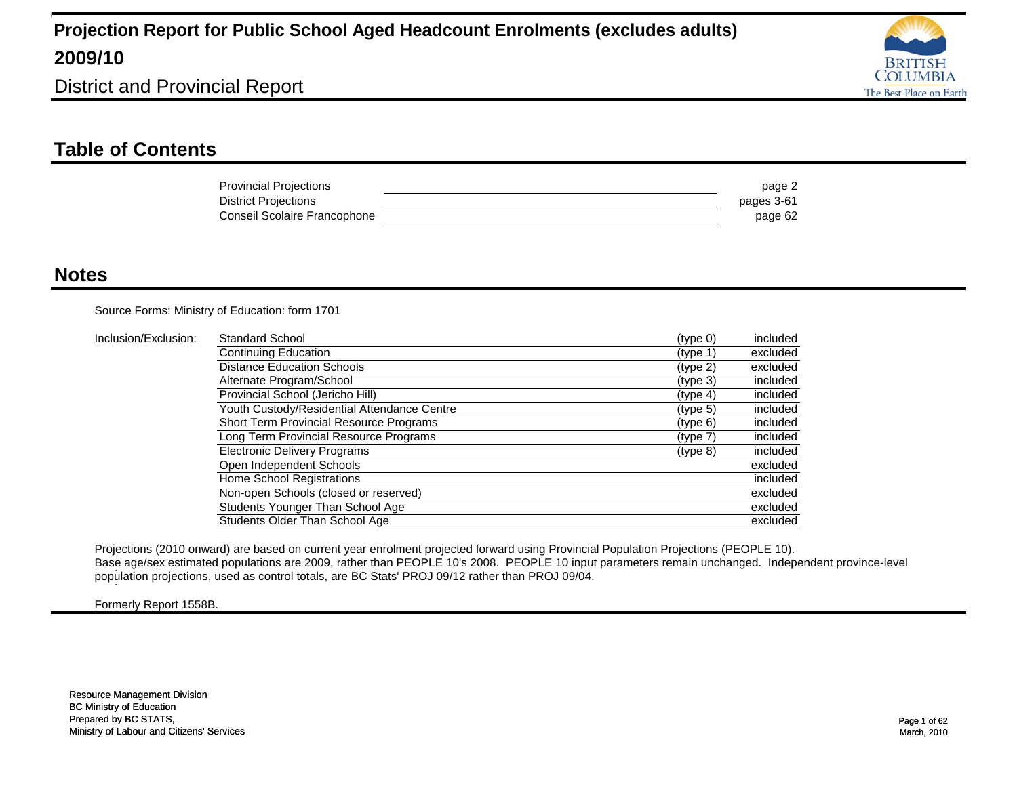

District and Provincial Report

### **Table of Contents**

| <b>Provincial Projections</b> | page 2     |
|-------------------------------|------------|
| District Projections          | pages 3-61 |
| Conseil Scolaire Francophone  | page 62    |

#### **Notes**

Source Forms: Ministry of Education: form 1701

| Inclusion/Exclusion: | <b>Standard School</b>                         | (type 0)             | included |
|----------------------|------------------------------------------------|----------------------|----------|
|                      | <b>Continuing Education</b>                    | (type 1)             | excluded |
|                      | <b>Distance Education Schools</b>              | (type 2)             | excluded |
|                      | Alternate Program/School                       | (type 3)             | included |
|                      | Provincial School (Jericho Hill)               | (typ <sub>e</sub> 4) | included |
|                      | Youth Custody/Residential Attendance Centre    | (tvpe 5)             | included |
|                      | <b>Short Term Provincial Resource Programs</b> | (type 6)             | included |
|                      | Long Term Provincial Resource Programs         | (type 7)             | included |
|                      | <b>Electronic Delivery Programs</b>            | (type 8)             | included |
|                      | Open Independent Schools                       |                      | excluded |
|                      | Home School Registrations                      |                      | included |
|                      | Non-open Schools (closed or reserved)          |                      | excluded |
|                      | Students Younger Than School Age               |                      | excluded |
|                      | Students Older Than School Age                 |                      | excluded |

Projections (2010 onward) are based on current year enrolment projected forward using Provincial Population Projections (PEOPLE 10). Base age/sex estimated populations are 2009, rather than PEOPLE 10's 2008. PEOPLE 10 input parameters remain unchanged. Independent province-level 1 population projections, used as control totals, are BC Stats' PROJ 09/12 rather than PROJ 09/04. 1

Formerly Report 1558B.

1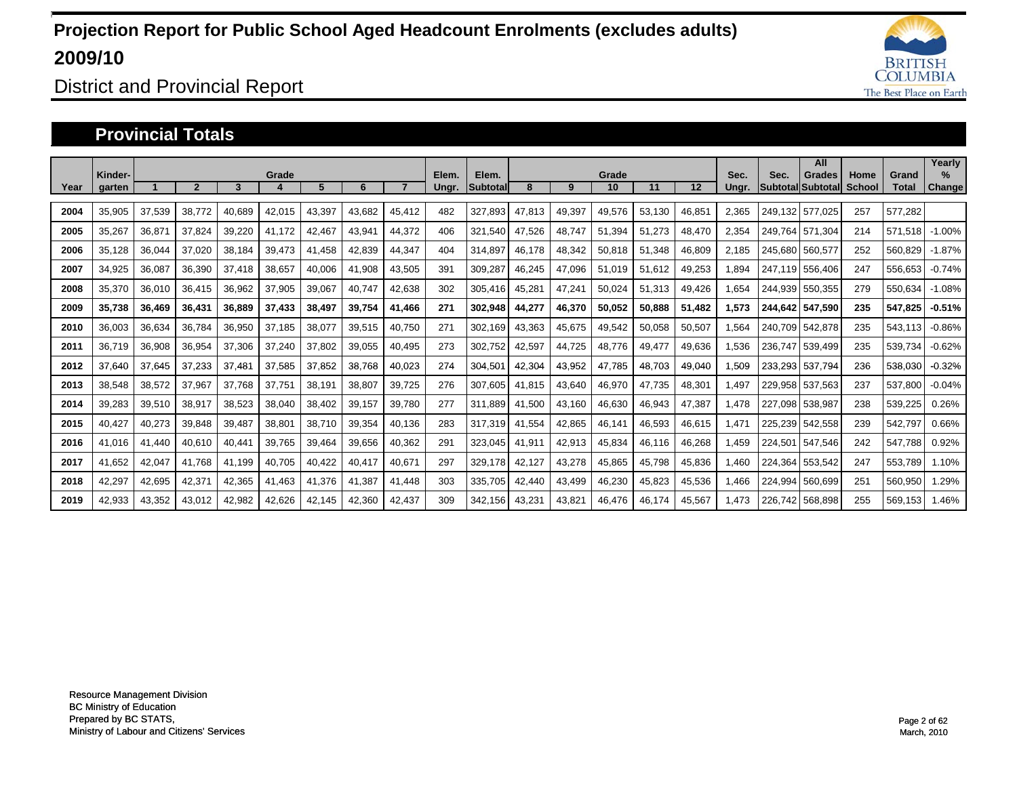

District and Provincial Report

#### **Provincial Totals**

|      | Kinder- |        |        |        | Grade  |        |        |        | Elem. | Elem.           |        |        | Grade  |        |        | Sec.  | Sec.    | All<br><b>Grades</b>     | Home   | Grand   | Yearly<br>$\frac{9}{6}$ |
|------|---------|--------|--------|--------|--------|--------|--------|--------|-------|-----------------|--------|--------|--------|--------|--------|-------|---------|--------------------------|--------|---------|-------------------------|
| Year | garten  |        |        | 3      |        | 5      | 6      |        | Ungr. | <b>Subtotal</b> | 8      | 9      | 10     | 11     | 12     | Ungr. |         | <b>Subtotal Subtotal</b> | School | Total   | Change                  |
| 2004 | 35,905  | 37,539 | 38,772 | 40,689 | 42,015 | 43,397 | 43,682 | 45,412 | 482   | 327,893         | 47,813 | 49,397 | 49,576 | 53,130 | 46,851 | 2,365 | 249.132 | 577.025                  | 257    | 577,282 |                         |
| 2005 | 35,267  | 36,871 | 37,824 | 39,220 | 41.172 | 42,467 | 43,941 | 44,372 | 406   | 321,540         | 47,526 | 48,747 | 51,394 | 51,273 | 48,470 | 2,354 | 249.764 | 571,304                  | 214    | 571,518 | $-1.00%$                |
| 2006 | 35,128  | 36,044 | 37,020 | 38,184 | 39,473 | 41,458 | 42,839 | 44,347 | 404   | 314,897         | 46,178 | 48,342 | 50,818 | 51,348 | 46,809 | 2.185 | 245.680 | 560.577                  | 252    | 560,829 | $-1.87%$                |
| 2007 | 34,925  | 36,087 | 36,390 | 37.418 | 38,657 | 40,006 | 41,908 | 43,505 | 391   | 309,287         | 46,245 | 47.096 | 51,019 | 51,612 | 49,253 | 1.894 |         | 247.119 556.406          | 247    | 556,653 | $-0.74%$                |
| 2008 | 35,370  | 36,010 | 36,415 | 36,962 | 37,905 | 39,067 | 40,747 | 42,638 | 302   | 305,416         | 45,281 | 47,241 | 50,024 | 51,313 | 49,426 | 1,654 |         | 244,939 550,355          | 279    | 550,634 | $-1.08%$                |
| 2009 | 35,738  | 36,469 | 36,431 | 36,889 | 37,433 | 38,497 | 39,754 | 41,466 | 271   | 302,948         | 44,277 | 46,370 | 50,052 | 50,888 | 51,482 | 1,573 | 244.642 | 547.590                  | 235    | 547,825 | $-0.51%$                |
| 2010 | 36,003  | 36,634 | 36,784 | 36,950 | 37,185 | 38,077 | 39,515 | 40,750 | 271   | 302,169         | 43,363 | 45,675 | 49,542 | 50,058 | 50,507 | 1.564 |         | 240.709 542.878          | 235    | 543,113 | $-0.86%$                |
| 2011 | 36,719  | 36,908 | 36,954 | 37,306 | 37,240 | 37.802 | 39,055 | 40,495 | 273   | 302,752         | 42,597 | 44.725 | 48,776 | 49,477 | 49,636 | 1,536 | 236.747 | 539.499                  | 235    | 539,734 | $-0.62%$                |
| 2012 | 37,640  | 37,645 | 37,233 | 37,481 | 37,585 | 37,852 | 38,768 | 40,023 | 274   | 304,501         | 42,304 | 43,952 | 47,785 | 48,703 | 49,040 | 1,509 |         | 233,293 537,794          | 236    | 538,030 | $-0.32%$                |
| 2013 | 38,548  | 38,572 | 37,967 | 37.768 | 37,751 | 38,191 | 38,807 | 39,725 | 276   | 307,605         | 41,815 | 43,640 | 46,970 | 47,735 | 48,301 | 1,497 | 229,958 | 537,563                  | 237    | 537,800 | $-0.04%$                |
| 2014 | 39.283  | 39,510 | 38,917 | 38,523 | 38,040 | 38,402 | 39,157 | 39,780 | 277   | 311,889         | 41,500 | 43,160 | 46,630 | 46,943 | 47,387 | 1.478 | 227.098 | 538,987                  | 238    | 539,225 | 0.26%                   |
| 2015 | 40.427  | 40,273 | 39,848 | 39,487 | 38,801 | 38.710 | 39,354 | 40,136 | 283   | 317,319         | 41,554 | 42,865 | 46,141 | 46,593 | 46,615 | 1.471 |         | 225.239 542.558          | 239    | 542.797 | 0.66%                   |
| 2016 | 41,016  | 41,440 | 40,610 | 40,441 | 39,765 | 39,464 | 39,656 | 40,362 | 291   | 323,045         | 41,911 | 42,913 | 45,834 | 46,116 | 46,268 | 1,459 | 224,501 | 547,546                  | 242    | 547,788 | 0.92%                   |
| 2017 | 41,652  | 42,047 | 41.768 | 41,199 | 40,705 | 40,422 | 40,417 | 40,671 | 297   | 329,178         | 42,127 | 43,278 | 45,865 | 45,798 | 45,836 | 1,460 | 224,364 | 553,542                  | 247    | 553,789 | 1.10%                   |
| 2018 | 42,297  | 42,695 | 42,371 | 42,365 | 41,463 | 41,376 | 41,387 | 41,448 | 303   | 335,705         | 42,440 | 43,499 | 46,230 | 45,823 | 45,536 | 1,466 | 224,994 | 560,699                  | 251    | 560,950 | .29%                    |
| 2019 | 42,933  | 43,352 | 43,012 | 42,982 | 42,626 | 42.145 | 42,360 | 42,437 | 309   | 342.156         | 43,231 | 43,821 | 46,476 | 46,174 | 45,567 | 1.473 | 226.742 | 568.898                  | 255    | 569.153 | 1.46%                   |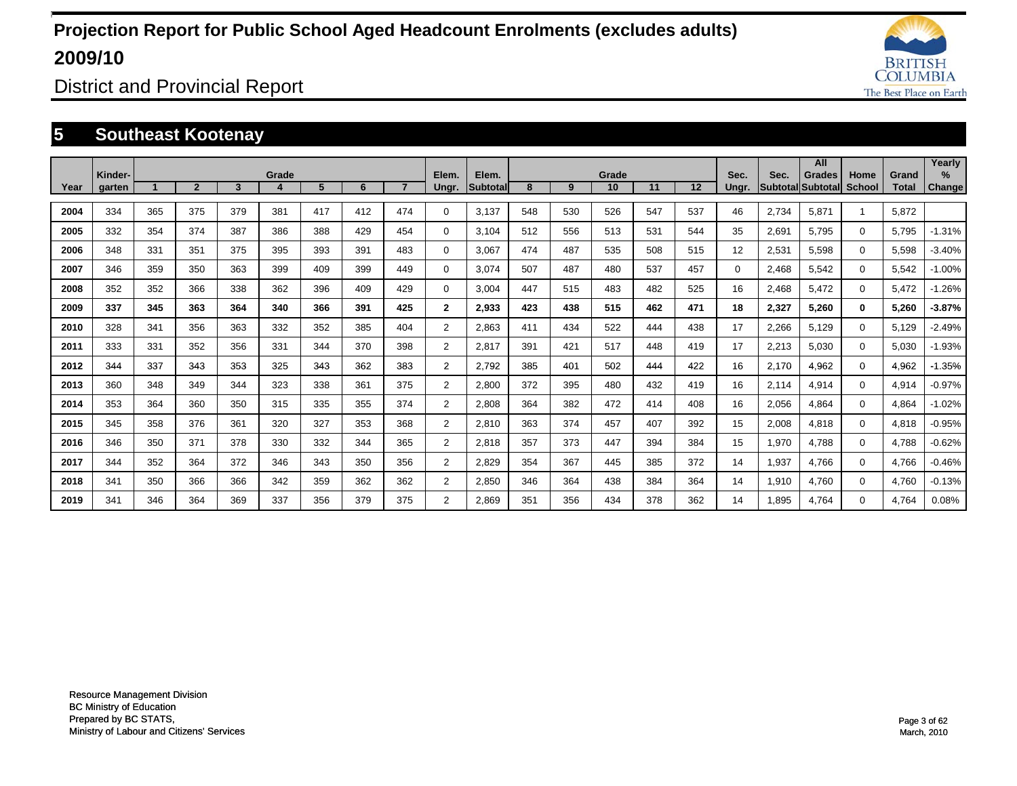

District and Provincial Report

### **5 Southeast Kootenay**

|      |                   |     |                |     |       |     |     |                |                |                   |     |     |             |     |     |               |       | All                                       |                |                       | Yearly                |
|------|-------------------|-----|----------------|-----|-------|-----|-----|----------------|----------------|-------------------|-----|-----|-------------|-----|-----|---------------|-------|-------------------------------------------|----------------|-----------------------|-----------------------|
| Year | Kinder-<br>garten |     | $\overline{2}$ | 3   | Grade | 5   | 6   | $\overline{7}$ | Elem.<br>Ungr. | Elem.<br>Subtotal | 8   | 9   | Grade<br>10 | 11  | 12  | Sec.<br>Ungr. | Sec.  | <b>Grades</b><br><b>SubtotallSubtotal</b> | Home<br>School | Grand<br><b>Total</b> | $\%$<br><b>Change</b> |
| 2004 | 334               | 365 | 375            | 379 | 381   | 417 | 412 | 474            | 0              | 3,137             | 548 | 530 | 526         | 547 | 537 | 46            | 2,734 | 5,871                                     |                | 5,872                 |                       |
| 2005 | 332               | 354 | 374            | 387 | 386   | 388 | 429 | 454            | 0              | 3,104             | 512 | 556 | 513         | 531 | 544 | 35            | 2,691 | 5,795                                     | $\mathbf 0$    | 5,795                 | $-1.31%$              |
|      |                   |     |                |     |       |     |     |                |                |                   |     |     |             |     |     |               |       |                                           |                |                       |                       |
| 2006 | 348               | 331 | 351            | 375 | 395   | 393 | 391 | 483            | 0              | 3,067             | 474 | 487 | 535         | 508 | 515 | 12            | 2,531 | 5,598                                     | $\Omega$       | 5,598                 | $-3.40%$              |
| 2007 | 346               | 359 | 350            | 363 | 399   | 409 | 399 | 449            | 0              | 3,074             | 507 | 487 | 480         | 537 | 457 | $\Omega$      | 2,468 | 5,542                                     | $\Omega$       | 5,542                 | $-1.00%$              |
| 2008 | 352               | 352 | 366            | 338 | 362   | 396 | 409 | 429            | 0              | 3,004             | 447 | 515 | 483         | 482 | 525 | 16            | 2,468 | 5,472                                     | $\Omega$       | 5,472                 | $-1.26%$              |
| 2009 | 337               | 345 | 363            | 364 | 340   | 366 | 391 | 425            | $\mathbf{2}$   | 2,933             | 423 | 438 | 515         | 462 | 471 | 18            | 2,327 | 5,260                                     | 0              | 5,260                 | $-3.87%$              |
| 2010 | 328               | 341 | 356            | 363 | 332   | 352 | 385 | 404            | $\overline{2}$ | 2,863             | 411 | 434 | 522         | 444 | 438 | 17            | 2,266 | 5,129                                     | $\Omega$       | 5,129                 | $-2.49%$              |
| 2011 | 333               | 331 | 352            | 356 | 331   | 344 | 370 | 398            | $\overline{2}$ | 2,817             | 391 | 421 | 517         | 448 | 419 | 17            | 2,213 | 5.030                                     | $\Omega$       | 5.030                 | $-1.93%$              |
| 2012 | 344               | 337 | 343            | 353 | 325   | 343 | 362 | 383            | $\overline{2}$ | 2.792             | 385 | 401 | 502         | 444 | 422 | 16            | 2,170 | 4,962                                     | 0              | 4,962                 | $-1.35%$              |
| 2013 | 360               | 348 | 349            | 344 | 323   | 338 | 361 | 375            | $\overline{2}$ | 2,800             | 372 | 395 | 480         | 432 | 419 | 16            | 2,114 | 4,914                                     | $\Omega$       | 4,914                 | $-0.97%$              |
| 2014 | 353               | 364 | 360            | 350 | 315   | 335 | 355 | 374            | $\overline{2}$ | 2,808             | 364 | 382 | 472         | 414 | 408 | 16            | 2,056 | 4,864                                     | 0              | 4,864                 | $-1.02%$              |
| 2015 | 345               | 358 | 376            | 361 | 320   | 327 | 353 | 368            | $\overline{2}$ | 2,810             | 363 | 374 | 457         | 407 | 392 | 15            | 2,008 | 4,818                                     | 0              | 4,818                 | $-0.95%$              |
| 2016 | 346               | 350 | 371            | 378 | 330   | 332 | 344 | 365            | $\overline{2}$ | 2,818             | 357 | 373 | 447         | 394 | 384 | 15            | 1,970 | 4,788                                     | 0              | 4,788                 | $-0.62%$              |
| 2017 | 344               | 352 | 364            | 372 | 346   | 343 | 350 | 356            | 2              | 2,829             | 354 | 367 | 445         | 385 | 372 | 14            | 1,937 | 4,766                                     | 0              | 4,766                 | $-0.46%$              |
| 2018 | 341               | 350 | 366            | 366 | 342   | 359 | 362 | 362            | $\overline{2}$ | 2,850             | 346 | 364 | 438         | 384 | 364 | 14            | 1,910 | 4,760                                     | $\Omega$       | 4,760                 | $-0.13%$              |
| 2019 | 341               | 346 | 364            | 369 | 337   | 356 | 379 | 375            | $\overline{2}$ | 2.869             | 351 | 356 | 434         | 378 | 362 | 14            | 1,895 | 4,764                                     | $\Omega$       | 4.764                 | 0.08%                 |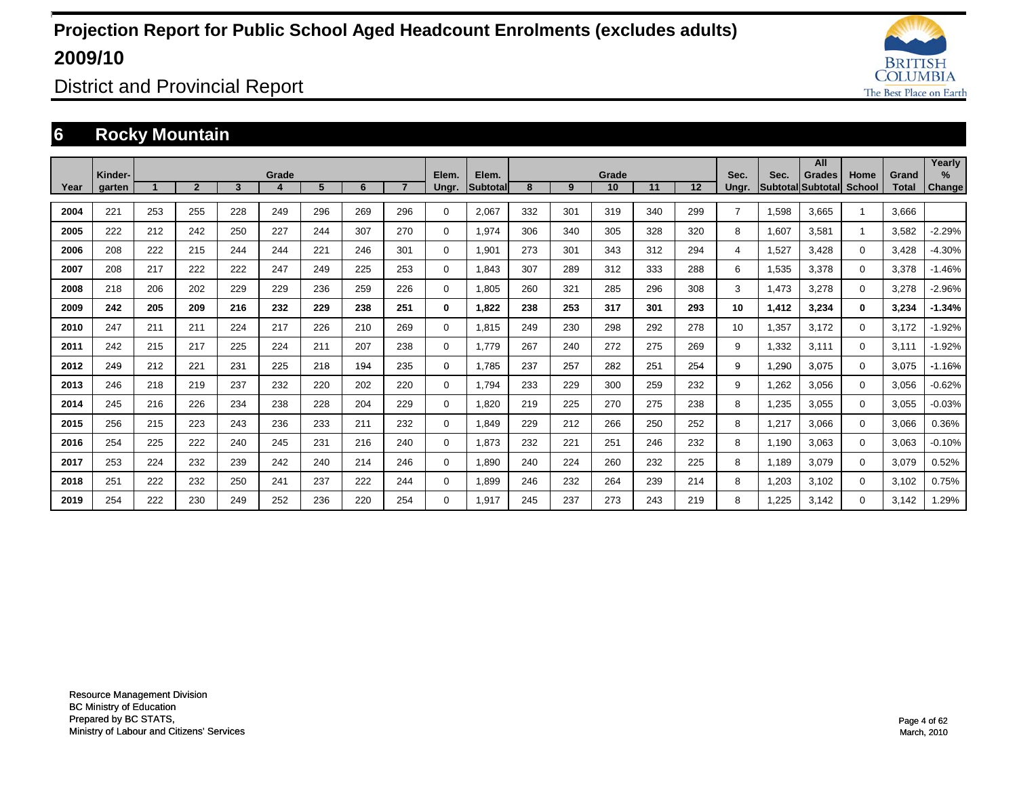

District and Provincial Report

### **6 Rocky Mountain**

|      |                   |     |                |     |       |     |     |     |                |                   |     |     |             |     |     |                |       | All                                       |                |                       | Yearly      |
|------|-------------------|-----|----------------|-----|-------|-----|-----|-----|----------------|-------------------|-----|-----|-------------|-----|-----|----------------|-------|-------------------------------------------|----------------|-----------------------|-------------|
| Year | Kinder-<br>garten |     | $\overline{2}$ | 3   | Grade | 5   | 6   |     | Elem.<br>Ungr. | Elem.<br>Subtotal | 8   | 9   | Grade<br>10 | 11  | 12  | Sec.<br>Ungr.  | Sec.  | <b>Grades</b><br><b>SubtotallSubtotal</b> | Home<br>School | Grand<br><b>Total</b> | %<br>Change |
|      |                   |     |                |     |       |     |     |     |                |                   |     |     |             |     |     |                |       |                                           |                |                       |             |
| 2004 | 221               | 253 | 255            | 228 | 249   | 296 | 269 | 296 | 0              | 2,067             | 332 | 301 | 319         | 340 | 299 | $\overline{7}$ | 1,598 | 3.665                                     |                | 3.666                 |             |
| 2005 | 222               | 212 | 242            | 250 | 227   | 244 | 307 | 270 | 0              | 1,974             | 306 | 340 | 305         | 328 | 320 | 8              | 1,607 | 3,581                                     | $\mathbf{1}$   | 3,582                 | $-2.29%$    |
| 2006 | 208               | 222 | 215            | 244 | 244   | 221 | 246 | 301 | 0              | 1,901             | 273 | 301 | 343         | 312 | 294 | 4              | 1,527 | 3,428                                     | $\mathbf 0$    | 3,428                 | $-4.30%$    |
| 2007 | 208               | 217 | 222            | 222 | 247   | 249 | 225 | 253 | 0              | 1,843             | 307 | 289 | 312         | 333 | 288 | 6              | 1,535 | 3,378                                     | $\mathbf 0$    | 3,378                 | $-1.46%$    |
| 2008 | 218               | 206 | 202            | 229 | 229   | 236 | 259 | 226 | 0              | 1,805             | 260 | 321 | 285         | 296 | 308 | 3              | 1,473 | 3,278                                     | $\mathbf 0$    | 3,278                 | $-2.96%$    |
| 2009 | 242               | 205 | 209            | 216 | 232   | 229 | 238 | 251 | 0              | 1.822             | 238 | 253 | 317         | 301 | 293 | 10             | 1,412 | 3.234                                     | $\bf{0}$       | 3,234                 | $-1.34%$    |
| 2010 | 247               | 211 | 211            | 224 | 217   | 226 | 210 | 269 | $\mathbf 0$    | 1.815             | 249 | 230 | 298         | 292 | 278 | 10             | 1,357 | 3,172                                     | $\mathbf 0$    | 3,172                 | $-1.92%$    |
| 2011 | 242               | 215 | 217            | 225 | 224   | 211 | 207 | 238 | $\mathbf 0$    | 1.779             | 267 | 240 | 272         | 275 | 269 | 9              | 1,332 | 3,111                                     | $\mathbf 0$    | 3,111                 | $-1.92%$    |
| 2012 | 249               | 212 | 221            | 231 | 225   | 218 | 194 | 235 | 0              | 1,785             | 237 | 257 | 282         | 251 | 254 | 9              | 1,290 | 3,075                                     | 0              | 3,075                 | $-1.16%$    |
| 2013 | 246               | 218 | 219            | 237 | 232   | 220 | 202 | 220 | $\mathbf 0$    | 1,794             | 233 | 229 | 300         | 259 | 232 | 9              | 1,262 | 3,056                                     | $\mathbf 0$    | 3,056                 | $-0.62%$    |
| 2014 | 245               | 216 | 226            | 234 | 238   | 228 | 204 | 229 | 0              | 1,820             | 219 | 225 | 270         | 275 | 238 | 8              | 1,235 | 3,055                                     | $\mathbf 0$    | 3,055                 | $-0.03%$    |
| 2015 | 256               | 215 | 223            | 243 | 236   | 233 | 211 | 232 | 0              | 1.849             | 229 | 212 | 266         | 250 | 252 | 8              | 1,217 | 3.066                                     | $\mathbf 0$    | 3,066                 | 0.36%       |
| 2016 | 254               | 225 | 222            | 240 | 245   | 231 | 216 | 240 | $\mathbf 0$    | 1,873             | 232 | 221 | 251         | 246 | 232 | 8              | 1.190 | 3,063                                     | $\mathbf 0$    | 3,063                 | $-0.10%$    |
| 2017 | 253               | 224 | 232            | 239 | 242   | 240 | 214 | 246 | $\mathbf 0$    | 1,890             | 240 | 224 | 260         | 232 | 225 | 8              | 1.189 | 3,079                                     | $\mathbf 0$    | 3,079                 | 0.52%       |
| 2018 | 251               | 222 | 232            | 250 | 241   | 237 | 222 | 244 | $\mathbf 0$    | 1,899             | 246 | 232 | 264         | 239 | 214 | 8              | 1,203 | 3,102                                     | $\mathbf 0$    | 3,102                 | 0.75%       |
| 2019 | 254               | 222 | 230            | 249 | 252   | 236 | 220 | 254 | $\Omega$       | 1,917             | 245 | 237 | 273         | 243 | 219 | 8              | .225  | 3,142                                     | $\mathbf 0$    | 3,142                 | .29%        |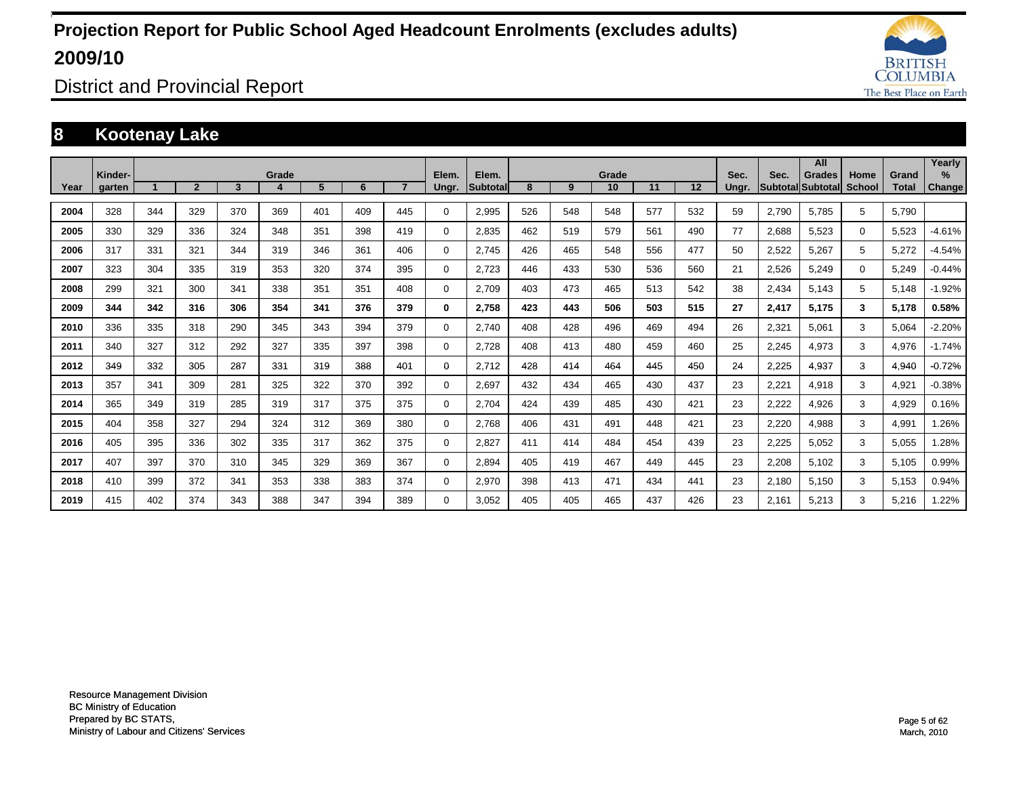

District and Provincial Report

### **8 Kootenay Lake**

|      | Kinder- |     |                |     | Grade |     |     |                | Elem.    | Elem.           |     |     | Grade |     |     | Sec.  | Sec.  | All<br>Grades     | Home          | Grand        | Yearly<br>$\%$ |
|------|---------|-----|----------------|-----|-------|-----|-----|----------------|----------|-----------------|-----|-----|-------|-----|-----|-------|-------|-------------------|---------------|--------------|----------------|
| Year | garten  |     | $\overline{2}$ | 3   | 4     | 5   | 6   | $\overline{7}$ | Ungr.    | <b>Subtotal</b> | 8   | 9   | 10    | 11  | 12  | Ungr. |       | Subtotal Subtotal | <b>School</b> | <b>Total</b> | <b>Change</b>  |
| 2004 | 328     | 344 | 329            | 370 | 369   | 401 | 409 | 445            | $\Omega$ | 2,995           | 526 | 548 | 548   | 577 | 532 | 59    | 2,790 | 5.785             | 5             | 5,790        |                |
| 2005 | 330     | 329 | 336            | 324 | 348   | 351 | 398 | 419            | 0        | 2,835           | 462 | 519 | 579   | 561 | 490 | 77    | 2,688 | 5,523             | 0             | 5,523        | $-4.61%$       |
| 2006 | 317     | 331 | 321            | 344 | 319   | 346 | 361 | 406            | $\Omega$ | 2,745           | 426 | 465 | 548   | 556 | 477 | 50    | 2,522 | 5,267             | 5             | 5,272        | $-4.54%$       |
| 2007 | 323     | 304 | 335            | 319 | 353   | 320 | 374 | 395            | $\Omega$ | 2,723           | 446 | 433 | 530   | 536 | 560 | 21    | 2,526 | 5,249             | $\Omega$      | 5,249        | $-0.44%$       |
| 2008 | 299     | 321 | 300            | 341 | 338   | 351 | 351 | 408            | $\Omega$ | 2,709           | 403 | 473 | 465   | 513 | 542 | 38    | 2,434 | 5,143             | 5             | 5,148        | $-1.92%$       |
| 2009 | 344     | 342 | 316            | 306 | 354   | 341 | 376 | 379            | 0        | 2,758           | 423 | 443 | 506   | 503 | 515 | 27    | 2,417 | 5,175             | 3             | 5,178        | 0.58%          |
| 2010 | 336     | 335 | 318            | 290 | 345   | 343 | 394 | 379            | $\Omega$ | 2,740           | 408 | 428 | 496   | 469 | 494 | 26    | 2,321 | 5,061             | 3             | 5,064        | $-2.20%$       |
| 2011 | 340     | 327 | 312            | 292 | 327   | 335 | 397 | 398            | $\Omega$ | 2.728           | 408 | 413 | 480   | 459 | 460 | 25    | 2,245 | 4,973             | 3             | 4,976        | $-1.74%$       |
| 2012 | 349     | 332 | 305            | 287 | 331   | 319 | 388 | 401            | $\Omega$ | 2.712           | 428 | 414 | 464   | 445 | 450 | 24    | 2,225 | 4,937             | 3             | 4,940        | $-0.72%$       |
| 2013 | 357     | 341 | 309            | 281 | 325   | 322 | 370 | 392            | $\Omega$ | 2.697           | 432 | 434 | 465   | 430 | 437 | 23    | 2,221 | 4,918             | 3             | 4,921        | $-0.38%$       |
| 2014 | 365     | 349 | 319            | 285 | 319   | 317 | 375 | 375            | 0        | 2.704           | 424 | 439 | 485   | 430 | 421 | 23    | 2,222 | 4,926             | 3             | 4,929        | 0.16%          |
| 2015 | 404     | 358 | 327            | 294 | 324   | 312 | 369 | 380            | 0        | 2.768           | 406 | 431 | 491   | 448 | 421 | 23    | 2,220 | 4,988             | 3             | 4,991        | .26%           |
| 2016 | 405     | 395 | 336            | 302 | 335   | 317 | 362 | 375            | 0        | 2,827           | 411 | 414 | 484   | 454 | 439 | 23    | 2,225 | 5,052             | 3             | 5,055        | .28%           |
| 2017 | 407     | 397 | 370            | 310 | 345   | 329 | 369 | 367            | 0        | 2,894           | 405 | 419 | 467   | 449 | 445 | 23    | 2,208 | 5,102             | 3             | 5,105        | 0.99%          |
| 2018 | 410     | 399 | 372            | 341 | 353   | 338 | 383 | 374            | $\Omega$ | 2,970           | 398 | 413 | 471   | 434 | 441 | 23    | 2,180 | 5,150             | 3             | 5,153        | 0.94%          |
| 2019 | 415     | 402 | 374            | 343 | 388   | 347 | 394 | 389            | $\Omega$ | 3.052           | 405 | 405 | 465   | 437 | 426 | 23    | 2.161 | 5,213             | 3             | 5,216        | .22%           |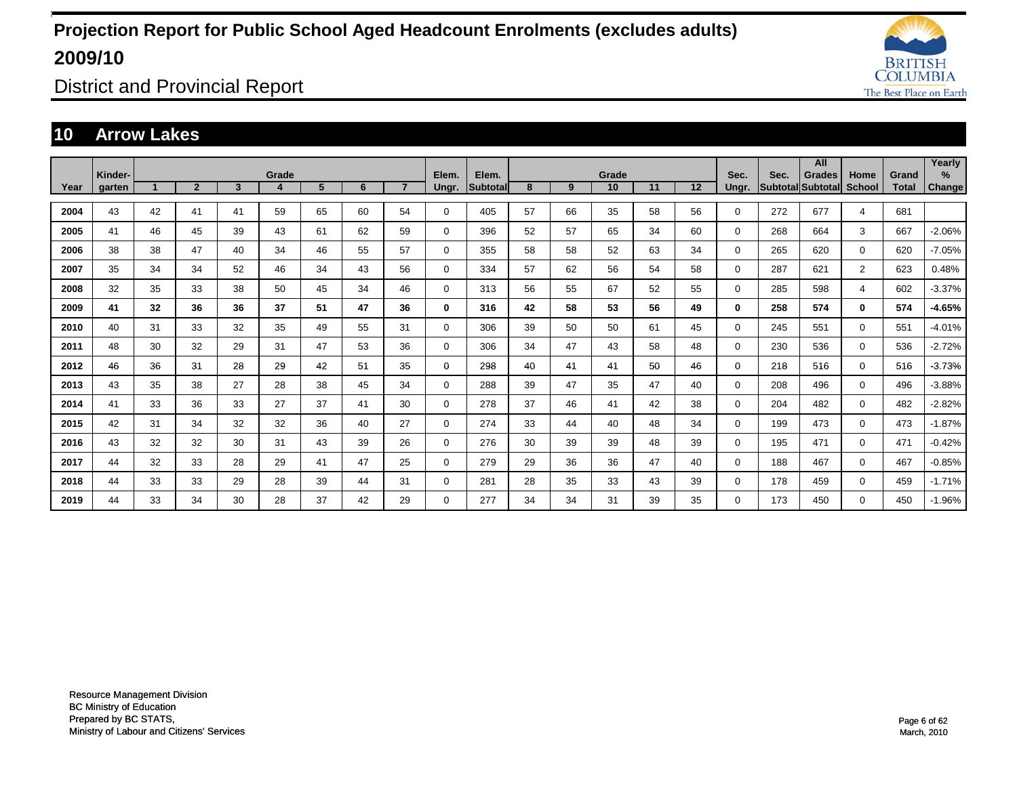

District and Provincial Report

### **10 Arrow Lakes**

|      | Kinder- |    |                |    | Grade |    |    |                | Elem.       | Elem.    |    |    | Grade |    |    | Sec.         | Sec. | All<br><b>Grades</b> | Home           | Grand        | Yearly<br>% |
|------|---------|----|----------------|----|-------|----|----|----------------|-------------|----------|----|----|-------|----|----|--------------|------|----------------------|----------------|--------------|-------------|
| Year | garten  |    | $\overline{2}$ | 3  | 4     | 5  | 6  | $\overline{7}$ | Ungr.       | Subtotal | 8  | 9  | 10    | 11 | 12 | Ungr.        |      | Subtotal Subtotal    | School         | <b>Total</b> | Change      |
| 2004 | 43      | 42 | 41             | 41 | 59    | 65 | 60 | 54             | $\Omega$    | 405      | 57 | 66 | 35    | 58 | 56 | $\mathbf 0$  | 272  | 677                  | 4              | 681          |             |
| 2005 | 41      | 46 | 45             | 39 | 43    | 61 | 62 | 59             | $\Omega$    | 396      | 52 | 57 | 65    | 34 | 60 | $\mathbf 0$  | 268  | 664                  | 3              | 667          | $-2.06%$    |
| 2006 | 38      | 38 | 47             | 40 | 34    | 46 | 55 | 57             | $\Omega$    | 355      | 58 | 58 | 52    | 63 | 34 | $\mathbf 0$  | 265  | 620                  | $\Omega$       | 620          | $-7.05%$    |
| 2007 | 35      | 34 | 34             | 52 | 46    | 34 | 43 | 56             | $\Omega$    | 334      | 57 | 62 | 56    | 54 | 58 | $\mathbf 0$  | 287  | 621                  | $\overline{2}$ | 623          | 0.48%       |
| 2008 | 32      | 35 | 33             | 38 | 50    | 45 | 34 | 46             | $\Omega$    | 313      | 56 | 55 | 67    | 52 | 55 | $\mathbf 0$  | 285  | 598                  | 4              | 602          | $-3.37%$    |
| 2009 | 41      | 32 | 36             | 36 | 37    | 51 | 47 | 36             | $\bf{0}$    | 316      | 42 | 58 | 53    | 56 | 49 | $\mathbf{0}$ | 258  | 574                  | $\mathbf{0}$   | 574          | $-4.65%$    |
| 2010 | 40      | 31 | 33             | 32 | 35    | 49 | 55 | 31             | $\Omega$    | 306      | 39 | 50 | 50    | 61 | 45 | $\mathbf 0$  | 245  | 551                  | $\Omega$       | 551          | $-4.01%$    |
| 2011 | 48      | 30 | 32             | 29 | 31    | 47 | 53 | 36             | $\Omega$    | 306      | 34 | 47 | 43    | 58 | 48 | $\mathbf 0$  | 230  | 536                  | $\Omega$       | 536          | $-2.72%$    |
| 2012 | 46      | 36 | 31             | 28 | 29    | 42 | 51 | 35             | $\mathbf 0$ | 298      | 40 | 41 | 41    | 50 | 46 | $\Omega$     | 218  | 516                  | 0              | 516          | $-3.73%$    |
| 2013 | 43      | 35 | 38             | 27 | 28    | 38 | 45 | 34             | $\mathbf 0$ | 288      | 39 | 47 | 35    | 47 | 40 | $\mathbf 0$  | 208  | 496                  | $\Omega$       | 496          | $-3.88%$    |
| 2014 | 41      | 33 | 36             | 33 | 27    | 37 | 41 | 30             | $\mathbf 0$ | 278      | 37 | 46 | 41    | 42 | 38 | $\mathbf 0$  | 204  | 482                  | $\Omega$       | 482          | $-2.82%$    |
| 2015 | 42      | 31 | 34             | 32 | 32    | 36 | 40 | 27             | 0           | 274      | 33 | 44 | 40    | 48 | 34 | $\mathbf 0$  | 199  | 473                  | $\Omega$       | 473          | $-1.87%$    |
| 2016 | 43      | 32 | 32             | 30 | 31    | 43 | 39 | 26             | 0           | 276      | 30 | 39 | 39    | 48 | 39 | 0            | 195  | 471                  | $\Omega$       | 471          | $-0.42%$    |
| 2017 | 44      | 32 | 33             | 28 | 29    | 41 | 47 | 25             | 0           | 279      | 29 | 36 | 36    | 47 | 40 | 0            | 188  | 467                  | $\Omega$       | 467          | $-0.85%$    |
| 2018 | 44      | 33 | 33             | 29 | 28    | 39 | 44 | 31             | 0           | 281      | 28 | 35 | 33    | 43 | 39 | $\Omega$     | 178  | 459                  | $\Omega$       | 459          | $-1.71%$    |
| 2019 | 44      | 33 | 34             | 30 | 28    | 37 | 42 | 29             | $\Omega$    | 277      | 34 | 34 | 31    | 39 | 35 | $\Omega$     | 173  | 450                  | $\Omega$       | 450          | $-1.96%$    |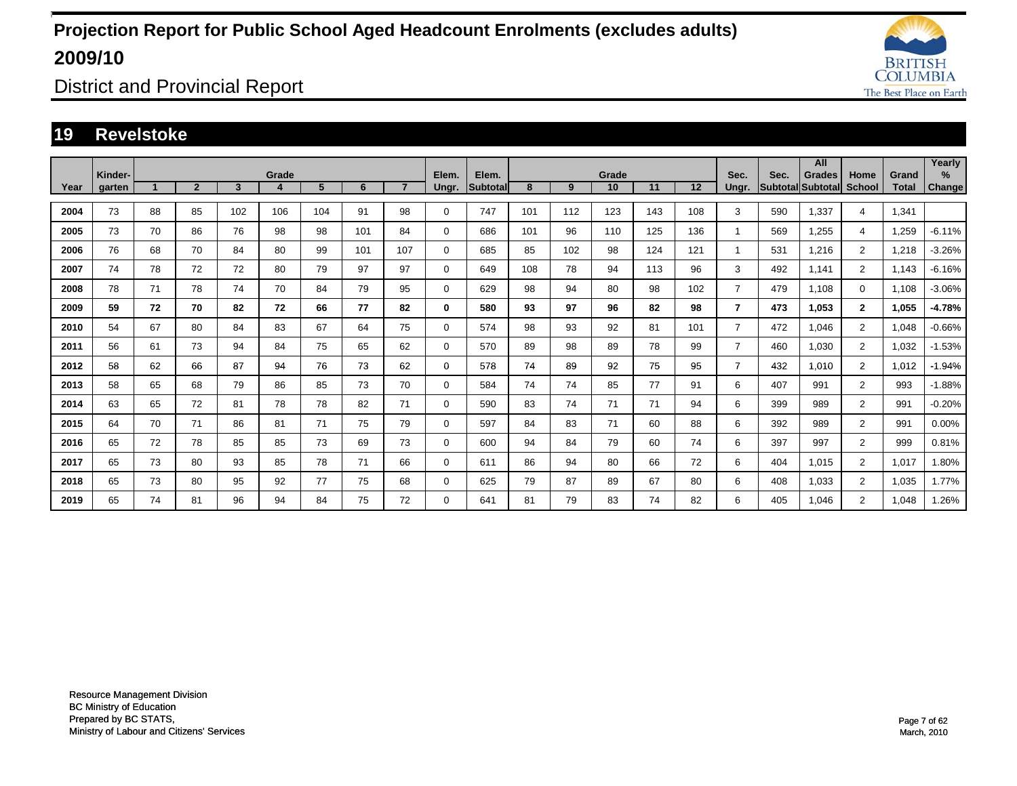

District and Provincial Report

### **19 Revelstoke**

|      |                   |    |                |     |            |     |     |                |                |                   |     |     |             |     |     |                |      | All                                |                       |                       | Yearly      |
|------|-------------------|----|----------------|-----|------------|-----|-----|----------------|----------------|-------------------|-----|-----|-------------|-----|-----|----------------|------|------------------------------------|-----------------------|-----------------------|-------------|
| Year | Kinder-<br>garten |    | $\overline{2}$ | 3   | Grade<br>4 | 5   | 6   | $\overline{7}$ | Elem.<br>Ungr. | Elem.<br>Subtotal | 8   | 9   | Grade<br>10 | 11  | 12  | Sec.<br>Ungr.  | Sec. | <b>Grades</b><br>Subtotal Subtotal | Home<br><b>School</b> | Grand<br><b>Total</b> | %<br>Change |
|      |                   |    |                |     |            |     |     |                |                |                   |     |     |             |     |     |                |      |                                    |                       |                       |             |
| 2004 | 73                | 88 | 85             | 102 | 106        | 104 | 91  | 98             | $\mathbf 0$    | 747               | 101 | 112 | 123         | 143 | 108 | 3              | 590  | 1.337                              | 4                     | 1.341                 |             |
| 2005 | 73                | 70 | 86             | 76  | 98         | 98  | 101 | 84             | $\mathbf 0$    | 686               | 101 | 96  | 110         | 125 | 136 |                | 569  | 1.255                              | 4                     | 1,259                 | $-6.11%$    |
| 2006 | 76                | 68 | 70             | 84  | 80         | 99  | 101 | 107            | $\mathbf 0$    | 685               | 85  | 102 | 98          | 124 | 121 |                | 531  | 1,216                              | $\overline{2}$        | 1,218                 | $-3.26%$    |
| 2007 | 74                | 78 | 72             | 72  | 80         | 79  | 97  | 97             | $\mathbf 0$    | 649               | 108 | 78  | 94          | 113 | 96  | 3              | 492  | 1,141                              | $\overline{2}$        | 1,143                 | $-6.16%$    |
| 2008 | 78                | 71 | 78             | 74  | 70         | 84  | 79  | 95             | $\mathbf 0$    | 629               | 98  | 94  | 80          | 98  | 102 | $\overline{7}$ | 479  | 1.108                              | $\Omega$              | 1,108                 | $-3.06%$    |
| 2009 | 59                | 72 | 70             | 82  | 72         | 66  | 77  | 82             | $\bf{0}$       | 580               | 93  | 97  | 96          | 82  | 98  | $\overline{7}$ | 473  | 1,053                              | $\mathbf{2}$          | 1,055                 | $-4.78%$    |
| 2010 | 54                | 67 | 80             | 84  | 83         | 67  | 64  | 75             | $\mathbf 0$    | 574               | 98  | 93  | 92          | 81  | 101 | $\overline{7}$ | 472  | 1.046                              | $\overline{2}$        | 1,048                 | $-0.66%$    |
| 2011 | 56                | 61 | 73             | 94  | 84         | 75  | 65  | 62             | $\mathbf 0$    | 570               | 89  | 98  | 89          | 78  | 99  | $\overline{7}$ | 460  | 1,030                              | $\overline{2}$        | 1,032                 | $-1.53%$    |
| 2012 | 58                | 62 | 66             | 87  | 94         | 76  | 73  | 62             | 0              | 578               | 74  | 89  | 92          | 75  | 95  | $\overline{7}$ | 432  | 1.010                              | $\overline{2}$        | 1.012                 | $-1.94%$    |
| 2013 | 58                | 65 | 68             | 79  | 86         | 85  | 73  | 70             | 0              | 584               | 74  | 74  | 85          | 77  | 91  | 6              | 407  | 991                                | $\overline{2}$        | 993                   | $-1.88%$    |
| 2014 | 63                | 65 | 72             | 81  | 78         | 78  | 82  | 71             | $\mathbf 0$    | 590               | 83  | 74  | 71          | 71  | 94  | 6              | 399  | 989                                | $\overline{2}$        | 991                   | $-0.20%$    |
| 2015 | 64                | 70 | 71             | 86  | 81         | 71  | 75  | 79             | $\mathbf 0$    | 597               | 84  | 83  | 71          | 60  | 88  | 6              | 392  | 989                                | $\overline{2}$        | 991                   | 0.00%       |
| 2016 | 65                | 72 | 78             | 85  | 85         | 73  | 69  | 73             | $\mathbf 0$    | 600               | 94  | 84  | 79          | 60  | 74  | 6              | 397  | 997                                | $\overline{2}$        | 999                   | 0.81%       |
| 2017 | 65                | 73 | 80             | 93  | 85         | 78  | 71  | 66             | $\mathbf 0$    | 611               | 86  | 94  | 80          | 66  | 72  | 6              | 404  | 1.015                              | $\overline{2}$        | 1.017                 | .80%        |
| 2018 | 65                | 73 | 80             | 95  | 92         | 77  | 75  | 68             | $\mathbf 0$    | 625               | 79  | 87  | 89          | 67  | 80  | 6              | 408  | 1,033                              | $\overline{2}$        | 1,035                 | 1.77%       |
| 2019 | 65                | 74 | 81             | 96  | 94         | 84  | 75  | 72             | $\Omega$       | 641               | 81  | 79  | 83          | 74  | 82  | 6              | 405  | 1.046                              | $\overline{2}$        | 1,048                 | .26%        |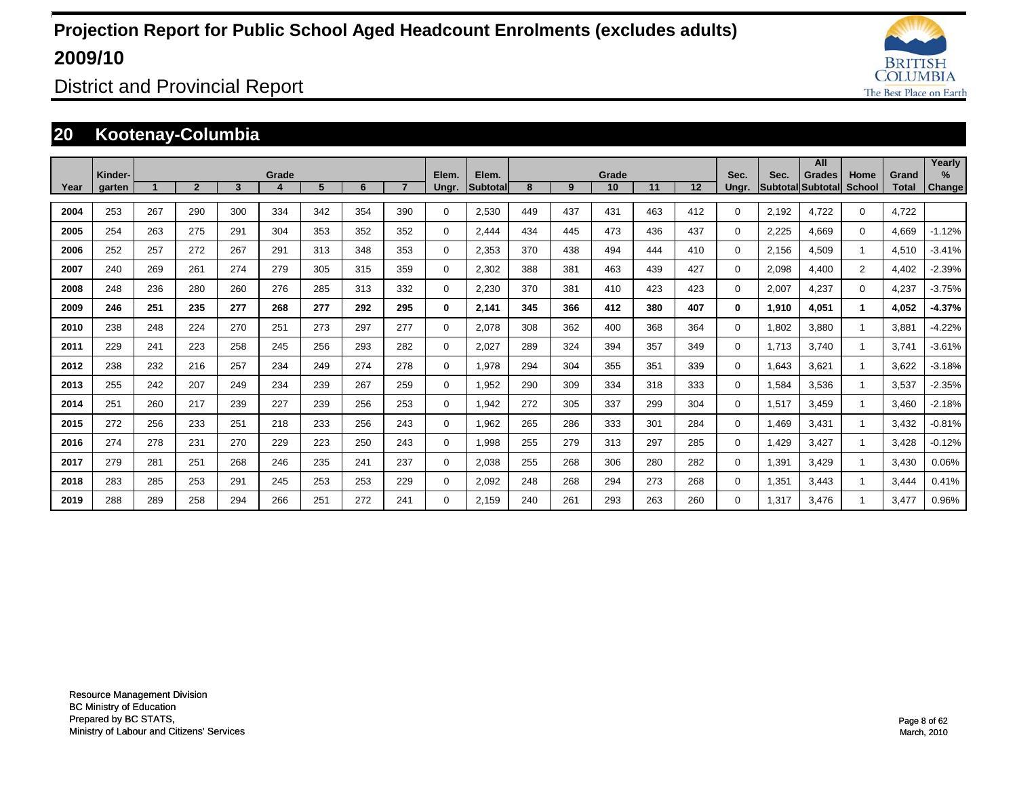

District and Provincial Report

### **20 Kootenay-Columbia**

|      |                   |     |                |     |       |     |     |                |                |                   |     |     |             |     |     |               |       | All                                       |                       |                       | Yearly         |
|------|-------------------|-----|----------------|-----|-------|-----|-----|----------------|----------------|-------------------|-----|-----|-------------|-----|-----|---------------|-------|-------------------------------------------|-----------------------|-----------------------|----------------|
| Year | Kinder-<br>garten |     | $\overline{2}$ | 3   | Grade | 5   | 6   | $\overline{7}$ | Elem.<br>Ungr. | Elem.<br>Subtotal | 8   | 9   | Grade<br>10 | 11  | 12  | Sec.<br>Ungr. | Sec.  | <b>Grades</b><br><b>SubtotallSubtotal</b> | Home<br><b>School</b> | Grand<br><b>Total</b> | $\%$<br>Change |
|      |                   |     |                |     |       |     |     |                |                |                   |     |     |             |     |     |               |       |                                           |                       |                       |                |
| 2004 | 253               | 267 | 290            | 300 | 334   | 342 | 354 | 390            | 0              | 2,530             | 449 | 437 | 431         | 463 | 412 | 0             | 2,192 | 4,722                                     | $\mathbf 0$           | 4,722                 |                |
| 2005 | 254               | 263 | 275            | 291 | 304   | 353 | 352 | 352            | 0              | 2,444             | 434 | 445 | 473         | 436 | 437 | 0             | 2,225 | 4,669                                     | $\mathbf 0$           | 4,669                 | $-1.12%$       |
| 2006 | 252               | 257 | 272            | 267 | 291   | 313 | 348 | 353            | 0              | 2,353             | 370 | 438 | 494         | 444 | 410 | $\Omega$      | 2,156 | 4,509                                     |                       | 4,510                 | $-3.41%$       |
| 2007 | 240               | 269 | 261            | 274 | 279   | 305 | 315 | 359            | 0              | 2,302             | 388 | 381 | 463         | 439 | 427 | 0             | 2,098 | 4,400                                     | $\overline{2}$        | 4,402                 | $-2.39%$       |
| 2008 | 248               | 236 | 280            | 260 | 276   | 285 | 313 | 332            | 0              | 2,230             | 370 | 381 | 410         | 423 | 423 | 0             | 2,007 | 4,237                                     | $\Omega$              | 4,237                 | $-3.75%$       |
| 2009 | 246               | 251 | 235            | 277 | 268   | 277 | 292 | 295            | 0              | 2,141             | 345 | 366 | 412         | 380 | 407 | $\bf{0}$      | 1,910 | 4,051                                     |                       | 4,052                 | $-4.37%$       |
| 2010 | 238               | 248 | 224            | 270 | 251   | 273 | 297 | 277            | $\mathbf 0$    | 2,078             | 308 | 362 | 400         | 368 | 364 | $\Omega$      | 1,802 | 3,880                                     |                       | 3,881                 | $-4.22%$       |
| 2011 | 229               | 241 | 223            | 258 | 245   | 256 | 293 | 282            | $\mathbf 0$    | 2,027             | 289 | 324 | 394         | 357 | 349 | $\Omega$      | 1.713 | 3.740                                     |                       | 3.741                 | $-3.61%$       |
| 2012 | 238               | 232 | 216            | 257 | 234   | 249 | 274 | 278            | 0              | 1,978             | 294 | 304 | 355         | 351 | 339 | 0             | 1,643 | 3.621                                     |                       | 3.622                 | $-3.18%$       |
| 2013 | 255               | 242 | 207            | 249 | 234   | 239 | 267 | 259            | $\mathbf 0$    | 1,952             | 290 | 309 | 334         | 318 | 333 | 0             | 1,584 | 3,536                                     |                       | 3,537                 | $-2.35%$       |
| 2014 | 251               | 260 | 217            | 239 | 227   | 239 | 256 | 253            | $\mathbf 0$    | 1,942             | 272 | 305 | 337         | 299 | 304 | 0             | 1,517 | 3,459                                     |                       | 3,460                 | $-2.18%$       |
| 2015 | 272               | 256 | 233            | 251 | 218   | 233 | 256 | 243            | $\mathbf 0$    | 1,962             | 265 | 286 | 333         | 301 | 284 | 0             | 1,469 | 3,431                                     |                       | 3,432                 | $-0.81%$       |
| 2016 | 274               | 278 | 231            | 270 | 229   | 223 | 250 | 243            | $\mathbf 0$    | 1,998             | 255 | 279 | 313         | 297 | 285 | 0             | 1,429 | 3,427                                     |                       | 3,428                 | $-0.12%$       |
| 2017 | 279               | 281 | 251            | 268 | 246   | 235 | 241 | 237            | $\mathbf 0$    | 2,038             | 255 | 268 | 306         | 280 | 282 | 0             | 1,391 | 3.429                                     |                       | 3,430                 | 0.06%          |
| 2018 | 283               | 285 | 253            | 291 | 245   | 253 | 253 | 229            | $\mathbf 0$    | 2,092             | 248 | 268 | 294         | 273 | 268 | $\Omega$      | 1,351 | 3,443                                     |                       | 3,444                 | 0.41%          |
| 2019 | 288               | 289 | 258            | 294 | 266   | 251 | 272 | 241            | $\Omega$       | 2.159             | 240 | 261 | 293         | 263 | 260 | $\Omega$      | 1,317 | 3.476                                     |                       | 3.477                 | 0.96%          |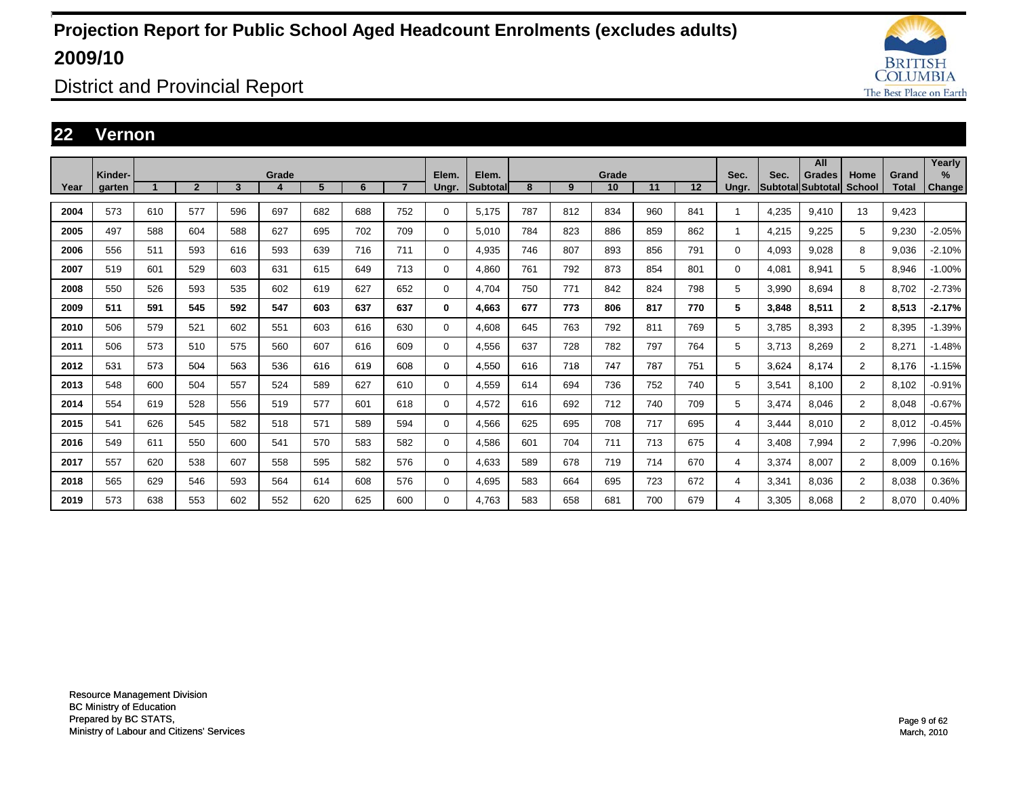

District and Provincial Report

### **22 Vernon**

|      |                   |     |                |     |       |     |     |                |                |                    |     |     |             |     |     |               |       | All                                |                       |                       | Yearly         |
|------|-------------------|-----|----------------|-----|-------|-----|-----|----------------|----------------|--------------------|-----|-----|-------------|-----|-----|---------------|-------|------------------------------------|-----------------------|-----------------------|----------------|
| Year | Kinder-<br>garten |     | $\overline{2}$ | 3   | Grade | 5   | 6   | $\overline{7}$ | Elem.<br>Ungr. | Elem.<br>Subtotall | 8   | 9   | Grade<br>10 | 11  | 12  | Sec.<br>Ungr. | Sec.  | <b>Grades</b><br>Subtotal Subtotal | Home<br><b>School</b> | Grand<br><b>Total</b> | $\%$<br>Change |
|      |                   |     |                |     |       |     |     |                |                |                    |     |     |             |     |     |               |       |                                    |                       |                       |                |
| 2004 | 573               | 610 | 577            | 596 | 697   | 682 | 688 | 752            | $\mathbf 0$    | 5,175              | 787 | 812 | 834         | 960 | 841 | 1             | 4,235 | 9.410                              | 13                    | 9,423                 |                |
| 2005 | 497               | 588 | 604            | 588 | 627   | 695 | 702 | 709            | $\mathbf 0$    | 5.010              | 784 | 823 | 886         | 859 | 862 | 1             | 4,215 | 9,225                              | 5                     | 9,230                 | $-2.05%$       |
| 2006 | 556               | 511 | 593            | 616 | 593   | 639 | 716 | 711            | $\mathbf 0$    | 4,935              | 746 | 807 | 893         | 856 | 791 | $\mathbf 0$   | 4,093 | 9.028                              | 8                     | 9,036                 | $-2.10%$       |
| 2007 | 519               | 601 | 529            | 603 | 631   | 615 | 649 | 713            | $\mathbf 0$    | 4.860              | 761 | 792 | 873         | 854 | 801 | $\mathbf 0$   | 4,081 | 8.941                              | 5                     | 8,946                 | $-1.00%$       |
| 2008 | 550               | 526 | 593            | 535 | 602   | 619 | 627 | 652            | $\mathbf 0$    | 4.704              | 750 | 771 | 842         | 824 | 798 | 5             | 3,990 | 8.694                              | 8                     | 8.702                 | $-2.73%$       |
| 2009 | 511               | 591 | 545            | 592 | 547   | 603 | 637 | 637            | 0              | 4.663              | 677 | 773 | 806         | 817 | 770 | 5             | 3,848 | 8.511                              | $\mathbf{2}$          | 8,513                 | $-2.17%$       |
| 2010 | 506               | 579 | 521            | 602 | 551   | 603 | 616 | 630            | $\mathbf 0$    | 4.608              | 645 | 763 | 792         | 811 | 769 | 5             | 3.785 | 8.393                              | $\overline{2}$        | 8.395                 | $-1.39%$       |
| 2011 | 506               | 573 | 510            | 575 | 560   | 607 | 616 | 609            | $\mathbf 0$    | 4,556              | 637 | 728 | 782         | 797 | 764 | 5             | 3.713 | 8.269                              | $\overline{2}$        | 8,271                 | $-1.48%$       |
| 2012 | 531               | 573 | 504            | 563 | 536   | 616 | 619 | 608            | 0              | 4.550              | 616 | 718 | 747         | 787 | 751 | 5             | 3,624 | 8.174                              | $\overline{2}$        | 8.176                 | $-1.15%$       |
| 2013 | 548               | 600 | 504            | 557 | 524   | 589 | 627 | 610            | $\mathbf 0$    | 4,559              | 614 | 694 | 736         | 752 | 740 | 5             | 3,541 | 8,100                              | $\overline{2}$        | 8,102                 | $-0.91%$       |
| 2014 | 554               | 619 | 528            | 556 | 519   | 577 | 601 | 618            | $\mathbf 0$    | 4,572              | 616 | 692 | 712         | 740 | 709 | 5             | 3,474 | 8.046                              | $\overline{2}$        | 8,048                 | $-0.67%$       |
| 2015 | 541               | 626 | 545            | 582 | 518   | 571 | 589 | 594            | $\mathbf 0$    | 4,566              | 625 | 695 | 708         | 717 | 695 | 4             | 3,444 | 8.010                              | $\overline{2}$        | 8,012                 | $-0.45%$       |
| 2016 | 549               | 611 | 550            | 600 | 541   | 570 | 583 | 582            | $\mathbf 0$    | 4,586              | 601 | 704 | 711         | 713 | 675 | 4             | 3,408 | 7,994                              | $\overline{2}$        | 7,996                 | $-0.20%$       |
| 2017 | 557               | 620 | 538            | 607 | 558   | 595 | 582 | 576            | $\mathbf 0$    | 4.633              | 589 | 678 | 719         | 714 | 670 | 4             | 3,374 | 8.007                              | $\overline{2}$        | 8,009                 | 0.16%          |
| 2018 | 565               | 629 | 546            | 593 | 564   | 614 | 608 | 576            | $\mathbf 0$    | 4,695              | 583 | 664 | 695         | 723 | 672 | 4             | 3,341 | 8.036                              | $\overline{2}$        | 8,038                 | 0.36%          |
| 2019 | 573               | 638 | 553            | 602 | 552   | 620 | 625 | 600            | 0              | 4.763              | 583 | 658 | 681         | 700 | 679 | 4             | 3,305 | 8.068                              | $\overline{2}$        | 8.070                 | 0.40%          |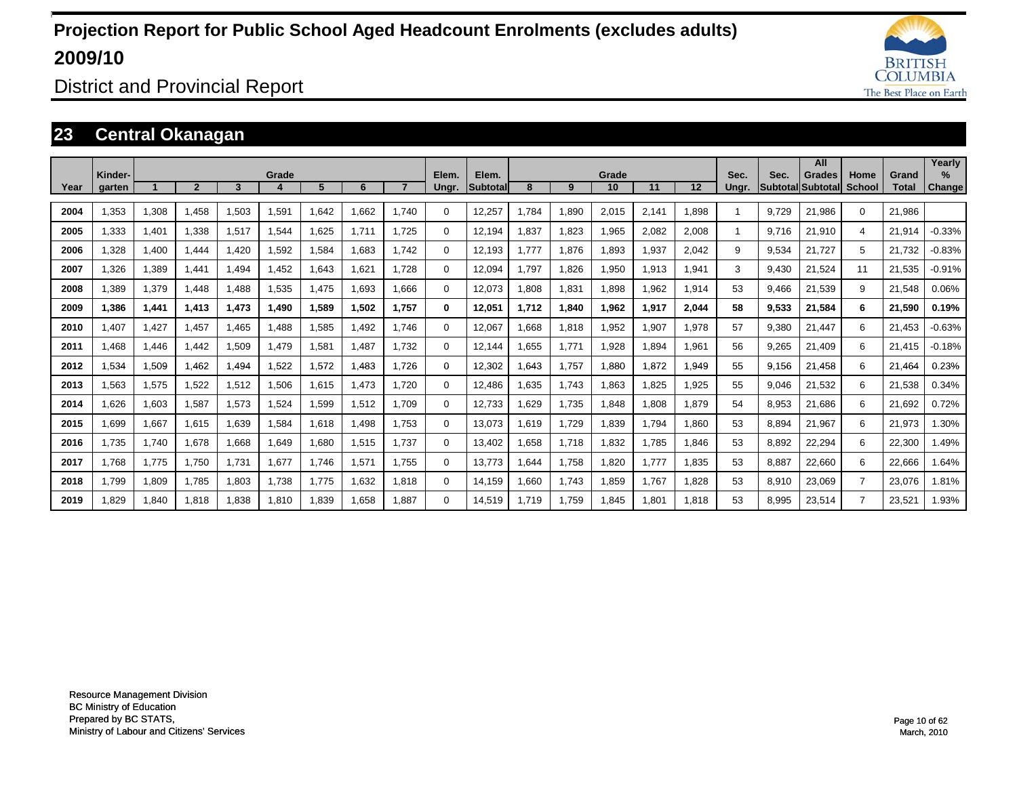

District and Provincial Report

### **23 Central Okanagan**

|      | Kinder- |       |                |       | Grade |       |       |       | Elem.    | Elem.           |       |       | Grade |       |       | Sec.  | Sec.  | All<br><b>Grades</b>     | Home           | Grand        | Yearly<br>$\%$ |
|------|---------|-------|----------------|-------|-------|-------|-------|-------|----------|-----------------|-------|-------|-------|-------|-------|-------|-------|--------------------------|----------------|--------------|----------------|
| Year | garten  |       | $\overline{2}$ | 3     |       | 5     | 6     |       | Ungr.    | <b>Subtotal</b> | 8     | 9     | 10    | 11    | 12    | Unar. |       | <b>Subtotal Subtotal</b> | <b>School</b>  | <b>Total</b> | <b>Change</b>  |
| 2004 | 1.353   | 1,308 | 1,458          | 1,503 | 1,591 | 1.642 | 1.662 | 1.740 | $\Omega$ | 12,257          | .784  | 1,890 | 2,015 | 2,141 | 1.898 |       | 9.729 | 21.986                   | $\mathbf 0$    | 21,986       |                |
| 2005 | 1.333   | 1,401 | 1,338          | 1,517 | 1,544 | 1,625 | 1.711 | 1.725 | 0        | 12.194          | .837  | 1,823 | 1,965 | 2,082 | 2,008 | 1     | 9.716 | 21,910                   | 4              | 21,914       | $-0.33%$       |
| 2006 | ,328    | 1,400 | 1.444          | ,420  | 1,592 | 1,584 | 1.683 | 1.742 | 0        | 12.193          | .777  | 1,876 | 1,893 | 1,937 | 2,042 | 9     | 9,534 | 21.727                   | 5              | 21,732       | $-0.83%$       |
| 2007 | 1,326   | 1,389 | 1.441          | .494  | 1.452 | 1,643 | 1,621 | 1.728 | 0        | 12,094          | .797  | 1,826 | 1,950 | 1,913 | 1,941 | 3     | 9.430 | 21,524                   | 11             | 21,535       | $-0.91%$       |
| 2008 | 1.389   | 1,379 | 1.448          | .488  | 1,535 | 1.475 | 1.693 | 1.666 | 0        | 12,073          | .808  | 1,831 | 1,898 | 1.962 | 1,914 | 53    | 9.466 | 21,539                   | 9              | 21,548       | 0.06%          |
| 2009 | 1.386   | 1,441 | 1.413          | 1.473 | 1.490 | 1.589 | 1,502 | 1.757 | 0        | 12.051          | 1.712 | 1,840 | 1,962 | 1,917 | 2,044 | 58    | 9,533 | 21,584                   | 6              | 21,590       | 0.19%          |
| 2010 | 1.407   | 1,427 | 1.457          | 1.465 | 1.488 | 1,585 | 1.492 | 1.746 | 0        | 12.067          | .668  | 1,818 | 1,952 | 1.907 | 1.978 | 57    | 9,380 | 21.447                   | 6              | 21.453       | $-0.63%$       |
| 2011 | 1.468   | 1,446 | 1.442          | 1,509 | 1.479 | 1,581 | 1.487 | 1.732 | 0        | 12.144          | .655  | 1.771 | 1,928 | 1.894 | 1,961 | 56    | 9,265 | 21.409                   | 6              | 21,415       | $-0.18%$       |
| 2012 | .534    | 1,509 | 1,462          | .494  | 1,522 | 1,572 | 1.483 | 1.726 | 0        | 12,302          | .643  | 1.757 | 1,880 | 1.872 | 1.949 | 55    | 9.156 | 21.458                   | 6              | 21.464       | 0.23%          |
| 2013 | .563    | 1,575 | 1,522          | 1,512 | 1,506 | 1,615 | 1.473 | 1.720 | 0        | 12.486          | .635  | 1.743 | 1,863 | 1,825 | 1,925 | 55    | 9,046 | 21,532                   | 6              | 21,538       | 0.34%          |
| 2014 | .626    | 1,603 | 1,587          | 1,573 | 1,524 | 1,599 | 1,512 | 1.709 | 0        | 12.733          | .629  | 1.735 | 1.848 | 1.808 | 1.879 | 54    | 8,953 | 21,686                   | 6              | 21,692       | 0.72%          |
| 2015 | .699    | 1,667 | 1.615          | 1,639 | 1,584 | 1,618 | 1.498 | 1.753 | 0        | 13.073          | .619  | 1,729 | 1,839 | 1.794 | 1.860 | 53    | 8,894 | 21,967                   | 6              | 21,973       | 1.30%          |
| 2016 | 1.735   | 1,740 | 1.678          | 1.668 | 1,649 | 1,680 | 1,515 | 1.737 | 0        | 13.402          | .658  | 1.718 | 1,832 | 1.785 | 1.846 | 53    | 8,892 | 22,294                   | 6              | 22,300       | 1.49%          |
| 2017 | 1.768   | 1,775 | 1.750          | 1.731 | 1,677 | 1.746 | 1,571 | 1.755 | 0        | 13.773          | .644  | 1.758 | 1,820 | 1.777 | 1.835 | 53    | 8.887 | 22,660                   | 6              | 22,666       | 1.64%          |
| 2018 | 1.799   | 1,809 | 1.785          | 1.803 | 1.738 | 1.775 | 1.632 | 1.818 | $\Omega$ | 14.159          | .660  | 1.743 | 1,859 | 1.767 | 1.828 | 53    | 8,910 | 23,069                   | 7              | 23.076       | 1.81%          |
| 2019 | .829    | 1.840 | 1.818          | 1.838 | 1.810 | 1.839 | 1.658 | 1.887 | $\Omega$ | 14.519          | .719  | 1.759 | 1.845 | 1.801 | 1.818 | 53    | 8.995 | 23.514                   | $\overline{7}$ | 23,521       | 1.93%          |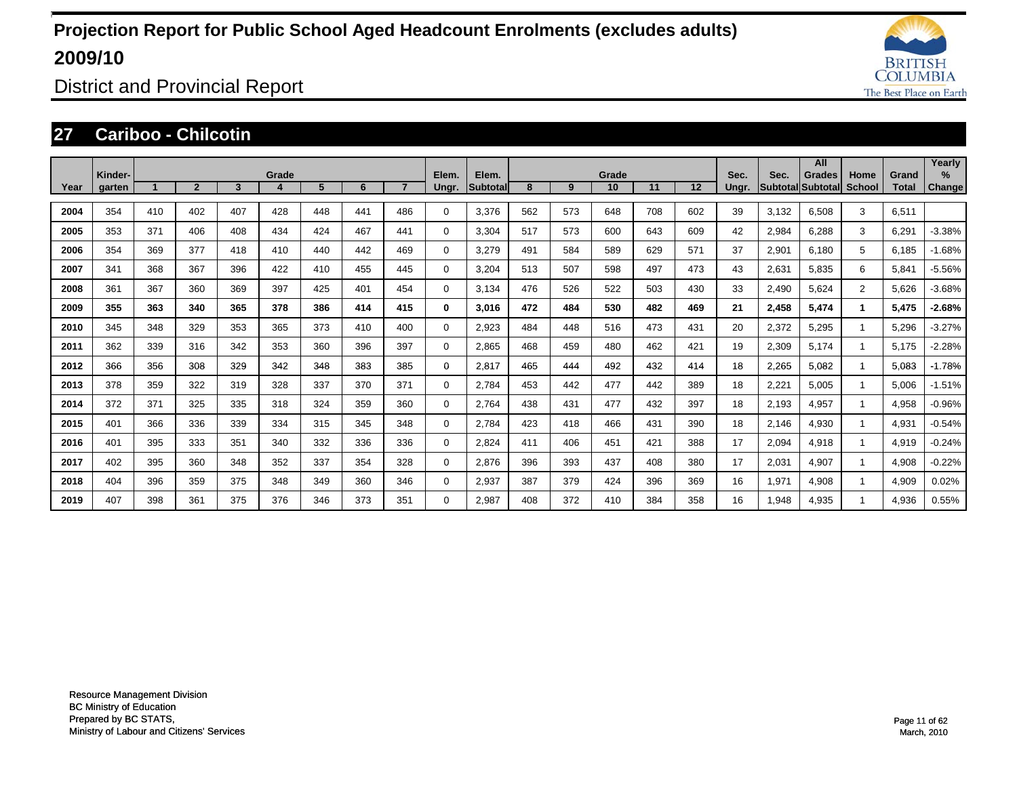

District and Provincial Report

### **27 Cariboo - Chilcotin**

|      | Kinder- |     |                |     | Grade |     |     |                | Elem.    | Elem.    |     |     | Grade |     |     | Sec.  | Sec.  | All<br>Grades     | Home           | Grand        | Yearly<br>$\%$ |
|------|---------|-----|----------------|-----|-------|-----|-----|----------------|----------|----------|-----|-----|-------|-----|-----|-------|-------|-------------------|----------------|--------------|----------------|
| Year | garten  |     | $\overline{2}$ | 3   | 4     | 5   | 6   | $\overline{7}$ | Ungr.    | Subtotal | 8   | 9   | 10    | 11  | 12  | Ungr. |       | Subtotal Subtotal | <b>School</b>  | <b>Total</b> | <b>Change!</b> |
| 2004 | 354     | 410 | 402            | 407 | 428   | 448 | 441 | 486            | $\Omega$ | 3,376    | 562 | 573 | 648   | 708 | 602 | 39    | 3,132 | 6,508             | 3              | 6,511        |                |
| 2005 | 353     | 371 | 406            | 408 | 434   | 424 | 467 | 441            | $\Omega$ | 3,304    | 517 | 573 | 600   | 643 | 609 | 42    | 2,984 | 6,288             | 3              | 6,291        | $-3.38%$       |
| 2006 | 354     | 369 | 377            | 418 | 410   | 440 | 442 | 469            | $\Omega$ | 3,279    | 491 | 584 | 589   | 629 | 571 | 37    | 2,901 | 6.180             | 5              | 6,185        | $-1.68%$       |
| 2007 | 341     | 368 | 367            | 396 | 422   | 410 | 455 | 445            | $\Omega$ | 3,204    | 513 | 507 | 598   | 497 | 473 | 43    | 2,631 | 5,835             | 6              | 5,841        | $-5.56%$       |
| 2008 | 361     | 367 | 360            | 369 | 397   | 425 | 401 | 454            | $\Omega$ | 3,134    | 476 | 526 | 522   | 503 | 430 | 33    | 2,490 | 5,624             | $\overline{2}$ | 5,626        | $-3.68%$       |
| 2009 | 355     | 363 | 340            | 365 | 378   | 386 | 414 | 415            | 0        | 3,016    | 472 | 484 | 530   | 482 | 469 | 21    | 2,458 | 5,474             |                | 5,475        | $-2.68%$       |
| 2010 | 345     | 348 | 329            | 353 | 365   | 373 | 410 | 400            | $\Omega$ | 2,923    | 484 | 448 | 516   | 473 | 431 | 20    | 2,372 | 5,295             |                | 5,296        | $-3.27%$       |
| 2011 | 362     | 339 | 316            | 342 | 353   | 360 | 396 | 397            | $\Omega$ | 2.865    | 468 | 459 | 480   | 462 | 421 | 19    | 2,309 | 5.174             |                | 5.175        | $-2.28%$       |
| 2012 | 366     | 356 | 308            | 329 | 342   | 348 | 383 | 385            | $\Omega$ | 2.817    | 465 | 444 | 492   | 432 | 414 | 18    | 2,265 | 5.082             |                | 5.083        | $-1.78%$       |
| 2013 | 378     | 359 | 322            | 319 | 328   | 337 | 370 | 371            | $\Omega$ | 2.784    | 453 | 442 | 477   | 442 | 389 | 18    | 2,221 | 5.005             |                | 5,006        | $-1.51%$       |
| 2014 | 372     | 371 | 325            | 335 | 318   | 324 | 359 | 360            | $\Omega$ | 2.764    | 438 | 431 | 477   | 432 | 397 | 18    | 2,193 | 4,957             |                | 4,958        | $-0.96%$       |
| 2015 | 401     | 366 | 336            | 339 | 334   | 315 | 345 | 348            | $\Omega$ | 2,784    | 423 | 418 | 466   | 431 | 390 | 18    | 2,146 | 4,930             |                | 4,931        | $-0.54%$       |
| 2016 | 401     | 395 | 333            | 351 | 340   | 332 | 336 | 336            | 0        | 2,824    | 411 | 406 | 451   | 421 | 388 | 17    | 2,094 | 4,918             |                | 4,919        | $-0.24%$       |
| 2017 | 402     | 395 | 360            | 348 | 352   | 337 | 354 | 328            | 0        | 2,876    | 396 | 393 | 437   | 408 | 380 | 17    | 2,031 | 4,907             |                | 4,908        | $-0.22%$       |
| 2018 | 404     | 396 | 359            | 375 | 348   | 349 | 360 | 346            | $\Omega$ | 2,937    | 387 | 379 | 424   | 396 | 369 | 16    | 1,971 | 4,908             |                | 4,909        | 0.02%          |
| 2019 | 407     | 398 | 361            | 375 | 376   | 346 | 373 | 351            | $\Omega$ | 2.987    | 408 | 372 | 410   | 384 | 358 | 16    | 1,948 | 4,935             |                | 4,936        | 0.55%          |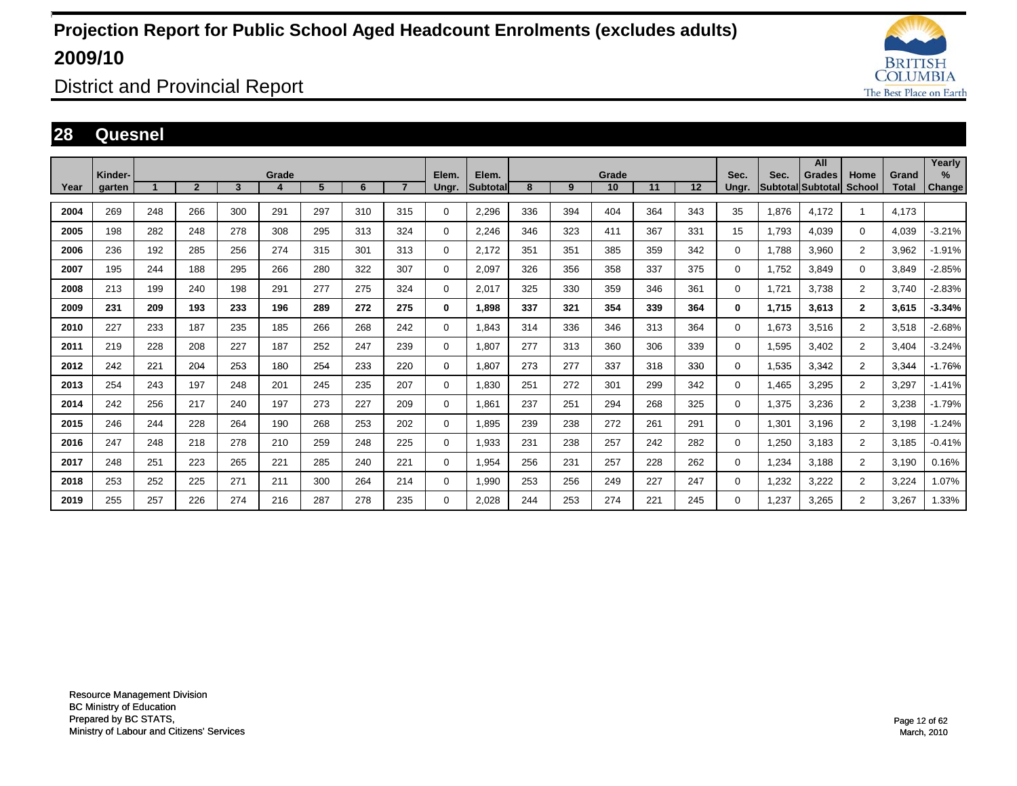

District and Provincial Report

### **28 Quesnel**

|      |                   |     |                |     |       |     |     |                |                |                    |     |     |             |     |     |               |       | All                                |                |                       | Yearly         |
|------|-------------------|-----|----------------|-----|-------|-----|-----|----------------|----------------|--------------------|-----|-----|-------------|-----|-----|---------------|-------|------------------------------------|----------------|-----------------------|----------------|
| Year | Kinder-<br>garten |     | $\overline{2}$ | 3   | Grade | 5   | 6   | $\overline{7}$ | Elem.<br>Ungr. | Elem.<br>Subtotall | 8   | 9   | Grade<br>10 | 11  | 12  | Sec.<br>Ungr. | Sec.  | <b>Grades</b><br>Subtotal Subtotal | Home<br>School | Grand<br><b>Total</b> | $\%$<br>Change |
|      |                   |     |                |     |       |     |     |                |                |                    |     |     |             |     |     |               |       |                                    |                |                       |                |
| 2004 | 269               | 248 | 266            | 300 | 291   | 297 | 310 | 315            | $\mathbf 0$    | 2,296              | 336 | 394 | 404         | 364 | 343 | 35            | 1,876 | 4.172                              | 1              | 4.173                 |                |
| 2005 | 198               | 282 | 248            | 278 | 308   | 295 | 313 | 324            | $\mathbf 0$    | 2,246              | 346 | 323 | 411         | 367 | 331 | 15            | 1.793 | 4.039                              | $\mathbf 0$    | 4,039                 | $-3.21%$       |
| 2006 | 236               | 192 | 285            | 256 | 274   | 315 | 301 | 313            | $\mathbf 0$    | 2.172              | 351 | 351 | 385         | 359 | 342 | $\mathbf 0$   | 1.788 | 3.960                              | $\overline{2}$ | 3,962                 | $-1.91%$       |
| 2007 | 195               | 244 | 188            | 295 | 266   | 280 | 322 | 307            | $\mathbf 0$    | 2,097              | 326 | 356 | 358         | 337 | 375 | $\mathbf 0$   | 1,752 | 3,849                              | 0              | 3,849                 | $-2.85%$       |
| 2008 | 213               | 199 | 240            | 198 | 291   | 277 | 275 | 324            | $\mathbf 0$    | 2,017              | 325 | 330 | 359         | 346 | 361 | $\Omega$      | 1,721 | 3,738                              | $\overline{2}$ | 3,740                 | $-2.83%$       |
| 2009 | 231               | 209 | 193            | 233 | 196   | 289 | 272 | 275            | 0              | 1.898              | 337 | 321 | 354         | 339 | 364 | $\mathbf 0$   | 1,715 | 3,613                              | $\mathbf{2}$   | 3,615                 | $-3.34%$       |
| 2010 | 227               | 233 | 187            | 235 | 185   | 266 | 268 | 242            | $\mathbf 0$    | 1.843              | 314 | 336 | 346         | 313 | 364 | $\mathbf 0$   | 1,673 | 3.516                              | $\overline{2}$ | 3,518                 | $-2.68%$       |
| 2011 | 219               | 228 | 208            | 227 | 187   | 252 | 247 | 239            | $\mathbf 0$    | 1,807              | 277 | 313 | 360         | 306 | 339 | $\mathbf 0$   | 1,595 | 3.402                              | $\overline{2}$ | 3.404                 | $-3.24%$       |
| 2012 | 242               | 221 | 204            | 253 | 180   | 254 | 233 | 220            | 0              | 1.807              | 273 | 277 | 337         | 318 | 330 | $\mathbf 0$   | 1,535 | 3.342                              | $\overline{2}$ | 3.344                 | $-1.76%$       |
| 2013 | 254               | 243 | 197            | 248 | 201   | 245 | 235 | 207            | $\mathbf 0$    | 1,830              | 251 | 272 | 301         | 299 | 342 | $\mathbf 0$   | 1,465 | 3,295                              | $\overline{2}$ | 3,297                 | $-1.41%$       |
| 2014 | 242               | 256 | 217            | 240 | 197   | 273 | 227 | 209            | $\mathbf 0$    | 1,861              | 237 | 251 | 294         | 268 | 325 | $\Omega$      | 1,375 | 3,236                              | $\overline{2}$ | 3,238                 | $-1.79%$       |
| 2015 | 246               | 244 | 228            | 264 | 190   | 268 | 253 | 202            | $\mathbf 0$    | 1,895              | 239 | 238 | 272         | 261 | 291 | 0             | 1,301 | 3,196                              | $\overline{2}$ | 3,198                 | $-1.24%$       |
| 2016 | 247               | 248 | 218            | 278 | 210   | 259 | 248 | 225            | $\mathbf 0$    | 1,933              | 231 | 238 | 257         | 242 | 282 | 0             | 1,250 | 3,183                              | $\overline{2}$ | 3,185                 | $-0.41%$       |
| 2017 | 248               | 251 | 223            | 265 | 221   | 285 | 240 | 221            | $\mathbf 0$    | 1,954              | 256 | 231 | 257         | 228 | 262 | 0             | 1,234 | 3.188                              | $\overline{2}$ | 3.190                 | 0.16%          |
| 2018 | 253               | 252 | 225            | 271 | 211   | 300 | 264 | 214            | $\mathbf 0$    | 1,990              | 253 | 256 | 249         | 227 | 247 | 0             | 1,232 | 3,222                              | $\overline{2}$ | 3,224                 | 1.07%          |
| 2019 | 255               | 257 | 226            | 274 | 216   | 287 | 278 | 235            | 0              | 2.028              | 244 | 253 | 274         | 221 | 245 | $\Omega$      | 1,237 | 3,265                              | $\overline{2}$ | 3,267                 | 1.33%          |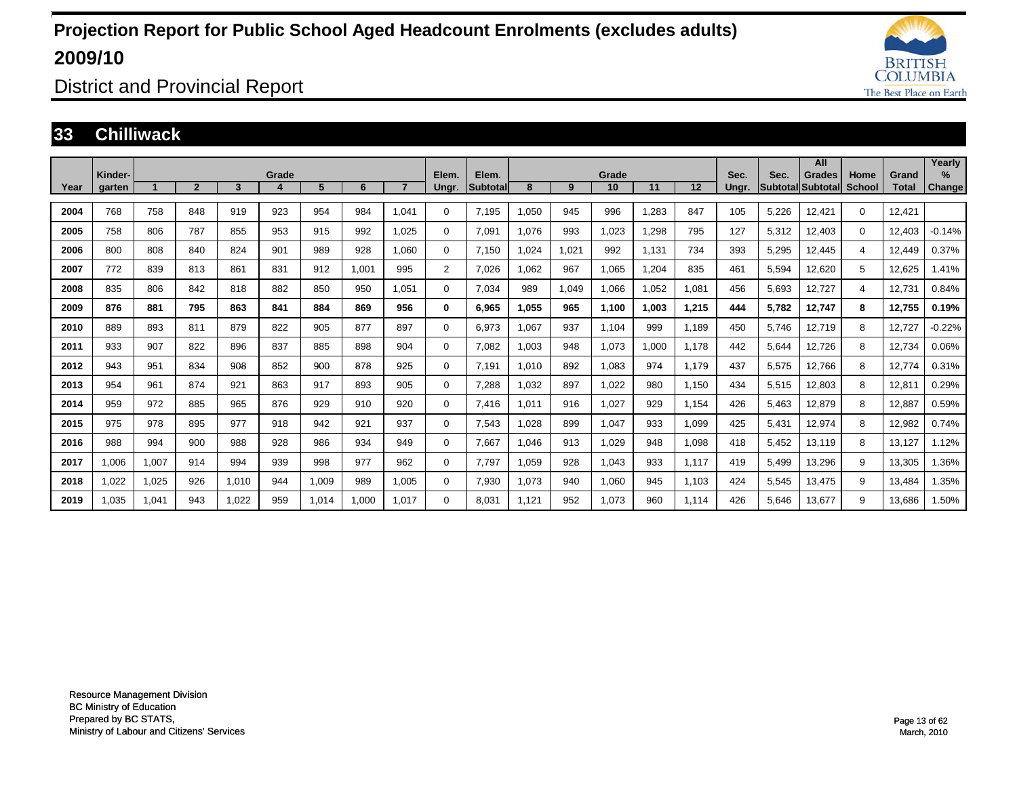

District and Provincial Report

#### **33 Chilliwack**

|      | Kinder- |       |                |       | Grade |       |       |       | Elem.          | Elem.    |       |       | Grade |       |       | Sec.  | Sec.  | All<br>Grades     | Home          | Grand        | Yearly<br>$\%$ |
|------|---------|-------|----------------|-------|-------|-------|-------|-------|----------------|----------|-------|-------|-------|-------|-------|-------|-------|-------------------|---------------|--------------|----------------|
| Year | garten  |       | $\overline{2}$ | 3     | 4     | 5     | 6     |       | Ungr.          | Subtotal | 8     | 9     | 10    | 11    | 12    | Ungr. |       | Subtotal Subtotal | <b>School</b> | <b>Total</b> | <b>Change</b>  |
| 2004 | 768     | 758   | 848            | 919   | 923   | 954   | 984   | 1.041 | $\Omega$       | 7,195    | 1,050 | 945   | 996   | 1,283 | 847   | 105   | 5,226 | 12,421            | $\Omega$      | 12,421       |                |
| 2005 | 758     | 806   | 787            | 855   | 953   | 915   | 992   | 1.025 | $\Omega$       | 7,091    | 1.076 | 993   | 1,023 | 1,298 | 795   | 127   | 5,312 | 12,403            | $\Omega$      | 12,403       | $-0.14%$       |
| 2006 | 800     | 808   | 840            | 824   | 901   | 989   | 928   | 1.060 | $\Omega$       | 7,150    | 1,024 | 1,021 | 992   | 1,131 | 734   | 393   | 5,295 | 12,445            | 4             | 12,449       | 0.37%          |
| 2007 | 772     | 839   | 813            | 861   | 831   | 912   | 1,001 | 995   | $\overline{2}$ | 7,026    | 1,062 | 967   | 1,065 | 1,204 | 835   | 461   | 5,594 | 12,620            | 5             | 12,625       | .41%           |
| 2008 | 835     | 806   | 842            | 818   | 882   | 850   | 950   | 1.051 | $\Omega$       | 7,034    | 989   | 1,049 | 1,066 | 1,052 | 1,081 | 456   | 5,693 | 12,727            | 4             | 12,731       | 0.84%          |
| 2009 | 876     | 881   | 795            | 863   | 841   | 884   | 869   | 956   | 0              | 6,965    | 1,055 | 965   | 1,100 | 1,003 | 1,215 | 444   | 5,782 | 12,747            | 8             | 12,755       | 0.19%          |
| 2010 | 889     | 893   | 811            | 879   | 822   | 905   | 877   | 897   | $\Omega$       | 6,973    | 1,067 | 937   | 1,104 | 999   | 1,189 | 450   | 5,746 | 12,719            | 8             | 12,727       | $-0.22%$       |
| 2011 | 933     | 907   | 822            | 896   | 837   | 885   | 898   | 904   | $\Omega$       | 7,082    | 1,003 | 948   | 1,073 | 1,000 | 1.178 | 442   | 5,644 | 12,726            | 8             | 12,734       | 0.06%          |
| 2012 | 943     | 951   | 834            | 908   | 852   | 900   | 878   | 925   | 0              | 7,191    | 1.010 | 892   | 1,083 | 974   | 1.179 | 437   | 5,575 | 12,766            | 8             | 12,774       | 0.31%          |
| 2013 | 954     | 961   | 874            | 921   | 863   | 917   | 893   | 905   | $\Omega$       | 7,288    | 1,032 | 897   | 1,022 | 980   | 1,150 | 434   | 5,515 | 12,803            | 8             | 12,811       | 0.29%          |
| 2014 | 959     | 972   | 885            | 965   | 876   | 929   | 910   | 920   | $\Omega$       | 7,416    | 1,011 | 916   | 1,027 | 929   | 1,154 | 426   | 5,463 | 12,879            | 8             | 12,887       | 0.59%          |
| 2015 | 975     | 978   | 895            | 977   | 918   | 942   | 921   | 937   | $\Omega$       | 7,543    | 1,028 | 899   | 1,047 | 933   | 1,099 | 425   | 5,431 | 12,974            | 8             | 12,982       | 0.74%          |
| 2016 | 988     | 994   | 900            | 988   | 928   | 986   | 934   | 949   | $\Omega$       | 7,667    | 1,046 | 913   | 1,029 | 948   | 1,098 | 418   | 5,452 | 13,119            | 8             | 13,127       | 1.12%          |
| 2017 | 1,006   | 1,007 | 914            | 994   | 939   | 998   | 977   | 962   | $\Omega$       | 7,797    | 1,059 | 928   | 1,043 | 933   | 1,117 | 419   | 5,499 | 13,296            | 9             | 13,305       | .36%           |
| 2018 | 1,022   | 1,025 | 926            | 1,010 | 944   | 1,009 | 989   | 1,005 | $\Omega$       | 7,930    | 1,073 | 940   | 1,060 | 945   | 1,103 | 424   | 5,545 | 13,475            | 9             | 13,484       | .35%           |
| 2019 | 1,035   | 1,041 | 943            | 1.022 | 959   | 1,014 | 1,000 | 1.017 | $\Omega$       | 8.031    | 1,121 | 952   | 1.073 | 960   | 1.114 | 426   | 5,646 | 13.677            | 9             | 13,686       | .50%           |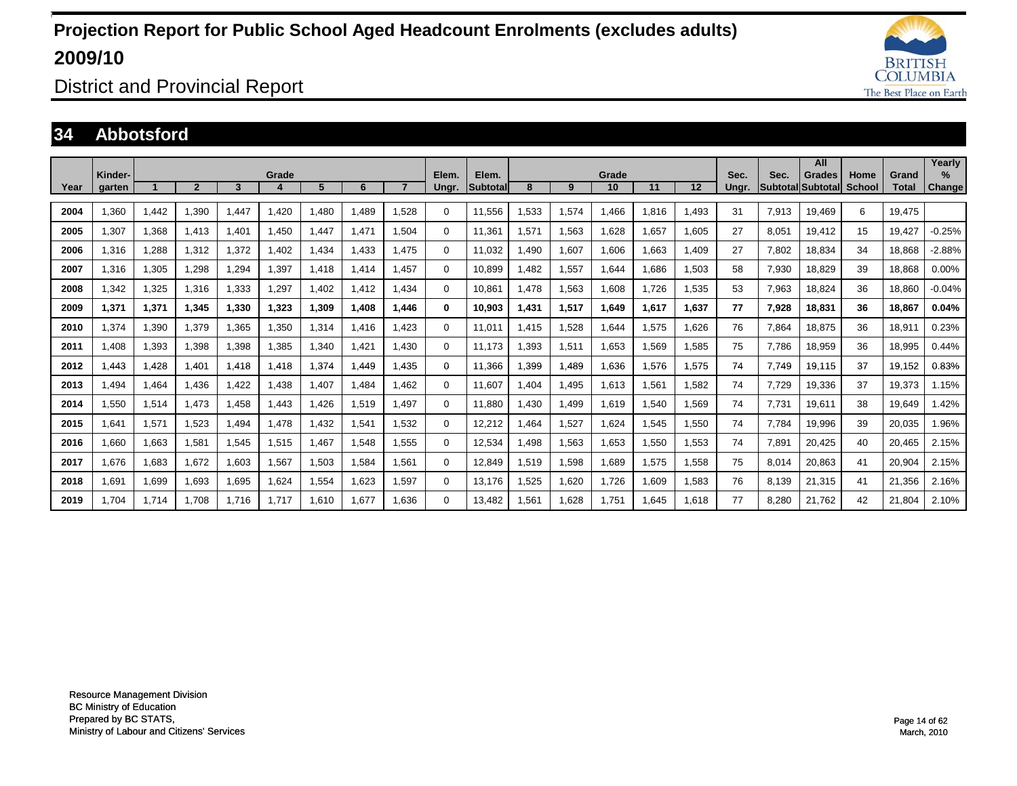

District and Provincial Report

### **34 Abbotsford**

|      | Kinder- |       |                |       | Grade |       |       |       | Elem.       | Elem.     |       |       | Grade |       |       | Sec.  | Sec.  | All<br>Grades     | Home   | Grand        | Yearly<br>$\%$ |
|------|---------|-------|----------------|-------|-------|-------|-------|-------|-------------|-----------|-------|-------|-------|-------|-------|-------|-------|-------------------|--------|--------------|----------------|
| Year | garten  |       | $\overline{2}$ | 3     |       | 5     | 6     |       | Ungr.       | Subtotall | 8     | 9     | 10    | 11    | 12    | Ungr. |       | Subtotal Subtotal | School | <b>Total</b> | Change         |
| 2004 | .360    | 1,442 | 1.390          | .447  | 1.420 | 1.480 | 1.489 | .528  | $\Omega$    | 11,556    | .533  | 1,574 | 1.466 | 1.816 | 1,493 | 31    | 7,913 | 19,469            | 6      | 19,475       |                |
| 2005 | 1.307   | 1,368 | 1.413          | ,401  | 1.450 | 1.447 | 1.471 | 1.504 | $\mathbf 0$ | 11.361    | 1,571 | 1,563 | 1.628 | 1.657 | 1,605 | 27    | 8,051 | 19,412            | 15     | 19.427       | $-0.25%$       |
| 2006 | 1.316   | 1,288 | 1.312          | ,372  | 1.402 | 1,434 | 1.433 | .475  | $\mathbf 0$ | 11.032    | .490  | 1,607 | 1.606 | 1.663 | 1.409 | 27    | 7,802 | 18,834            | 34     | 18,868       | $-2.88%$       |
| 2007 | 1.316   | 1,305 | 1,298          | ,294  | 1,397 | 1.418 | 1.414 | 1.457 | $\mathbf 0$ | 10,899    | .482  | 1,557 | 1.644 | 1.686 | 1,503 | 58    | 7,930 | 18,829            | 39     | 18,868       | 0.00%          |
| 2008 | .342    | 1,325 | 1.316          | 1,333 | 1,297 | 1.402 | 1.412 | 1.434 | $\mathbf 0$ | 10,861    | .478  | 1,563 | 1.608 | 1.726 | 1.535 | 53    | 7,963 | 18,824            | 36     | 18.860       | $-0.04%$       |
| 2009 | 1.371   | 1,371 | 1,345          | 1,330 | 1,323 | 1,309 | 1.408 | 1.446 | $\bf{0}$    | 10,903    | 1,431 | 1,517 | 1.649 | 1.617 | 1.637 | 77    | 7,928 | 18.831            | 36     | 18.867       | 0.04%          |
| 2010 | .374    | 1,390 | 1.379          | .365  | 1,350 | 1.314 | 1.416 | .423  | $\Omega$    | 11.011    | .415  | 1,528 | 1.644 | 1.575 | 1.626 | 76    | 7.864 | 18.875            | 36     | 18,911       | 0.23%          |
| 2011 | 1,408   | 1,393 | 1,398          | 1,398 | 1,385 | 1,340 | 1,421 | 1.430 | $\Omega$    | 11.173    | .393  | 1,511 | 1,653 | 1,569 | 1,585 | 75    | 7,786 | 18,959            | 36     | 18,995       | 0.44%          |
| 2012 | ,443    | 1,428 | 1,401          | 1.418 | 1,418 | 1,374 | 1.449 | 1,435 | $\Omega$    | 11,366    | .399  | 1,489 | 1,636 | 1,576 | 1,575 | 74    | 7.749 | 19,115            | 37     | 19,152       | 0.83%          |
| 2013 | ,494    | 1,464 | 1,436          | ,422  | 1.438 | 1,407 | 1,484 | 1,462 | $\Omega$    | 11,607    | .404  | 1,495 | 1,613 | 1,561 | 1,582 | 74    | 7,729 | 19,336            | 37     | 19,373       | 1.15%          |
| 2014 | .550    | 1,514 | 1.473          | ,458  | 1.443 | 1,426 | 1,519 | 1.497 | $\Omega$    | 11,880    | ,430  | 1,499 | 1,619 | 1,540 | 1,569 | 74    | 7,731 | 19,611            | 38     | 19,649       | .42%           |
| 2015 | .641    | 1,571 | 1,523          | ,494  | 1,478 | 1,432 | 1,541 | 1,532 | $\mathbf 0$ | 12,212    | ,464  | 1,527 | 1,624 | 1,545 | 1,550 | 74    | 7,784 | 19,996            | 39     | 20,035       | .96%           |
| 2016 | .660    | 1,663 | 1,581          | .545  | 1,515 | 1.467 | 1,548 | .555  | 0           | 12,534    | ,498  | 1,563 | 1,653 | 1,550 | 1,553 | 74    | 7,891 | 20,425            | 40     | 20,465       | 2.15%          |
| 2017 | 1.676   | 1,683 | 1.672          | 1,603 | 1,567 | 1,503 | 1,584 | 1.561 | 0           | 12,849    | 519.  | 1,598 | 1,689 | 1,575 | 1,558 | 75    | 8,014 | 20,863            | 41     | 20,904       | 2.15%          |
| 2018 | 1.691   | 1,699 | 1,693          | 1,695 | 1,624 | 1,554 | 1,623 | 1,597 | $\mathbf 0$ | 13.176    | 1,525 | 1,620 | 1,726 | 1.609 | 1,583 | 76    | 8.139 | 21,315            | 41     | 21,356       | 2.16%          |
| 2019 | 1.704   | 1.714 | 1.708          | 1.716 | 1.717 | 1.610 | 1.677 | 1.636 | $\Omega$    | 13.482    | 1.561 | 1.628 | 1.751 | .645  | 1.618 | 77    | 8.280 | 21.762            | 42     | 21.804       | 2.10%          |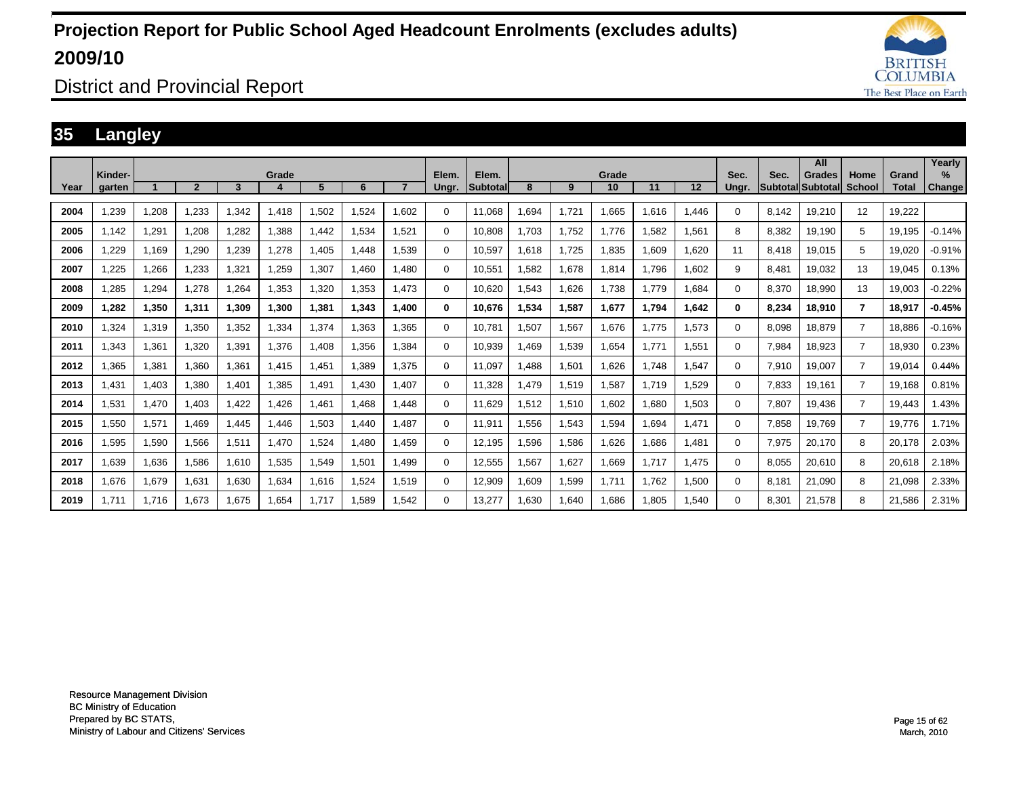

District and Provincial Report

### **35 Langley**

|      | Kinder- |       |                |       | Grade |       |       |                | Elem.    | Elem.    |       |       | Grade |       |       | Sec.     | Sec.  | All                                 | Home              | Grand        | Yearly<br>$\%$ |
|------|---------|-------|----------------|-------|-------|-------|-------|----------------|----------|----------|-------|-------|-------|-------|-------|----------|-------|-------------------------------------|-------------------|--------------|----------------|
| Year | garten  |       | $\overline{2}$ | 3     |       | 5     | 6     | $\overline{ }$ | Ungr.    | Subtotal | 8     | 9     | 10    | 11    | 12    | Unar.    |       | <b>Grades</b><br> Subtotal Subtotal | <b>School</b>     | <b>Total</b> | Change         |
| 2004 | .239    | 1,208 | 1,233          | 1,342 | 1,418 | 1,502 | 1,524 | 1.602          | 0        | 11.068   | .694  | 1,721 | .665  | 1,616 | 1.446 | $\Omega$ | 8.142 | 19,210                              | $12 \overline{ }$ | 19.222       |                |
| 2005 | 1.142   | 1,291 | 1.208          | 1,282 | .388  | 1.442 | 1,534 | 1.521          | 0        | 10.808   | 1.703 | 1,752 | 1.776 | 1,582 | 1,561 | 8        | 8.382 | 19,190                              | 5                 | 19.195       | $-0.14%$       |
| 2006 | ,229    | 1,169 | 1,290          | 1,239 | 1,278 | .405  | 1.448 | 1.539          | 0        | 10,597   | 1,618 | 1,725 | 1,835 | 1,609 | 1,620 | 11       | 8.418 | 19,015                              | 5                 | 19,020       | $-0.91%$       |
| 2007 | .225    | 1,266 | 1,233          | 1,321 | .259  | .307  | 1.460 | 1.480          | 0        | 10,551   | 1,582 | 1,678 | 1,814 | 1.796 | 1,602 | 9        | 8.481 | 19.032                              | 13                | 19,045       | 0.13%          |
| 2008 | .285    | 1,294 | 1.278          | 1.264 | 1,353 | .320  | 1.353 | 1.473          | 0        | 10.620   | 1,543 | 1.626 | 1.738 | 1.779 | 1.684 | $\Omega$ | 8.370 | 18.990                              | 13                | 19.003       | $-0.22%$       |
| 2009 | 1.282   | 1,350 | 1,311          | 1,309 | 1,300 | 1,381 | 1,343 | 1.400          | 0        | 10,676   | 1,534 | 1,587 | 1,677 | 1.794 | 1,642 | 0        | 8,234 | 18,910                              | 7                 | 18,917       | $-0.45%$       |
| 2010 | .324    | 1,319 | 1.350          | 1,352 | 1,334 | 1,374 | 1.363 | 1.365          | 0        | 10.781   | ,507  | 1,567 | 1,676 | 1.775 | 1.573 | 0        | 8.098 | 18.879                              | $\overline{7}$    | 18.886       | $-0.16%$       |
| 2011 | .343    | 1,361 | 1.320          | 1,391 | 1,376 | .408  | 1.356 | 1.384          | 0        | 10.939   | .469  | 1,539 | 1,654 | 1.771 | 1,551 | $\Omega$ | 7.984 | 18.923                              | $\overline{7}$    | 18.930       | 0.23%          |
| 2012 | ,365    | 1,381 | 1,360          | 1,361 | 1,415 | .451  | 1,389 | 1.375          | 0        | 11,097   | ,488  | 1,501 | .626  | 1.748 | 1,547 | 0        | 7,910 | 19,007                              | $\overline{7}$    | 19,014       | 0.44%          |
| 2013 | ,431    | 1,403 | 1,380          | 1,401 | 1,385 | 1,491 | 1.430 | 1.407          | 0        | 11,328   | .479  | 1,519 | 1,587 | 1.719 | 1,529 | 0        | 7,833 | 19,161                              | $\overline{7}$    | 19.168       | 0.81%          |
| 2014 | .531    | 1,470 | 1.403          | 1.422 | .426  | 1,461 | 1.468 | 1.448          | 0        | 11.629   | 1,512 | 1,510 | 1.602 | 1.680 | 1,503 | $\Omega$ | 7.807 | 19.436                              | $\overline{7}$    | 19.443       | 1.43%          |
| 2015 | .550    | 1,571 | 1,469          | 1,445 | ,446  | 1,503 | 1.440 | 1.487          | $\Omega$ | 11,911   | .556  | 1,543 | 1,594 | 1,694 | 1,471 | $\Omega$ | 7,858 | 19,769                              | $\overline{7}$    | 19.776       | 1.71%          |
| 2016 | .595    | 1,590 | 1,566          | 1,511 | 1,470 | 1,524 | 1.480 | 1.459          | 0        | 12,195   | .596  | 1,586 | 1.626 | 1.686 | 1,481 | $\Omega$ | 7,975 | 20,170                              | 8                 | 20,178       | 2.03%          |
| 2017 | 1.639   | 1,636 | 1.586          | 1.610 | 1,535 | 1,549 | 1,501 | 1.499          | $\Omega$ | 12,555   | .567  | 1,627 | 1.669 | 1.717 | 1.475 | $\Omega$ | 8.055 | 20.610                              | 8                 | 20,618       | 2.18%          |
| 2018 | 1,676   | 1,679 | 1,631          | 1,630 | 1,634 | 1,616 | 1,524 | 1,519          | $\Omega$ | 12,909   | ,609  | 1,599 | 1,711 | 1.762 | 1,500 | $\Omega$ | 8.181 | 21,090                              | 8                 | 21,098       | 2.33%          |
| 2019 | 1.711   | 1.716 | 1.673          | 1.675 | 1.654 | 1.717 | 1.589 | 1.542          | 0        | 13.277   | 1.630 | 1.640 | 1.686 | 1.805 | 1.540 | $\Omega$ | 8.301 | 21.578                              | 8                 | 21.586       | 2.31%          |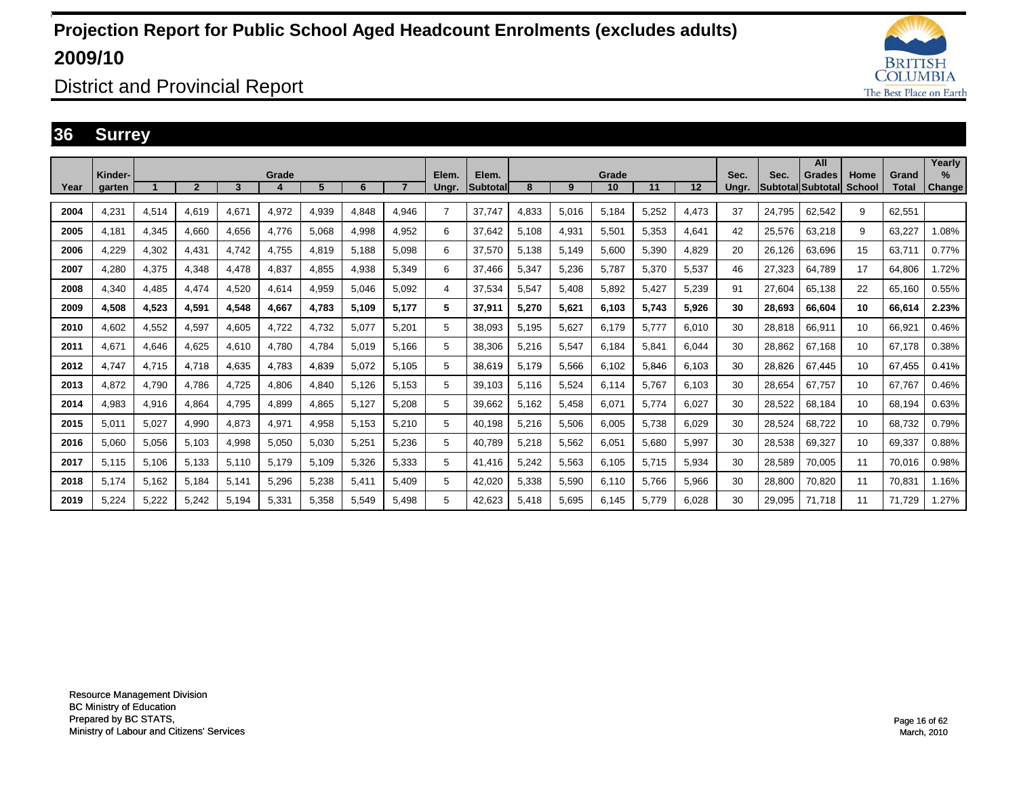

District and Provincial Report

### **36 Surrey**

|      |                   |       |              |       |       |       |       |                |                |                   |       |       |             |       |       |               |                            | All           |                       |                       | Yearly         |
|------|-------------------|-------|--------------|-------|-------|-------|-------|----------------|----------------|-------------------|-------|-------|-------------|-------|-------|---------------|----------------------------|---------------|-----------------------|-----------------------|----------------|
| Year | Kinder-<br>garten |       | $\mathbf{p}$ | 3     | Grade | 5     | 6     | $\overline{7}$ | Elem.<br>Ungr. | Elem.<br>Subtotal | 8     | 9     | Grade<br>10 | 11    | 12    | Sec.<br>Unar. | Sec.<br> Subtotal Subtotal | <b>Grades</b> | Home<br><b>School</b> | Grand<br><b>Total</b> | $\%$<br>Change |
| 2004 | 4,231             | 4,514 | 4.619        | 4,671 | 4,972 | 4,939 | 4.848 | 4.946          | 7              | 37.747            | 4,833 | 5,016 | 5.184       | 5,252 | 4,473 | 37            | 24.795                     | 62,542        | 9                     | 62.551                |                |
| 2005 | 4.181             | 4,345 | 4.660        | 4.656 | 4,776 | 5.068 | 4,998 | 4,952          | 6              | 37.642            | 5,108 | 4,931 | 5,501       | 5.353 | 4.641 | 42            | 25.576                     | 63.218        | 9                     | 63.227                | 1.08%          |
| 2006 | 4,229             | 4,302 | 4,431        | 4.742 | 4,755 | 4,819 | 5,188 | 5,098          | 6              | 37,570            | 5,138 | 5,149 | 5,600       | 5,390 | 4,829 | 20            | 26,126                     | 63,696        | 15                    | 63,711                | 0.77%          |
| 2007 | 4.280             | 4,375 | 4.348        | 4,478 | 4,837 | 4,855 | 4,938 | 5.349          | 6              | 37.466            | 5,347 | 5,236 | 5.787       | 5,370 | 5,537 | 46            | 27,323                     | 64,789        | 17                    | 64.806                | 1.72%          |
| 2008 | 4.340             | 4,485 | 4.474        | 4.520 | 4.614 | 4,959 | 5.046 | 5.092          | 4              | 37.534            | 5,547 | 5,408 | 5.892       | 5.427 | 5.239 | 91            | 27.604                     | 65.138        | 22                    | 65.160                | 0.55%          |
| 2009 | 4,508             | 4,523 | 4,591        | 4,548 | 4,667 | 4.783 | 5,109 | 5.177          | 5              | 37,911            | 5,270 | 5,621 | 6,103       | 5.743 | 5,926 | 30            | 28.693                     | 66.604        | 10                    | 66,614                | 2.23%          |
| 2010 | 4.602             | 4,552 | 4.597        | 4.605 | 4,722 | 4,732 | 5,077 | 5.201          | 5              | 38.093            | 5,195 | 5,627 | 6.179       | 5.777 | 6.010 | 30            | 28,818                     | 66.911        | 10                    | 66,921                | 0.46%          |
| 2011 | 4.671             | 4,646 | 4.625        | 4.610 | 4.780 | 4.784 | 5.019 | 5.166          | 5              | 38,306            | 5,216 | 5,547 | 6.184       | 5.841 | 6.044 | 30            | 28.862                     | 67.168        | 10                    | 67.178                | 0.38%          |
| 2012 | 4.747             | 4,715 | 4.718        | 4,635 | 4,783 | 4,839 | 5,072 | 5,105          | 5              | 38,619            | 5,179 | 5,566 | 6,102       | 5,846 | 6.103 | 30            | 28,826                     | 67.445        | 10                    | 67,455                | 0.41%          |
| 2013 | 4.872             | 4,790 | 4.786        | 4.725 | 4,806 | 4,840 | 5,126 | 5,153          | 5              | 39,103            | 5.116 | 5,524 | 6.114       | 5.767 | 6.103 | 30            | 28,654                     | 67.757        | 10                    | 67.767                | 0.46%          |
| 2014 | 4.983             | 4,916 | 4.864        | 4.795 | 4.899 | 4,865 | 5.127 | 5.208          | 5              | 39,662            | 5.162 | 5,458 | 6.071       | 5.774 | 6.027 | 30            | 28,522                     | 68.184        | 10                    | 68.194                | 0.63%          |
| 2015 | 5,011             | 5,027 | 4,990        | 4,873 | 4,971 | 4,958 | 5,153 | 5,210          | 5              | 40,198            | 5,216 | 5,506 | 6,005       | 5,738 | 6,029 | 30            | 28,524                     | 68,722        | 10                    | 68,732                | 0.79%          |
| 2016 | 5.060             | 5,056 | 5.103        | 4,998 | 5,050 | 5,030 | 5,251 | 5.236          | 5              | 40.789            | 5,218 | 5,562 | 6,051       | 5.680 | 5,997 | 30            | 28,538                     | 69,327        | 10                    | 69,337                | 0.88%          |
| 2017 | 5.115             | 5,106 | 5.133        | 5.110 | 5,179 | 5.109 | 5,326 | 5.333          | 5              | 41,416            | 5.242 | 5,563 | 6.105       | 5.715 | 5,934 | 30            | 28,589                     | 70.005        | 11                    | 70.016                | 0.98%          |
| 2018 | 5,174             | 5,162 | 5,184        | 5,141 | 5,296 | 5,238 | 5,411 | 5,409          | 5              | 42,020            | 5,338 | 5,590 | 6,110       | 5.766 | 5,966 | 30            | 28,800                     | 70,820        | 11                    | 70,831                | 1.16%          |
| 2019 | 5.224             | 5,222 | 5.242        | 5.194 | 5,331 | 5.358 | 5.549 | 5.498          | 5              | 42.623            | 5.418 | 5,695 | 6.145       | 5.779 | 6.028 | 30            | 29.095                     | 71.718        | 11                    | 71.729                | 1.27%          |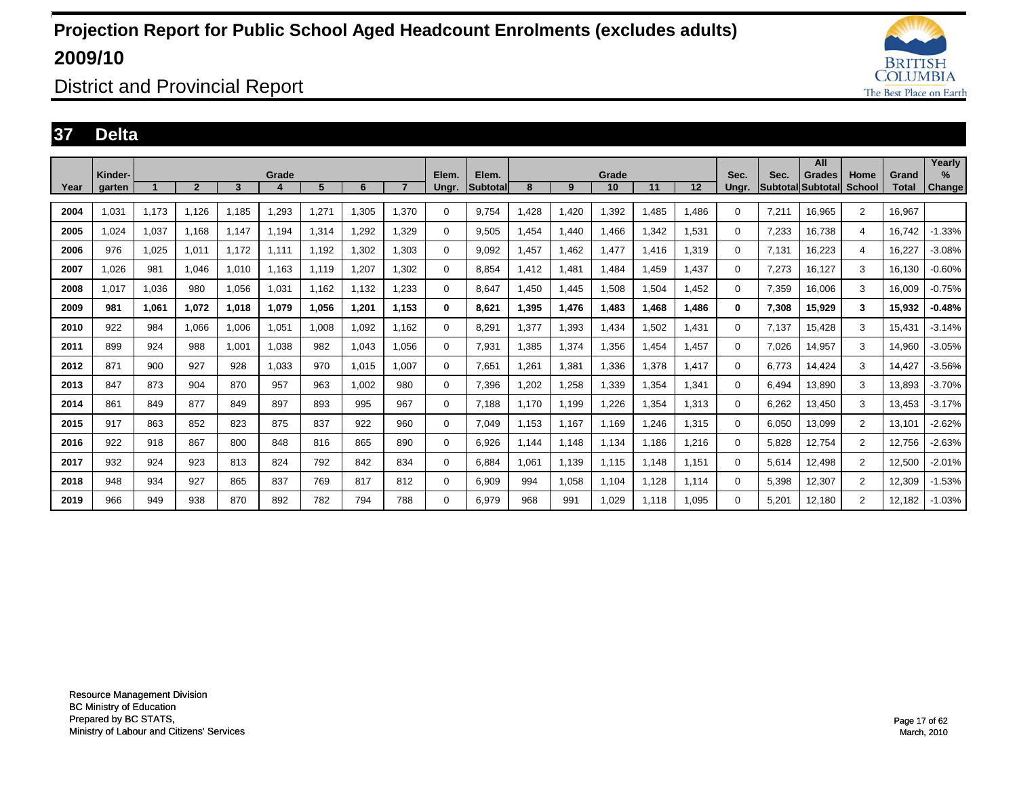

District and Provincial Report

### **37 Delta**

|      | Kinder- |       |                |       |       |       |       |                |                |                          |       |       |             |       |       |               |       | All                         |                |                       | Yearly                |
|------|---------|-------|----------------|-------|-------|-------|-------|----------------|----------------|--------------------------|-------|-------|-------------|-------|-------|---------------|-------|-----------------------------|----------------|-----------------------|-----------------------|
| Year | aarten  |       | $\overline{2}$ | 3     | Grade | 5     | 6     | $\overline{7}$ | Elem.<br>Ungr. | Elem.<br><b>Subtotal</b> | 8     | 9     | Grade<br>10 | 11    | 12    | Sec.<br>Unar. | Sec.  | Grades<br>Subtotal Subtotal | Home<br>School | Grand<br><b>Total</b> | $\%$<br><b>Change</b> |
| 2004 | 1.031   | 1,173 | 1.126          | 1.185 | 1.293 | 1,271 | 1.305 | 1.370          | $\Omega$       | 9.754                    | .428  | 1.420 | 1.392       | .485  | 1.486 | 0             | 7.211 | 16.965                      | $\overline{2}$ | 16,967                |                       |
| 2005 | 1,024   | 1,037 | 1.168          | 1.147 | 1.194 | 1,314 | 1,292 | 1,329          | 0              | 9,505                    | ,454  | 1,440 | 1,466       | 1,342 | 1,531 | 0             | 7,233 | 16,738                      | 4              | 16.742                | $-1.33%$              |
| 2006 | 976     | 1,025 | 1,011          | 1.172 | 1,111 | 1.192 | 1.302 | 1,303          | $\Omega$       | 9.092                    | ,457  | 1,462 | 1,477       | 1.416 | 1,319 | 0             | 7.131 | 16,223                      | 4              | 16.227                | $-3.08%$              |
| 2007 | 1.026   | 981   | 1.046          | 1.010 | 1.163 | 1.119 | 1.207 | 1.302          | 0              | 8.854                    | 1.412 | 1.481 | 1.484       | l.459 | 1,437 | 0             | 7,273 | 16.127                      | 3              | 16.130                | $-0.60%$              |
| 2008 | 1.017   | 1,036 | 980            | 1.056 | 1,031 | 1.162 | 1.132 | 1.233          | 0              | 8.647                    | .450  | 1,445 | 1,508       | .504  | 1.452 | 0             | 7,359 | 16,006                      | 3              | 16.009                | $-0.75%$              |
| 2009 | 981     | 1.061 | 1.072          | 1.018 | 1.079 | 1.056 | 1.201 | 1.153          | 0              | 8.621                    | 1.395 | 1,476 | 1.483       | 1.468 | 1.486 | $\bf{0}$      | 7,308 | 15,929                      | 3              | 15.932                | $-0.48%$              |
| 2010 | 922     | 984   | 1,066          | 1,006 | 1,051 | 1,008 | 1,092 | 1.162          | 0              | 8,291                    | 1,377 | 1,393 | 1,434       | 1,502 | 1,431 | 0             | 7.137 | 15,428                      | 3              | 15,431                | $-3.14%$              |
| 2011 | 899     | 924   | 988            | 1,001 | 1,038 | 982   | 1,043 | 1,056          | 0              | 7,931                    | .385  | 1,374 | 1,356       | .454  | 1,457 | 0             | 7,026 | 14,957                      | 3              | 14,960                | $-3.05%$              |
| 2012 | 871     | 900   | 927            | 928   | 1.033 | 970   | 1,015 | 1.007          | 0              | 7,651                    | ,261  | 1,381 | .336        | 1,378 | 1,417 | 0             | 6.773 | 14,424                      | 3              | 14,427                | $-3.56%$              |
| 2013 | 847     | 873   | 904            | 870   | 957   | 963   | 1,002 | 980            | 0              | 7,396                    | ,202  | 1,258 | 1,339       | .354  | 1,341 | 0             | 6.494 | 13,890                      | 3              | 13,893                | -3.70%                |
| 2014 | 861     | 849   | 877            | 849   | 897   | 893   | 995   | 967            | 0              | 7.188                    | 1.170 | 1,199 | 1,226       | .354  | 1,313 | 0             | 6,262 | 13.450                      | 3              | 13.453                | $-3.17%$              |
| 2015 | 917     | 863   | 852            | 823   | 875   | 837   | 922   | 960            | 0              | 7.049                    | 1.153 | 1.167 | 1.169       | ,246  | 1,315 | 0             | 6.050 | 13.099                      | $\overline{2}$ | 13.101                | $-2.62%$              |
| 2016 | 922     | 918   | 867            | 800   | 848   | 816   | 865   | 890            | 0              | 6,926                    | 1,144 | 1,148 | 1,134       | .186  | 1,216 | 0             | 5,828 | 12,754                      | $\overline{2}$ | 12,756                | $-2.63%$              |
| 2017 | 932     | 924   | 923            | 813   | 824   | 792   | 842   | 834            | 0              | 6.884                    | 1,061 | 1,139 | 1,115       | .148  | 1,151 | 0             | 5,614 | 12,498                      | $\overline{2}$ | 12,500                | $-2.01%$              |
| 2018 | 948     | 934   | 927            | 865   | 837   | 769   | 817   | 812            | 0              | 6,909                    | 994   | 1,058 | 1,104       | .128  | 1.114 | 0             | 5,398 | 12,307                      | $\overline{2}$ | 12,309                | $-1.53%$              |
| 2019 | 966     | 949   | 938            | 870   | 892   | 782   | 794   | 788            | 0              | 6.979                    | 968   | 991   | 1.029       | 1.118 | 1.095 | 0             | 5,201 | 12.180                      | $\overline{2}$ | 12.182                | $-1.03%$              |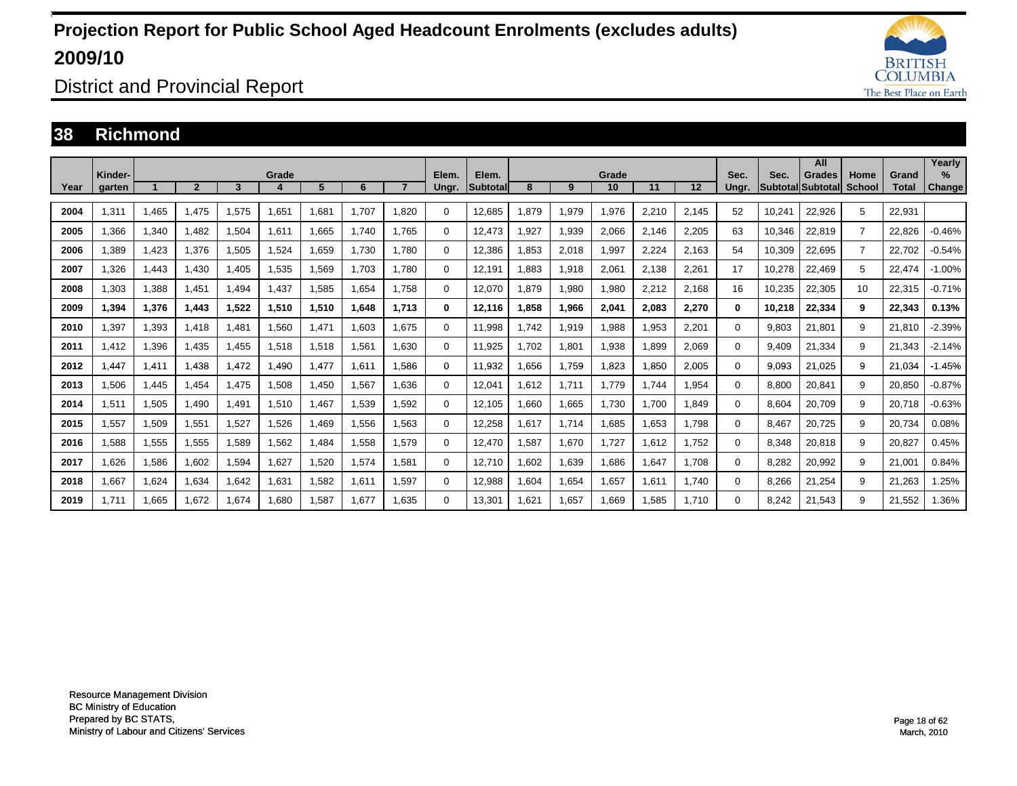

District and Provincial Report

#### **38 Richmond**

|      |                   |       |                |       |       |       |       |       |                |                          |      |       |             |       |       |               |        | All                                 |                       |                       | Yearly                |
|------|-------------------|-------|----------------|-------|-------|-------|-------|-------|----------------|--------------------------|------|-------|-------------|-------|-------|---------------|--------|-------------------------------------|-----------------------|-----------------------|-----------------------|
| Year | Kinder-<br>aarten |       | $\overline{2}$ | 3     | Grade | 5     | 6     |       | Elem.<br>Ungr. | Elem.<br><b>Subtotal</b> | 8    | 9     | Grade<br>10 | 11    | 12    | Sec.<br>Unar. | Sec.   | <b>Grades</b><br> Subtotal Subtotal | Home<br><b>School</b> | Grand<br><b>Total</b> | $\%$<br><b>Change</b> |
|      |                   |       |                |       |       |       |       |       |                |                          |      |       |             |       |       |               |        |                                     |                       |                       |                       |
| 2004 | 1,311             | 1,465 | 1,475          | 1,575 | 1,651 | 1,681 | 1.707 | .820  | $\Omega$       | 12,685                   | ,879 | 1,979 | 1,976       | 2,210 | 2,145 | 52            | 10,241 | 22,926                              | 5                     | 22,931                |                       |
| 2005 | ,366              | 1,340 | 1,482          | 1,504 | 1,611 | 1,665 | 1.740 | 1.765 | $\Omega$       | 12.473                   | ,927 | 1,939 | 2,066       | 2,146 | 2,205 | 63            | 10,346 | 22,819                              | $\overline{7}$        | 22,826                | $-0.46%$              |
| 2006 | .389              | 1,423 | 1.376          | 1,505 | 1,524 | 1,659 | 1.730 | 1.780 | 0              | 12,386                   | ,853 | 2,018 | 1,997       | 2,224 | 2,163 | 54            | 10,309 | 22,695                              | $\overline{7}$        | 22,702                | $-0.54%$              |
| 2007 | .326              | 1,443 | 1.430          | 1.405 | 1,535 | 1,569 | 1.703 | 1.780 | 0              | 12.191                   | .883 | 1,918 | 2,061       | 2,138 | 2,261 | 17            | 10,278 | 22,469                              | 5                     | 22.474                | $-1.00%$              |
| 2008 | 1.303             | 1,388 | 1.451          | .494  | 1.437 | 1,585 | 1.654 | 1.758 | 0              | 12.070                   | .879 | 1,980 | 1,980       | 2,212 | 2.168 | 16            | 10.235 | 22,305                              | 10                    | 22,315                | $-0.71%$              |
| 2009 | 1,394             | 1,376 | 1,443          | 1,522 | 1,510 | 1,510 | 1,648 | 1.713 | $\mathbf{0}$   | 12,116                   | ,858 | 1,966 | 2,041       | 2,083 | 2,270 | $\mathbf{0}$  | 10,218 | 22,334                              | 9                     | 22,343                | 0.13%                 |
| 2010 | ,397              | 1,393 | 1,418          | .481  | 1,560 | 1,471 | 1,603 | 1.675 | $\Omega$       | 11,998                   | .742 | 1,919 | 1,988       | 1,953 | 2,201 | $\Omega$      | 9,803  | 21,801                              | 9                     | 21,810                | $-2.39%$              |
| 2011 | 1.412             | 1,396 | 1,435          | ,455  | 1,518 | 1,518 | 1,561 | 1.630 | 0              | 11,925                   | .702 | 1,801 | 1,938       | 1,899 | 2,069 | $\Omega$      | 9,409  | 21,334                              | 9                     | 21,343                | $-2.14%$              |
| 2012 | .447              | 1,411 | 1,438          | 1.472 | 1.490 | 1.477 | 1.611 | .586  | 0              | 11,932                   | .656 | 1.759 | 1,823       | 1,850 | 2,005 | 0             | 9,093  | 21.025                              | 9                     | 21,034                | $-1.45%$              |
| 2013 | 1,506             | 1,445 | 1,454          | 1.475 | 1,508 | 1,450 | 1,567 | 1.636 | 0              | 12.041                   | .612 | 1,711 | 1.779       | 1.744 | 1,954 | $\Omega$      | 8,800  | 20,841                              | 9                     | 20,850                | $-0.87%$              |
| 2014 | 1.511             | 1,505 | 1,490          | 1,491 | 1,510 | 1.467 | 1,539 | 1.592 | 0              | 12.105                   | .660 | 1,665 | 1,730       | 1.700 | 1.849 | $\Omega$      | 8,604  | 20,709                              | 9                     | 20.718                | $-0.63%$              |
| 2015 | 1,557             | 1,509 | 1,551          | 1,527 | 1,526 | 1,469 | 1,556 | 1,563 | 0              | 12,258                   | .617 | 1,714 | 1,685       | 1,653 | 1.798 | $\Omega$      | 8,467  | 20,725                              | 9                     | 20,734                | 0.08%                 |
| 2016 | 1,588             | 1,555 | 1,555          | 1,589 | 1,562 | 1,484 | 1,558 | 1,579 | 0              | 12,470                   | ,587 | 1,670 | 1,727       | 1,612 | 1.752 | 0             | 8,348  | 20,818                              | 9                     | 20,827                | 0.45%                 |
| 2017 | 1,626             | 1,586 | 1,602          | 1,594 | 1,627 | 1,520 | 1,574 | 1.581 | $\Omega$       | 12.710                   | .602 | 1,639 | 1,686       | 1,647 | 1.708 | $\Omega$      | 8,282  | 20,992                              | 9                     | 21,001                | 0.84%                 |
| 2018 | 1,667             | 1,624 | 1,634          | 1.642 | 1,631 | 1,582 | 1,611 | 1.597 | 0              | 12,988                   | .604 | 1,654 | 1,657       | 1.611 | 1.740 | $\Omega$      | 8,266  | 21,254                              | 9                     | 21,263                | 1.25%                 |
| 2019 | 1.711             | 1.665 | 1.672          | 1.674 | 1.680 | 1.587 | 1.677 | 1.635 | $\Omega$       | 13.301                   | .621 | 1.657 | 1.669       | 1.585 | 1.710 | $\Omega$      | 8.242  | 21.543                              | 9                     | 21,552                | 1.36%                 |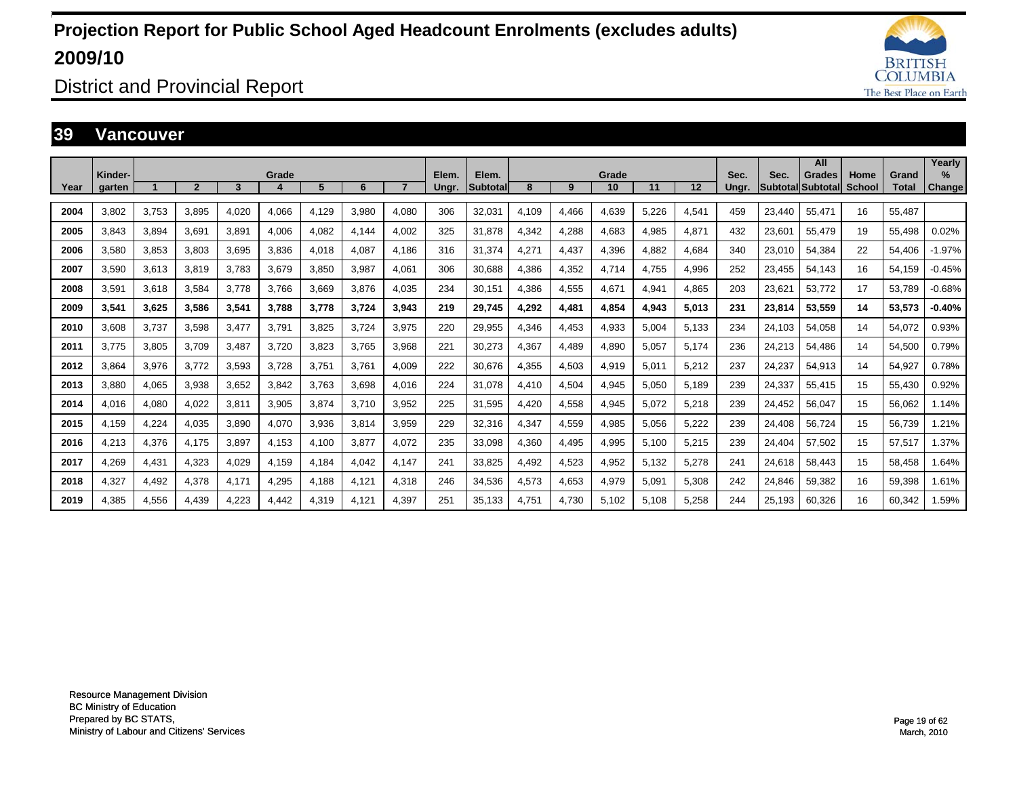

District and Provincial Report

#### **39 Vancouver**

|      |                   |       |                |       |       |       |       |       |                |                          |       |       |             |       |       |               |        | All                          |                |                       | Yearly                  |
|------|-------------------|-------|----------------|-------|-------|-------|-------|-------|----------------|--------------------------|-------|-------|-------------|-------|-------|---------------|--------|------------------------------|----------------|-----------------------|-------------------------|
| Year | Kinder-<br>garten |       | $\overline{2}$ | 3     | Grade | 5     | 6     |       | Elem.<br>Ungr. | Elem.<br><b>Subtotal</b> | 8     | 9     | Grade<br>10 | 11    | 12    | Sec.<br>Ungr. | Sec.   | Grades<br> Subtotal Subtotal | Home<br>School | Grand<br><b>Total</b> | $\frac{9}{6}$<br>Change |
| 2004 | 3.802             | 3,753 | 3.895          | 4.020 | 4,066 | 4.129 | 3.980 | 4.080 | 306            | 32,031                   | 4,109 | 4,466 | 4,639       | 5.226 | 4,541 | 459           | 23,440 | 55.471                       | 16             | 55,487                |                         |
| 2005 | 3.843             | 3,894 | 3.691          | 3.891 | 4,006 | 4,082 | 4.144 | 4.002 | 325            | 31.878                   | 4,342 | 4,288 | 4,683       | 4.985 | 4,871 | 432           | 23,601 | 55.479                       | 19             | 55,498                | 0.02%                   |
| 2006 | 3.580             | 3,853 | 3,803          | 3.695 | 3,836 | 4,018 | 4,087 | 4.186 | 316            | 31.374                   | 4,271 | 4,437 | 4,396       | 4.882 | 4,684 | 340           | 23,010 | 54,384                       | 22             | 54.406                | $-1.97%$                |
| 2007 | 3.590             | 3,613 | 3.819          | 3.783 | 3,679 | 3.850 | 3.987 | 4.061 | 306            | 30.688                   | 4,386 | 4,352 | 4,714       | 4.755 | 4,996 | 252           | 23,455 | 54,143                       | 16             | 54,159                | $-0.45%$                |
| 2008 | 3.591             | 3,618 | 3.584          | 3.778 | 3.766 | 3.669 | 3.876 | 4.035 | 234            | 30,151                   | 4,386 | 4,555 | 4,671       | 4.941 | 4.865 | 203           | 23,621 | 53.772                       | 17             | 53.789                | $-0.68%$                |
| 2009 | 3.541             | 3,625 | 3,586          | 3,541 | 3.788 | 3.778 | 3.724 | 3.943 | 219            | 29.745                   | 4,292 | 4,481 | 4.854       | 4,943 | 5,013 | 231           | 23,814 | 53,559                       | 14             | 53,573                | $-0.40%$                |
| 2010 | 3.608             | 3,737 | 3.598          | 3.477 | 3.791 | 3.825 | 3.724 | 3.975 | 220            | 29.955                   | 4.346 | 4,453 | 4,933       | 5.004 | 5.133 | 234           | 24.103 | 54.058                       | 14             | 54.072                | 0.93%                   |
| 2011 | 3.775             | 3,805 | 3,709          | 3,487 | 3,720 | 3,823 | 3,765 | 3,968 | 221            | 30,273                   | 4,367 | 4,489 | 4,890       | 5,057 | 5,174 | 236           | 24,213 | 54,486                       | 14             | 54,500                | 0.79%                   |
| 2012 | 3.864             | 3,976 | 3.772          | 3,593 | 3,728 | 3,751 | 3.761 | 4,009 | 222            | 30,676                   | 4,355 | 4,503 | 4,919       | 5,011 | 5,212 | 237           | 24,237 | 54,913                       | 14             | 54,927                | 0.78%                   |
| 2013 | 3.880             | 4,065 | 3,938          | 3,652 | 3,842 | 3,763 | 3,698 | 4,016 | 224            | 31,078                   | 4,410 | 4,504 | 4,945       | 5,050 | 5,189 | 239           | 24,337 | 55,415                       | 15             | 55,430                | 0.92%                   |
| 2014 | 4.016             | 4,080 | 4,022          | 3,811 | 3,905 | 3,874 | 3.710 | 3,952 | 225            | 31,595                   | 4.420 | 4,558 | 4,945       | 5,072 | 5,218 | 239           | 24,452 | 56,047                       | 15             | 56,062                | 1.14%                   |
| 2015 | 4.159             | 4,224 | 4,035          | 3,890 | 4,070 | 3,936 | 3,814 | 3,959 | 229            | 32,316                   | 4,347 | 4,559 | 4,985       | 5,056 | 5,222 | 239           | 24,408 | 56,724                       | 15             | 56,739                | 1.21%                   |
| 2016 | 4,213             | 4,376 | 4.175          | 3,897 | 4,153 | 4,100 | 3,877 | 4,072 | 235            | 33,098                   | 4,360 | 4,495 | 4,995       | 5,100 | 5,215 | 239           | 24,404 | 57,502                       | 15             | 57,517                | 1.37%                   |
| 2017 | 4,269             | 4,431 | 4,323          | 4,029 | 4,159 | 4.184 | 4,042 | 4.147 | 241            | 33,825                   | 4.492 | 4,523 | 4,952       | 5,132 | 5,278 | 241           | 24,618 | 58.443                       | 15             | 58.458                | 1.64%                   |
| 2018 | 4,327             | 4,492 | 4,378          | 4.171 | 4,295 | 4.188 | 4.121 | 4,318 | 246            | 34,536                   | 4,573 | 4,653 | 4,979       | 5.091 | 5,308 | 242           | 24,846 | 59,382                       | 16             | 59,398                | 1.61%                   |
| 2019 | 4.385             | 4.556 | 4.439          | 4.223 | 4,442 | 4.319 | 4.121 | 4.397 | 251            | 35.133                   | 4.751 | 4.730 | 5.102       | 5.108 | 5.258 | 244           | 25.193 | 60.326                       | 16             | 60.342                | 1.59%                   |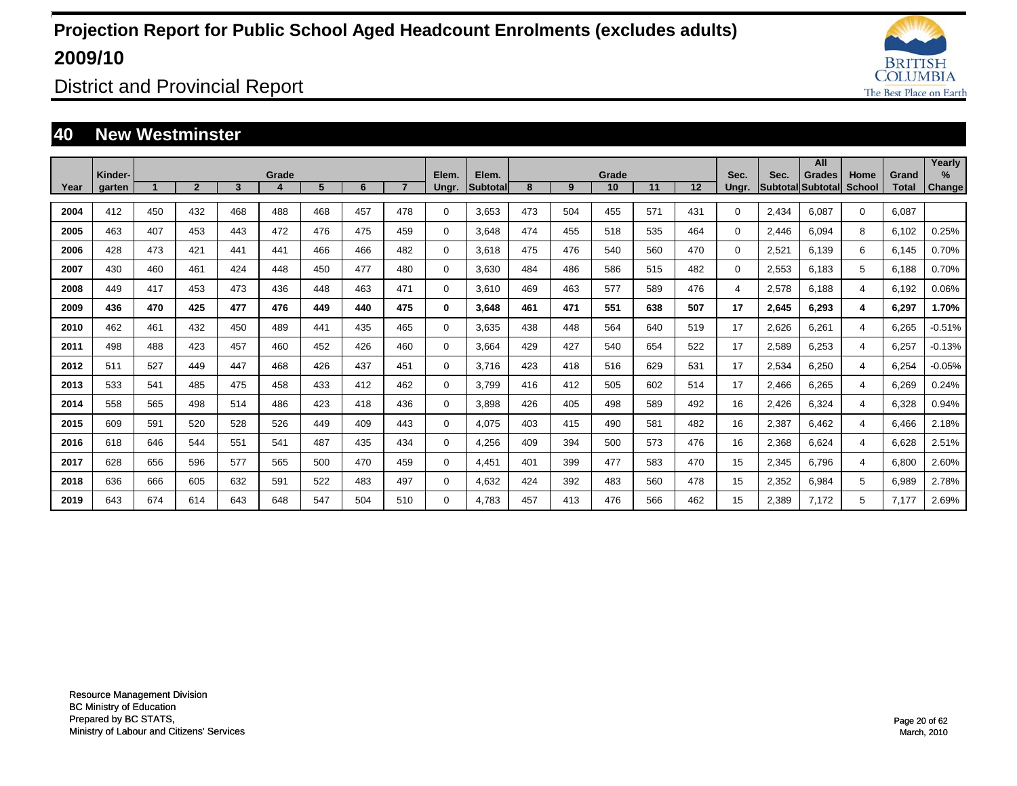

District and Provincial Report

#### **40 New Westminster**

|      |                   |     |              |     |       |     |     |     |                |                   |     |     |             |     |     |               |       | All                          |                |                       | Yearly         |
|------|-------------------|-----|--------------|-----|-------|-----|-----|-----|----------------|-------------------|-----|-----|-------------|-----|-----|---------------|-------|------------------------------|----------------|-----------------------|----------------|
| Year | Kinder-<br>garten |     | $\mathbf{2}$ | 3   | Grade | 5   | 6   |     | Elem.<br>Ungr. | Elem.<br>Subtotal | 8   | 9   | Grade<br>10 | 11  | 12  | Sec.<br>Ungr. | Sec.  | Grades<br> Subtotal Subtotal | Home<br>School | Grand<br><b>Total</b> | $\%$<br>Change |
|      |                   |     |              |     |       |     |     |     |                |                   |     |     |             |     |     |               |       |                              |                |                       |                |
| 2004 | 412               | 450 | 432          | 468 | 488   | 468 | 457 | 478 | $\Omega$       | 3.653             | 473 | 504 | 455         | 571 | 431 | $\Omega$      | 2.434 | 6.087                        | $\Omega$       | 6,087                 |                |
| 2005 | 463               | 407 | 453          | 443 | 472   | 476 | 475 | 459 | 0              | 3.648             | 474 | 455 | 518         | 535 | 464 | $\Omega$      | 2,446 | 6.094                        | 8              | 6,102                 | 0.25%          |
| 2006 | 428               | 473 | 421          | 441 | 441   | 466 | 466 | 482 | 0              | 3.618             | 475 | 476 | 540         | 560 | 470 | 0             | 2,521 | 6.139                        | 6              | 6,145                 | 0.70%          |
| 2007 | 430               | 460 | 461          | 424 | 448   | 450 | 477 | 480 | $\Omega$       | 3,630             | 484 | 486 | 586         | 515 | 482 | $\Omega$      | 2,553 | 6.183                        | 5              | 6,188                 | 0.70%          |
| 2008 | 449               | 417 | 453          | 473 | 436   | 448 | 463 | 471 | 0              | 3,610             | 469 | 463 | 577         | 589 | 476 | 4             | 2,578 | 6.188                        | 4              | 6,192                 | 0.06%          |
| 2009 | 436               | 470 | 425          | 477 | 476   | 449 | 440 | 475 | 0              | 3,648             | 461 | 471 | 551         | 638 | 507 | 17            | 2,645 | 6,293                        | 4              | 6,297                 | 1.70%          |
| 2010 | 462               | 461 | 432          | 450 | 489   | 441 | 435 | 465 | 0              | 3,635             | 438 | 448 | 564         | 640 | 519 | 17            | 2,626 | 6,261                        | 4              | 6,265                 | $-0.51%$       |
| 2011 | 498               | 488 | 423          | 457 | 460   | 452 | 426 | 460 | 0              | 3,664             | 429 | 427 | 540         | 654 | 522 | 17            | 2,589 | 6,253                        | 4              | 6,257                 | $-0.13%$       |
| 2012 | 511               | 527 | 449          | 447 | 468   | 426 | 437 | 451 | 0              | 3.716             | 423 | 418 | 516         | 629 | 531 | 17            | 2,534 | 6,250                        | 4              | 6,254                 | $-0.05%$       |
| 2013 | 533               | 541 | 485          | 475 | 458   | 433 | 412 | 462 | $\Omega$       | 3.799             | 416 | 412 | 505         | 602 | 514 | 17            | 2,466 | 6,265                        | 4              | 6,269                 | 0.24%          |
| 2014 | 558               | 565 | 498          | 514 | 486   | 423 | 418 | 436 | $\Omega$       | 3,898             | 426 | 405 | 498         | 589 | 492 | 16            | 2,426 | 6,324                        | 4              | 6,328                 | 0.94%          |
| 2015 | 609               | 591 | 520          | 528 | 526   | 449 | 409 | 443 | 0              | 4,075             | 403 | 415 | 490         | 581 | 482 | 16            | 2,387 | 6.462                        | 4              | 6,466                 | 2.18%          |
| 2016 | 618               | 646 | 544          | 551 | 541   | 487 | 435 | 434 | 0              | 4,256             | 409 | 394 | 500         | 573 | 476 | 16            | 2,368 | 6.624                        | 4              | 6.628                 | 2.51%          |
| 2017 | 628               | 656 | 596          | 577 | 565   | 500 | 470 | 459 | 0              | 4,451             | 401 | 399 | 477         | 583 | 470 | 15            | 2,345 | 6.796                        | 4              | 6,800                 | 2.60%          |
| 2018 | 636               | 666 | 605          | 632 | 591   | 522 | 483 | 497 | 0              | 4,632             | 424 | 392 | 483         | 560 | 478 | 15            | 2,352 | 6,984                        | 5              | 6,989                 | 2.78%          |
| 2019 | 643               | 674 | 614          | 643 | 648   | 547 | 504 | 510 | $\Omega$       | 4.783             | 457 | 413 | 476         | 566 | 462 | 15            | 2,389 | 7.172                        | 5              | 7.177                 | 2.69%          |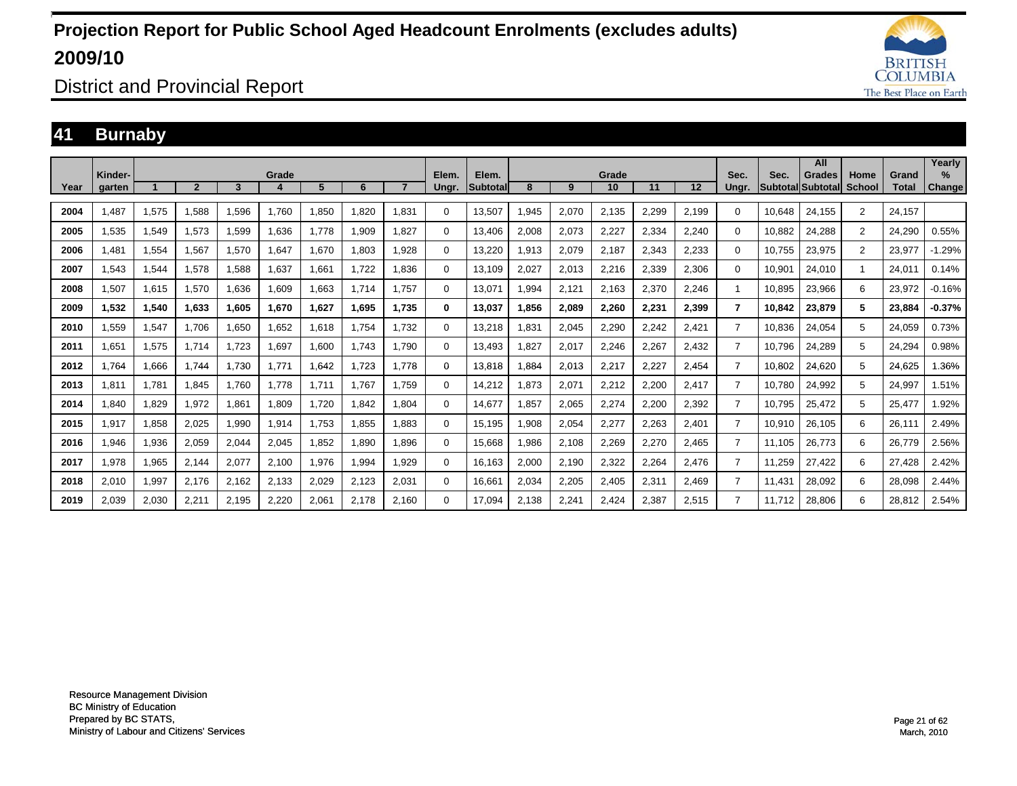

District and Provincial Report

### **41 Burnaby**

|      |                   |       |                |       |       |       |       |       |                |                          |       |       |             |       |       |                |        | All                                 |                       |                       | Yearly                |
|------|-------------------|-------|----------------|-------|-------|-------|-------|-------|----------------|--------------------------|-------|-------|-------------|-------|-------|----------------|--------|-------------------------------------|-----------------------|-----------------------|-----------------------|
| Year | Kinder-<br>garten |       | $\overline{2}$ | 3     | Grade | 5     | 6     |       | Elem.<br>Ungr. | Elem.<br><b>Subtotal</b> | 8     | 9     | Grade<br>10 | 11    | 12    | Sec.<br>Unar.  | Sec.   | <b>Grades</b><br> Subtotal Subtotal | Home<br><b>School</b> | Grand<br><b>Total</b> | $\%$<br><b>Change</b> |
|      |                   |       |                |       |       |       |       |       |                |                          |       |       |             |       |       |                |        |                                     |                       |                       |                       |
| 2004 | .487              | 1,575 | 1.588          | 1.596 | 1.760 | .850  | 1.820 | 1.831 | 0              | 13,507                   | .945  | 2,070 | 2,135       | 2.299 | 2,199 | $\Omega$       | 10.648 | 24.155                              | $\overline{2}$        | 24.157                |                       |
| 2005 | 1,535             | 1,549 | 1,573          | 1,599 | 1,636 | 1,778 | 1,909 | 1,827 | 0              | 13,406                   | 2,008 | 2,073 | 2,227       | 2,334 | 2,240 | $\Omega$       | 10,882 | 24,288                              | 2                     | 24,290                | 0.55%                 |
| 2006 | 1.481             | 1,554 | 1.567          | 1.570 | 1,647 | ,670  | 1,803 | 1.928 | 0              | 13,220                   | .913  | 2,079 | 2,187       | 2.343 | 2,233 | $\Omega$       | 10.755 | 23,975                              | $\overline{2}$        | 23,977                | $-1.29%$              |
| 2007 | 1.543             | 1,544 | 1.578          | 1.588 | 1.637 | .661  | 1,722 | 1.836 | 0              | 13.109                   | 2.027 | 2,013 | 2,216       | 2,339 | 2,306 | $\Omega$       | 10,901 | 24.010                              | -1                    | 24.011                | 0.14%                 |
| 2008 | 1.507             | 1,615 | 1.570          | 1.636 | 1.609 | .663  | 1.714 | 1.757 | $\Omega$       | 13.071                   | .994  | 2,121 | 2,163       | 2.370 | 2.246 |                | 10.895 | 23.966                              | 6                     | 23,972                | $-0.16%$              |
| 2009 | 1,532             | 1,540 | 1,633          | 1,605 | 1,670 | 1,627 | 1,695 | 1,735 | $\bf{0}$       | 13,037                   | ,856  | 2,089 | 2,260       | 2,231 | 2,399 | 7              | 10,842 | 23,879                              | 5                     | 23,884                | $-0.37%$              |
| 2010 | 1,559             | 1,547 | 1.706          | 1,650 | 1,652 | .618  | 1.754 | 1,732 | 0              | 13,218                   | ,831  | 2,045 | 2,290       | 2,242 | 2,421 | $\overline{7}$ | 10,836 | 24,054                              | 5                     | 24.059                | 0.73%                 |
| 2011 | 1,651             | 1,575 | 1.714          | 1.723 | 1,697 | 1,600 | 1.743 | 1.790 | 0              | 13.493                   | .827  | 2,017 | 2,246       | 2,267 | 2,432 | $\overline{7}$ | 10.796 | 24,289                              | 5                     | 24,294                | 0.98%                 |
| 2012 | 1.764             | 1.666 | 1.744          | 1.730 | 1.771 | 1.642 | 1.723 | 1.778 | 0              | 13.818                   | .884  | 2,013 | 2,217       | 2.227 | 2,454 | $\overline{7}$ | 10.802 | 24.620                              | 5                     | 24.625                | .36%                  |
| 2013 | 1,811             | 1,781 | 1,845          | 1.760 | 1.778 | 1,711 | 1.767 | 1,759 | 0              | 14,212                   | ,873  | 2,071 | 2,212       | 2,200 | 2,417 | $\overline{7}$ | 10,780 | 24,992                              | 5                     | 24,997                | 1.51%                 |
| 2014 | .840              | 1,829 | 1,972          | 1,861 | 1,809 | 1,720 | 1,842 | 1,804 | 0              | 14,677                   | ,857  | 2,065 | 2,274       | 2,200 | 2,392 | $\overline{7}$ | 10.795 | 25,472                              | 5                     | 25,477                | 1.92%                 |
| 2015 | 1.917             | 1,858 | 2,025          | 1.990 | 1,914 | 1,753 | 1.855 | 1.883 | 0              | 15.195                   | .908  | 2,054 | 2,277       | 2,263 | 2,401 | $\overline{7}$ | 10,910 | 26,105                              | 6                     | 26,111                | 2.49%                 |
| 2016 | 1.946             | 1,936 | 2,059          | 2,044 | 2,045 | 1.852 | 1.890 | 1.896 | 0              | 15.668                   | .986  | 2,108 | 2,269       | 2,270 | 2,465 | 7              | 11.105 | 26.773                              | 6                     | 26.779                | 2.56%                 |
| 2017 | 1,978             | 1,965 | 2,144          | 2,077 | 2,100 | 1,976 | 1,994 | 1,929 | 0              | 16,163                   | 2,000 | 2,190 | 2,322       | 2,264 | 2,476 | $\overline{7}$ | 11,259 | 27,422                              | 6                     | 27,428                | 2.42%                 |
| 2018 | 2,010             | 1,997 | 2,176          | 2,162 | 2,133 | 2,029 | 2,123 | 2,031 | $\mathbf 0$    | 16,661                   | 2,034 | 2,205 | 2,405       | 2,311 | 2,469 | $\overline{7}$ | 11.431 | 28,092                              | 6                     | 28,098                | 2.44%                 |
| 2019 | 2.039             | 2,030 | 2,211          | 2.195 | 2.220 | 2.061 | 2.178 | 2.160 | 0              | 17.094                   | 2.138 | 2,241 | 2.424       | 2.387 | 2.515 | $\overline{7}$ | 11.712 | 28.806                              | 6                     | 28.812                | 2.54%                 |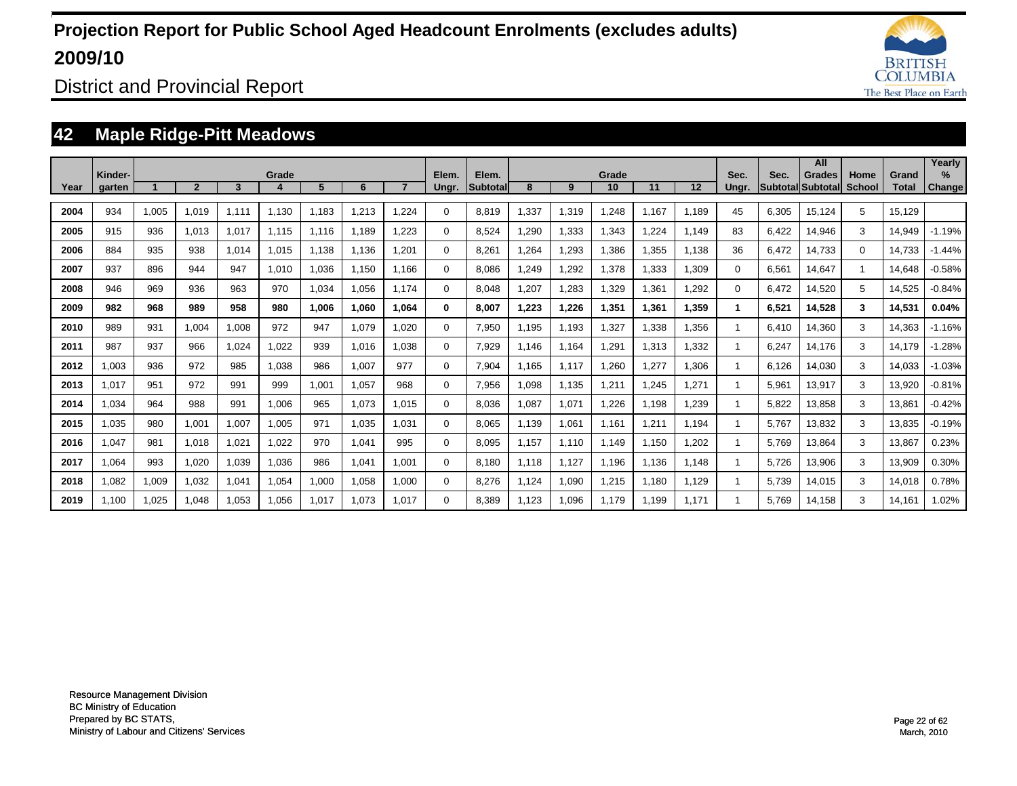

District and Provincial Report

### **42 Maple Ridge-Pitt Meadows**

|      |                   |       |                |       |       |       |       |       |                |                           |       |       |             |       |       |               |       | All                         |                |                       | Yearly                         |
|------|-------------------|-------|----------------|-------|-------|-------|-------|-------|----------------|---------------------------|-------|-------|-------------|-------|-------|---------------|-------|-----------------------------|----------------|-----------------------|--------------------------------|
| Year | Kinder-<br>garten |       | $\overline{2}$ | 3     | Grade | 5     | 6     |       | Elem.<br>Ungr. | Elem.<br><b>Subtotall</b> | 8     | 9     | Grade<br>10 | 11    | 12    | Sec.<br>Ungr. | Sec.  | Grades<br>Subtotal Subtotal | Home<br>School | Grand<br><b>Total</b> | $\frac{9}{6}$<br><b>Change</b> |
|      |                   |       |                |       |       |       |       |       |                |                           |       |       |             |       |       |               |       |                             |                |                       |                                |
| 2004 | 934               | 1,005 | 1,019          | 1.111 | 1.130 | 1,183 | 1,213 | .224  | $\Omega$       | 8,819                     | .337  | 1,319 | 1.248       | 1.167 | 1.189 | 45            | 6,305 | 15,124                      | 5              | 15,129                |                                |
| 2005 | 915               | 936   | 1.013          | 1,017 | 1.115 | 1.116 | 1.189 | .223  | $\Omega$       | 8,524                     | ,290  | 1,333 | 1,343       | 1,224 | 1.149 | 83            | 6,422 | 14,946                      | 3              | 14,949                | $-1.19%$                       |
| 2006 | 884               | 935   | 938            | 1.014 | 1,015 | 1,138 | 1,136 | .201  | $\Omega$       | 8,261                     | .264  | 1,293 | 1,386       | 1,355 | 1.138 | 36            | 6,472 | 14,733                      | 0              | 14,733                | $-1.44%$                       |
| 2007 | 937               | 896   | 944            | 947   | 1,010 | 1,036 | 1,150 | 1.166 | $\mathbf 0$    | 8.086                     | .249  | 1,292 | 1,378       | ,333  | 1,309 | $\Omega$      | 6,561 | 14,647                      |                | 14,648                | $-0.58%$                       |
| 2008 | 946               | 969   | 936            | 963   | 970   | 1,034 | 1,056 | 1.174 | $\mathbf 0$    | 8,048                     | ,207  | 1,283 | 1,329       | ,361  | 1,292 | $\Omega$      | 6,472 | 14,520                      | 5              | 14,525                | $-0.84%$                       |
| 2009 | 982               | 968   | 989            | 958   | 980   | 1,006 | 1,060 | 1.064 | 0              | 8,007                     | 1,223 | 1,226 | 1,351       | 1,361 | 1,359 |               | 6,521 | 14,528                      | 3              | 14,531                | 0.04%                          |
| 2010 | 989               | 931   | 1,004          | 1,008 | 972   | 947   | 1,079 | 1,020 | 0              | 7,950                     | 1,195 | 1,193 | 1,327       | ,338  | 1,356 |               | 6,410 | 14,360                      | 3              | 14,363                | $-1.16%$                       |
| 2011 | 987               | 937   | 966            | 1,024 | 1,022 | 939   | 1,016 | 1.038 | 0              | 7,929                     | 1.146 | 1,164 | 1,291       | .313  | 1,332 |               | 6,247 | 14,176                      | 3              | 14,179                | $-1.28%$                       |
| 2012 | 0.003             | 936   | 972            | 985   | 1,038 | 986   | 1,007 | 977   | $\Omega$       | 7,904                     | 1.165 | 1,117 | 1,260       | 1,277 | 1,306 |               | 6,126 | 14,030                      | 3              | 14,033                | $-1.03%$                       |
| 2013 | 1,017             | 951   | 972            | 991   | 999   | 1,001 | 1,057 | 968   | $\Omega$       | 7,956                     | 1,098 | 1,135 | 1,211       | 245.  | 1,271 |               | 5,961 | 13,917                      | 3              | 13,920                | $-0.81%$                       |
| 2014 | 1,034             | 964   | 988            | 991   | 1,006 | 965   | 1,073 | 1.015 | $\Omega$       | 8,036                     | 1,087 | 1,071 | 1,226       | 1,198 | 1,239 |               | 5,822 | 13,858                      | 3              | 13,861                | $-0.42%$                       |
| 2015 | 1,035             | 980   | 1,001          | 1,007 | 1,005 | 971   | 1,035 | 1.031 | $\Omega$       | 8,065                     | 1,139 | 1,061 | 1,161       | 1,211 | 1,194 |               | 5,767 | 13,832                      | 3              | 13,835                | $-0.19%$                       |
| 2016 | 1,047             | 981   | 1.018          | 1,021 | 1,022 | 970   | 1,041 | 995   | 0              | 8,095                     | 1,157 | 1,110 | 1.149       | 1,150 | 1,202 |               | 5,769 | 13,864                      | 3              | 13,867                | 0.23%                          |
| 2017 | 1,064             | 993   | 1,020          | 1,039 | 1,036 | 986   | 1,041 | 1,001 | $\Omega$       | 8,180                     | 1.118 | 1,127 | 1,196       | 1,136 | 1.148 |               | 5,726 | 13,906                      | 3              | 13,909                | 0.30%                          |
| 2018 | 1,082             | 1,009 | 1,032          | 1,041 | 1,054 | 1,000 | 1,058 | 1,000 | $\mathbf 0$    | 8,276                     | 1,124 | 1,090 | 1,215       | 1.180 | 1,129 |               | 5,739 | 14,015                      | 3              | 14,018                | 0.78%                          |
| 2019 | 1.100             | 1,025 | 1.048          | 1.053 | 1,056 | 1.017 | 1.073 | 1.017 | $\Omega$       | 8.389                     | 1,123 | 1,096 | 1.179       | 1.199 | 1.171 |               | 5.769 | 14,158                      | 3              | 14.161                | 1.02%                          |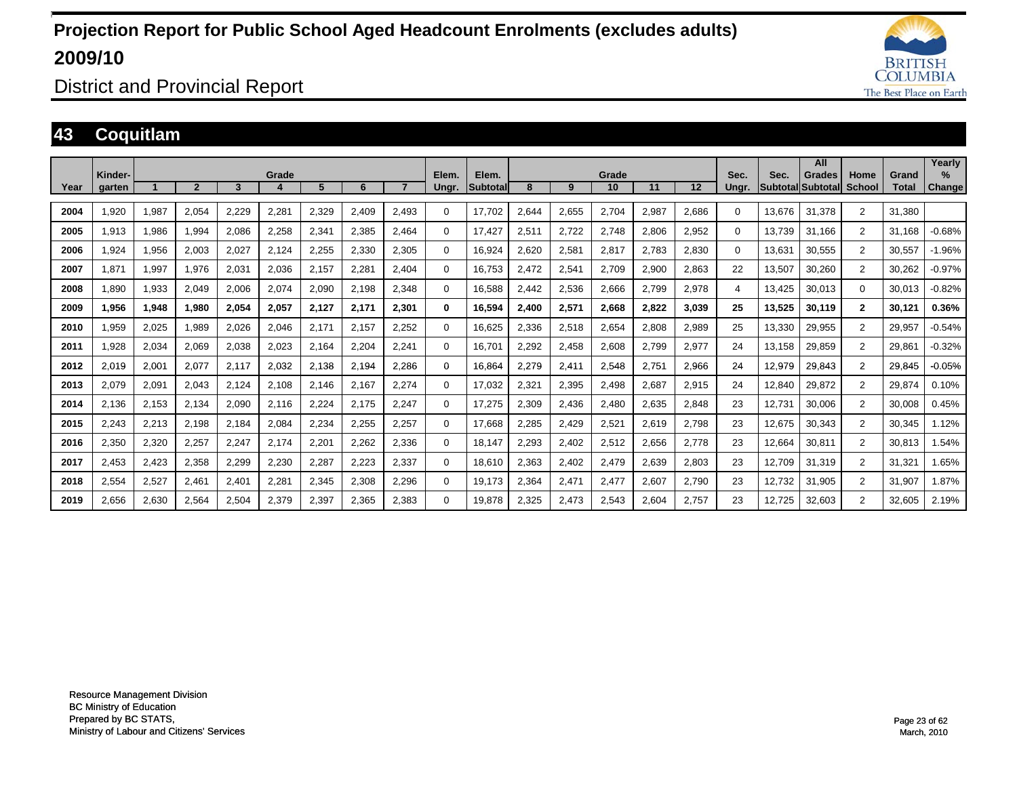

District and Provincial Report

### **43 Coquitlam**

|      |                   |       |                  |       |       |       |       |       |                |                          |       |       |             |       |       |               |        | All                                 |                |                       | Yearly         |
|------|-------------------|-------|------------------|-------|-------|-------|-------|-------|----------------|--------------------------|-------|-------|-------------|-------|-------|---------------|--------|-------------------------------------|----------------|-----------------------|----------------|
| Year | Kinder-<br>garten |       | $\boldsymbol{p}$ | 3     | Grade | 5     | 6     |       | Elem.<br>Ungr. | Elem.<br><b>Subtotal</b> | 8     | 9     | Grade<br>10 | 11    | 12    | Sec.<br>Ungr. | Sec.   | <b>Grades</b><br> Subtotal Subtotal | Home<br>School | Grand<br><b>Total</b> | $\%$<br>Change |
| 2004 | 1.920             | 1,987 | 2,054            | 2,229 | 2,281 | 2,329 | 2.409 | 2,493 | 0              | 17,702                   | 2.644 | 2,655 | 2,704       | 2,987 | 2,686 | 0             | 13.676 | 31.378                              | 2              | 31.380                |                |
| 2005 | 1,913             | 1,986 | 994,             | 2,086 | 2,258 | 2,341 | 2,385 | 2,464 | 0              | 17,427                   | 2,511 | 2,722 | 2,748       | 2,806 | 2,952 | 0             | 13,739 | 31.166                              | 2              | 31.168                | $-0.68%$       |
| 2006 | 1,924             | 1,956 | 2,003            | 2,027 | 2,124 | 2,255 | 2,330 | 2,305 | 0              | 16,924                   | 2,620 | 2,581 | 2,817       | 2.783 | 2,830 | 0             | 13,631 | 30,555                              | $\overline{2}$ | 30,557                | $-1.96%$       |
| 2007 | 1.871             | 1,997 | 1.976            | 2,031 | 2,036 | 2.157 | 2,281 | 2.404 | 0              | 16.753                   | 2.472 | 2,541 | 2,709       | 2,900 | 2,863 | 22            | 13,507 | 30,260                              | $\overline{2}$ | 30,262                | $-0.97%$       |
| 2008 | 1,890             | 1,933 | 2,049            | 2,006 | 2,074 | 2,090 | 2,198 | 2,348 | 0              | 16,588                   | 2,442 | 2,536 | 2,666       | 2,799 | 2,978 | 4             | 13,425 | 30,013                              | $\Omega$       | 30,013                | $-0.82%$       |
| 2009 | 1,956             | 1,948 | 1,980            | 2,054 | 2,057 | 2,127 | 2,171 | 2,301 | $\bf{0}$       | 16,594                   | 2,400 | 2,571 | 2,668       | 2,822 | 3,039 | 25            | 13,525 | 30,119                              | $\mathbf{2}$   | 30,121                | 0.36%          |
| 2010 | 1,959             | 2,025 | 1,989            | 2,026 | 2,046 | 2,171 | 2,157 | 2,252 | 0              | 16,625                   | 2,336 | 2,518 | 2,654       | 2.808 | 2,989 | 25            | 13,330 | 29,955                              | $\overline{2}$ | 29,957                | $-0.54%$       |
| 2011 | 1,928             | 2,034 | 2,069            | 2,038 | 2,023 | 2,164 | 2,204 | 2,241 | $\Omega$       | 16,701                   | 2,292 | 2,458 | 2,608       | 2,799 | 2,977 | 24            | 13,158 | 29,859                              | $\overline{2}$ | 29,861                | $-0.32%$       |
| 2012 | 2,019             | 2,001 | 2,077            | 2,117 | 2,032 | 2,138 | 2,194 | 2,286 | 0              | 16,864                   | 2,279 | 2,411 | 2,548       | 2,751 | 2,966 | 24            | 12,979 | 29,843                              | $\overline{2}$ | 29.845                | $-0.05%$       |
| 2013 | 2,079             | 2,091 | 2,043            | 2.124 | 2,108 | 2.146 | 2.167 | 2.274 | $\Omega$       | 17,032                   | 2.321 | 2,395 | 2,498       | 2.687 | 2,915 | 24            | 12,840 | 29,872                              | $\overline{2}$ | 29.874                | 0.10%          |
| 2014 | 2,136             | 2,153 | 2,134            | 2,090 | 2,116 | 2,224 | 2,175 | 2,247 | $\Omega$       | 17,275                   | 2,309 | 2,436 | 2,480       | 2,635 | 2,848 | 23            | 12,731 | 30,006                              | $\overline{2}$ | 30,008                | 0.45%          |
| 2015 | 2,243             | 2,213 | 2,198            | 2,184 | 2,084 | 2,234 | 2,255 | 2,257 | $\mathbf 0$    | 17,668                   | 2,285 | 2,429 | 2,521       | 2,619 | 2,798 | 23            | 12,675 | 30,343                              | $\overline{2}$ | 30,345                | 1.12%          |
| 2016 | 2,350             | 2,320 | 2,257            | 2.247 | 2,174 | 2,201 | 2,262 | 2,336 | 0              | 18,147                   | 2.293 | 2,402 | 2,512       | 2,656 | 2,778 | 23            | 12,664 | 30,811                              | $\overline{2}$ | 30,813                | 1.54%          |
| 2017 | 2,453             | 2,423 | 2,358            | 2,299 | 2,230 | 2,287 | 2,223 | 2,337 | 0              | 18,610                   | 2,363 | 2,402 | 2,479       | 2,639 | 2,803 | 23            | 12,709 | 31,319                              | $\overline{2}$ | 31,321                | 1.65%          |
| 2018 | 2,554             | 2,527 | 2,461            | 2,401 | 2,281 | 2,345 | 2,308 | 2,296 | 0              | 19,173                   | 2,364 | 2,471 | 2,477       | 2,607 | 2,790 | 23            | 12,732 | 31,905                              | $\overline{2}$ | 31,907                | 1.87%          |
| 2019 | 2,656             | 2,630 | 2.564            | 2.504 | 2,379 | 2,397 | 2,365 | 2,383 | 0              | 19.878                   | 2,325 | 2,473 | 2,543       | 2.604 | 2,757 | 23            | 12.725 | 32,603                              | $\overline{2}$ | 32.605                | 2.19%          |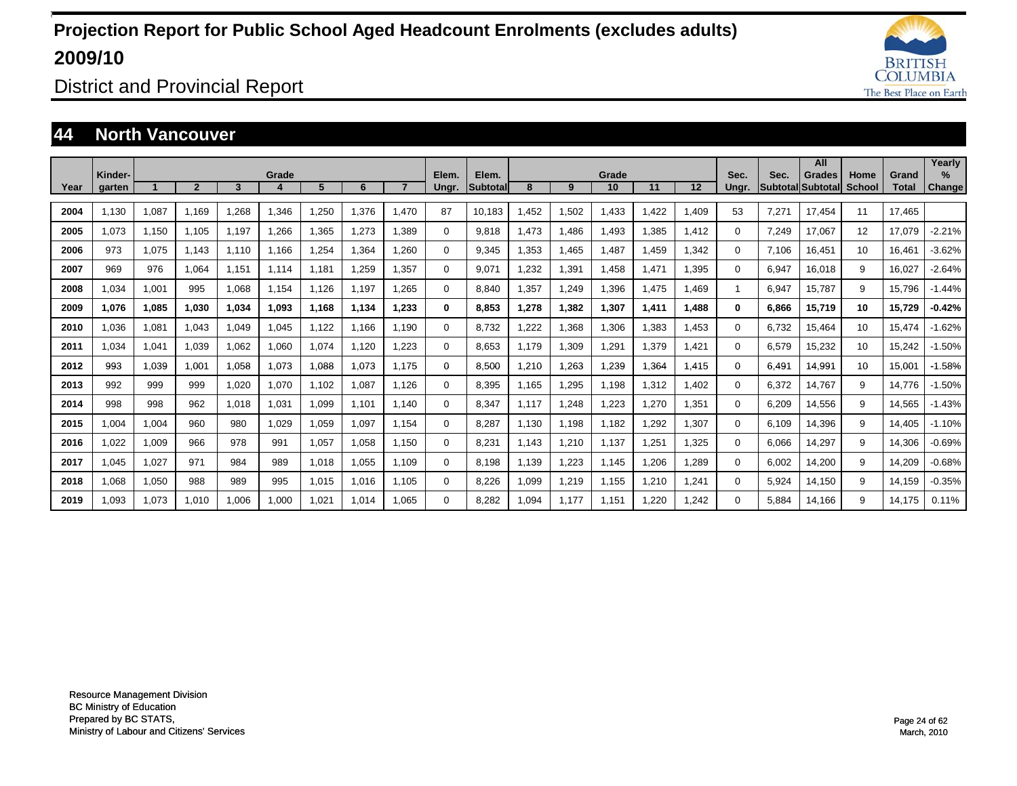

District and Provincial Report

#### **44 North Vancouver**

|      | Kinder- |       |                |       | Grade |       |        |       | Elem.    | Elem.           |       |       | Grade |       |       | Sec.     | Sec.  | All<br><b>Grades</b>     | Home          | Grand        | Yearly<br>$\%$ |
|------|---------|-------|----------------|-------|-------|-------|--------|-------|----------|-----------------|-------|-------|-------|-------|-------|----------|-------|--------------------------|---------------|--------------|----------------|
| Year | garten  |       | $\overline{2}$ | 3     |       | 5     | 6      |       | Ungr.    | <b>Subtotal</b> | 8     | 9     | 10    | 11    | 12    | Unar.    |       | <b>Subtotal Subtotal</b> | <b>School</b> | <b>Total</b> | <b>Change</b>  |
| 2004 | 1.130   | 1,087 | 1.169          | .268  | 1,346 | 1,250 | 1.376  | 1.470 | 87       | 10.183          | .452  | 1,502 | 1,433 | 1.422 | 1,409 | 53       | 7.271 | 17.454                   | 11            | 17.465       |                |
| 2005 | 1.073   | 1,150 | 1,105          | 1,197 | 1,266 | 1,365 | 1.273  | 1.389 | 0        | 9.818           | .473  | 1.486 | 1,493 | 1,385 | 1,412 | 0        | 7,249 | 17.067                   | 12            | 17,079       | $-2.21%$       |
| 2006 | 973     | 1,075 | 1.143          | 1.110 | 1.166 | 1,254 | 1,364  | 1.260 | 0        | 9,345           | ,353  | 1.465 | 1,487 | 1.459 | 1,342 | 0        | 7.106 | 16.451                   | 10            | 16,461       | $-3.62%$       |
| 2007 | 969     | 976   | 1.064          | 1,151 | 1.114 | 1.181 | 259. ا | 1.357 | 0        | 9.071           | ,232  | 1,391 | 1,458 | 1.471 | 1,395 | $\Omega$ | 6,947 | 16,018                   | 9             | 16,027       | $-2.64%$       |
| 2008 | 1.034   | 1,001 | 995            | 1.068 | 1.154 | 1.126 | 1.197  | 1.265 | 0        | 8.840           | ,357  | 1,249 | 1,396 | 1.475 | 1.469 | 1        | 6,947 | 15.787                   | 9             | 15,796       | $-1.44%$       |
| 2009 | 1.076   | 1,085 | 1.030          | 1,034 | 1,093 | 1.168 | 1.134  | 1.233 | 0        | 8.853           | 1.278 | 1,382 | 1.307 | 1,411 | 1,488 | $\bf{0}$ | 6,866 | 15,719                   | 10            | 15,729       | $-0.42%$       |
| 2010 | 1.036   | 1,081 | 1.043          | 1.049 | 1,045 | 1.122 | 1.166  | 1.190 | 0        | 8.732           | .222  | 1,368 | 1,306 | 1.383 | 1.453 | $\Omega$ | 6.732 | 15.464                   | 10            | 15.474       | $-1.62%$       |
| 2011 | 1.034   | 1,041 | 1,039          | 1.062 | 1,060 | 1.074 | 1,120  | 1.223 | 0        | 8.653           | 1.179 | 1,309 | 1,291 | 1.379 | 1.421 | $\Omega$ | 6,579 | 15,232                   | 10            | 15,242       | $-1.50%$       |
| 2012 | 993     | 1,039 | 1.001          | 1.058 | 1,073 | 1,088 | 1.073  | 1.175 | 0        | 8,500           | .210  | 1,263 | 1,239 | 1,364 | 1.415 | $\Omega$ | 6.491 | 14.991                   | 10            | 15,001       | $-1.58%$       |
| 2013 | 992     | 999   | 999            | 1,020 | 1,070 | 1.102 | 1,087  | 1.126 | 0        | 8,395           | l.165 | 1,295 | 1,198 | 1,312 | 1,402 | 0        | 6,372 | 14.767                   | 9             | 14.776       | $-1.50%$       |
| 2014 | 998     | 998   | 962            | 1.018 | 1,031 | 1,099 | 1.101  | 1.140 | 0        | 8,347           | 1.117 | 1,248 | 1,223 | 1.270 | 1,351 | 0        | 6,209 | 14,556                   | 9             | 14,565       | $-1.43%$       |
| 2015 | 1.004   | 1,004 | 960            | 980   | 1.029 | 1,059 | 1,097  | 1.154 | 0        | 8,287           | 1,130 | 1.198 | 1,182 | 1,292 | 1,307 | $\Omega$ | 6,109 | 14,396                   | 9             | 14.405       | $-1.10%$       |
| 2016 | 1,022   | 1,009 | 966            | 978   | 991   | 1,057 | 1,058  | 1.150 | 0        | 8,231           | 1.143 | 1,210 | 1,137 | 1,251 | 1,325 | $\Omega$ | 6,066 | 14,297                   | 9             | 14,306       | $-0.69%$       |
| 2017 | 1.045   | 1,027 | 971            | 984   | 989   | 1,018 | 1,055  | 1.109 | $\Omega$ | 8.198           | .139  | 1,223 | 1.145 | 1,206 | 1,289 | $\Omega$ | 6,002 | 14,200                   | 9             | 14,209       | $-0.68%$       |
| 2018 | 1.068   | 1,050 | 988            | 989   | 995   | 1,015 | 1,016  | 1.105 | $\Omega$ | 8.226           | 1.099 | 1,219 | 1,155 | 1.210 | 1.241 | $\Omega$ | 5,924 | 14.150                   | 9             | 14.159       | $-0.35%$       |
| 2019 | 1.093   | 1.073 | 1.010          | 1.006 | 1.000 | 1.021 | 1.014  | 1.065 | $\Omega$ | 8.282           | .094  | 1.177 | 1.151 | 1.220 | 1.242 | $\Omega$ | 5.884 | 14.166                   | 9             | 14.175       | 0.11%          |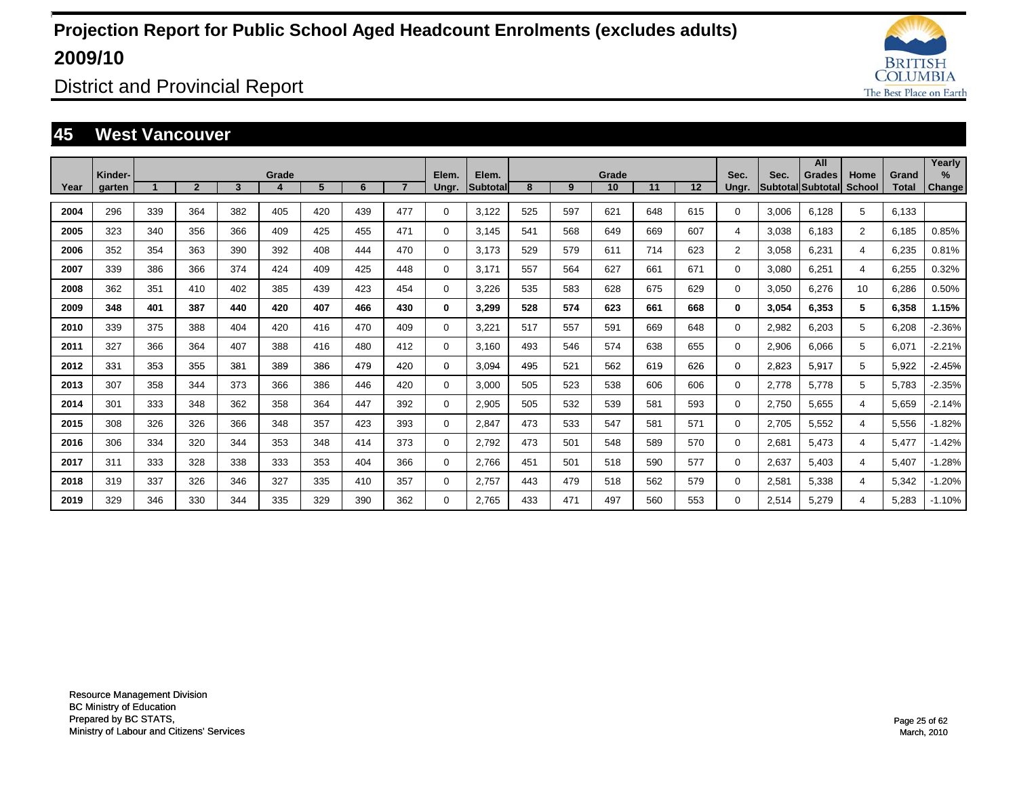

District and Provincial Report

#### **45 West Vancouver**

|      |                   |     |                |     |       |     |     |     |                |                   |     |     |             |     |     |                |       | All                          |                |                       | Yearly                  |
|------|-------------------|-----|----------------|-----|-------|-----|-----|-----|----------------|-------------------|-----|-----|-------------|-----|-----|----------------|-------|------------------------------|----------------|-----------------------|-------------------------|
| Year | Kinder-<br>garten |     | $\overline{2}$ | 3   | Grade | 5   | 6   |     | Elem.<br>Ungr. | Elem.<br>Subtotal | 8   | 9   | Grade<br>10 | 11  | 12  | Sec.<br>Ungr.  | Sec.  | Grades<br> Subtotal Subtotal | Home<br>School | Grand<br><b>Total</b> | $\frac{9}{6}$<br>Change |
|      |                   |     |                |     |       |     |     |     |                |                   |     |     |             |     |     |                |       |                              |                |                       |                         |
| 2004 | 296               | 339 | 364            | 382 | 405   | 420 | 439 | 477 | $\Omega$       | 3.122             | 525 | 597 | 621         | 648 | 615 | $\Omega$       | 3,006 | 6.128                        | 5              | 6.133                 |                         |
| 2005 | 323               | 340 | 356            | 366 | 409   | 425 | 455 | 471 | $\Omega$       | 3.145             | 541 | 568 | 649         | 669 | 607 | 4              | 3,038 | 6.183                        | $\overline{2}$ | 6,185                 | 0.85%                   |
| 2006 | 352               | 354 | 363            | 390 | 392   | 408 | 444 | 470 | 0              | 3.173             | 529 | 579 | 611         | 714 | 623 | $\overline{2}$ | 3,058 | 6,231                        | 4              | 6,235                 | 0.81%                   |
| 2007 | 339               | 386 | 366            | 374 | 424   | 409 | 425 | 448 | $\Omega$       | 3,171             | 557 | 564 | 627         | 661 | 671 | $\Omega$       | 3,080 | 6,251                        | 4              | 6,255                 | 0.32%                   |
| 2008 | 362               | 351 | 410            | 402 | 385   | 439 | 423 | 454 | 0              | 3,226             | 535 | 583 | 628         | 675 | 629 | 0              | 3,050 | 6,276                        | 10             | 6,286                 | 0.50%                   |
| 2009 | 348               | 401 | 387            | 440 | 420   | 407 | 466 | 430 | 0              | 3,299             | 528 | 574 | 623         | 661 | 668 | $\bf{0}$       | 3,054 | 6,353                        | 5              | 6,358                 | 1.15%                   |
| 2010 | 339               | 375 | 388            | 404 | 420   | 416 | 470 | 409 | 0              | 3,221             | 517 | 557 | 591         | 669 | 648 | 0              | 2,982 | 6,203                        | 5              | 6,208                 | $-2.36%$                |
| 2011 | 327               | 366 | 364            | 407 | 388   | 416 | 480 | 412 | 0              | 3.160             | 493 | 546 | 574         | 638 | 655 | 0              | 2,906 | 6,066                        | 5              | 6,071                 | $-2.21%$                |
| 2012 | 331               | 353 | 355            | 381 | 389   | 386 | 479 | 420 | 0              | 3.094             | 495 | 521 | 562         | 619 | 626 | 0              | 2,823 | 5,917                        | 5              | 5,922                 | $-2.45%$                |
| 2013 | 307               | 358 | 344            | 373 | 366   | 386 | 446 | 420 | $\Omega$       | 3,000             | 505 | 523 | 538         | 606 | 606 | $\Omega$       | 2,778 | 5,778                        | 5              | 5,783                 | $-2.35%$                |
| 2014 | 301               | 333 | 348            | 362 | 358   | 364 | 447 | 392 | 0              | 2,905             | 505 | 532 | 539         | 581 | 593 | $\Omega$       | 2,750 | 5,655                        | 4              | 5,659                 | $-2.14%$                |
| 2015 | 308               | 326 | 326            | 366 | 348   | 357 | 423 | 393 | 0              | 2,847             | 473 | 533 | 547         | 581 | 571 | $\Omega$       | 2,705 | 5,552                        | 4              | 5,556                 | $-1.82%$                |
| 2016 | 306               | 334 | 320            | 344 | 353   | 348 | 414 | 373 | 0              | 2,792             | 473 | 501 | 548         | 589 | 570 | 0              | 2,681 | 5,473                        | 4              | 5,477                 | $-1.42%$                |
| 2017 | 311               | 333 | 328            | 338 | 333   | 353 | 404 | 366 | 0              | 2,766             | 451 | 501 | 518         | 590 | 577 | 0              | 2,637 | 5,403                        | 4              | 5,407                 | $-1.28%$                |
| 2018 | 319               | 337 | 326            | 346 | 327   | 335 | 410 | 357 | 0              | 2,757             | 443 | 479 | 518         | 562 | 579 | 0              | 2,581 | 5,338                        | 4              | 5,342                 | $-1.20%$                |
| 2019 | 329               | 346 | 330            | 344 | 335   | 329 | 390 | 362 | $\Omega$       | 2.765             | 433 | 471 | 497         | 560 | 553 | $\Omega$       | 2,514 | 5,279                        | 4              | 5,283                 | $-1.10%$                |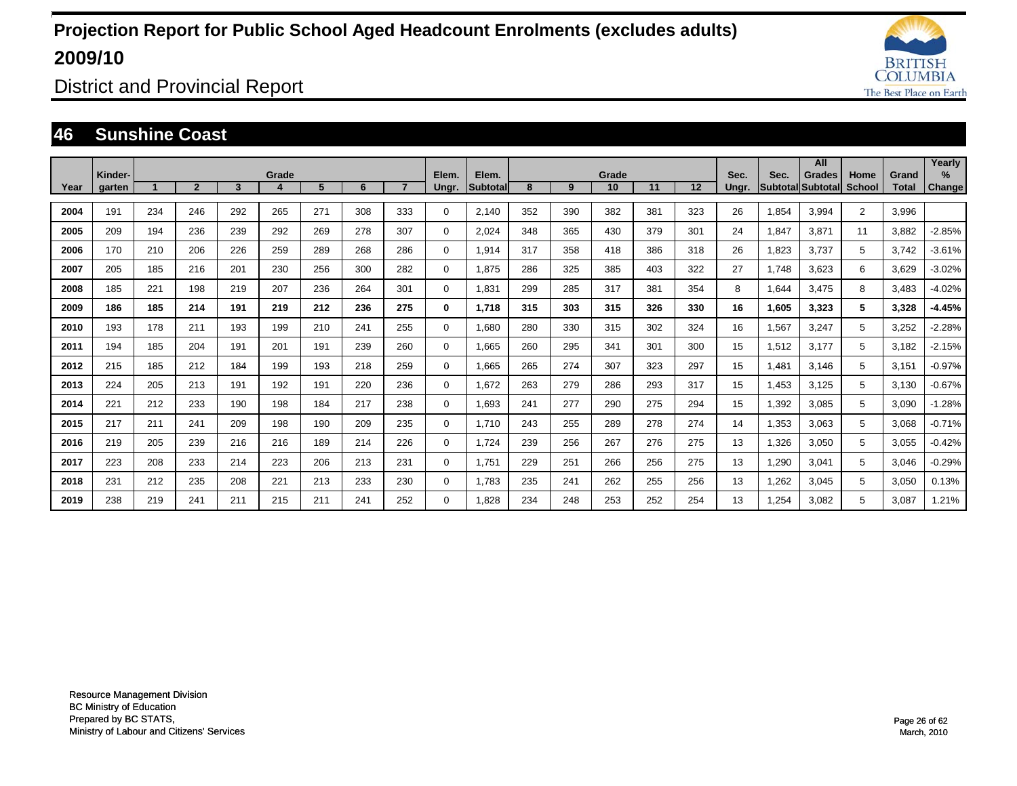

District and Provincial Report

#### **46 Sunshine Coast**

|      | Kinder- |     |                |     | Grade |     |     |                | Elem.       | Elem.     |     |     | Grade |     |     | Sec.  | Sec.  | All<br><b>Grades</b>     | Home           | Grand        | Yearly<br>$\%$ |
|------|---------|-----|----------------|-----|-------|-----|-----|----------------|-------------|-----------|-----|-----|-------|-----|-----|-------|-------|--------------------------|----------------|--------------|----------------|
| Year | garten  |     | $\overline{2}$ | 3   |       | 5   | 6   | $\overline{7}$ | Ungr.       | Subtotall | 8   | 9   | 10    | 11  | 12  | Ungr. |       | <b>SubtotallSubtotal</b> | <b>School</b>  | <b>Total</b> | <b>Change</b>  |
| 2004 | 191     | 234 | 246            | 292 | 265   | 271 | 308 | 333            | 0           | 2,140     | 352 | 390 | 382   | 381 | 323 | 26    | 1,854 | 3,994                    | $\overline{2}$ | 3,996        |                |
| 2005 | 209     | 194 | 236            | 239 | 292   | 269 | 278 | 307            | 0           | 2,024     | 348 | 365 | 430   | 379 | 301 | 24    | 1,847 | 3,871                    | 11             | 3,882        | $-2.85%$       |
| 2006 | 170     | 210 | 206            | 226 | 259   | 289 | 268 | 286            | 0           | 1,914     | 317 | 358 | 418   | 386 | 318 | 26    | 1,823 | 3,737                    | 5              | 3,742        | $-3.61%$       |
| 2007 | 205     | 185 | 216            | 201 | 230   | 256 | 300 | 282            | 0           | 1.875     | 286 | 325 | 385   | 403 | 322 | 27    | 1,748 | 3,623                    | 6              | 3,629        | $-3.02%$       |
| 2008 | 185     | 221 | 198            | 219 | 207   | 236 | 264 | 301            | $\mathbf 0$ | 1.831     | 299 | 285 | 317   | 381 | 354 | 8     | 1,644 | 3,475                    | 8              | 3,483        | $-4.02%$       |
| 2009 | 186     | 185 | 214            | 191 | 219   | 212 | 236 | 275            | 0           | 1.718     | 315 | 303 | 315   | 326 | 330 | 16    | 1,605 | 3,323                    | 5              | 3,328        | $-4.45%$       |
| 2010 | 193     | 178 | 211            | 193 | 199   | 210 | 241 | 255            | $\mathbf 0$ | 1.680     | 280 | 330 | 315   | 302 | 324 | 16    | 1,567 | 3,247                    | 5              | 3,252        | $-2.28%$       |
| 2011 | 194     | 185 | 204            | 191 | 201   | 191 | 239 | 260            | $\mathbf 0$ | 1.665     | 260 | 295 | 341   | 301 | 300 | 15    | 1,512 | 3,177                    | 5              | 3,182        | $-2.15%$       |
| 2012 | 215     | 185 | 212            | 184 | 199   | 193 | 218 | 259            | 0           | 1,665     | 265 | 274 | 307   | 323 | 297 | 15    | 1.481 | 3,146                    | 5              | 3,151        | $-0.97%$       |
| 2013 | 224     | 205 | 213            | 191 | 192   | 191 | 220 | 236            | 0           | 1,672     | 263 | 279 | 286   | 293 | 317 | 15    | 1,453 | 3,125                    | 5              | 3,130        | $-0.67%$       |
| 2014 | 221     | 212 | 233            | 190 | 198   | 184 | 217 | 238            | 0           | 1,693     | 241 | 277 | 290   | 275 | 294 | 15    | 1,392 | 3,085                    | 5              | 3,090        | $-1.28%$       |
| 2015 | 217     | 211 | 241            | 209 | 198   | 190 | 209 | 235            | 0           | 1.710     | 243 | 255 | 289   | 278 | 274 | 14    | 1,353 | 3,063                    | 5              | 3,068        | $-0.71%$       |
| 2016 | 219     | 205 | 239            | 216 | 216   | 189 | 214 | 226            | $\mathbf 0$ | 1.724     | 239 | 256 | 267   | 276 | 275 | 13    | 1,326 | 3,050                    | 5              | 3,055        | $-0.42%$       |
| 2017 | 223     | 208 | 233            | 214 | 223   | 206 | 213 | 231            | 0           | 1,751     | 229 | 251 | 266   | 256 | 275 | 13    | 1,290 | 3.041                    | 5              | 3,046        | $-0.29%$       |
| 2018 | 231     | 212 | 235            | 208 | 221   | 213 | 233 | 230            | $\mathbf 0$ | 1.783     | 235 | 241 | 262   | 255 | 256 | 13    | 1,262 | 3,045                    | 5              | 3,050        | 0.13%          |
| 2019 | 238     | 219 | 241            | 211 | 215   | 211 | 241 | 252            | 0           | 1.828     | 234 | 248 | 253   | 252 | 254 | 13    | 1.254 | 3.082                    | 5              | 3.087        | 1.21%          |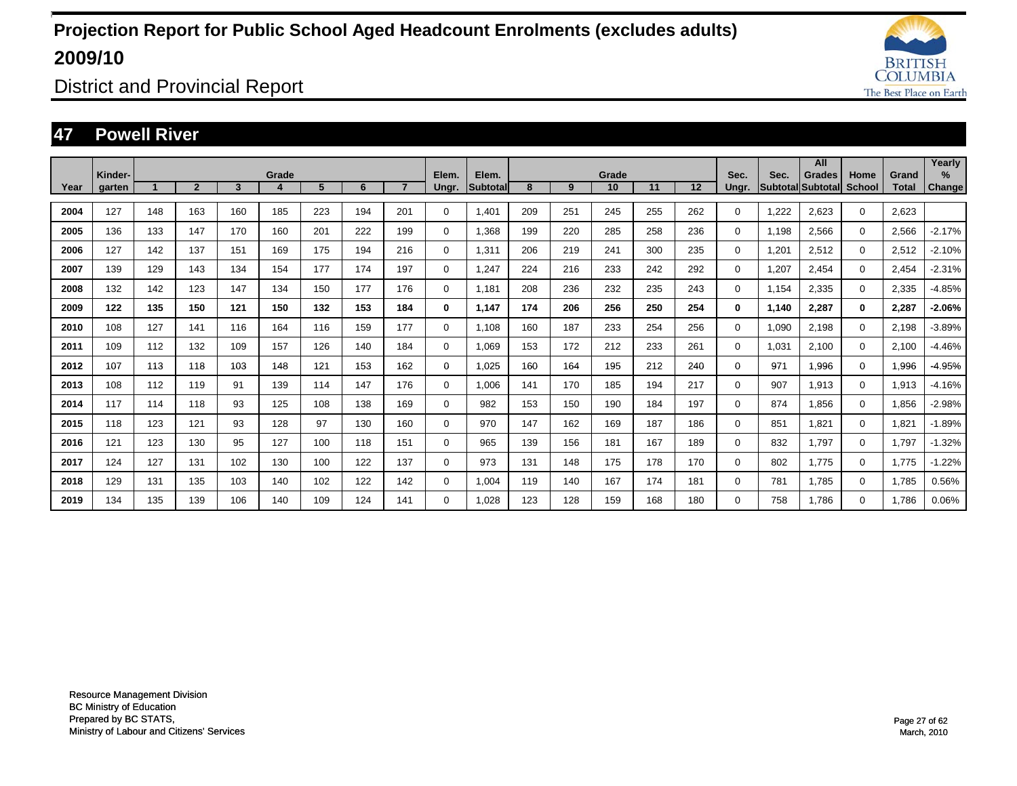

District and Provincial Report

### **47 Powell River**

|      |                   |     |                |     |       |     |     |                |                |                    |     |     |             |     |     |               |       | All                                       |                       |                       | Yearly                |
|------|-------------------|-----|----------------|-----|-------|-----|-----|----------------|----------------|--------------------|-----|-----|-------------|-----|-----|---------------|-------|-------------------------------------------|-----------------------|-----------------------|-----------------------|
| Year | Kinder-<br>garten |     | $\overline{2}$ | 3   | Grade | 5   | 6   | $\overline{7}$ | Elem.<br>Ungr. | Elem.<br>Subtotall | 8   | 9   | Grade<br>10 | 11  | 12  | Sec.<br>Ungr. | Sec.  | <b>Grades</b><br><b>SubtotallSubtotal</b> | Home<br><b>School</b> | Grand<br><b>Total</b> | $\%$<br><b>Change</b> |
| 2004 | 127               | 148 | 163            | 160 | 185   | 223 | 194 | 201            | $\mathbf 0$    | 1.401              | 209 | 251 | 245         | 255 | 262 | 0             | 1,222 | 2,623                                     | $\mathbf 0$           | 2,623                 |                       |
| 2005 | 136               | 133 | 147            | 170 | 160   | 201 | 222 | 199            | $\mathbf 0$    | 1,368              | 199 | 220 | 285         | 258 | 236 | $\mathbf 0$   | 1,198 | 2,566                                     | $\mathbf 0$           | 2,566                 | $-2.17%$              |
|      |                   |     |                |     |       |     |     |                |                |                    |     |     |             |     |     |               |       |                                           |                       |                       |                       |
| 2006 | 127               | 142 | 137            | 151 | 169   | 175 | 194 | 216            | $\mathbf 0$    | 1,311              | 206 | 219 | 241         | 300 | 235 | $\mathbf 0$   | 1,201 | 2,512                                     | $\Omega$              | 2,512                 | $-2.10%$              |
| 2007 | 139               | 129 | 143            | 134 | 154   | 177 | 174 | 197            | $\mathbf 0$    | 1,247              | 224 | 216 | 233         | 242 | 292 | 0             | 1,207 | 2,454                                     | $\Omega$              | 2,454                 | $-2.31%$              |
| 2008 | 132               | 142 | 123            | 147 | 134   | 150 | 177 | 176            | $\mathbf 0$    | 1,181              | 208 | 236 | 232         | 235 | 243 | $\Omega$      | 1,154 | 2,335                                     | $\mathbf 0$           | 2,335                 | $-4.85%$              |
| 2009 | 122               | 135 | 150            | 121 | 150   | 132 | 153 | 184            | 0              | 1,147              | 174 | 206 | 256         | 250 | 254 | $\bf{0}$      | 1,140 | 2,287                                     | 0                     | 2,287                 | $-2.06%$              |
| 2010 | 108               | 127 | 141            | 116 | 164   | 116 | 159 | 177            | $\mathbf 0$    | 1,108              | 160 | 187 | 233         | 254 | 256 | $\Omega$      | 1,090 | 2,198                                     | $\Omega$              | 2,198                 | $-3.89%$              |
| 2011 | 109               | 112 | 132            | 109 | 157   | 126 | 140 | 184            | $\mathbf 0$    | 1.069              | 153 | 172 | 212         | 233 | 261 | $\Omega$      | 1,031 | 2,100                                     | 0                     | 2.100                 | $-4.46%$              |
| 2012 | 107               | 113 | 118            | 103 | 148   | 121 | 153 | 162            | 0              | 1.025              | 160 | 164 | 195         | 212 | 240 | 0             | 971   | 1,996                                     | 0                     | 1,996                 | $-4.95%$              |
| 2013 | 108               | 112 | 119            | 91  | 139   | 114 | 147 | 176            | 0              | 1.006              | 141 | 170 | 185         | 194 | 217 | 0             | 907   | 1,913                                     | 0                     | 1,913                 | $-4.16%$              |
| 2014 | 117               | 114 | 118            | 93  | 125   | 108 | 138 | 169            | $\mathbf 0$    | 982                | 153 | 150 | 190         | 184 | 197 | 0             | 874   | 1.856                                     | 0                     | 1,856                 | $-2.98%$              |
| 2015 | 118               | 123 | 121            | 93  | 128   | 97  | 130 | 160            | $\mathbf 0$    | 970                | 147 | 162 | 169         | 187 | 186 | 0             | 851   | 1.821                                     | $\mathbf 0$           | 1,821                 | $-1.89%$              |
| 2016 | 121               | 123 | 130            | 95  | 127   | 100 | 118 | 151            | $\mathbf 0$    | 965                | 139 | 156 | 181         | 167 | 189 | 0             | 832   | 1,797                                     | $\mathbf 0$           | 1,797                 | $-1.32%$              |
| 2017 | 124               | 127 | 131            | 102 | 130   | 100 | 122 | 137            | $\mathbf 0$    | 973                | 131 | 148 | 175         | 178 | 170 | 0             | 802   | 1,775                                     | 0                     | 1.775                 | $-1.22%$              |
| 2018 | 129               | 131 | 135            | 103 | 140   | 102 | 122 | 142            | $\mathbf 0$    | 1,004              | 119 | 140 | 167         | 174 | 181 | $\Omega$      | 781   | 1.785                                     | 0                     | 1,785                 | 0.56%                 |
| 2019 | 134               | 135 | 139            | 106 | 140   | 109 | 124 | 141            | $\Omega$       | 1.028              | 123 | 128 | 159         | 168 | 180 | $\Omega$      | 758   | 1.786                                     | 0                     | 1.786                 | 0.06%                 |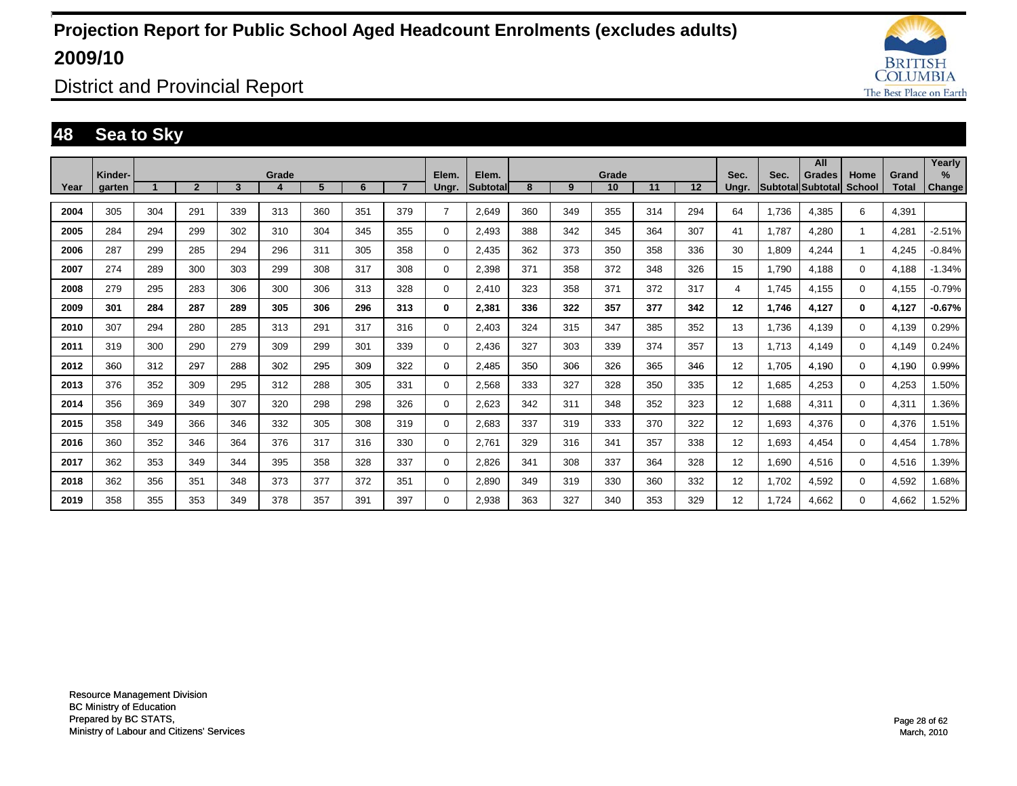

District and Provincial Report

### **48 Sea to Sky**

|      |         |     |                |     |       |     |     |                |                |                    |     |     |             |     |     |       |       | All                                |                       |                       | Yearly   |
|------|---------|-----|----------------|-----|-------|-----|-----|----------------|----------------|--------------------|-----|-----|-------------|-----|-----|-------|-------|------------------------------------|-----------------------|-----------------------|----------|
| Year | Kinder- |     | $\overline{2}$ | 3   | Grade | 5   | 6   | $\overline{7}$ | Elem.          | Elem.<br>Subtotall | 8   | 9   | Grade<br>10 | 11  | 12  | Sec.  | Sec.  | <b>Grades</b><br>Subtotal Subtotal | Home<br><b>School</b> | Grand<br><b>Total</b> | $\%$     |
|      | garten  |     |                |     |       |     |     |                | Ungr.          |                    |     |     |             |     |     | Ungr. |       |                                    |                       |                       | Change   |
| 2004 | 305     | 304 | 291            | 339 | 313   | 360 | 351 | 379            | $\overline{7}$ | 2.649              | 360 | 349 | 355         | 314 | 294 | 64    | 1.736 | 4.385                              | 6                     | 4,391                 |          |
| 2005 | 284     | 294 | 299            | 302 | 310   | 304 | 345 | 355            | 0              | 2.493              | 388 | 342 | 345         | 364 | 307 | 41    | 1.787 | 4.280                              |                       | 4.281                 | $-2.51%$ |
| 2006 | 287     | 299 | 285            | 294 | 296   | 311 | 305 | 358            | $\mathbf 0$    | 2,435              | 362 | 373 | 350         | 358 | 336 | 30    | 1,809 | 4,244                              |                       | 4,245                 | $-0.84%$ |
| 2007 | 274     | 289 | 300            | 303 | 299   | 308 | 317 | 308            | 0              | 2,398              | 371 | 358 | 372         | 348 | 326 | 15    | 1,790 | 4,188                              | $\Omega$              | 4,188                 | $-1.34%$ |
| 2008 | 279     | 295 | 283            | 306 | 300   | 306 | 313 | 328            | 0              | 2.410              | 323 | 358 | 371         | 372 | 317 | 4     | 1,745 | 4,155                              | $\Omega$              | 4,155                 | $-0.79%$ |
| 2009 | 301     | 284 | 287            | 289 | 305   | 306 | 296 | 313            | 0              | 2,381              | 336 | 322 | 357         | 377 | 342 | 12    | 1,746 | 4,127                              | 0                     | 4,127                 | $-0.67%$ |
| 2010 | 307     | 294 | 280            | 285 | 313   | 291 | 317 | 316            | $\mathbf 0$    | 2,403              | 324 | 315 | 347         | 385 | 352 | 13    | 1,736 | 4,139                              | $\Omega$              | 4,139                 | 0.29%    |
| 2011 | 319     | 300 | 290            | 279 | 309   | 299 | 301 | 339            | $\mathbf 0$    | 2,436              | 327 | 303 | 339         | 374 | 357 | 13    | 1,713 | 4,149                              | 0                     | 4,149                 | 0.24%    |
| 2012 | 360     | 312 | 297            | 288 | 302   | 295 | 309 | 322            | 0              | 2,485              | 350 | 306 | 326         | 365 | 346 | 12    | 1,705 | 4,190                              | 0                     | 4.190                 | 0.99%    |
| 2013 | 376     | 352 | 309            | 295 | 312   | 288 | 305 | 331            | $\mathbf 0$    | 2,568              | 333 | 327 | 328         | 350 | 335 | 12    | 1,685 | 4,253                              | 0                     | 4,253                 | 1.50%    |
| 2014 | 356     | 369 | 349            | 307 | 320   | 298 | 298 | 326            | 0              | 2.623              | 342 | 311 | 348         | 352 | 323 | 12    | 1,688 | 4,311                              | 0                     | 4,311                 | 1.36%    |
| 2015 | 358     | 349 | 366            | 346 | 332   | 305 | 308 | 319            | 0              | 2.683              | 337 | 319 | 333         | 370 | 322 | 12    | 1,693 | 4,376                              | 0                     | 4,376                 | 1.51%    |
| 2016 | 360     | 352 | 346            | 364 | 376   | 317 | 316 | 330            | 0              | 2.761              | 329 | 316 | 341         | 357 | 338 | 12    | 1,693 | 4,454                              | 0                     | 4,454                 | 1.78%    |
| 2017 | 362     | 353 | 349            | 344 | 395   | 358 | 328 | 337            | 0              | 2.826              | 341 | 308 | 337         | 364 | 328 | 12    | 1,690 | 4,516                              | 0                     | 4,516                 | 1.39%    |
| 2018 | 362     | 356 | 351            | 348 | 373   | 377 | 372 | 351            | $\mathbf 0$    | 2,890              | 349 | 319 | 330         | 360 | 332 | 12    | 1,702 | 4,592                              | 0                     | 4,592                 | 1.68%    |
| 2019 | 358     | 355 | 353            | 349 | 378   | 357 | 391 | 397            | $\Omega$       | 2,938              | 363 | 327 | 340         | 353 | 329 | 12    | 1.724 | 4.662                              | 0                     | 4,662                 | 1.52%    |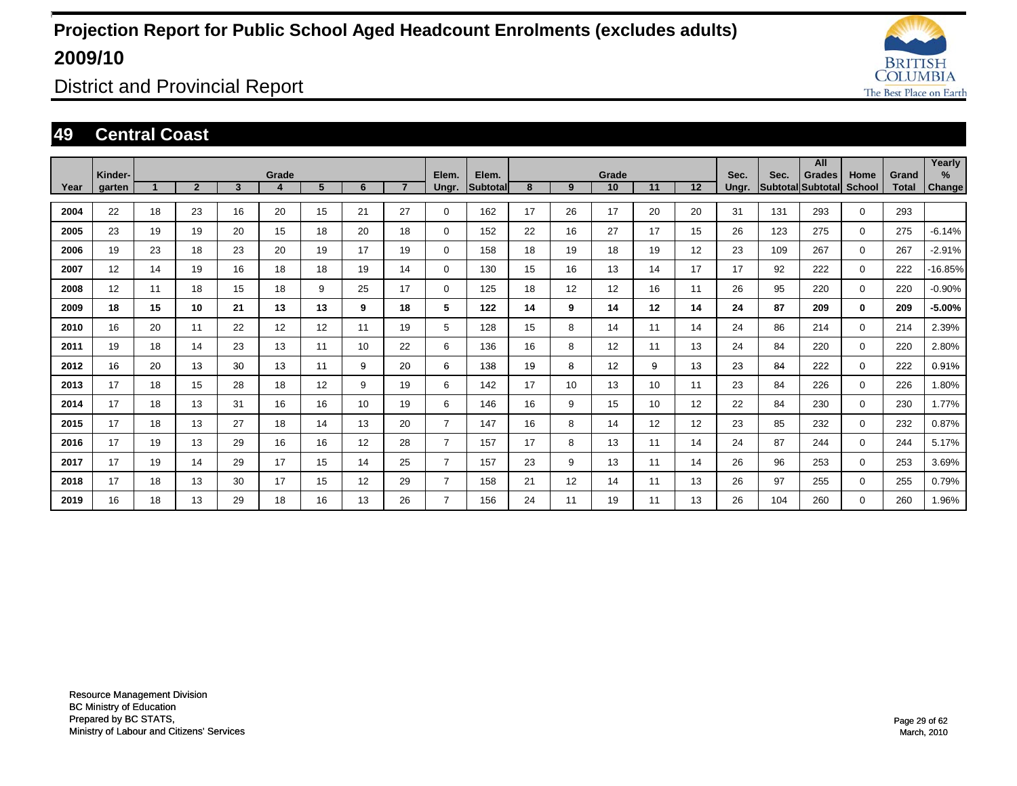

District and Provincial Report

### **49 Central Coast**

|      |                   |    |                |    |            |    |    |                |                |                   |    |    |                 |    |    |               |      | All                                |                       |                       | Yearly         |
|------|-------------------|----|----------------|----|------------|----|----|----------------|----------------|-------------------|----|----|-----------------|----|----|---------------|------|------------------------------------|-----------------------|-----------------------|----------------|
| Year | Kinder-<br>garten |    | $\overline{2}$ | 3  | Grade<br>4 | 5  | 6  | $\overline{7}$ | Elem.<br>Ungr. | Elem.<br>Subtotal | 8  | 9  | Grade<br>10     | 11 | 12 | Sec.<br>Ungr. | Sec. | <b>Grades</b><br>Subtotal Subtotal | Home<br><b>School</b> | Grand<br><b>Total</b> | $\%$<br>Change |
|      |                   |    |                |    |            |    |    |                |                |                   |    |    |                 |    |    |               |      |                                    |                       |                       |                |
| 2004 | 22                | 18 | 23             | 16 | 20         | 15 | 21 | 27             | $\mathbf 0$    | 162               | 17 | 26 | 17              | 20 | 20 | 31            | 131  | 293                                | $\mathbf 0$           | 293                   |                |
| 2005 | 23                | 19 | 19             | 20 | 15         | 18 | 20 | 18             | $\mathbf 0$    | 152               | 22 | 16 | 27              | 17 | 15 | 26            | 123  | 275                                | $\mathbf 0$           | 275                   | $-6.14%$       |
| 2006 | 19                | 23 | 18             | 23 | 20         | 19 | 17 | 19             | $\mathbf 0$    | 158               | 18 | 19 | 18              | 19 | 12 | 23            | 109  | 267                                | $\mathbf 0$           | 267                   | $-2.91%$       |
| 2007 | 12                | 14 | 19             | 16 | 18         | 18 | 19 | 14             | 0              | 130               | 15 | 16 | 13              | 14 | 17 | 17            | 92   | 222                                | $\mathbf 0$           | 222                   | -16.85%        |
| 2008 | 12                | 11 | 18             | 15 | 18         | 9  | 25 | 17             | 0              | 125               | 18 | 12 | 12 <sup>2</sup> | 16 | 11 | 26            | 95   | 220                                | $\mathbf 0$           | 220                   | $-0.90%$       |
| 2009 | 18                | 15 | 10             | 21 | 13         | 13 | 9  | 18             | 5              | 122               | 14 | 9  | 14              | 12 | 14 | 24            | 87   | 209                                | $\mathbf 0$           | 209                   | $-5.00\%$      |
| 2010 | 16                | 20 | 11             | 22 | 12         | 12 | 11 | 19             | 5              | 128               | 15 | 8  | 14              | 11 | 14 | 24            | 86   | 214                                | $\mathbf 0$           | 214                   | 2.39%          |
| 2011 | 19                | 18 | 14             | 23 | 13         | 11 | 10 | 22             | 6              | 136               | 16 | 8  | 12 <sup>2</sup> | 11 | 13 | 24            | 84   | 220                                | $\mathbf 0$           | 220                   | 2.80%          |
| 2012 | 16                | 20 | 13             | 30 | 13         | 11 | 9  | 20             | 6              | 138               | 19 | 8  | 12 <sup>2</sup> | 9  | 13 | 23            | 84   | 222                                | $\mathbf 0$           | 222                   | 0.91%          |
| 2013 | 17                | 18 | 15             | 28 | 18         | 12 | 9  | 19             | 6              | 142               | 17 | 10 | 13              | 10 | 11 | 23            | 84   | 226                                | $\mathbf 0$           | 226                   | 1.80%          |
| 2014 | 17                | 18 | 13             | 31 | 16         | 16 | 10 | 19             | 6              | 146               | 16 | 9  | 15              | 10 | 12 | 22            | 84   | 230                                | $\mathbf 0$           | 230                   | 1.77%          |
| 2015 | 17                | 18 | 13             | 27 | 18         | 14 | 13 | 20             | $\overline{7}$ | 147               | 16 | 8  | 14              | 12 | 12 | 23            | 85   | 232                                | $\mathbf 0$           | 232                   | 0.87%          |
| 2016 | 17                | 19 | 13             | 29 | 16         | 16 | 12 | 28             | $\overline{7}$ | 157               | 17 | 8  | 13              | 11 | 14 | 24            | 87   | 244                                | $\mathbf 0$           | 244                   | 5.17%          |
| 2017 | 17                | 19 | 14             | 29 | 17         | 15 | 14 | 25             | $\overline{7}$ | 157               | 23 | 9  | 13              | 11 | 14 | 26            | 96   | 253                                | $\mathbf 0$           | 253                   | 3.69%          |
| 2018 | 17                | 18 | 13             | 30 | 17         | 15 | 12 | 29             | $\overline{7}$ | 158               | 21 | 12 | 14              | 11 | 13 | 26            | 97   | 255                                | $\mathbf 0$           | 255                   | 0.79%          |
| 2019 | 16                | 18 | 13             | 29 | 18         | 16 | 13 | 26             |                | 156               | 24 | 11 | 19              | 11 | 13 | 26            | 104  | 260                                | $\mathbf 0$           | 260                   | 1.96%          |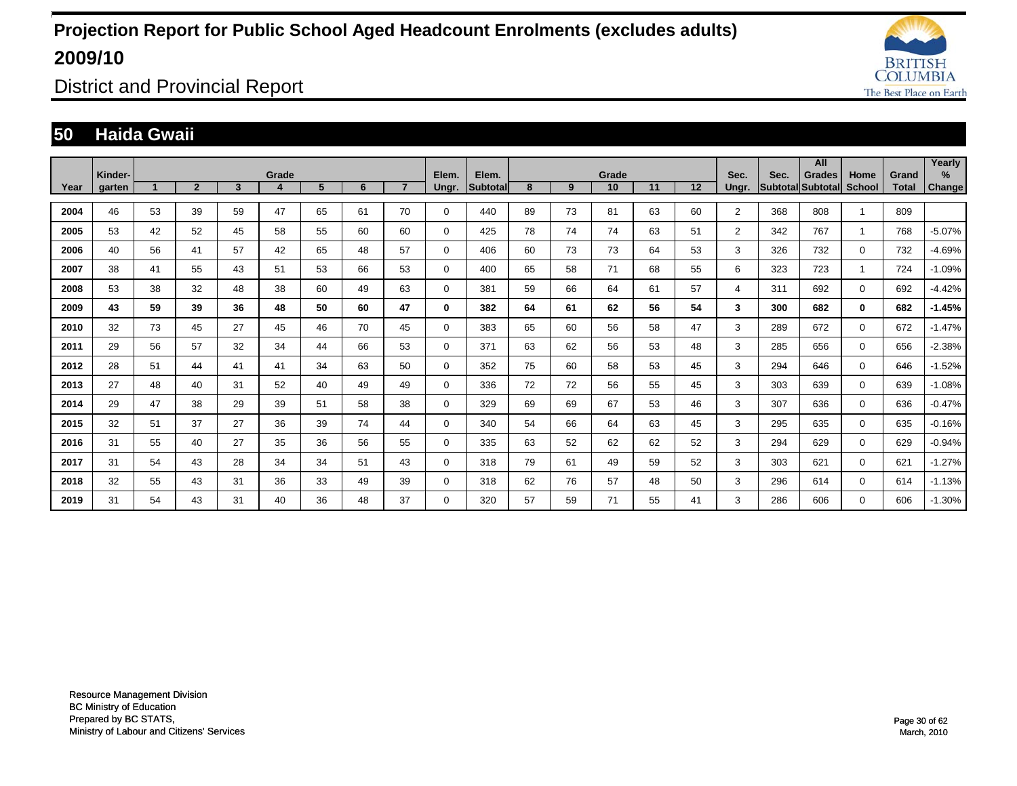

District and Provincial Report

### **50 Haida Gwaii**

|      |                   |    |                |                         |            |    |    |                |                |                   |    |    |             |    |    |                |      | All                                |                       |                       | Yearly         |
|------|-------------------|----|----------------|-------------------------|------------|----|----|----------------|----------------|-------------------|----|----|-------------|----|----|----------------|------|------------------------------------|-----------------------|-----------------------|----------------|
| Year | Kinder-<br>garten |    | $\overline{2}$ | $\overline{\mathbf{3}}$ | Grade<br>4 | 5  | 6  | $\overline{7}$ | Elem.<br>Ungr. | Elem.<br>Subtotal | 8  | 9  | Grade<br>10 | 11 | 12 | Sec.<br>Ungr.  | Sec. | <b>Grades</b><br>Subtotal Subtotal | Home<br><b>School</b> | Grand<br><b>Total</b> | $\%$<br>Change |
|      |                   |    |                |                         |            |    |    |                |                |                   |    |    |             |    |    |                |      |                                    |                       |                       |                |
| 2004 | 46                | 53 | 39             | 59                      | 47         | 65 | 61 | 70             | 0              | 440               | 89 | 73 | 81          | 63 | 60 | 2              | 368  | 808                                |                       | 809                   |                |
| 2005 | 53                | 42 | 52             | 45                      | 58         | 55 | 60 | 60             | 0              | 425               | 78 | 74 | 74          | 63 | 51 | $\overline{2}$ | 342  | 767                                | -1                    | 768                   | $-5.07%$       |
| 2006 | 40                | 56 | 41             | 57                      | 42         | 65 | 48 | 57             | 0              | 406               | 60 | 73 | 73          | 64 | 53 | 3              | 326  | 732                                | $\mathbf 0$           | 732                   | $-4.69%$       |
| 2007 | 38                | 41 | 55             | 43                      | 51         | 53 | 66 | 53             | 0              | 400               | 65 | 58 | 71          | 68 | 55 | 6              | 323  | 723                                | 1                     | 724                   | $-1.09%$       |
| 2008 | 53                | 38 | 32             | 48                      | 38         | 60 | 49 | 63             | $\mathbf 0$    | 381               | 59 | 66 | 64          | 61 | 57 | 4              | 311  | 692                                | $\mathbf 0$           | 692                   | $-4.42%$       |
| 2009 | 43                | 59 | 39             | 36                      | 48         | 50 | 60 | 47             | 0              | 382               | 64 | 61 | 62          | 56 | 54 | 3              | 300  | 682                                | $\mathbf 0$           | 682                   | $-1.45%$       |
| 2010 | 32                | 73 | 45             | 27                      | 45         | 46 | 70 | 45             | 0              | 383               | 65 | 60 | 56          | 58 | 47 | 3              | 289  | 672                                | $\mathbf 0$           | 672                   | $-1.47%$       |
| 2011 | 29                | 56 | 57             | 32                      | 34         | 44 | 66 | 53             | 0              | 371               | 63 | 62 | 56          | 53 | 48 | 3              | 285  | 656                                | $\mathbf 0$           | 656                   | $-2.38%$       |
| 2012 | 28                | 51 | 44             | 41                      | 41         | 34 | 63 | 50             | 0              | 352               | 75 | 60 | 58          | 53 | 45 | 3              | 294  | 646                                | $\mathbf 0$           | 646                   | $-1.52%$       |
| 2013 | 27                | 48 | 40             | 31                      | 52         | 40 | 49 | 49             | 0              | 336               | 72 | 72 | 56          | 55 | 45 | 3              | 303  | 639                                | $\mathbf 0$           | 639                   | $-1.08%$       |
| 2014 | 29                | 47 | 38             | 29                      | 39         | 51 | 58 | 38             | 0              | 329               | 69 | 69 | 67          | 53 | 46 | 3              | 307  | 636                                | $\mathbf 0$           | 636                   | $-0.47%$       |
| 2015 | 32                | 51 | 37             | 27                      | 36         | 39 | 74 | 44             | 0              | 340               | 54 | 66 | 64          | 63 | 45 | 3              | 295  | 635                                | $\mathbf 0$           | 635                   | $-0.16%$       |
| 2016 | 31                | 55 | 40             | 27                      | 35         | 36 | 56 | 55             | 0              | 335               | 63 | 52 | 62          | 62 | 52 | 3              | 294  | 629                                | $\mathbf 0$           | 629                   | $-0.94%$       |
| 2017 | 31                | 54 | 43             | 28                      | 34         | 34 | 51 | 43             | 0              | 318               | 79 | 61 | 49          | 59 | 52 | 3              | 303  | 621                                | $\mathbf 0$           | 621                   | $-1.27%$       |
| 2018 | 32                | 55 | 43             | 31                      | 36         | 33 | 49 | 39             | 0              | 318               | 62 | 76 | 57          | 48 | 50 | 3              | 296  | 614                                | $\mathbf 0$           | 614                   | $-1.13%$       |
| 2019 | 31                | 54 | 43             | 31                      | 40         | 36 | 48 | 37             | $\Omega$       | 320               | 57 | 59 | 71          | 55 | 41 | 3              | 286  | 606                                | $\mathbf 0$           | 606                   | $-1.30%$       |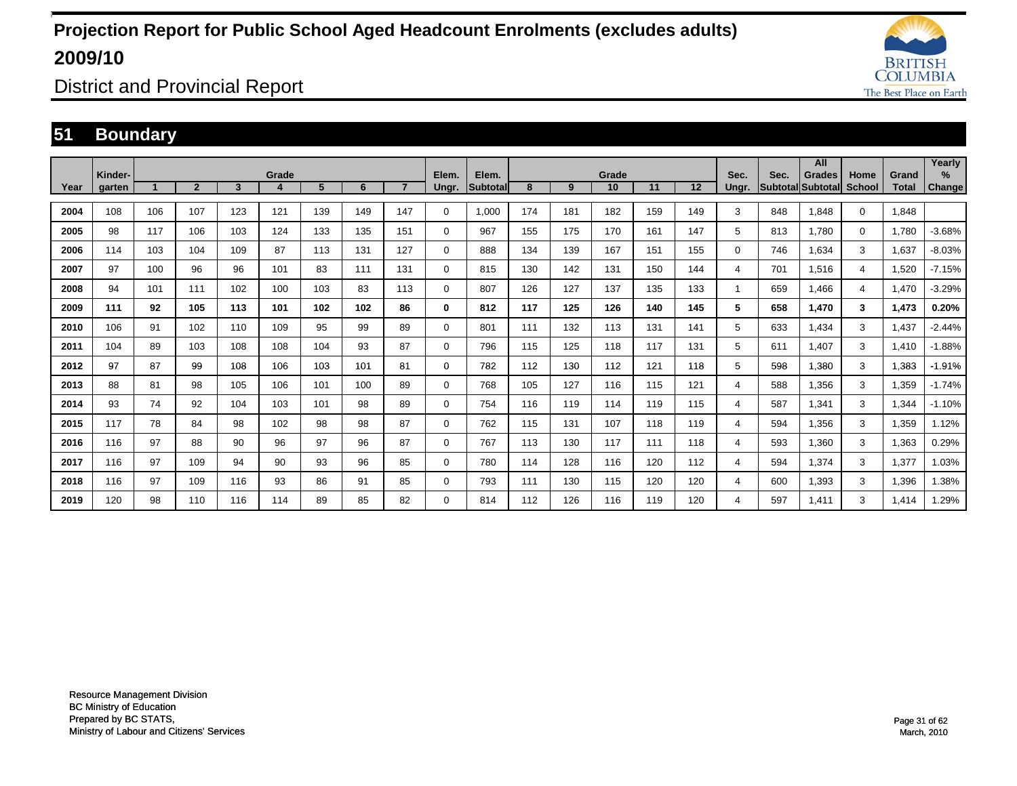

District and Provincial Report

### **51 Boundary**

|      |                   |     |                |     |       |     |     |     |                |                          |     |     |             |     |     |               |      | All                         |                |                       | Yearly      |
|------|-------------------|-----|----------------|-----|-------|-----|-----|-----|----------------|--------------------------|-----|-----|-------------|-----|-----|---------------|------|-----------------------------|----------------|-----------------------|-------------|
| Year | Kinder-<br>garten |     | $\overline{2}$ | 3   | Grade | 5   | 6   |     | Elem.<br>Ungr. | Elem.<br><b>Subtotal</b> | 8   | 9   | Grade<br>10 | 11  | 12  | Sec.<br>Ungr. | Sec. | Grades<br>Subtotal Subtotal | Home<br>School | Grand<br><b>Total</b> | %<br>Change |
|      |                   |     |                |     |       |     |     |     |                |                          |     |     |             |     |     |               |      |                             |                |                       |             |
| 2004 | 108               | 106 | 107            | 123 | 121   | 139 | 149 | 147 | 0              | 1,000                    | 174 | 181 | 182         | 159 | 149 | 3             | 848  | 1,848                       | $\Omega$       | 1,848                 |             |
| 2005 | 98                | 117 | 106            | 103 | 124   | 133 | 135 | 151 | 0              | 967                      | 155 | 175 | 170         | 161 | 147 | 5             | 813  | 1.780                       | $\Omega$       | 1,780                 | $-3.68%$    |
| 2006 | 114               | 103 | 104            | 109 | 87    | 113 | 131 | 127 | 0              | 888                      | 134 | 139 | 167         | 151 | 155 | 0             | 746  | 1,634                       | 3              | 1,637                 | $-8.03%$    |
| 2007 | 97                | 100 | 96             | 96  | 101   | 83  | 111 | 131 | $\Omega$       | 815                      | 130 | 142 | 131         | 150 | 144 | 4             | 701  | 1,516                       | 4              | 1,520                 | $-7.15%$    |
| 2008 | 94                | 101 | 111            | 102 | 100   | 103 | 83  | 113 | $\Omega$       | 807                      | 126 | 127 | 137         | 135 | 133 |               | 659  | 1.466                       | 4              | 1,470                 | $-3.29%$    |
| 2009 | 111               | 92  | 105            | 113 | 101   | 102 | 102 | 86  | 0              | 812                      | 117 | 125 | 126         | 140 | 145 | 5             | 658  | 1.470                       | 3              | 1,473                 | 0.20%       |
| 2010 | 106               | 91  | 102            | 110 | 109   | 95  | 99  | 89  | $\Omega$       | 801                      | 111 | 132 | 113         | 131 | 141 | 5             | 633  | 1,434                       | 3              | 1,437                 | $-2.44%$    |
| 2011 | 104               | 89  | 103            | 108 | 108   | 104 | 93  | 87  | 0              | 796                      | 115 | 125 | 118         | 117 | 131 | 5             | 611  | 1.407                       | 3              | 1,410                 | $-1.88%$    |
| 2012 | 97                | 87  | 99             | 108 | 106   | 103 | 101 | 81  | 0              | 782                      | 112 | 130 | 112         | 121 | 118 | 5             | 598  | 1,380                       | 3              | 1,383                 | $-1.91%$    |
| 2013 | 88                | 81  | 98             | 105 | 106   | 101 | 100 | 89  | 0              | 768                      | 105 | 127 | 116         | 115 | 121 | 4             | 588  | 1,356                       | 3              | 1,359                 | $-1.74%$    |
| 2014 | 93                | 74  | 92             | 104 | 103   | 101 | 98  | 89  | 0              | 754                      | 116 | 119 | 114         | 119 | 115 | 4             | 587  | 1,341                       | 3              | 1,344                 | $-1.10%$    |
| 2015 | 117               | 78  | 84             | 98  | 102   | 98  | 98  | 87  | 0              | 762                      | 115 | 131 | 107         | 118 | 119 | 4             | 594  | 1,356                       | 3              | 1,359                 | 1.12%       |
| 2016 | 116               | 97  | 88             | 90  | 96    | 97  | 96  | 87  | 0              | 767                      | 113 | 130 | 117         | 111 | 118 | 4             | 593  | 1,360                       | 3              | 1,363                 | 0.29%       |
| 2017 | 116               | 97  | 109            | 94  | 90    | 93  | 96  | 85  | 0              | 780                      | 114 | 128 | 116         | 120 | 112 | 4             | 594  | 1,374                       | 3              | 1,377                 | 1.03%       |
| 2018 | 116               | 97  | 109            | 116 | 93    | 86  | 91  | 85  | 0              | 793                      | 111 | 130 | 115         | 120 | 120 | 4             | 600  | 1,393                       | 3              | 1,396                 | 1.38%       |
| 2019 | 120               | 98  | 110            | 116 | 114   | 89  | 85  | 82  | $\Omega$       | 814                      | 112 | 126 | 116         | 119 | 120 | 4             | 597  | 1.411                       | 3              | 1,414                 | 1.29%       |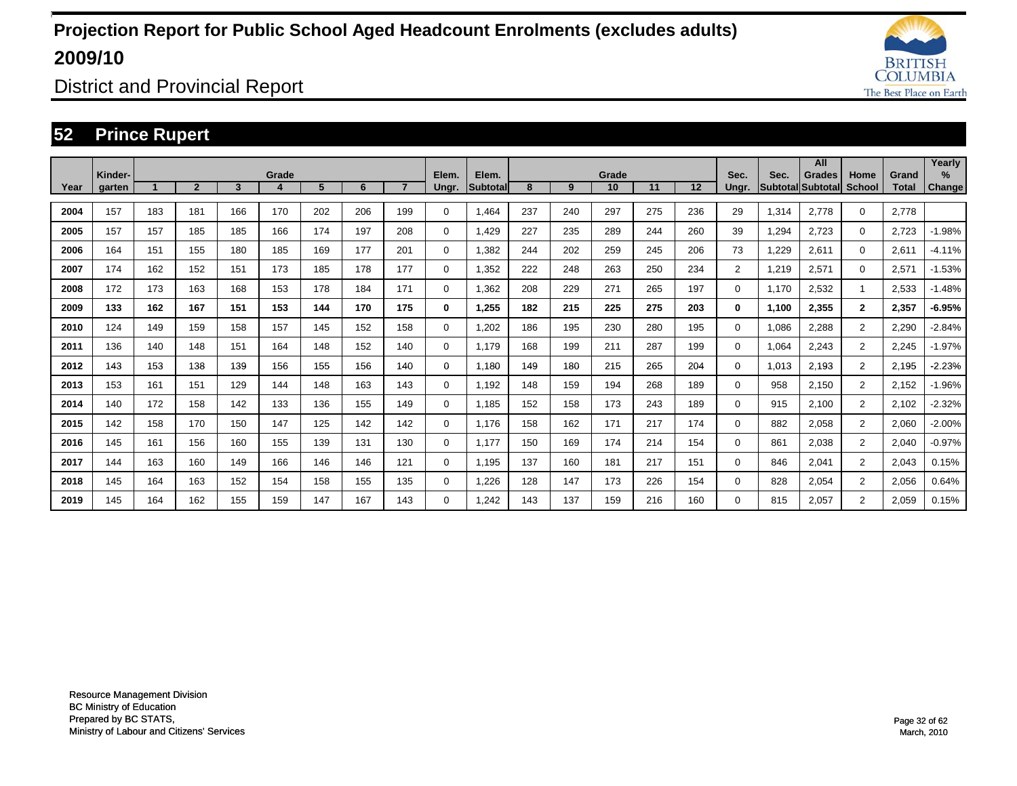

District and Provincial Report

### **52 Prince Rupert**

|      |                   |     |                |     |            |     |     |     |                |                   |     |     |             |     |     |                |       | All                         |                |                       | Yearly         |
|------|-------------------|-----|----------------|-----|------------|-----|-----|-----|----------------|-------------------|-----|-----|-------------|-----|-----|----------------|-------|-----------------------------|----------------|-----------------------|----------------|
| Year | Kinder-<br>garten |     | $\overline{2}$ | 3   | Grade<br>4 | 5   | 6   |     | Elem.<br>Ungr. | Elem.<br>Subtotal | 8   | 9   | Grade<br>10 | 11  | 12  | Sec.<br>Ungr.  | Sec.  | Grades<br>Subtotal Subtotal | Home<br>School | Grand<br><b>Total</b> | $\%$<br>Change |
| 2004 | 157               | 183 | 181            | 166 | 170        | 202 | 206 | 199 | 0              | 1,464             | 237 | 240 | 297         | 275 | 236 | 29             | 1,314 | 2,778                       | 0              | 2,778                 |                |
| 2005 | 157               | 157 | 185            | 185 | 166        | 174 | 197 | 208 | 0              | 1.429             | 227 | 235 | 289         | 244 | 260 | 39             | 1,294 | 2,723                       | 0              | 2,723                 | $-1.98%$       |
| 2006 | 164               | 151 | 155            | 180 | 185        | 169 | 177 | 201 | 0              | 1.382             | 244 | 202 | 259         | 245 | 206 | 73             | 1,229 | 2,611                       | $\Omega$       | 2,611                 | $-4.11%$       |
| 2007 | 174               | 162 | 152            | 151 | 173        | 185 | 178 | 177 | 0              | 1,352             | 222 | 248 | 263         | 250 | 234 | $\overline{2}$ | 1,219 | 2,571                       | $\Omega$       | 2,571                 | $-1.53%$       |
| 2008 | 172               | 173 | 163            | 168 | 153        | 178 | 184 | 171 | 0              | 1.362             | 208 | 229 | 271         | 265 | 197 | 0              | 1.170 | 2,532                       | 1              | 2,533                 | $-1.48%$       |
| 2009 | 133               | 162 | 167            | 151 | 153        | 144 | 170 | 175 | 0              | 1.255             | 182 | 215 | 225         | 275 | 203 | 0              | 1,100 | 2,355                       | $\overline{2}$ | 2,357                 | $-6.95%$       |
| 2010 | 124               | 149 | 159            | 158 | 157        | 145 | 152 | 158 | 0              | 1,202             | 186 | 195 | 230         | 280 | 195 | 0              | 1,086 | 2,288                       | $\overline{2}$ | 2,290                 | $-2.84%$       |
| 2011 | 136               | 140 | 148            | 151 | 164        | 148 | 152 | 140 | 0              | 1,179             | 168 | 199 | 211         | 287 | 199 | 0              | 1,064 | 2,243                       | $\overline{2}$ | 2,245                 | $-1.97%$       |
| 2012 | 143               | 153 | 138            | 139 | 156        | 155 | 156 | 140 | 0              | 1,180             | 149 | 180 | 215         | 265 | 204 | 0              | 1,013 | 2,193                       | $\overline{2}$ | 2,195                 | $-2.23%$       |
| 2013 | 153               | 161 | 151            | 129 | 144        | 148 | 163 | 143 | 0              | 1,192             | 148 | 159 | 194         | 268 | 189 | 0              | 958   | 2,150                       | $\overline{c}$ | 2,152                 | $-1.96%$       |
| 2014 | 140               | 172 | 158            | 142 | 133        | 136 | 155 | 149 | 0              | 1,185             | 152 | 158 | 173         | 243 | 189 | 0              | 915   | 2,100                       | $\overline{c}$ | 2,102                 | $-2.32%$       |
| 2015 | 142               | 158 | 170            | 150 | 147        | 125 | 142 | 142 | 0              | 1,176             | 158 | 162 | 171         | 217 | 174 | 0              | 882   | 2,058                       | $\overline{2}$ | 2,060                 | $-2.00%$       |
| 2016 | 145               | 161 | 156            | 160 | 155        | 139 | 131 | 130 | 0              | 1.177             | 150 | 169 | 174         | 214 | 154 | 0              | 861   | 2,038                       | $\overline{2}$ | 2,040                 | $-0.97%$       |
| 2017 | 144               | 163 | 160            | 149 | 166        | 146 | 146 | 121 | 0              | 1,195             | 137 | 160 | 181         | 217 | 151 | 0              | 846   | 2,041                       | $\overline{2}$ | 2,043                 | 0.15%          |
| 2018 | 145               | 164 | 163            | 152 | 154        | 158 | 155 | 135 | 0              | 1,226             | 128 | 147 | 173         | 226 | 154 | 0              | 828   | 2,054                       | $\overline{2}$ | 2,056                 | 0.64%          |
| 2019 | 145               | 164 | 162            | 155 | 159        | 147 | 167 | 143 | $\Omega$       | 1.242             | 143 | 137 | 159         | 216 | 160 | 0              | 815   | 2.057                       | $\overline{2}$ | 2,059                 | 0.15%          |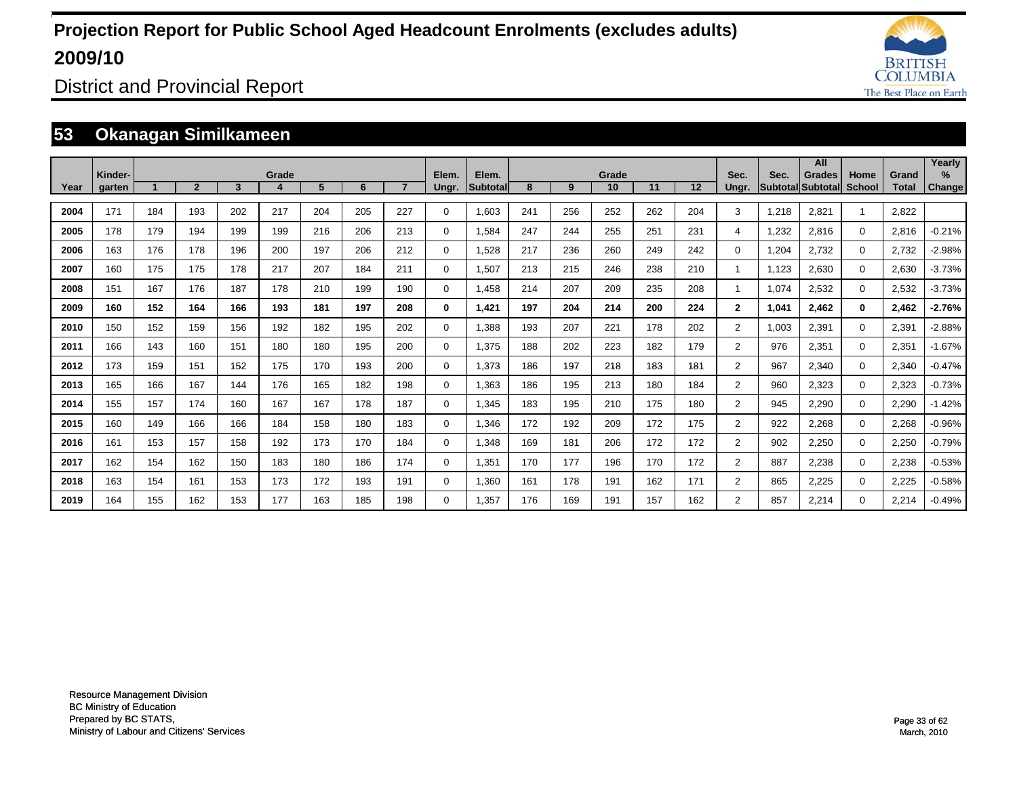

District and Provincial Report

### **53 Okanagan Similkameen**

|      |                   |     |                |                |       |     |     |     |                |                   |     |     |             |     |     |                |       | All                                       |                |                       | Yearly                |
|------|-------------------|-----|----------------|----------------|-------|-----|-----|-----|----------------|-------------------|-----|-----|-------------|-----|-----|----------------|-------|-------------------------------------------|----------------|-----------------------|-----------------------|
| Year | Kinder-<br>garten |     | $\overline{2}$ | $\overline{3}$ | Grade | 5   | 6   | 7   | Elem.<br>Ungr. | Elem.<br>Subtotal | 8   | 9   | Grade<br>10 | 11  | 12  | Sec.<br>Ungr.  | Sec.  | <b>Grades</b><br><b>Subtotal Subtotal</b> | Home<br>School | Grand<br><b>Total</b> | $\%$<br><b>Change</b> |
|      |                   |     |                |                |       |     |     |     |                |                   |     |     |             |     |     |                |       |                                           |                |                       |                       |
| 2004 | 171               | 184 | 193            | 202            | 217   | 204 | 205 | 227 | 0              | 1,603             | 241 | 256 | 252         | 262 | 204 | 3              | 1,218 | 2,821                                     | 1              | 2,822                 |                       |
| 2005 | 178               | 179 | 194            | 199            | 199   | 216 | 206 | 213 | $\mathbf 0$    | 1,584             | 247 | 244 | 255         | 251 | 231 | 4              | 1,232 | 2,816                                     | $\Omega$       | 2,816                 | $-0.21%$              |
| 2006 | 163               | 176 | 178            | 196            | 200   | 197 | 206 | 212 | $\mathbf 0$    | 1,528             | 217 | 236 | 260         | 249 | 242 | $\Omega$       | 1,204 | 2,732                                     | $\mathbf 0$    | 2,732                 | $-2.98%$              |
| 2007 | 160               | 175 | 175            | 178            | 217   | 207 | 184 | 211 | $\mathbf 0$    | 1,507             | 213 | 215 | 246         | 238 | 210 | $\mathbf{1}$   | 1,123 | 2,630                                     | $\mathbf 0$    | 2,630                 | $-3.73%$              |
| 2008 | 151               | 167 | 176            | 187            | 178   | 210 | 199 | 190 | $\mathbf 0$    | 1,458             | 214 | 207 | 209         | 235 | 208 | $\mathbf{1}$   | 1,074 | 2,532                                     | $\mathbf 0$    | 2,532                 | $-3.73%$              |
| 2009 | 160               | 152 | 164            | 166            | 193   | 181 | 197 | 208 | 0              | 1.421             | 197 | 204 | 214         | 200 | 224 | $\mathbf{2}$   | 1,041 | 2.462                                     | $\mathbf{0}$   | 2,462                 | $-2.76%$              |
| 2010 | 150               | 152 | 159            | 156            | 192   | 182 | 195 | 202 | 0              | 1,388             | 193 | 207 | 221         | 178 | 202 | $\overline{2}$ | 1,003 | 2,391                                     | $\mathbf 0$    | 2,391                 | $-2.88%$              |
| 2011 | 166               | 143 | 160            | 151            | 180   | 180 | 195 | 200 | 0              | 1,375             | 188 | 202 | 223         | 182 | 179 | $\overline{2}$ | 976   | 2,351                                     | $\Omega$       | 2,351                 | $-1.67%$              |
| 2012 | 173               | 159 | 151            | 152            | 175   | 170 | 193 | 200 | 0              | 1,373             | 186 | 197 | 218         | 183 | 181 | $\overline{2}$ | 967   | 2,340                                     | $\mathbf 0$    | 2,340                 | $-0.47%$              |
| 2013 | 165               | 166 | 167            | 144            | 176   | 165 | 182 | 198 | 0              | 1,363             | 186 | 195 | 213         | 180 | 184 | $\overline{2}$ | 960   | 2,323                                     | $\mathbf 0$    | 2,323                 | $-0.73%$              |
| 2014 | 155               | 157 | 174            | 160            | 167   | 167 | 178 | 187 | 0              | 1,345             | 183 | 195 | 210         | 175 | 180 | $\overline{2}$ | 945   | 2,290                                     | $\mathbf 0$    | 2,290                 | $-1.42%$              |
| 2015 | 160               | 149 | 166            | 166            | 184   | 158 | 180 | 183 | 0              | 1,346             | 172 | 192 | 209         | 172 | 175 | $\overline{2}$ | 922   | 2,268                                     | $\mathbf 0$    | 2,268                 | $-0.96%$              |
| 2016 | 161               | 153 | 157            | 158            | 192   | 173 | 170 | 184 | 0              | 1,348             | 169 | 181 | 206         | 172 | 172 | $\overline{2}$ | 902   | 2,250                                     | $\mathbf 0$    | 2,250                 | $-0.79%$              |
| 2017 | 162               | 154 | 162            | 150            | 183   | 180 | 186 | 174 | 0              | 1,351             | 170 | 177 | 196         | 170 | 172 | $\overline{2}$ | 887   | 2,238                                     | $\mathbf 0$    | 2,238                 | $-0.53%$              |
| 2018 | 163               | 154 | 161            | 153            | 173   | 172 | 193 | 191 | $\mathbf 0$    | 1,360             | 161 | 178 | 191         | 162 | 171 | $\overline{2}$ | 865   | 2,225                                     | $\mathbf 0$    | 2,225                 | $-0.58%$              |
| 2019 | 164               | 155 | 162            | 153            | 177   | 163 | 185 | 198 | 0              | 1,357             | 176 | 169 | 191         | 157 | 162 | $\overline{2}$ | 857   | 2,214                                     | $\Omega$       | 2,214                 | $-0.49%$              |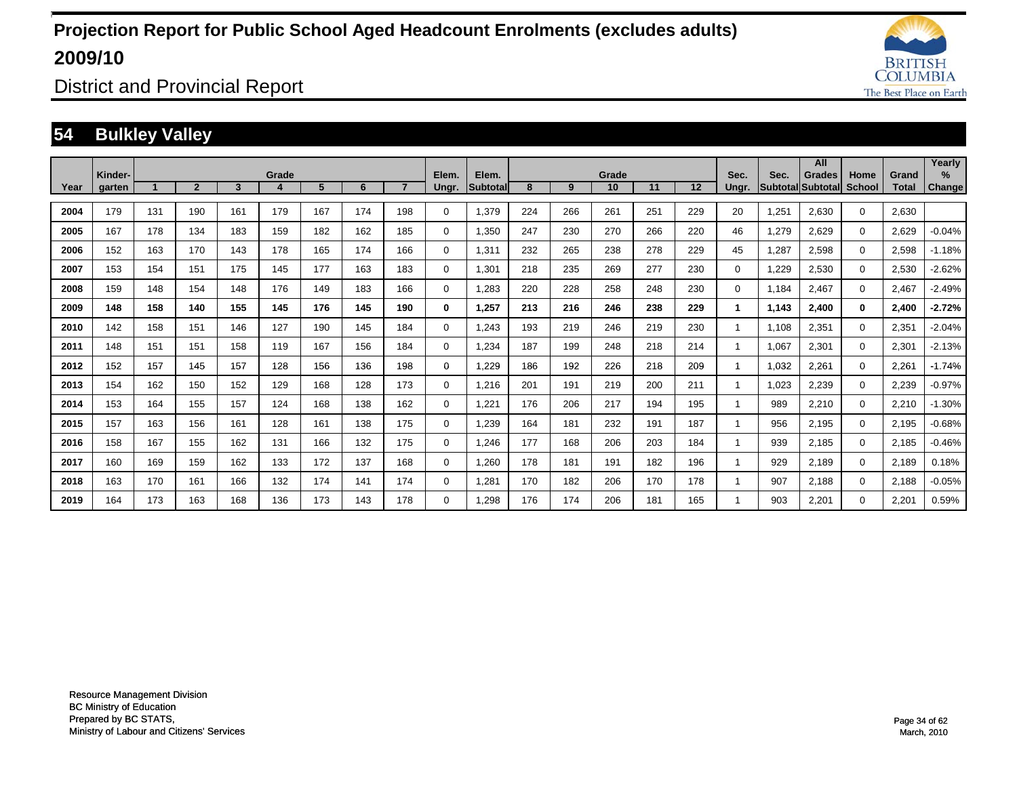![](_page_33_Picture_1.jpeg)

District and Provincial Report

### **54 Bulkley Valley**

|      |                   |     |                |     |            |     |     |     |                |                    |     |     |             |     |     |               |       | All                                |                       |                       | Yearly                  |
|------|-------------------|-----|----------------|-----|------------|-----|-----|-----|----------------|--------------------|-----|-----|-------------|-----|-----|---------------|-------|------------------------------------|-----------------------|-----------------------|-------------------------|
| Year | Kinder-<br>garten |     | $\overline{2}$ | 3   | Grade<br>4 | 5   | 6   |     | Elem.<br>Ungr. | Elem.<br>Subtotall | 8   | 9   | Grade<br>10 | 11  | 12  | Sec.<br>Ungr. | Sec.  | Grades<br><b>Subtotal</b> Subtotal | Home<br><b>School</b> | Grand<br><b>Total</b> | $\frac{9}{6}$<br>Change |
| 2004 | 179               | 131 | 190            | 161 | 179        | 167 | 174 | 198 | $\mathbf 0$    | 1,379              | 224 | 266 | 261         | 251 | 229 | 20            | 1,251 | 2,630                              | $\mathbf 0$           | 2,630                 |                         |
| 2005 | 167               | 178 | 134            | 183 | 159        | 182 | 162 | 185 | $\mathbf 0$    | 1,350              | 247 | 230 | 270         | 266 | 220 | 46            | 1,279 | 2,629                              | $\mathbf 0$           | 2,629                 | $-0.04%$                |
| 2006 | 152               | 163 | 170            | 143 | 178        | 165 | 174 | 166 | $\mathbf 0$    | 1,311              | 232 | 265 | 238         | 278 | 229 | 45            | 1,287 | 2,598                              | $\mathbf 0$           | 2,598                 | $-1.18%$                |
| 2007 | 153               | 154 | 151            | 175 | 145        | 177 | 163 | 183 | $\mathbf 0$    | 1,301              | 218 | 235 | 269         | 277 | 230 | 0             | 1,229 | 2,530                              | $\mathbf 0$           | 2,530                 | $-2.62%$                |
| 2008 | 159               | 148 | 154            | 148 | 176        | 149 | 183 | 166 | $\mathbf 0$    | 1,283              | 220 | 228 | 258         | 248 | 230 | 0             | 1.184 | 2,467                              | $\mathbf 0$           | 2,467                 | $-2.49%$                |
| 2009 | 148               | 158 | 140            | 155 | 145        | 176 | 145 | 190 | 0              | 1,257              | 213 | 216 | 246         | 238 | 229 | 1             | 1.143 | 2,400                              | 0                     | 2,400                 | $-2.72%$                |
| 2010 | 142               | 158 | 151            | 146 | 127        | 190 | 145 | 184 | 0              | 1.243              | 193 | 219 | 246         | 219 | 230 |               | 1.108 | 2,351                              | $\mathbf 0$           | 2,351                 | $-2.04%$                |
| 2011 | 148               | 151 | 151            | 158 | 119        | 167 | 156 | 184 | 0              | 1,234              | 187 | 199 | 248         | 218 | 214 |               | 1,067 | 2,301                              | $\mathbf 0$           | 2,301                 | $-2.13%$                |
| 2012 | 152               | 157 | 145            | 157 | 128        | 156 | 136 | 198 | 0              | 1,229              | 186 | 192 | 226         | 218 | 209 | 1             | 1,032 | 2,261                              | $\mathbf 0$           | 2,261                 | $-1.74%$                |
| 2013 | 154               | 162 | 150            | 152 | 129        | 168 | 128 | 173 | $\mathbf 0$    | 1,216              | 201 | 191 | 219         | 200 | 211 | 1             | 1,023 | 2,239                              | $\mathbf 0$           | 2,239                 | $-0.97%$                |
| 2014 | 153               | 164 | 155            | 157 | 124        | 168 | 138 | 162 | $\mathbf 0$    | 1,221              | 176 | 206 | 217         | 194 | 195 | 1             | 989   | 2,210                              | $\mathbf 0$           | 2,210                 | $-1.30%$                |
| 2015 | 157               | 163 | 156            | 161 | 128        | 161 | 138 | 175 | $\mathbf 0$    | 1,239              | 164 | 181 | 232         | 191 | 187 | 1             | 956   | 2,195                              | $\mathbf 0$           | 2,195                 | $-0.68%$                |
| 2016 | 158               | 167 | 155            | 162 | 131        | 166 | 132 | 175 | $\mathbf 0$    | 1,246              | 177 | 168 | 206         | 203 | 184 | 1             | 939   | 2,185                              | $\mathbf 0$           | 2,185                 | $-0.46%$                |
| 2017 | 160               | 169 | 159            | 162 | 133        | 172 | 137 | 168 | $\mathbf 0$    | 1,260              | 178 | 181 | 191         | 182 | 196 | 1             | 929   | 2,189                              | $\mathbf 0$           | 2,189                 | 0.18%                   |
| 2018 | 163               | 170 | 161            | 166 | 132        | 174 | 141 | 174 | $\mathbf 0$    | 1,281              | 170 | 182 | 206         | 170 | 178 | 1             | 907   | 2,188                              | $\mathbf 0$           | 2,188                 | $-0.05%$                |
| 2019 | 164               | 173 | 163            | 168 | 136        | 173 | 143 | 178 | 0              | 1.298              | 176 | 174 | 206         | 181 | 165 |               | 903   | 2.201                              | $\mathbf 0$           | 2,201                 | 0.59%                   |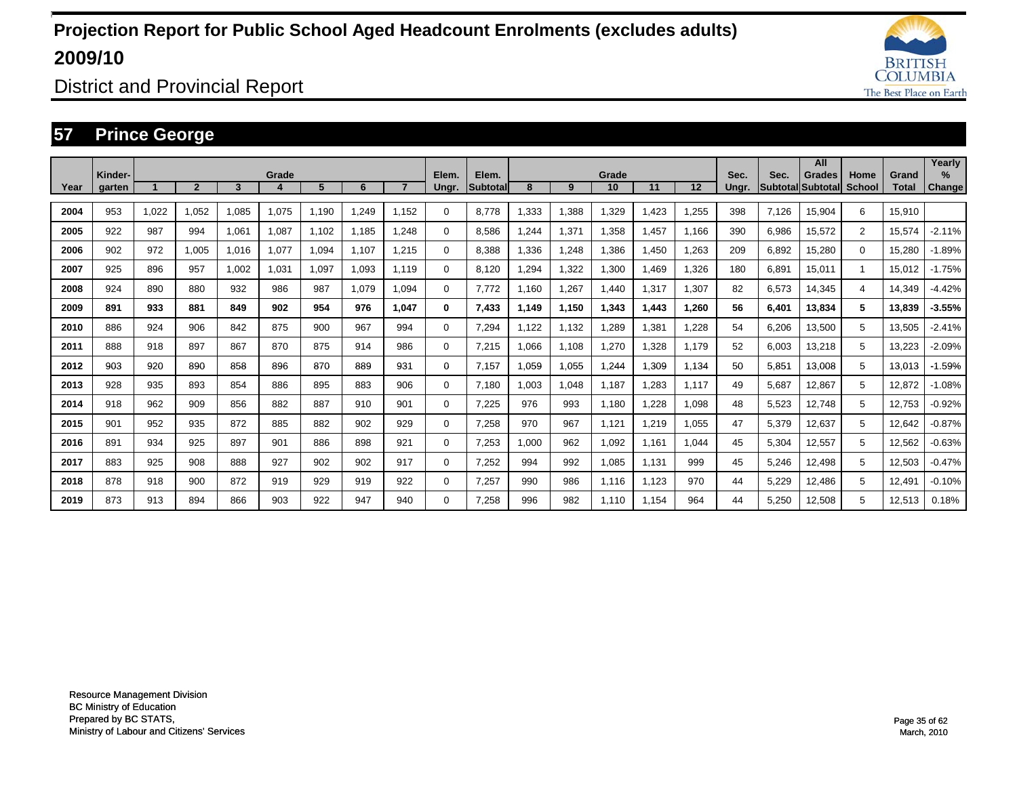![](_page_34_Picture_1.jpeg)

District and Provincial Report

### **57 Prince George**

|      |                   |       |                |       |       |       |       |       |                |                          |       |       |             |       |       |               |       | All                         |                |                       | Yearly                         |
|------|-------------------|-------|----------------|-------|-------|-------|-------|-------|----------------|--------------------------|-------|-------|-------------|-------|-------|---------------|-------|-----------------------------|----------------|-----------------------|--------------------------------|
| Year | Kinder-<br>garten |       | $\overline{2}$ | 3     | Grade | 5     | 6     |       | Elem.<br>Ungr. | Elem.<br><b>Subtotal</b> | 8     | 9     | Grade<br>10 | 11    | 12    | Sec.<br>Ungr. | Sec.  | Grades<br>Subtotal Subtotal | Home<br>School | Grand<br><b>Total</b> | $\frac{9}{6}$<br><b>Change</b> |
|      |                   |       |                |       |       |       |       |       |                |                          |       |       |             |       |       |               |       |                             |                |                       |                                |
| 2004 | 953               | 1,022 | 1,052          | 1,085 | 1,075 | 1,190 | .249  | 1.152 | $\Omega$       | 8.778                    | ,333  | 1,388 | 1,329       | ,423  | 1,255 | 398           | 7,126 | 15,904                      | 6              | 15,910                |                                |
| 2005 | 922               | 987   | 994            | 1,061 | 1,087 | 1,102 | 1,185 | .248  | $\Omega$       | 8,586                    | , 244 | 1,371 | 1,358       | .457  | 1.166 | 390           | 6,986 | 15,572                      | $\overline{2}$ | 15,574                | $-2.11%$                       |
| 2006 | 902               | 972   | 1,005          | 1,016 | 1,077 | 1,094 | 1.107 | 1.215 | 0              | 8,388                    | ,336  | 1,248 | 1,386       | ,450  | 1,263 | 209           | 6,892 | 15,280                      | $\Omega$       | 15,280                | $-1.89%$                       |
| 2007 | 925               | 896   | 957            | 1,002 | 1,031 | 1,097 | 1,093 | 1.119 | 0              | 8,120                    | ,294  | 1,322 | 1,300       | .469  | 1,326 | 180           | 6,891 | 15,011                      |                | 15,012                | $-1.75%$                       |
| 2008 | 924               | 890   | 880            | 932   | 986   | 987   | 1,079 | 1,094 | 0              | 7,772                    | ,160  | 1,267 | 1,440       | 1,317 | 1,307 | 82            | 6,573 | 14,345                      | 4              | 14,349                | $-4.42%$                       |
| 2009 | 891               | 933   | 881            | 849   | 902   | 954   | 976   | 1.047 | 0              | 7,433                    | 1,149 | 1,150 | 1,343       | 1,443 | 1,260 | 56            | 6,401 | 13,834                      | 5              | 13,839                | $-3.55%$                       |
| 2010 | 886               | 924   | 906            | 842   | 875   | 900   | 967   | 994   | 0              | 7,294                    | ,122  | 1,132 | 1,289       | 1,381 | 1,228 | 54            | 6,206 | 13,500                      | 5              | 13,505                | $-2.41%$                       |
| 2011 | 888               | 918   | 897            | 867   | 870   | 875   | 914   | 986   | 0              | 7,215                    | ,066  | 1,108 | 1,270       | 1,328 | 1.179 | 52            | 6,003 | 13,218                      | 5              | 13,223                | $-2.09%$                       |
| 2012 | 903               | 920   | 890            | 858   | 896   | 870   | 889   | 931   | 0              | 7,157                    | ,059  | 1,055 | 1,244       | 1,309 | 1,134 | 50            | 5,851 | 13,008                      | 5              | 13,013                | $-1.59%$                       |
| 2013 | 928               | 935   | 893            | 854   | 886   | 895   | 883   | 906   | 0              | 7,180                    | 1,003 | 1,048 | 1,187       | 1,283 | 1,117 | 49            | 5,687 | 12,867                      | 5              | 12,872                | $-1.08%$                       |
| 2014 | 918               | 962   | 909            | 856   | 882   | 887   | 910   | 901   | 0              | 7,225                    | 976   | 993   | 1,180       | 1,228 | 1,098 | 48            | 5,523 | 12,748                      | 5              | 12,753                | $-0.92%$                       |
| 2015 | 901               | 952   | 935            | 872   | 885   | 882   | 902   | 929   | 0              | 7,258                    | 970   | 967   | 1,121       | 1,219 | 1,055 | 47            | 5,379 | 12,637                      | 5              | 12,642                | $-0.87%$                       |
| 2016 | 891               | 934   | 925            | 897   | 901   | 886   | 898   | 921   | 0              | 7,253                    | ,000  | 962   | 1,092       | 1,161 | 1,044 | 45            | 5,304 | 12,557                      | 5              | 12,562                | $-0.63%$                       |
| 2017 | 883               | 925   | 908            | 888   | 927   | 902   | 902   | 917   | 0              | 7,252                    | 994   | 992   | 1,085       | 1,131 | 999   | 45            | 5,246 | 12,498                      | 5              | 12,503                | $-0.47%$                       |
| 2018 | 878               | 918   | 900            | 872   | 919   | 929   | 919   | 922   | 0              | 7,257                    | 990   | 986   | 1,116       | 1,123 | 970   | 44            | 5,229 | 12,486                      | 5              | 12,491                | $-0.10%$                       |
| 2019 | 873               | 913   | 894            | 866   | 903   | 922   | 947   | 940   | 0              | 7.258                    | 996   | 982   | 1.110       | 1,154 | 964   | 44            | 5,250 | 12,508                      | 5              | 12,513                | 0.18%                          |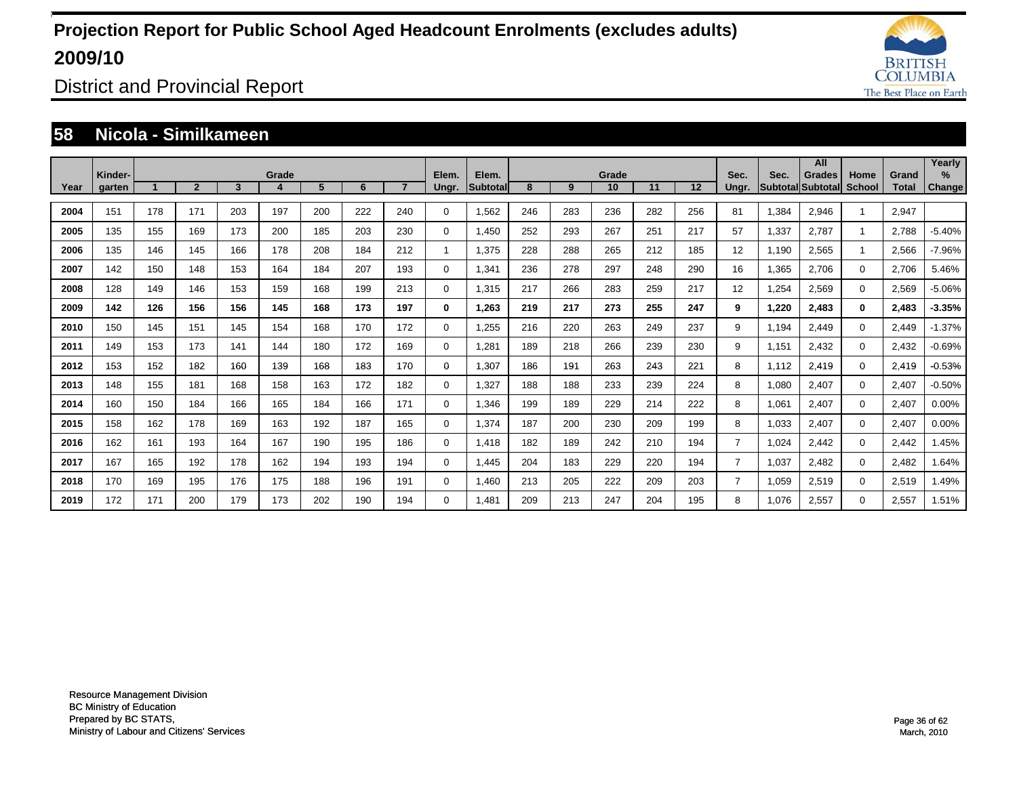![](_page_35_Picture_1.jpeg)

District and Provincial Report

#### **58 Nicola - Similkameen**

|      |                   |     |                |     |       |     |     |     |                |                   |     |     |             |     |     |                |       | All                                 |                |                       | Yearly                |
|------|-------------------|-----|----------------|-----|-------|-----|-----|-----|----------------|-------------------|-----|-----|-------------|-----|-----|----------------|-------|-------------------------------------|----------------|-----------------------|-----------------------|
| Year | Kinder-<br>garten |     | $\overline{2}$ | 3   | Grade | 5   | 6   |     | Elem.<br>Ungr. | Elem.<br>Subtotal | 8   | 9   | Grade<br>10 | 11  | 12  | Sec.<br>Ungr.  | Sec.  | <b>Grades</b><br> Subtotal Subtotal | Home<br>School | Grand<br><b>Total</b> | $\%$<br><b>Change</b> |
| 2004 | 151               | 178 | 171            | 203 | 197   | 200 | 222 | 240 | $\Omega$       | 1,562             | 246 | 283 | 236         | 282 | 256 | 81             | 1,384 | 2,946                               |                | 2,947                 |                       |
| 2005 | 135               | 155 | 169            | 173 | 200   | 185 | 203 | 230 | 0              | 1,450             | 252 | 293 | 267         | 251 | 217 | 57             | 1,337 | 2,787                               | -1             | 2,788                 | $-5.40%$              |
| 2006 | 135               | 146 | 145            | 166 | 178   | 208 | 184 | 212 | $\overline{1}$ | 1,375             | 228 | 288 | 265         | 212 | 185 | 12             | 1,190 | 2,565                               | -1             | 2,566                 | $-7.96%$              |
| 2007 | 142               | 150 | 148            | 153 | 164   | 184 | 207 | 193 | $\mathbf 0$    | 1,341             | 236 | 278 | 297         | 248 | 290 | 16             | 1,365 | 2,706                               | $\Omega$       | 2,706                 | 5.46%                 |
| 2008 | 128               | 149 | 146            | 153 | 159   | 168 | 199 | 213 | $\mathbf 0$    | 1,315             | 217 | 266 | 283         | 259 | 217 | 12             | 1,254 | 2,569                               | 0              | 2,569                 | $-5.06%$              |
| 2009 | 142               | 126 | 156            | 156 | 145   | 168 | 173 | 197 | 0              | 1,263             | 219 | 217 | 273         | 255 | 247 | 9              | 1,220 | 2,483                               | $\bf{0}$       | 2,483                 | $-3.35%$              |
| 2010 | 150               | 145 | 151            | 145 | 154   | 168 | 170 | 172 | 0              | 1,255             | 216 | 220 | 263         | 249 | 237 | 9              | 1,194 | 2,449                               | $\Omega$       | 2,449                 | $-1.37%$              |
| 2011 | 149               | 153 | 173            | 141 | 144   | 180 | 172 | 169 | 0              | 1,281             | 189 | 218 | 266         | 239 | 230 | 9              | 1,151 | 2,432                               | $\Omega$       | 2,432                 | $-0.69%$              |
| 2012 | 153               | 152 | 182            | 160 | 139   | 168 | 183 | 170 | 0              | 1,307             | 186 | 191 | 263         | 243 | 221 | 8              | 1,112 | 2,419                               | 0              | 2,419                 | $-0.53%$              |
| 2013 | 148               | 155 | 181            | 168 | 158   | 163 | 172 | 182 | 0              | 1,327             | 188 | 188 | 233         | 239 | 224 | 8              | 1,080 | 2,407                               | $\Omega$       | 2,407                 | $-0.50%$              |
| 2014 | 160               | 150 | 184            | 166 | 165   | 184 | 166 | 171 | $\Omega$       | 1,346             | 199 | 189 | 229         | 214 | 222 | 8              | 1,061 | 2,407                               | $\Omega$       | 2,407                 | 0.00%                 |
| 2015 | 158               | 162 | 178            | 169 | 163   | 192 | 187 | 165 | 0              | 1,374             | 187 | 200 | 230         | 209 | 199 | 8              | 1,033 | 2,407                               | $\Omega$       | 2,407                 | 0.00%                 |
| 2016 | 162               | 161 | 193            | 164 | 167   | 190 | 195 | 186 | 0              | 1,418             | 182 | 189 | 242         | 210 | 194 | $\overline{7}$ | 1,024 | 2,442                               | $\Omega$       | 2,442                 | .45%                  |
| 2017 | 167               | 165 | 192            | 178 | 162   | 194 | 193 | 194 | 0              | 1,445             | 204 | 183 | 229         | 220 | 194 | $\overline{7}$ | 1,037 | 2,482                               | $\Omega$       | 2,482                 | .64%                  |
| 2018 | 170               | 169 | 195            | 176 | 175   | 188 | 196 | 191 | 0              | 1,460             | 213 | 205 | 222         | 209 | 203 | $\overline{7}$ | 1,059 | 2,519                               | $\Omega$       | 2,519                 | .49%                  |
| 2019 | 172               | 171 | 200            | 179 | 173   | 202 | 190 | 194 | $\Omega$       | 1.481             | 209 | 213 | 247         | 204 | 195 | 8              | 1,076 | 2,557                               | $\Omega$       | 2,557                 | 1.51%                 |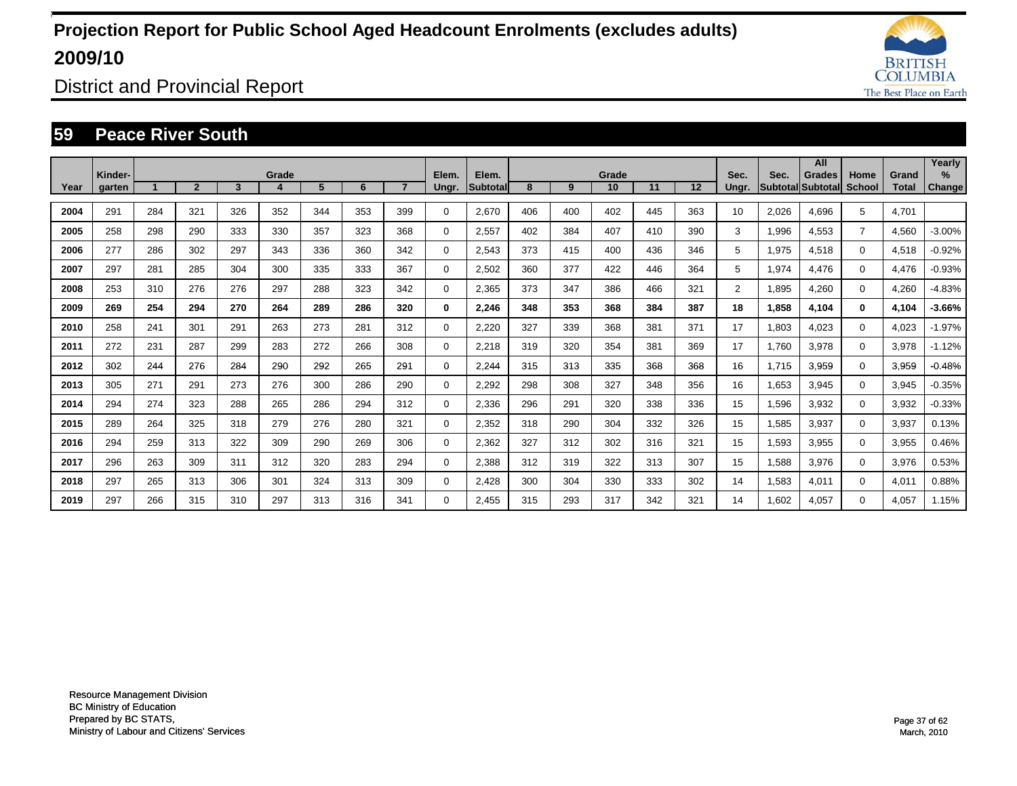![](_page_36_Picture_1.jpeg)

District and Provincial Report

#### **59 Peace River South**

|      | Kinder- |     |                |     | Grade |     |     |                | Elem.    | Elem.           |     |     | Grade |     |     | Sec.           | Sec.  | All<br>Grades     | Home           | Grand        | Yearly<br>%   |
|------|---------|-----|----------------|-----|-------|-----|-----|----------------|----------|-----------------|-----|-----|-------|-----|-----|----------------|-------|-------------------|----------------|--------------|---------------|
| Year | garten  |     | $\overline{2}$ | 3   | 4     | 5   | 6   | $\overline{7}$ | Ungr.    | <b>Subtotal</b> | 8   | 9   | 10    | 11  | 12  | Ungr.          |       | Subtotal Subtotal | <b>School</b>  | <b>Total</b> | <b>Change</b> |
| 2004 | 291     | 284 | 321            | 326 | 352   | 344 | 353 | 399            | $\Omega$ | 2,670           | 406 | 400 | 402   | 445 | 363 | 10             | 2,026 | 4,696             | 5              | 4,701        |               |
| 2005 | 258     | 298 | 290            | 333 | 330   | 357 | 323 | 368            | 0        | 2,557           | 402 | 384 | 407   | 410 | 390 | 3              | 1,996 | 4,553             | $\overline{7}$ | 4,560        | $-3.00%$      |
| 2006 | 277     | 286 | 302            | 297 | 343   | 336 | 360 | 342            | $\Omega$ | 2,543           | 373 | 415 | 400   | 436 | 346 | 5              | 1,975 | 4,518             | $\Omega$       | 4,518        | $-0.92%$      |
| 2007 | 297     | 281 | 285            | 304 | 300   | 335 | 333 | 367            | $\Omega$ | 2,502           | 360 | 377 | 422   | 446 | 364 | 5              | 1,974 | 4,476             | $\Omega$       | 4,476        | $-0.93%$      |
| 2008 | 253     | 310 | 276            | 276 | 297   | 288 | 323 | 342            | $\Omega$ | 2,365           | 373 | 347 | 386   | 466 | 321 | $\overline{2}$ | 1,895 | 4,260             | $\Omega$       | 4,260        | $-4.83%$      |
| 2009 | 269     | 254 | 294            | 270 | 264   | 289 | 286 | 320            | 0        | 2,246           | 348 | 353 | 368   | 384 | 387 | 18             | 1,858 | 4,104             | 0              | 4,104        | $-3.66%$      |
| 2010 | 258     | 241 | 301            | 291 | 263   | 273 | 281 | 312            | $\Omega$ | 2,220           | 327 | 339 | 368   | 381 | 371 | 17             | 1,803 | 4,023             | $\Omega$       | 4,023        | $-1.97%$      |
| 2011 | 272     | 231 | 287            | 299 | 283   | 272 | 266 | 308            | $\Omega$ | 2,218           | 319 | 320 | 354   | 381 | 369 | 17             | 1.760 | 3.978             | $\Omega$       | 3,978        | $-1.12%$      |
| 2012 | 302     | 244 | 276            | 284 | 290   | 292 | 265 | 291            | $\Omega$ | 2.244           | 315 | 313 | 335   | 368 | 368 | 16             | 1.715 | 3,959             | 0              | 3,959        | $-0.48%$      |
| 2013 | 305     | 271 | 291            | 273 | 276   | 300 | 286 | 290            | $\Omega$ | 2.292           | 298 | 308 | 327   | 348 | 356 | 16             | 1,653 | 3,945             | 0              | 3,945        | $-0.35%$      |
| 2014 | 294     | 274 | 323            | 288 | 265   | 286 | 294 | 312            | 0        | 2,336           | 296 | 291 | 320   | 338 | 336 | 15             | 1,596 | 3,932             | 0              | 3,932        | $-0.33%$      |
| 2015 | 289     | 264 | 325            | 318 | 279   | 276 | 280 | 321            | 0        | 2,352           | 318 | 290 | 304   | 332 | 326 | 15             | 1,585 | 3,937             | 0              | 3,937        | 0.13%         |
| 2016 | 294     | 259 | 313            | 322 | 309   | 290 | 269 | 306            | 0        | 2,362           | 327 | 312 | 302   | 316 | 321 | 15             | 1,593 | 3,955             | 0              | 3,955        | 0.46%         |
| 2017 | 296     | 263 | 309            | 311 | 312   | 320 | 283 | 294            | 0        | 2,388           | 312 | 319 | 322   | 313 | 307 | 15             | 1,588 | 3,976             | 0              | 3,976        | 0.53%         |
| 2018 | 297     | 265 | 313            | 306 | 301   | 324 | 313 | 309            | $\Omega$ | 2,428           | 300 | 304 | 330   | 333 | 302 | 14             | 1,583 | 4,011             | $\Omega$       | 4,011        | 0.88%         |
| 2019 | 297     | 266 | 315            | 310 | 297   | 313 | 316 | 341            | $\Omega$ | 2.455           | 315 | 293 | 317   | 342 | 321 | 14             | 1,602 | 4,057             | $\Omega$       | 4.057        | 1.15%         |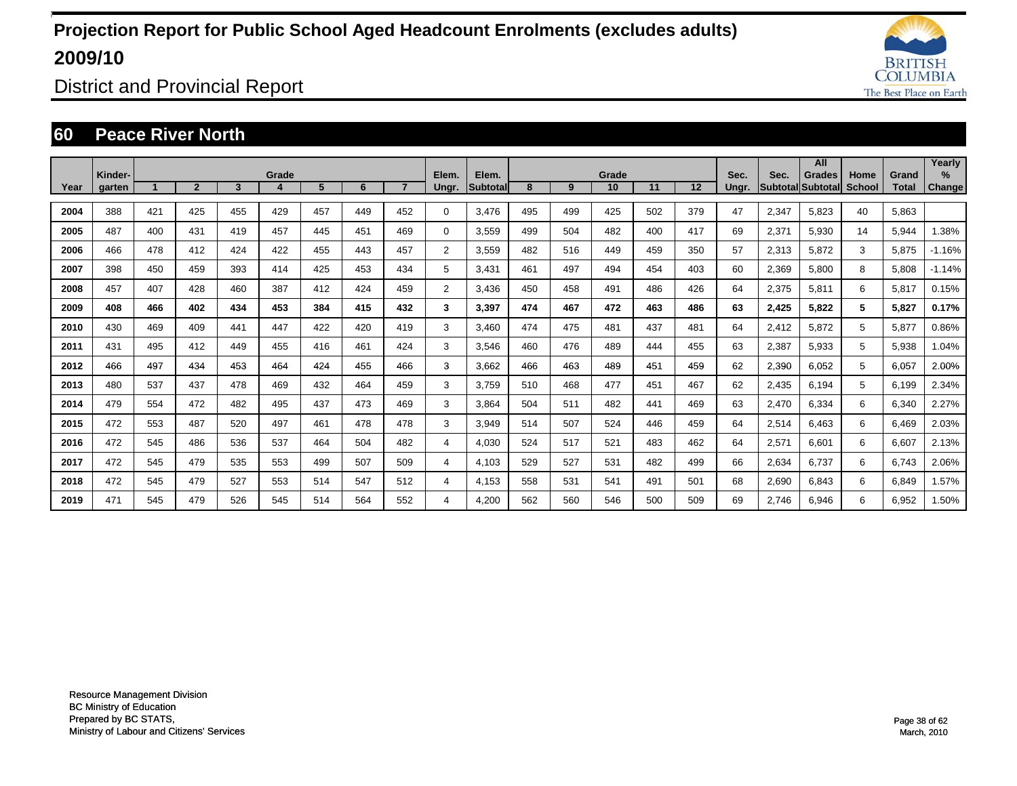![](_page_37_Picture_1.jpeg)

District and Provincial Report

#### **60 Peace River North**

|      |                   |     |                |     |       |     |     |     |                |                   |     |     |             |     |     |               |       | All                                |                |                       | Yearly                |
|------|-------------------|-----|----------------|-----|-------|-----|-----|-----|----------------|-------------------|-----|-----|-------------|-----|-----|---------------|-------|------------------------------------|----------------|-----------------------|-----------------------|
| Year | Kinder-<br>garten |     | $\overline{2}$ | 3   | Grade | 5   | 6   |     | Elem.<br>Ungr. | Elem.<br>Subtotal | 8   | 9   | Grade<br>10 | 11  | 12  | Sec.<br>Ungr. | Sec.  | <b>Grades</b><br>Subtotal Subtotal | Home<br>School | Grand<br><b>Total</b> | $\%$<br><b>Change</b> |
|      |                   |     |                |     |       |     |     |     |                |                   |     |     |             |     |     |               |       |                                    |                |                       |                       |
| 2004 | 388               | 421 | 425            | 455 | 429   | 457 | 449 | 452 | $\Omega$       | 3,476             | 495 | 499 | 425         | 502 | 379 | 47            | 2,347 | 5.823                              | 40             | 5,863                 |                       |
| 2005 | 487               | 400 | 431            | 419 | 457   | 445 | 451 | 469 | $\Omega$       | 3,559             | 499 | 504 | 482         | 400 | 417 | 69            | 2,371 | 5,930                              | 14             | 5,944                 | 1.38%                 |
| 2006 | 466               | 478 | 412            | 424 | 422   | 455 | 443 | 457 | $\overline{2}$ | 3,559             | 482 | 516 | 449         | 459 | 350 | 57            | 2,313 | 5,872                              | 3              | 5,875                 | $-1.16%$              |
| 2007 | 398               | 450 | 459            | 393 | 414   | 425 | 453 | 434 | 5              | 3,431             | 461 | 497 | 494         | 454 | 403 | 60            | 2,369 | 5,800                              | 8              | 5,808                 | $-1.14%$              |
| 2008 | 457               | 407 | 428            | 460 | 387   | 412 | 424 | 459 | 2              | 3,436             | 450 | 458 | 491         | 486 | 426 | 64            | 2,375 | 5,811                              | 6              | 5,817                 | 0.15%                 |
| 2009 | 408               | 466 | 402            | 434 | 453   | 384 | 415 | 432 | 3              | 3.397             | 474 | 467 | 472         | 463 | 486 | 63            | 2,425 | 5.822                              | 5              | 5,827                 | 0.17%                 |
| 2010 | 430               | 469 | 409            | 441 | 447   | 422 | 420 | 419 | 3              | 3.460             | 474 | 475 | 481         | 437 | 481 | 64            | 2,412 | 5.872                              | 5              | 5,877                 | 0.86%                 |
| 2011 | 431               | 495 | 412            | 449 | 455   | 416 | 461 | 424 | 3              | 3,546             | 460 | 476 | 489         | 444 | 455 | 63            | 2,387 | 5,933                              | 5              | 5,938                 | 1.04%                 |
| 2012 | 466               | 497 | 434            | 453 | 464   | 424 | 455 | 466 | 3              | 3,662             | 466 | 463 | 489         | 451 | 459 | 62            | 2,390 | 6,052                              | 5              | 6,057                 | 2.00%                 |
| 2013 | 480               | 537 | 437            | 478 | 469   | 432 | 464 | 459 | 3              | 3.759             | 510 | 468 | 477         | 451 | 467 | 62            | 2,435 | 6.194                              | 5              | 6.199                 | 2.34%                 |
| 2014 | 479               | 554 | 472            | 482 | 495   | 437 | 473 | 469 | 3              | 3,864             | 504 | 511 | 482         | 441 | 469 | 63            | 2,470 | 6,334                              | 6              | 6,340                 | 2.27%                 |
| 2015 | 472               | 553 | 487            | 520 | 497   | 461 | 478 | 478 | 3              | 3,949             | 514 | 507 | 524         | 446 | 459 | 64            | 2,514 | 6,463                              | 6              | 6,469                 | 2.03%                 |
| 2016 | 472               | 545 | 486            | 536 | 537   | 464 | 504 | 482 | 4              | 4,030             | 524 | 517 | 521         | 483 | 462 | 64            | 2,571 | 6,601                              | 6              | 6,607                 | 2.13%                 |
| 2017 | 472               | 545 | 479            | 535 | 553   | 499 | 507 | 509 | 4              | 4.103             | 529 | 527 | 531         | 482 | 499 | 66            | 2,634 | 6.737                              | 6              | 6.743                 | 2.06%                 |
| 2018 | 472               | 545 | 479            | 527 | 553   | 514 | 547 | 512 | 4              | 4,153             | 558 | 531 | 541         | 491 | 501 | 68            | 2,690 | 6.843                              | 6              | 6,849                 | .57%                  |
| 2019 | 471               | 545 | 479            | 526 | 545   | 514 | 564 | 552 | 4              | 4,200             | 562 | 560 | 546         | 500 | 509 | 69            | 2,746 | 6,946                              | 6              | 6.952                 | .50%                  |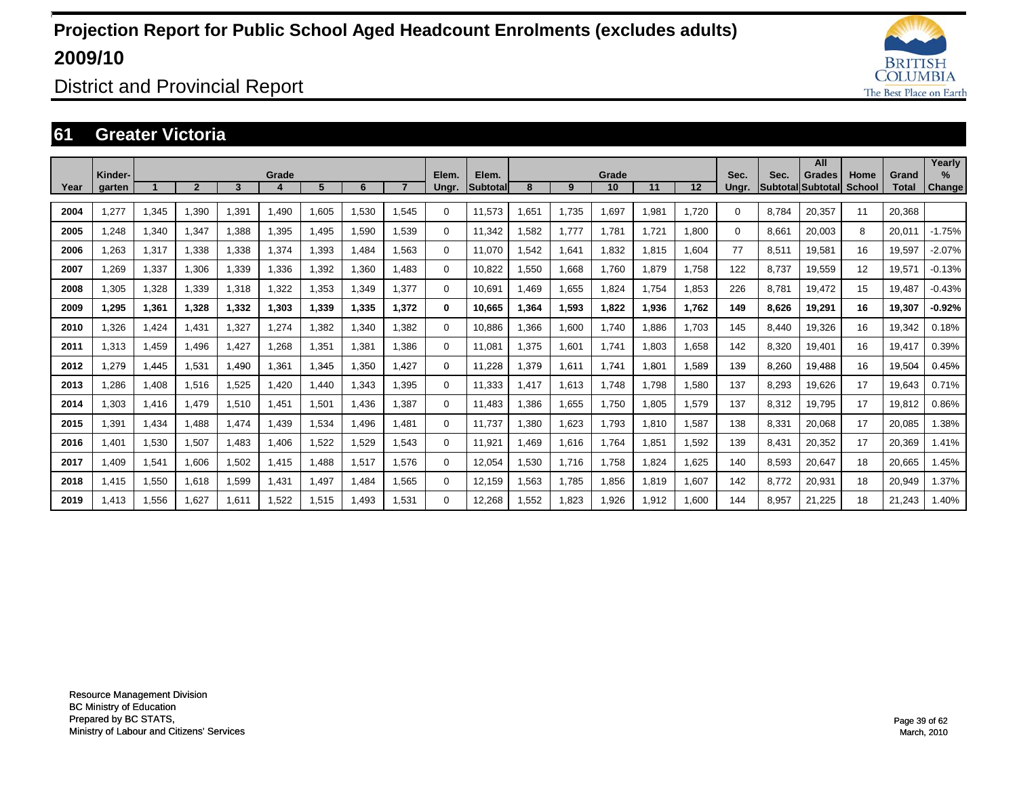![](_page_38_Picture_1.jpeg)

District and Provincial Report

### **61 Greater Victoria**

|      |                   |       |                |       |       |       |       |       |                |                          |      |       |             |       |       |               |       | All                         |                |                       | Yearly                         |
|------|-------------------|-------|----------------|-------|-------|-------|-------|-------|----------------|--------------------------|------|-------|-------------|-------|-------|---------------|-------|-----------------------------|----------------|-----------------------|--------------------------------|
| Year | Kinder-<br>garten |       | $\overline{2}$ | 3     | Grade | 5     | 6     |       | Elem.<br>Ungr. | Elem.<br><b>Subtotal</b> | 8    | 9     | Grade<br>10 | 11    | 12    | Sec.<br>Ungr. | Sec.  | Grades<br>Subtotal Subtotal | Home<br>School | Grand<br><b>Total</b> | $\frac{9}{6}$<br><b>Change</b> |
|      |                   |       |                |       |       |       |       |       |                |                          |      |       |             |       |       |               |       |                             |                |                       |                                |
| 2004 | 1,277             | 1,345 | .390           | .391  | .490  | 1,605 | 1,530 | 1.545 | 0              | 11,573                   | ,651 | 1,735 | 1,697       | 1,981 | 1,720 | $\Omega$      | 8,784 | 20,357                      | 11             | 20,368                |                                |
| 2005 | 1.248             | 1,340 | 1.347          | ,388  | 1,395 | .495  | 1.590 | 1.539 | 0              | 11.342                   | .582 | 1,777 | 1,781       | 1.721 | 1.800 | $\Omega$      | 8,661 | 20,003                      | 8              | 20,011                | $-1.75%$                       |
| 2006 | 1.263             | 1,317 | 1.338          | 1,338 | 1,374 | 1,393 | 1.484 | 1.563 | 0              | 11.070                   | .542 | 1,641 | 1.832       | 1.815 | 1.604 | 77            | 8,511 | 19.581                      | 16             | 19.597                | $-2.07%$                       |
| 2007 | 1,269             | 1,337 | 1,306          | 1,339 | 1,336 | 1,392 | 1,360 | 1.483 | 0              | 10,822                   | ,550 | 1,668 | 1,760       | 1,879 | 1,758 | 122           | 8,737 | 19,559                      | 12             | 19,571                | $-0.13%$                       |
| 2008 | 1,305             | 1,328 | 1,339          | 1,318 | 1,322 | 1,353 | 1,349 | 1,377 | 0              | 10,691                   | .469 | 1,655 | 1,824       | 1.754 | 1,853 | 226           | 8,781 | 19,472                      | 15             | 19,487                | $-0.43%$                       |
| 2009 | 1,295             | 1,361 | 1,328          | 1,332 | 1,303 | 1,339 | 1,335 | 1.372 | 0              | 10.665                   | .364 | 1,593 | 1,822       | 1,936 | 1,762 | 149           | 8,626 | 19.291                      | 16             | 19,307                | $-0.92%$                       |
| 2010 | 1.326             | 1.424 | 1.431          | 1,327 | 1,274 | 1,382 | 1.340 | 1.382 | 0              | 10.886                   | .366 | 1,600 | 1.740       | 1.886 | 1.703 | 145           | 8,440 | 19,326                      | 16             | 19,342                | 0.18%                          |
| 2011 | 1,313             | 1,459 | 1,496          | 1,427 | 1,268 | 1,351 | 1,381 | 1.386 | 0              | 11,081                   | ,375 | 1,601 | 1,741       | 1,803 | 1,658 | 142           | 8,320 | 19,401                      | 16             | 19,417                | 0.39%                          |
| 2012 | 1,279             | 1,445 | 1,531          | .490  | 1,361 | 1,345 | 1,350 | 1.427 | 0              | 11,228                   | ,379 | 1,611 | 1.741       | 1.801 | 1,589 | 139           | 8,260 | 19,488                      | 16             | 19,504                | 0.45%                          |
| 2013 | 1,286             | 1,408 | 1,516          | 1,525 | 1.420 | 1,440 | 1,343 | 1.395 | 0              | 11,333                   | .417 | 1,613 | 1.748       | 1.798 | 1,580 | 137           | 8,293 | 19,626                      | 17             | 19,643                | 0.71%                          |
| 2014 | 1,303             | 1,416 | 1,479          | 1,510 | 1,451 | 1,501 | 1,436 | 1,387 | 0              | 11,483                   | ,386 | 1,655 | 1,750       | 1,805 | 1,579 | 137           | 8,312 | 19,795                      | 17             | 19,812                | 0.86%                          |
| 2015 | 1,391             | 1,434 | 1,488          | 1,474 | 1,439 | 1,534 | 1,496 | 1.481 | $\Omega$       | 11,737                   | ,380 | 1,623 | 1,793       | 1,810 | 1,587 | 138           | 8,331 | 20,068                      | 17             | 20,085                | 1.38%                          |
| 2016 | 1,401             | 1,530 | 1,507          | 1.483 | 1,406 | 1,522 | 1,529 | 1.543 | 0              | 11,921                   | .469 | 1,616 | 1.764       | 1.851 | 1.592 | 139           | 8,431 | 20,352                      | 17             | 20,369                | 1.41%                          |
| 2017 | 1.409             | 1,541 | 1,606          | 1,502 | 1.415 | 1.488 | 1.517 | 1.576 | 0              | 12.054                   | .530 | 1.716 | 1,758       | 1.824 | 1.625 | 140           | 8,593 | 20,647                      | 18             | 20.665                | 1.45%                          |
| 2018 | 1,415             | 1,550 | 1,618          | 1,599 | 1,431 | 1,497 | 1,484 | 1,565 | $\Omega$       | 12,159                   | .563 | 1,785 | 1,856       | 1,819 | 1,607 | 142           | 8,772 | 20,931                      | 18             | 20,949                | .37%                           |
| 2019 | 1,413             | 1,556 | 1,627          | 1,611 | 1,522 | 1,515 | 1.493 | 1,531 | $\Omega$       | 12,268                   | ,552 | 1,823 | 1,926       | 1,912 | 1,600 | 144           | 8,957 | 21,225                      | 18             | 21,243                | .40%                           |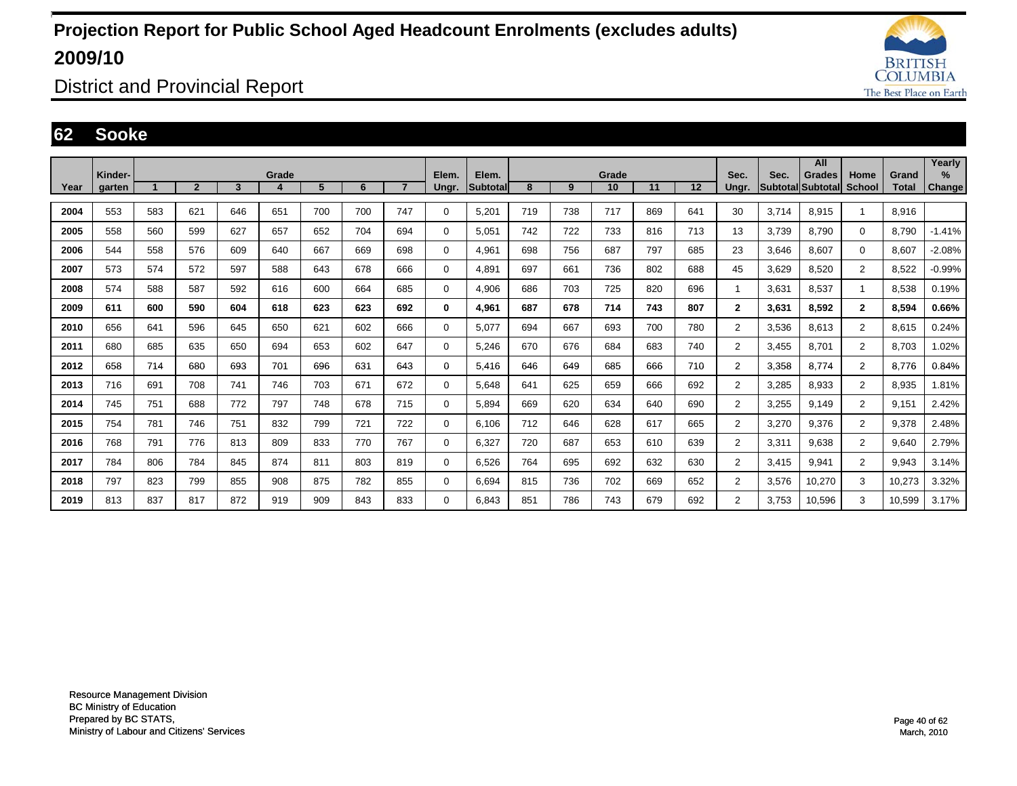![](_page_39_Picture_1.jpeg)

District and Provincial Report

#### **62 Sooke**

|      |                   |     |                |     |       |     |     |                |                |                          |     |     |             |     |     |                |                  | All                         |                       |                       | Yearly                |
|------|-------------------|-----|----------------|-----|-------|-----|-----|----------------|----------------|--------------------------|-----|-----|-------------|-----|-----|----------------|------------------|-----------------------------|-----------------------|-----------------------|-----------------------|
| Year | Kinder-<br>garten |     | $\overline{2}$ | 3   | Grade | 5   | 6   | $\overline{7}$ | Elem.<br>Ungr. | Elem.<br><b>Subtotal</b> | 8   | 9   | Grade<br>10 | 11  | 12  | Sec.<br>Ungr.  | Sec.<br>Subtotal | <b>Grades</b><br>llSubtota∣ | Home<br><b>School</b> | Grand<br><b>Total</b> | $\%$<br><b>Change</b> |
|      |                   |     |                |     |       |     |     |                |                |                          |     |     |             |     |     |                |                  |                             |                       |                       |                       |
| 2004 | 553               | 583 | 621            | 646 | 651   | 700 | 700 | 747            | 0              | 5,201                    | 719 | 738 | 717         | 869 | 641 | 30             | 3.714            | 8,915                       | -1                    | 8,916                 |                       |
| 2005 | 558               | 560 | 599            | 627 | 657   | 652 | 704 | 694            | 0              | 5.051                    | 742 | 722 | 733         | 816 | 713 | 13             | 3.739            | 8.790                       | $\mathbf 0$           | 8.790                 | $-1.41%$              |
| 2006 | 544               | 558 | 576            | 609 | 640   | 667 | 669 | 698            | 0              | 4.961                    | 698 | 756 | 687         | 797 | 685 | 23             | 3.646            | 8.607                       | $\mathbf 0$           | 8.607                 | $-2.08%$              |
| 2007 | 573               | 574 | 572            | 597 | 588   | 643 | 678 | 666            | 0              | 4,891                    | 697 | 661 | 736         | 802 | 688 | 45             | 3,629            | 8,520                       | $\overline{2}$        | 8,522                 | $-0.99%$              |
| 2008 | 574               | 588 | 587            | 592 | 616   | 600 | 664 | 685            | 0              | 4,906                    | 686 | 703 | 725         | 820 | 696 |                | 3,631            | 8,537                       | 1                     | 8,538                 | 0.19%                 |
| 2009 | 611               | 600 | 590            | 604 | 618   | 623 | 623 | 692            | 0              | 4,961                    | 687 | 678 | 714         | 743 | 807 | $\mathbf{2}$   | 3,631            | 8,592                       | $\overline{2}$        | 8,594                 | 0.66%                 |
| 2010 | 656               | 641 | 596            | 645 | 650   | 621 | 602 | 666            | 0              | 5.077                    | 694 | 667 | 693         | 700 | 780 | $\overline{2}$ | 3.536            | 8,613                       | $\overline{2}$        | 8.615                 | 0.24%                 |
| 2011 | 680               | 685 | 635            | 650 | 694   | 653 | 602 | 647            | 0              | 5.246                    | 670 | 676 | 684         | 683 | 740 | $\overline{2}$ | 3.455            | 8.701                       | $\overline{2}$        | 8.703                 | 1.02%                 |
| 2012 | 658               | 714 | 680            | 693 | 701   | 696 | 631 | 643            | 0              | 5.416                    | 646 | 649 | 685         | 666 | 710 | 2              | 3.358            | 8.774                       | $\overline{2}$        | 8.776                 | 0.84%                 |
| 2013 | 716               | 691 | 708            | 741 | 746   | 703 | 671 | 672            | 0              | 5,648                    | 641 | 625 | 659         | 666 | 692 | $\overline{2}$ | 3,285            | 8,933                       | $\overline{2}$        | 8,935                 | 1.81%                 |
| 2014 | 745               | 751 | 688            | 772 | 797   | 748 | 678 | 715            | 0              | 5,894                    | 669 | 620 | 634         | 640 | 690 | $\overline{2}$ | 3,255            | 9,149                       | $\overline{2}$        | 9,151                 | 2.42%                 |
| 2015 | 754               | 781 | 746            | 751 | 832   | 799 | 721 | 722            | 0              | 6,106                    | 712 | 646 | 628         | 617 | 665 | $\overline{2}$ | 3,270            | 9,376                       | $\overline{2}$        | 9,378                 | 2.48%                 |
| 2016 | 768               | 791 | 776            | 813 | 809   | 833 | 770 | 767            | 0              | 6,327                    | 720 | 687 | 653         | 610 | 639 | $\overline{2}$ | 3,311            | 9,638                       | $\overline{2}$        | 9,640                 | 2.79%                 |
| 2017 | 784               | 806 | 784            | 845 | 874   | 811 | 803 | 819            | 0              | 6.526                    | 764 | 695 | 692         | 632 | 630 | $\overline{2}$ | 3.415            | 9,941                       | $\overline{2}$        | 9,943                 | 3.14%                 |
| 2018 | 797               | 823 | 799            | 855 | 908   | 875 | 782 | 855            | 0              | 6.694                    | 815 | 736 | 702         | 669 | 652 | $\overline{2}$ | 3,576            | 10,270                      | 3                     | 10,273                | 3.32%                 |
| 2019 | 813               | 837 | 817            | 872 | 919   | 909 | 843 | 833            | $\Omega$       | 6.843                    | 851 | 786 | 743         | 679 | 692 | $\overline{2}$ | 3.753            | 10,596                      | 3                     | 10,599                | 3.17%                 |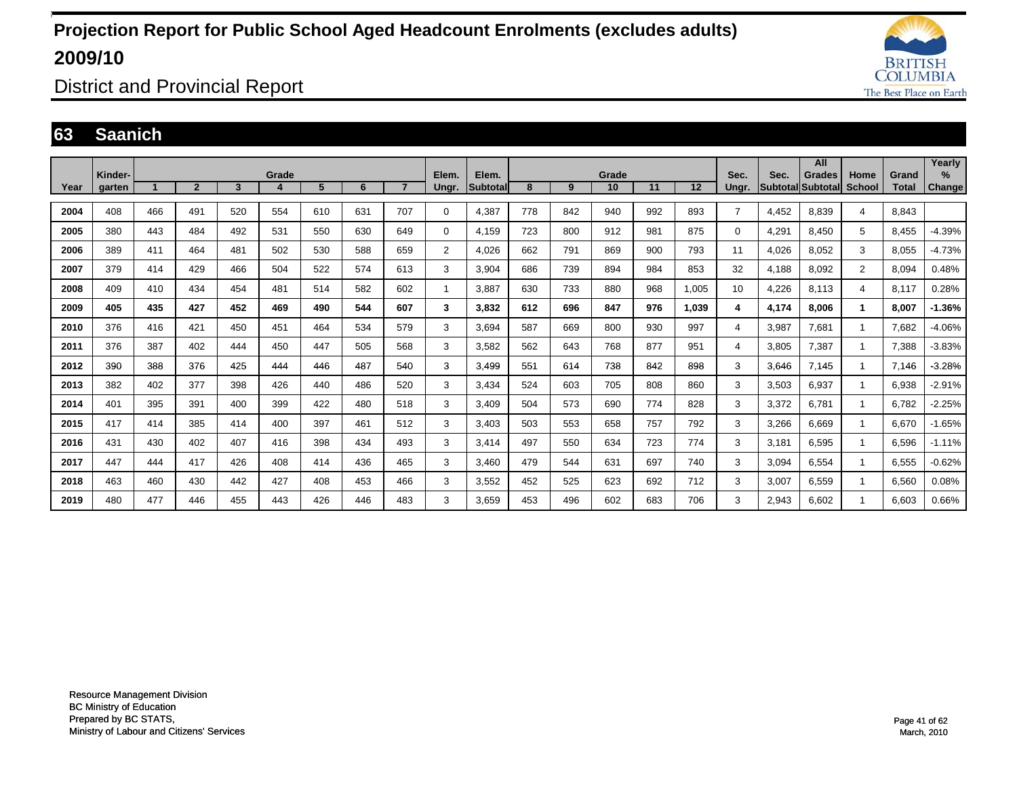![](_page_40_Picture_1.jpeg)

District and Provincial Report

#### **63 Saanich**

|      |                   |     |                |     |            |                |     |                |                |                    |     |     |             |     |       |                |                         | All                       |                       |                       | Yearly         |
|------|-------------------|-----|----------------|-----|------------|----------------|-----|----------------|----------------|--------------------|-----|-----|-------------|-----|-------|----------------|-------------------------|---------------------------|-----------------------|-----------------------|----------------|
| Year | Kinder-<br>garten |     | $\overline{2}$ | 3   | Grade<br>4 | 5 <sup>5</sup> | 6   | $\overline{7}$ | Elem.<br>Ungr. | Elem.<br>Subtotall | 8   | 9   | Grade<br>10 | 11  | 12    | Sec.<br>Ungr.  | Sec.<br><b>Subtotal</b> | <b>Grades</b><br>Subtotal | Home<br><b>School</b> | Grand<br><b>Total</b> | $\%$<br>Change |
|      |                   |     |                |     |            |                |     |                |                |                    |     |     |             |     |       |                |                         |                           |                       |                       |                |
| 2004 | 408               | 466 | 491            | 520 | 554        | 610            | 631 | 707            | 0              | 4,387              | 778 | 842 | 940         | 992 | 893   | $\overline{7}$ | 4.452                   | 8.839                     | 4                     | 8.843                 |                |
| 2005 | 380               | 443 | 484            | 492 | 531        | 550            | 630 | 649            | 0              | 4.159              | 723 | 800 | 912         | 981 | 875   | $\Omega$       | 4,291                   | 8.450                     | 5                     | 8.455                 | $-4.39%$       |
| 2006 | 389               | 411 | 464            | 481 | 502        | 530            | 588 | 659            | $\overline{2}$ | 4,026              | 662 | 791 | 869         | 900 | 793   | 11             | 4,026                   | 8,052                     | 3                     | 8,055                 | $-4.73%$       |
| 2007 | 379               | 414 | 429            | 466 | 504        | 522            | 574 | 613            | 3              | 3,904              | 686 | 739 | 894         | 984 | 853   | 32             | 4,188                   | 8,092                     | $\overline{2}$        | 8,094                 | 0.48%          |
| 2008 | 409               | 410 | 434            | 454 | 481        | 514            | 582 | 602            |                | 3,887              | 630 | 733 | 880         | 968 | 1,005 | 10             | 4,226                   | 8,113                     | 4                     | 8,117                 | 0.28%          |
| 2009 | 405               | 435 | 427            | 452 | 469        | 490            | 544 | 607            | 3              | 3,832              | 612 | 696 | 847         | 976 | 1,039 | 4              | 4,174                   | 8.006                     | 1                     | 8,007                 | $-1.36%$       |
| 2010 | 376               | 416 | 421            | 450 | 451        | 464            | 534 | 579            | 3              | 3,694              | 587 | 669 | 800         | 930 | 997   | 4              | 3,987                   | 7,681                     | -1                    | 7,682                 | $-4.06%$       |
| 2011 | 376               | 387 | 402            | 444 | 450        | 447            | 505 | 568            | 3              | 3,582              | 562 | 643 | 768         | 877 | 951   | 4              | 3,805                   | 7,387                     | $\mathbf{1}$          | 7,388                 | $-3.83%$       |
| 2012 | 390               | 388 | 376            | 425 | 444        | 446            | 487 | 540            | 3              | 3.499              | 551 | 614 | 738         | 842 | 898   | 3              | 3,646                   | 7.145                     | 1                     | 7.146                 | $-3.28%$       |
| 2013 | 382               | 402 | 377            | 398 | 426        | 440            | 486 | 520            | 3              | 3.434              | 524 | 603 | 705         | 808 | 860   | 3              | 3,503                   | 6,937                     |                       | 6,938                 | $-2.91%$       |
| 2014 | 401               | 395 | 391            | 400 | 399        | 422            | 480 | 518            | 3              | 3.409              | 504 | 573 | 690         | 774 | 828   | 3              | 3,372                   | 6.781                     |                       | 6.782                 | $-2.25%$       |
| 2015 | 417               | 414 | 385            | 414 | 400        | 397            | 461 | 512            | 3              | 3.403              | 503 | 553 | 658         | 757 | 792   | 3              | 3,266                   | 6.669                     |                       | 6.670                 | $-1.65%$       |
| 2016 | 431               | 430 | 402            | 407 | 416        | 398            | 434 | 493            | 3              | 3.414              | 497 | 550 | 634         | 723 | 774   | 3              | 3.181                   | 6.595                     |                       | 6,596                 | $-1.11%$       |
| 2017 | 447               | 444 | 417            | 426 | 408        | 414            | 436 | 465            | 3              | 3.460              | 479 | 544 | 631         | 697 | 740   | 3              | 3,094                   | 6.554                     |                       | 6.555                 | $-0.62%$       |
| 2018 | 463               | 460 | 430            | 442 | 427        | 408            | 453 | 466            | 3              | 3,552              | 452 | 525 | 623         | 692 | 712   | 3              | 3,007                   | 6,559                     |                       | 6,560                 | 0.08%          |
| 2019 | 480               | 477 | 446            | 455 | 443        | 426            | 446 | 483            | 3              | 3.659              | 453 | 496 | 602         | 683 | 706   | 3              | 2,943                   | 6.602                     |                       | 6.603                 | 0.66%          |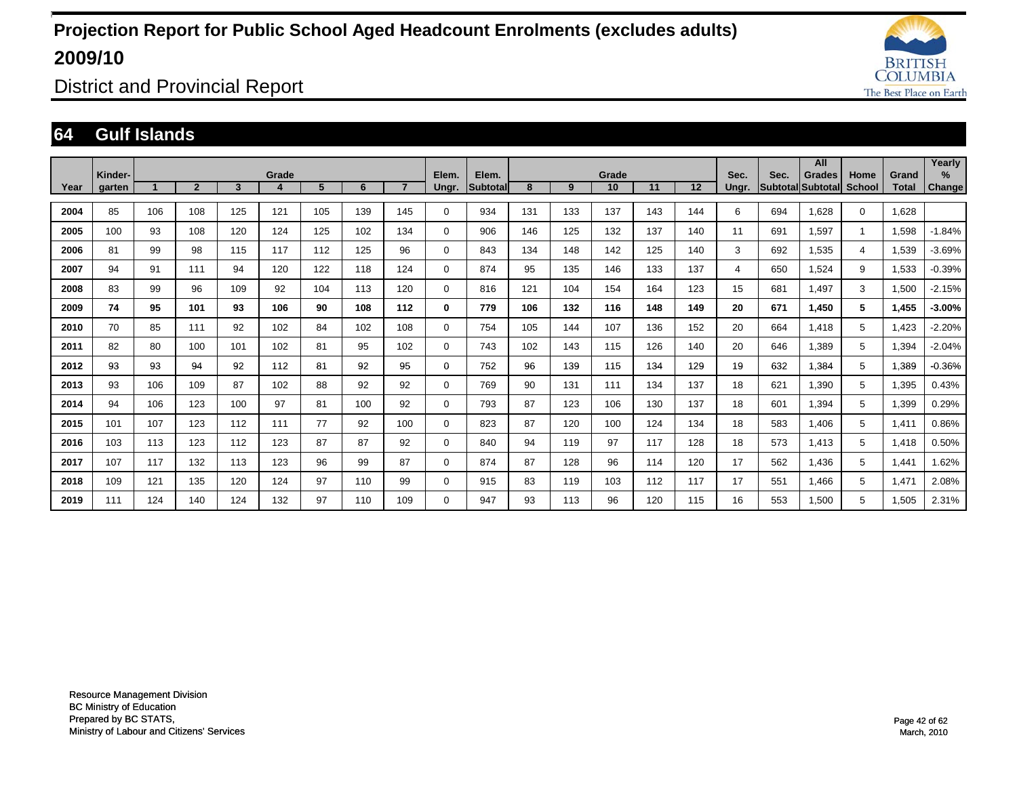![](_page_41_Picture_1.jpeg)

District and Provincial Report

#### **64 Gulf Islands**

|      |                   |     |                |     |            |     |     |     |                |                          |     |     |             |     |     |               |      | All                         |                       |                | Yearly             |
|------|-------------------|-----|----------------|-----|------------|-----|-----|-----|----------------|--------------------------|-----|-----|-------------|-----|-----|---------------|------|-----------------------------|-----------------------|----------------|--------------------|
| Year | Kinder-<br>garten |     | $\overline{2}$ | 3   | Grade<br>4 | 5   | 6   |     | Elem.<br>Ungr. | Elem.<br><b>Subtotal</b> | 8   | 9   | Grade<br>10 | 11  | 12  | Sec.<br>Ungr. | Sec. | Grades<br>Subtotal Subtotal | Home<br><b>School</b> | Grand<br>Total | %<br><b>Change</b> |
| 2004 | 85                | 106 | 108            | 125 | 121        | 105 | 139 | 145 | $\mathbf 0$    | 934                      | 131 | 133 | 137         | 143 | 144 | 6             | 694  | 1,628                       | $\mathbf 0$           | 1,628          |                    |
| 2005 | 100               | 93  | 108            | 120 | 124        | 125 | 102 | 134 | $\mathbf 0$    | 906                      | 146 | 125 | 132         | 137 | 140 | 11            | 691  | 1,597                       |                       | 1,598          | $-1.84%$           |
| 2006 | 81                | 99  | 98             | 115 | 117        | 112 | 125 | 96  | $\mathbf 0$    | 843                      | 134 | 148 | 142         | 125 | 140 | 3             | 692  | 1,535                       | 4                     | 1,539          | $-3.69%$           |
| 2007 | 94                | 91  | 111            | 94  | 120        | 122 | 118 | 124 | $\mathbf 0$    | 874                      | 95  | 135 | 146         | 133 | 137 | 4             | 650  | 1,524                       | 9                     | 1,533          | $-0.39%$           |
| 2008 | 83                | 99  | 96             | 109 | 92         | 104 | 113 | 120 | $\mathbf 0$    | 816                      | 121 | 104 | 154         | 164 | 123 | 15            | 681  | 1,497                       | 3                     | 1,500          | $-2.15%$           |
| 2009 | 74                | 95  | 101            | 93  | 106        | 90  | 108 | 112 | $\mathbf 0$    | 779                      | 106 | 132 | 116         | 148 | 149 | 20            | 671  | 1,450                       | 5                     | 1,455          | $-3.00%$           |
| 2010 | 70                | 85  | 111            | 92  | 102        | 84  | 102 | 108 | $\mathbf 0$    | 754                      | 105 | 144 | 107         | 136 | 152 | 20            | 664  | 1,418                       | 5                     | 1,423          | $-2.20%$           |
| 2011 | 82                | 80  | 100            | 101 | 102        | 81  | 95  | 102 | $\mathbf 0$    | 743                      | 102 | 143 | 115         | 126 | 140 | 20            | 646  | 1,389                       | 5                     | 1,394          | $-2.04%$           |
| 2012 | 93                | 93  | 94             | 92  | 112        | 81  | 92  | 95  | 0              | 752                      | 96  | 139 | 115         | 134 | 129 | 19            | 632  | 1,384                       | 5                     | 1,389          | $-0.36%$           |
| 2013 | 93                | 106 | 109            | 87  | 102        | 88  | 92  | 92  | 0              | 769                      | 90  | 131 | 111         | 134 | 137 | 18            | 621  | 1,390                       | 5                     | 1,395          | 0.43%              |
| 2014 | 94                | 106 | 123            | 100 | 97         | 81  | 100 | 92  | 0              | 793                      | 87  | 123 | 106         | 130 | 137 | 18            | 601  | 1,394                       | 5                     | 1,399          | 0.29%              |
| 2015 | 101               | 107 | 123            | 112 | 111        | 77  | 92  | 100 | $\mathbf 0$    | 823                      | 87  | 120 | 100         | 124 | 134 | 18            | 583  | 1,406                       | 5                     | 1,411          | 0.86%              |
| 2016 | 103               | 113 | 123            | 112 | 123        | 87  | 87  | 92  | $\mathbf 0$    | 840                      | 94  | 119 | 97          | 117 | 128 | 18            | 573  | 1,413                       | 5                     | 1,418          | 0.50%              |
| 2017 | 107               | 117 | 132            | 113 | 123        | 96  | 99  | 87  | $\mathbf 0$    | 874                      | 87  | 128 | 96          | 114 | 120 | 17            | 562  | 1,436                       | 5                     | 1,441          | 1.62%              |
| 2018 | 109               | 121 | 135            | 120 | 124        | 97  | 110 | 99  | $\mathbf 0$    | 915                      | 83  | 119 | 103         | 112 | 117 | 17            | 551  | 1,466                       | 5                     | 1,471          | 2.08%              |
| 2019 | 111               | 124 | 140            | 124 | 132        | 97  | 110 | 109 | $\mathbf 0$    | 947                      | 93  | 113 | 96          | 120 | 115 | 16            | 553  | 1,500                       | 5                     | 1,505          | 2.31%              |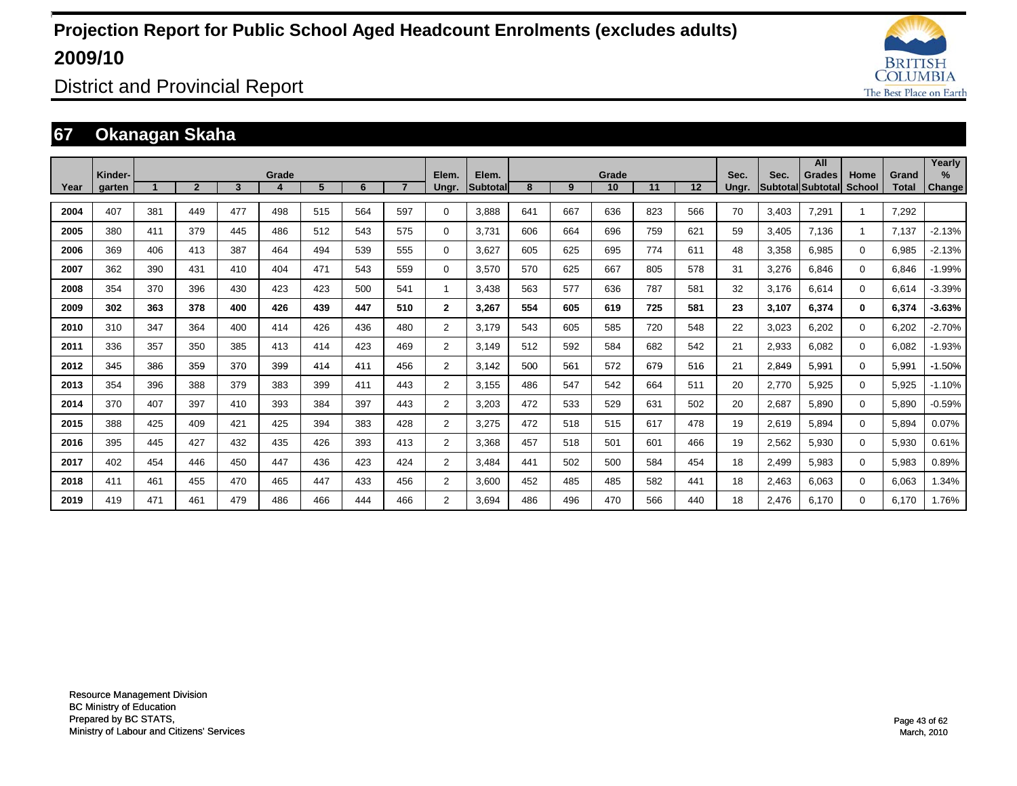![](_page_42_Picture_1.jpeg)

District and Provincial Report

### **67 Okanagan Skaha**

|      |                   |     |                |     |       |     |     |                |                |                          |     |     |             |     |     |               |       | All                                       |                       |                       | Yearly         |
|------|-------------------|-----|----------------|-----|-------|-----|-----|----------------|----------------|--------------------------|-----|-----|-------------|-----|-----|---------------|-------|-------------------------------------------|-----------------------|-----------------------|----------------|
| Year | Kinder-<br>garten |     | $\overline{2}$ | 3   | Grade | 5   | 6   | $\overline{ }$ | Elem.<br>Ungr. | Elem.<br><b>Subtotal</b> | 8   | 9   | Grade<br>10 | 11  | 12  | Sec.<br>Unar. | Sec.  | <b>Grades</b><br><b>Subtotal Subtotal</b> | Home<br><b>School</b> | Grand<br><b>Total</b> | $\%$<br>Change |
| 2004 | 407               | 381 | 449            | 477 | 498   | 515 | 564 | 597            | 0              | 3,888                    | 641 | 667 | 636         | 823 | 566 | 70            | 3,403 | 7,291                                     | $\overline{1}$        | 7,292                 |                |
| 2005 | 380               | 411 | 379            | 445 | 486   | 512 | 543 | 575            | 0              | 3,731                    | 606 | 664 | 696         | 759 | 621 | 59            | 3,405 | 7,136                                     | -1                    | 7,137                 | $-2.13%$       |
| 2006 | 369               | 406 | 413            | 387 | 464   | 494 | 539 | 555            | 0              | 3,627                    | 605 | 625 | 695         | 774 | 611 | 48            | 3,358 | 6,985                                     | $\mathbf 0$           | 6,985                 | $-2.13%$       |
| 2007 | 362               | 390 | 431            | 410 | 404   | 471 | 543 | 559            | 0              | 3,570                    | 570 | 625 | 667         | 805 | 578 | 31            | 3,276 | 6,846                                     | $\mathbf 0$           | 6,846                 | $-1.99%$       |
| 2008 | 354               | 370 | 396            | 430 | 423   | 423 | 500 | 541            | 1              | 3,438                    | 563 | 577 | 636         | 787 | 581 | 32            | 3,176 | 6,614                                     | $\mathbf 0$           | 6,614                 | $-3.39%$       |
| 2009 | 302               | 363 | 378            | 400 | 426   | 439 | 447 | 510            | $\mathbf{2}$   | 3,267                    | 554 | 605 | 619         | 725 | 581 | 23            | 3,107 | 6,374                                     | $\bf{0}$              | 6,374                 | $-3.63%$       |
| 2010 | 310               | 347 | 364            | 400 | 414   | 426 | 436 | 480            | 2              | 3,179                    | 543 | 605 | 585         | 720 | 548 | 22            | 3,023 | 6,202                                     | $\mathbf 0$           | 6,202                 | $-2.70%$       |
| 2011 | 336               | 357 | 350            | 385 | 413   | 414 | 423 | 469            | 2              | 3,149                    | 512 | 592 | 584         | 682 | 542 | 21            | 2,933 | 6.082                                     | $\mathbf 0$           | 6,082                 | $-1.93%$       |
| 2012 | 345               | 386 | 359            | 370 | 399   | 414 | 411 | 456            | $\overline{2}$ | 3.142                    | 500 | 561 | 572         | 679 | 516 | 21            | 2,849 | 5,991                                     | 0                     | 5,991                 | $-1.50%$       |
| 2013 | 354               | 396 | 388            | 379 | 383   | 399 | 411 | 443            | 2              | 3.155                    | 486 | 547 | 542         | 664 | 511 | 20            | 2.770 | 5,925                                     | $\mathbf 0$           | 5,925                 | $-1.10%$       |
| 2014 | 370               | 407 | 397            | 410 | 393   | 384 | 397 | 443            | 2              | 3,203                    | 472 | 533 | 529         | 631 | 502 | 20            | 2,687 | 5.890                                     | $\mathbf 0$           | 5,890                 | $-0.59%$       |
| 2015 | 388               | 425 | 409            | 421 | 425   | 394 | 383 | 428            | 2              | 3,275                    | 472 | 518 | 515         | 617 | 478 | 19            | 2,619 | 5,894                                     | $\mathbf 0$           | 5,894                 | 0.07%          |
| 2016 | 395               | 445 | 427            | 432 | 435   | 426 | 393 | 413            | 2              | 3,368                    | 457 | 518 | 501         | 601 | 466 | 19            | 2,562 | 5,930                                     | $\mathbf 0$           | 5,930                 | 0.61%          |
| 2017 | 402               | 454 | 446            | 450 | 447   | 436 | 423 | 424            | 2              | 3,484                    | 441 | 502 | 500         | 584 | 454 | 18            | 2,499 | 5,983                                     | $\mathbf 0$           | 5,983                 | 0.89%          |
| 2018 | 411               | 461 | 455            | 470 | 465   | 447 | 433 | 456            | 2              | 3,600                    | 452 | 485 | 485         | 582 | 441 | 18            | 2,463 | 6,063                                     | $\mathbf 0$           | 6,063                 | 1.34%          |
| 2019 | 419               | 471 | 461            | 479 | 486   | 466 | 444 | 466            | $\overline{2}$ | 3.694                    | 486 | 496 | 470         | 566 | 440 | 18            | 2.476 | 6.170                                     | $\Omega$              | 6,170                 | 1.76%          |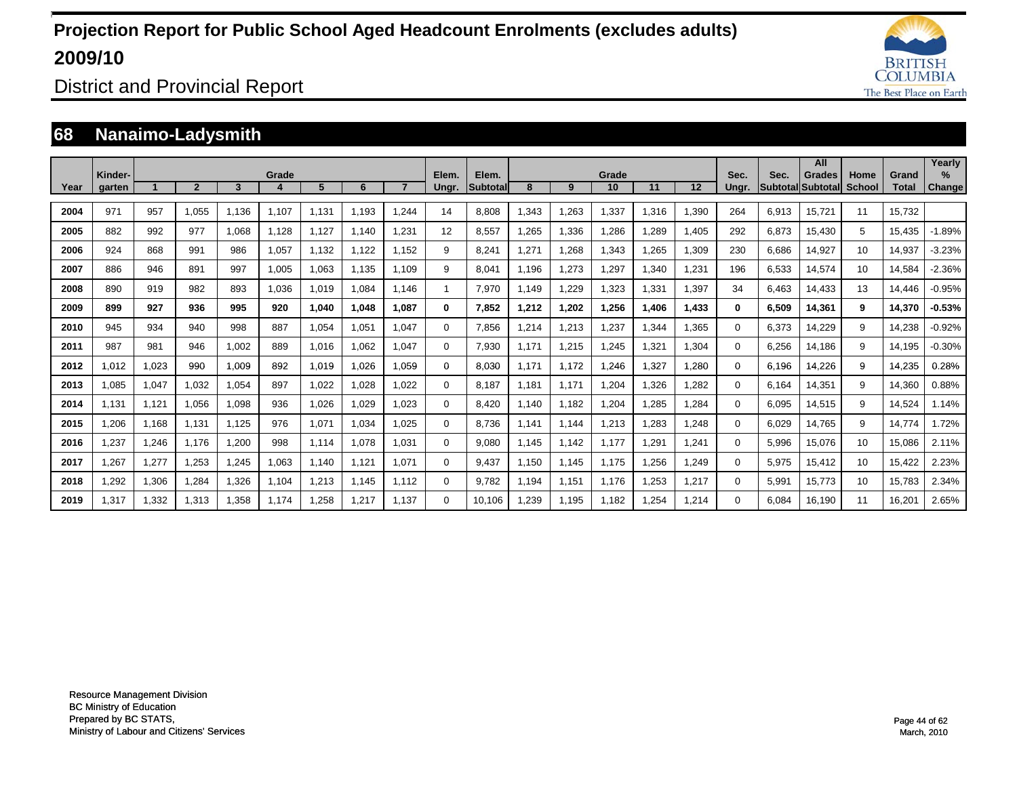![](_page_43_Picture_1.jpeg)

District and Provincial Report

### **68 Nanaimo-Ladysmith**

|      | Kinder- |       |                |       | Grade |       |       |       | Elem.    | Elem.           |       |       | Grade |       |       | Sec.     | Sec.  | All<br>Grades            | Home   | Grand        | Yearly<br>$\%$ |
|------|---------|-------|----------------|-------|-------|-------|-------|-------|----------|-----------------|-------|-------|-------|-------|-------|----------|-------|--------------------------|--------|--------------|----------------|
| Year | garten  |       | $\overline{2}$ | 3     |       | 5     | 6     |       | Ungr.    | <b>Subtotal</b> | 8     | 9     | 10    | 11    | 12    | Unar.    |       | <b>Subtotal Subtotal</b> | School | <b>Total</b> | Change         |
| 2004 | 971     | 957   | 1,055          | 1.136 | 1.107 | 1.131 | 1.193 | 1.244 | 14       | 8.808           | ,343  | 1,263 | 1,337 | 1.316 | 1,390 | 264      | 6,913 | 15,721                   | 11     | 15,732       |                |
| 2005 | 882     | 992   | 977            | 1.068 | 1.128 | 1,127 | 1.140 | 1.231 | 12       | 8.557           | .265  | 1,336 | 1,286 | ,289  | 1,405 | 292      | 6,873 | 15,430                   | 5      | 15,435       | $-1.89%$       |
| 2006 | 924     | 868   | 991            | 986   | 1,057 | 1.132 | 1.122 | 1.152 | 9        | 8.241           | .271  | 1,268 | 1,343 | 1,265 | 1,309 | 230      | 6,686 | 14,927                   | 10     | 14,937       | $-3.23%$       |
| 2007 | 886     | 946   | 891            | 997   | 1.005 | 1.063 | 1.135 | 1.109 | 9        | 8.041           | 1.196 | 1,273 | 1,297 | 1.340 | 1.231 | 196      | 6,533 | 14,574                   | 10     | 14,584       | $-2.36%$       |
| 2008 | 890     | 919   | 982            | 893   | 1.036 | 1.019 | 1.084 | 1.146 | 1        | 7.970           | 1,149 | 1,229 | 1,323 | 1.331 | 1,397 | 34       | 6.463 | 14,433                   | 13     | 14.446       | $-0.95%$       |
| 2009 | 899     | 927   | 936            | 995   | 920   | 1,040 | 1.048 | 1.087 | 0        | 7.852           | 1,212 | 1,202 | 1,256 | 1.406 | 1,433 | $\bf{0}$ | 6,509 | 14,361                   | 9      | 14,370       | $-0.53%$       |
| 2010 | 945     | 934   | 940            | 998   | 887   | 1,054 | 1,051 | 1.047 | 0        | 7.856           | ,214  | 1,213 | 1,237 | ,344  | 1,365 | 0        | 6,373 | 14,229                   | 9      | 14,238       | $-0.92%$       |
| 2011 | 987     | 981   | 946            | 1,002 | 889   | 1,016 | 1.062 | 1.047 | 0        | 7,930           | 1.171 | 1,215 | 1,245 | 1,321 | 1,304 | $\Omega$ | 6,256 | 14.186                   | 9      | 14,195       | $-0.30%$       |
| 2012 | 1.012   | 1,023 | 990            | 1.009 | 892   | 1.019 | 1.026 | 1.059 | 0        | 8.030           | 1.171 | 1.172 | 1.246 | 1.327 | 1.280 | 0        | 6.196 | 14,226                   | 9      | 14,235       | 0.28%          |
| 2013 | 1.085   | 1,047 | 1.032          | 1,054 | 897   | 1,022 | 1.028 | 1.022 | 0        | 8.187           | 1.181 | 1.171 | 1,204 | 1,326 | 1.282 | $\Omega$ | 6.164 | 14,351                   | 9      | 14,360       | 0.88%          |
| 2014 | 1.131   | 1.121 | 1,056          | 1,098 | 936   | 1,026 | 1,029 | 1.023 | 0        | 8.420           | 1,140 | 1.182 | 1,204 | 1,285 | 1.284 | $\Omega$ | 6,095 | 14,515                   | 9      | 14,524       | 1.14%          |
| 2015 | 1.206   | 1.168 | 1.131          | 1,125 | 976   | 1,071 | 1,034 | 1.025 | 0        | 8.736           | 1.141 | 1.144 | 1,213 | ,283  | 1.248 | $\Omega$ | 6,029 | 14.765                   | 9      | 14.774       | 1.72%          |
| 2016 | 1,237   | 1,246 | 1.176          | 1,200 | 998   | 1.114 | 1,078 | 1,031 | 0        | 9.080           | 1.145 | 1.142 | 1.177 | .291  | 1.241 | $\Omega$ | 5,996 | 15,076                   | 10     | 15,086       | 2.11%          |
| 2017 | 1,267   | 1,277 | 1,253          | 1,245 | 1,063 | 1.140 | 1.121 | 1.071 | 0        | 9.437           | 1.150 | 1.145 | 1.175 | 1,256 | 1,249 | $\Omega$ | 5,975 | 15,412                   | 10     | 15,422       | 2.23%          |
| 2018 | 1,292   | 1,306 | 1,284          | 1,326 | 1.104 | 1,213 | 1.145 | 1.112 | 0        | 9.782           | l.194 | 1.151 | 1.176 | 1,253 | 1,217 | $\Omega$ | 5,991 | 15.773                   | 10     | 15,783       | 2.34%          |
| 2019 | 1.317   | 1.332 | 1.313          | 1.358 | 1.174 | .258  | 1.217 | 1.137 | $\Omega$ | 10.106          | .239  | 1.195 | 1.182 | 1.254 | 1.214 | $\Omega$ | 6.084 | 16.190                   | 11     | 16.201       | 2.65%          |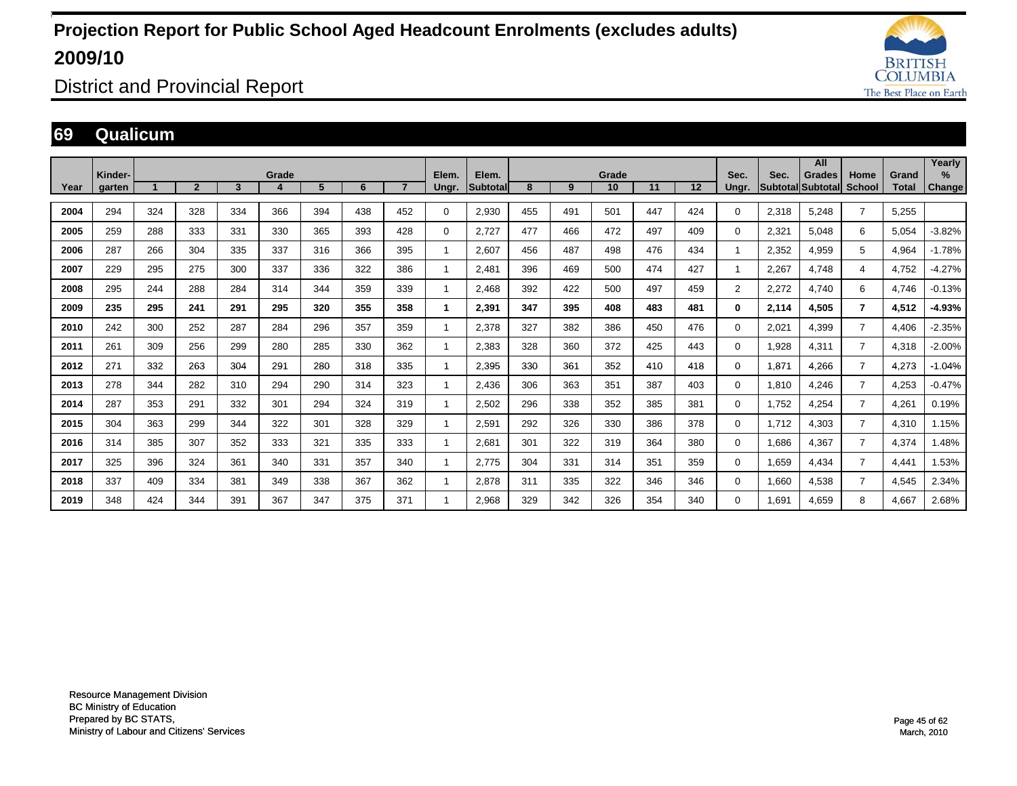![](_page_44_Picture_1.jpeg)

District and Provincial Report

#### **69 Qualicum**

|      |                   |     |                |     |       |     |     |     |                |                   |     |     |             |     |     |                |       | All                                       |                       |                       | Yearly      |
|------|-------------------|-----|----------------|-----|-------|-----|-----|-----|----------------|-------------------|-----|-----|-------------|-----|-----|----------------|-------|-------------------------------------------|-----------------------|-----------------------|-------------|
| Year | Kinder-<br>garten |     | $\overline{2}$ | 3   | Grade | 5   | 6   |     | Elem.<br>Ungr. | Elem.<br>Subtotal | 8   | 9   | Grade<br>10 | 11  | 12  | Sec.<br>Ungr.  | Sec.  | <b>Grades</b><br><b>Subtotal Subtotal</b> | Home<br><b>School</b> | Grand<br><b>Total</b> | %<br>Change |
|      |                   |     |                |     |       |     |     |     |                |                   |     |     |             |     |     |                |       |                                           |                       |                       |             |
| 2004 | 294               | 324 | 328            | 334 | 366   | 394 | 438 | 452 | 0              | 2,930             | 455 | 491 | 501         | 447 | 424 | $\Omega$       | 2,318 | 5,248                                     | $\overline{7}$        | 5,255                 |             |
| 2005 | 259               | 288 | 333            | 331 | 330   | 365 | 393 | 428 | 0              | 2,727             | 477 | 466 | 472         | 497 | 409 | 0              | 2,321 | 5,048                                     | 6                     | 5,054                 | $-3.82%$    |
| 2006 | 287               | 266 | 304            | 335 | 337   | 316 | 366 | 395 | $\mathbf{1}$   | 2,607             | 456 | 487 | 498         | 476 | 434 |                | 2,352 | 4,959                                     | 5                     | 4,964                 | $-1.78%$    |
| 2007 | 229               | 295 | 275            | 300 | 337   | 336 | 322 | 386 | 1              | 2,481             | 396 | 469 | 500         | 474 | 427 |                | 2,267 | 4.748                                     | $\overline{4}$        | 4,752                 | $-4.27%$    |
| 2008 | 295               | 244 | 288            | 284 | 314   | 344 | 359 | 339 | 1              | 2.468             | 392 | 422 | 500         | 497 | 459 | $\overline{2}$ | 2,272 | 4.740                                     | 6                     | 4,746                 | $-0.13%$    |
| 2009 | 235               | 295 | 241            | 291 | 295   | 320 | 355 | 358 | 1              | 2,391             | 347 | 395 | 408         | 483 | 481 | 0              | 2,114 | 4,505                                     | $\overline{7}$        | 4,512                 | $-4.93%$    |
| 2010 | 242               | 300 | 252            | 287 | 284   | 296 | 357 | 359 | -1             | 2,378             | 327 | 382 | 386         | 450 | 476 | 0              | 2,021 | 4,399                                     | $\overline{7}$        | 4,406                 | $-2.35%$    |
| 2011 | 261               | 309 | 256            | 299 | 280   | 285 | 330 | 362 | 1              | 2,383             | 328 | 360 | 372         | 425 | 443 | 0              | 1,928 | 4,311                                     | $\overline{7}$        | 4,318                 | $-2.00%$    |
| 2012 | 271               | 332 | 263            | 304 | 291   | 280 | 318 | 335 | 1              | 2,395             | 330 | 361 | 352         | 410 | 418 | 0              | 1.871 | 4.266                                     | $\overline{7}$        | 4,273                 | $-1.04%$    |
| 2013 | 278               | 344 | 282            | 310 | 294   | 290 | 314 | 323 | 1              | 2,436             | 306 | 363 | 351         | 387 | 403 | $\Omega$       | 1.810 | 4.246                                     | $\overline{7}$        | 4,253                 | $-0.47%$    |
| 2014 | 287               | 353 | 291            | 332 | 301   | 294 | 324 | 319 | 1              | 2,502             | 296 | 338 | 352         | 385 | 381 | $\Omega$       | 1,752 | 4,254                                     | $\overline{7}$        | 4,261                 | 0.19%       |
| 2015 | 304               | 363 | 299            | 344 | 322   | 301 | 328 | 329 | 1              | 2,591             | 292 | 326 | 330         | 386 | 378 | $\Omega$       | 1,712 | 4,303                                     | 7                     | 4,310                 | 1.15%       |
| 2016 | 314               | 385 | 307            | 352 | 333   | 321 | 335 | 333 | 1              | 2,681             | 301 | 322 | 319         | 364 | 380 | 0              | 1,686 | 4,367                                     | $\overline{7}$        | 4,374                 | 1.48%       |
| 2017 | 325               | 396 | 324            | 361 | 340   | 331 | 357 | 340 | 1              | 2,775             | 304 | 331 | 314         | 351 | 359 | 0              | 1,659 | 4,434                                     | $\overline{7}$        | 4,441                 | 1.53%       |
| 2018 | 337               | 409 | 334            | 381 | 349   | 338 | 367 | 362 | 1              | 2,878             | 311 | 335 | 322         | 346 | 346 | 0              | 1,660 | 4,538                                     | 7                     | 4,545                 | 2.34%       |
| 2019 | 348               | 424 | 344            | 391 | 367   | 347 | 375 | 371 | 1              | 2.968             | 329 | 342 | 326         | 354 | 340 | $\Omega$       | 1.691 | 4.659                                     | 8                     | 4.667                 | 2.68%       |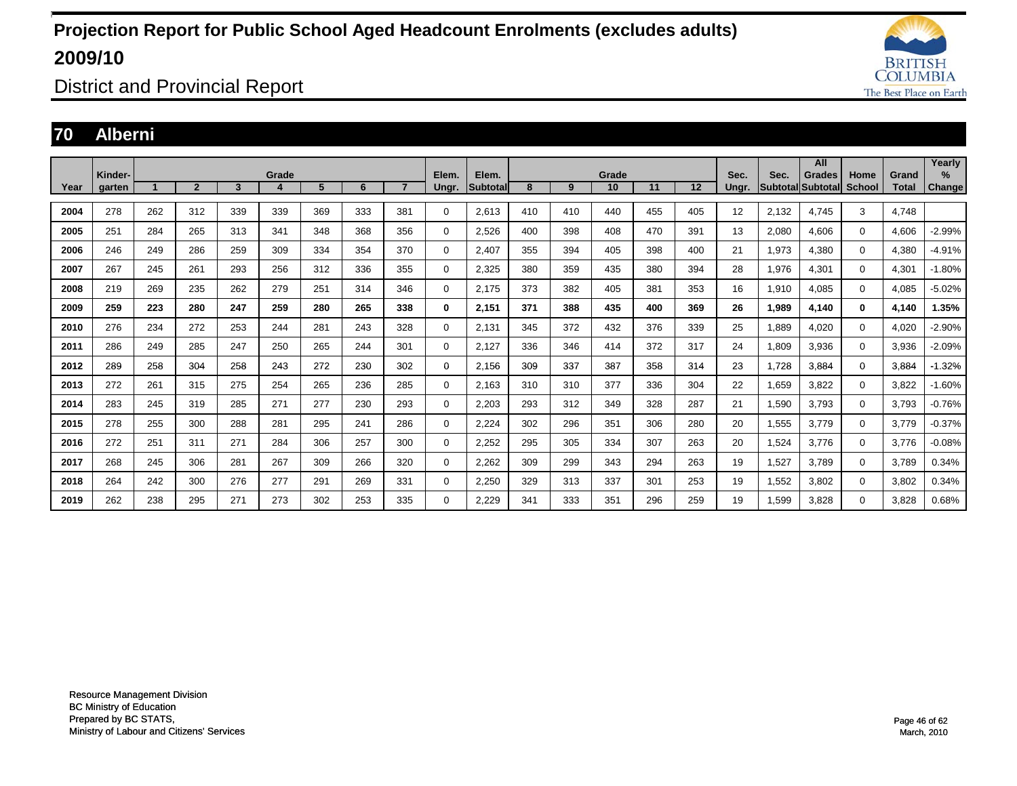![](_page_45_Picture_1.jpeg)

District and Provincial Report

### **70 Alberni**

|      |                   |     |                |     |       |     |     |                |                |                    |     |     |             |     |     |               |       | All                                |                       |                       | Yearly                |
|------|-------------------|-----|----------------|-----|-------|-----|-----|----------------|----------------|--------------------|-----|-----|-------------|-----|-----|---------------|-------|------------------------------------|-----------------------|-----------------------|-----------------------|
| Year | Kinder-<br>aarten |     | $\overline{2}$ | 3   | Grade | 5   | 6   | $\overline{7}$ | Elem.<br>Ungr. | Elem.<br>Subtotall | 8   | 9   | Grade<br>10 | 11  | 12  | Sec.<br>Unar. | Sec.  | <b>Grades</b><br>Subtotal Subtotal | Home<br><b>School</b> | Grand<br><b>Total</b> | $\%$<br><b>Change</b> |
|      |                   |     |                |     |       |     |     |                |                |                    |     |     |             |     |     |               |       |                                    |                       |                       |                       |
| 2004 | 278               | 262 | 312            | 339 | 339   | 369 | 333 | 381            | 0              | 2,613              | 410 | 410 | 440         | 455 | 405 | 12            | 2,132 | 4,745                              | 3                     | 4.748                 |                       |
| 2005 | 251               | 284 | 265            | 313 | 341   | 348 | 368 | 356            | $\mathbf 0$    | 2,526              | 400 | 398 | 408         | 470 | 391 | 13            | 2,080 | 4.606                              | $\mathbf{0}$          | 4,606                 | $-2.99%$              |
| 2006 | 246               | 249 | 286            | 259 | 309   | 334 | 354 | 370            | $\mathbf 0$    | 2.407              | 355 | 394 | 405         | 398 | 400 | 21            | 1,973 | 4,380                              | $\mathbf 0$           | 4,380                 | $-4.91%$              |
| 2007 | 267               | 245 | 261            | 293 | 256   | 312 | 336 | 355            | 0              | 2,325              | 380 | 359 | 435         | 380 | 394 | 28            | 1,976 | 4,301                              | $\mathbf 0$           | 4,301                 | $-1.80%$              |
| 2008 | 219               | 269 | 235            | 262 | 279   | 251 | 314 | 346            | $\mathbf 0$    | 2,175              | 373 | 382 | 405         | 381 | 353 | 16            | 1,910 | 4,085                              | $\mathbf 0$           | 4,085                 | $-5.02%$              |
| 2009 | 259               | 223 | 280            | 247 | 259   | 280 | 265 | 338            | 0              | 2,151              | 371 | 388 | 435         | 400 | 369 | 26            | 1,989 | 4.140                              | 0                     | 4.140                 | 1.35%                 |
| 2010 | 276               | 234 | 272            | 253 | 244   | 281 | 243 | 328            | $\mathbf 0$    | 2,131              | 345 | 372 | 432         | 376 | 339 | 25            | 1,889 | 4.020                              | 0                     | 4.020                 | $-2.90%$              |
| 2011 | 286               | 249 | 285            | 247 | 250   | 265 | 244 | 301            | $\mathbf 0$    | 2,127              | 336 | 346 | 414         | 372 | 317 | 24            | 1,809 | 3,936                              | $\Omega$              | 3,936                 | $-2.09%$              |
| 2012 | 289               | 258 | 304            | 258 | 243   | 272 | 230 | 302            | 0              | 2,156              | 309 | 337 | 387         | 358 | 314 | 23            | 1,728 | 3.884                              | 0                     | 3,884                 | $-1.32%$              |
| 2013 | 272               | 261 | 315            | 275 | 254   | 265 | 236 | 285            | $\mathbf 0$    | 2.163              | 310 | 310 | 377         | 336 | 304 | 22            | 1,659 | 3.822                              | 0                     | 3.822                 | $-1.60%$              |
| 2014 | 283               | 245 | 319            | 285 | 271   | 277 | 230 | 293            | $\mathbf 0$    | 2,203              | 293 | 312 | 349         | 328 | 287 | 21            | 1,590 | 3.793                              | $\mathbf 0$           | 3.793                 | $-0.76%$              |
| 2015 | 278               | 255 | 300            | 288 | 281   | 295 | 241 | 286            | 0              | 2,224              | 302 | 296 | 351         | 306 | 280 | 20            | 1,555 | 3,779                              | 0                     | 3,779                 | $-0.37%$              |
| 2016 | 272               | 251 | 311            | 271 | 284   | 306 | 257 | 300            | 0              | 2,252              | 295 | 305 | 334         | 307 | 263 | 20            | 1,524 | 3,776                              | 0                     | 3,776                 | $-0.08%$              |
| 2017 | 268               | 245 | 306            | 281 | 267   | 309 | 266 | 320            | $\mathbf 0$    | 2,262              | 309 | 299 | 343         | 294 | 263 | 19            | 1,527 | 3.789                              | 0                     | 3,789                 | 0.34%                 |
| 2018 | 264               | 242 | 300            | 276 | 277   | 291 | 269 | 331            | $\mathbf 0$    | 2,250              | 329 | 313 | 337         | 301 | 253 | 19            | 1,552 | 3.802                              | 0                     | 3,802                 | 0.34%                 |
| 2019 | 262               | 238 | 295            | 271 | 273   | 302 | 253 | 335            | 0              | 2,229              | 341 | 333 | 351         | 296 | 259 | 19            | 1,599 | 3.828                              | 0                     | 3.828                 | 0.68%                 |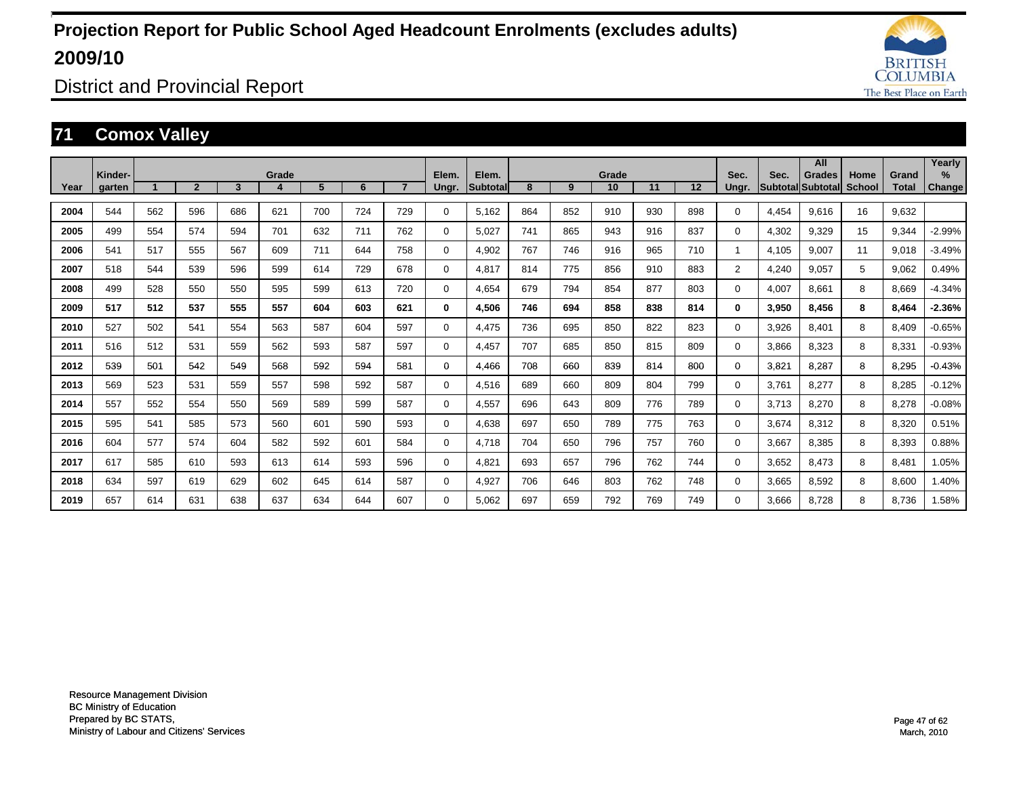![](_page_46_Picture_1.jpeg)

District and Provincial Report

### **71 Comox Valley**

|      |                   |     |                |     |       |     |     |     |                |                   |     |     |             |     |     |                |       | All                                 |                |                       | Yearly                |
|------|-------------------|-----|----------------|-----|-------|-----|-----|-----|----------------|-------------------|-----|-----|-------------|-----|-----|----------------|-------|-------------------------------------|----------------|-----------------------|-----------------------|
| Year | Kinder-<br>garten |     | $\overline{2}$ | 3   | Grade | 5   | 6   |     | Elem.<br>Ungr. | Elem.<br>Subtotal | 8   | 9   | Grade<br>10 | 11  | 12  | Sec.<br>Ungr.  | Sec.  | <b>Grades</b><br> Subtotal Subtotal | Home<br>School | Grand<br><b>Total</b> | $\%$<br><b>Change</b> |
| 2004 | 544               | 562 | 596            | 686 | 621   | 700 | 724 | 729 | $\Omega$       | 5,162             | 864 | 852 | 910         | 930 | 898 | $\Omega$       | 4,454 | 9.616                               | 16             | 9,632                 |                       |
| 2005 | 499               | 554 | 574            | 594 | 701   | 632 | 711 | 762 | $\Omega$       | 5,027             | 741 | 865 | 943         | 916 | 837 | $\Omega$       | 4,302 | 9,329                               | 15             | 9,344                 | $-2.99%$              |
|      |                   |     |                |     |       |     |     |     |                |                   |     |     |             |     |     |                |       |                                     |                |                       |                       |
| 2006 | 541               | 517 | 555            | 567 | 609   | 711 | 644 | 758 | 0              | 4,902             | 767 | 746 | 916         | 965 | 710 |                | 4,105 | 9,007                               | 11             | 9,018                 | $-3.49%$              |
| 2007 | 518               | 544 | 539            | 596 | 599   | 614 | 729 | 678 | 0              | 4,817             | 814 | 775 | 856         | 910 | 883 | $\overline{2}$ | 4,240 | 9,057                               | 5              | 9,062                 | 0.49%                 |
| 2008 | 499               | 528 | 550            | 550 | 595   | 599 | 613 | 720 | 0              | 4,654             | 679 | 794 | 854         | 877 | 803 | $\Omega$       | 4,007 | 8,661                               | 8              | 8,669                 | $-4.34%$              |
| 2009 | 517               | 512 | 537            | 555 | 557   | 604 | 603 | 621 | 0              | 4,506             | 746 | 694 | 858         | 838 | 814 | 0              | 3,950 | 8,456                               | 8              | 8,464                 | $-2.36%$              |
| 2010 | 527               | 502 | 541            | 554 | 563   | 587 | 604 | 597 | $\Omega$       | 4,475             | 736 | 695 | 850         | 822 | 823 | $\Omega$       | 3,926 | 8,401                               | 8              | 8,409                 | $-0.65%$              |
| 2011 | 516               | 512 | 531            | 559 | 562   | 593 | 587 | 597 | $\Omega$       | 4,457             | 707 | 685 | 850         | 815 | 809 | $\Omega$       | 3,866 | 8,323                               | 8              | 8,331                 | $-0.93%$              |
| 2012 | 539               | 501 | 542            | 549 | 568   | 592 | 594 | 581 | 0              | 4,466             | 708 | 660 | 839         | 814 | 800 | 0              | 3,821 | 8,287                               | 8              | 8,295                 | $-0.43%$              |
| 2013 | 569               | 523 | 531            | 559 | 557   | 598 | 592 | 587 | $\Omega$       | 4,516             | 689 | 660 | 809         | 804 | 799 | $\Omega$       | 3,761 | 8,277                               | 8              | 8,285                 | $-0.12%$              |
| 2014 | 557               | 552 | 554            | 550 | 569   | 589 | 599 | 587 | $\Omega$       | 4,557             | 696 | 643 | 809         | 776 | 789 | $\Omega$       | 3,713 | 8,270                               | 8              | 8,278                 | $-0.08%$              |
| 2015 | 595               | 541 | 585            | 573 | 560   | 601 | 590 | 593 | 0              | 4,638             | 697 | 650 | 789         | 775 | 763 | $\Omega$       | 3,674 | 8,312                               | 8              | 8,320                 | 0.51%                 |
| 2016 | 604               | 577 | 574            | 604 | 582   | 592 | 601 | 584 | $\Omega$       | 4,718             | 704 | 650 | 796         | 757 | 760 | $\Omega$       | 3,667 | 8,385                               | 8              | 8,393                 | 0.88%                 |
| 2017 | 617               | 585 | 610            | 593 | 613   | 614 | 593 | 596 | $\Omega$       | 4,821             | 693 | 657 | 796         | 762 | 744 | $\Omega$       | 3,652 | 8,473                               | 8              | 8,481                 | 1.05%                 |
| 2018 | 634               | 597 | 619            | 629 | 602   | 645 | 614 | 587 | $\Omega$       | 4,927             | 706 | 646 | 803         | 762 | 748 | $\Omega$       | 3,665 | 8,592                               | 8              | 8,600                 | .40%                  |
| 2019 | 657               | 614 | 631            | 638 | 637   | 634 | 644 | 607 | $\Omega$       | 5.062             | 697 | 659 | 792         | 769 | 749 | $\Omega$       | 3,666 | 8.728                               | 8              | 8.736                 | .58%                  |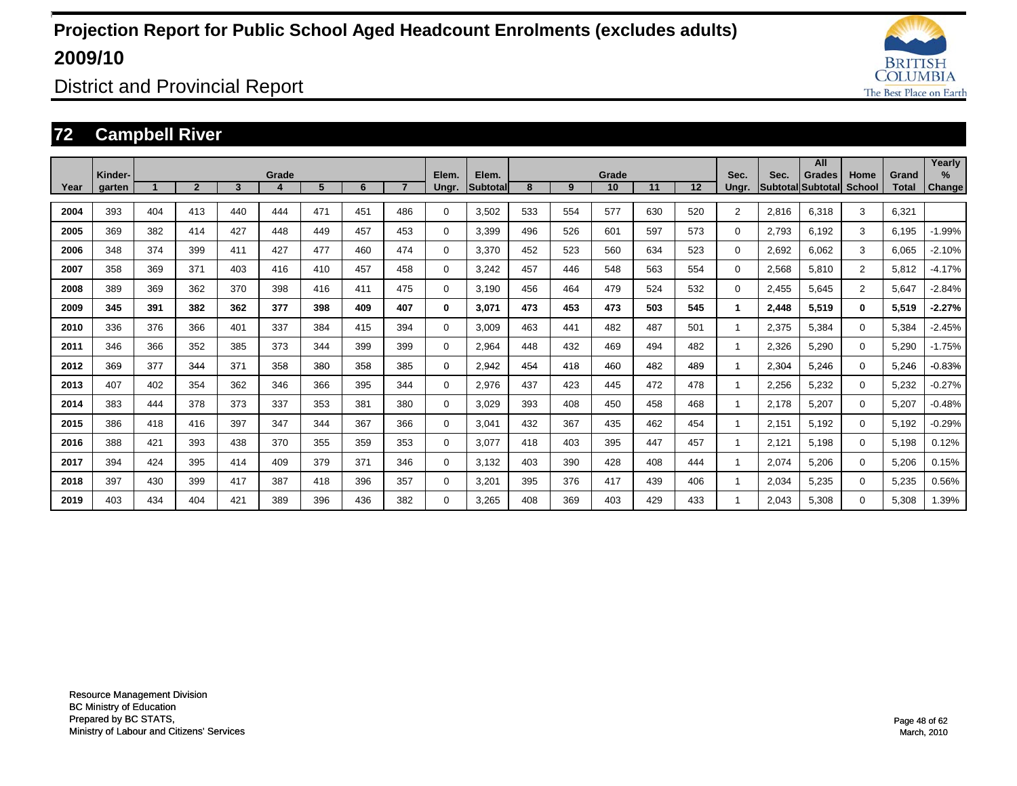![](_page_47_Picture_1.jpeg)

District and Provincial Report

### **72 Campbell River**

|      |                   |     |                |     |       |     |     |                |                |                           |     |     |             |     |     |                |       | All                         |                       |                       | Yearly                         |
|------|-------------------|-----|----------------|-----|-------|-----|-----|----------------|----------------|---------------------------|-----|-----|-------------|-----|-----|----------------|-------|-----------------------------|-----------------------|-----------------------|--------------------------------|
| Year | Kinder-<br>garten |     | $\overline{2}$ | 3   | Grade | 5   | 6   | $\overline{7}$ | Elem.<br>Ungr. | Elem.<br><b>Subtotall</b> | 8   | 9   | Grade<br>10 | 11  | 12  | Sec.<br>Ungr.  | Sec.  | Grades<br>Subtotal Subtotal | Home<br><b>School</b> | Grand<br><b>Total</b> | $\frac{9}{6}$<br><b>Change</b> |
|      |                   |     |                |     |       |     |     |                |                |                           |     |     |             |     |     |                |       |                             |                       |                       |                                |
| 2004 | 393               | 404 | 413            | 440 | 444   | 471 | 451 | 486            | 0              | 3,502                     | 533 | 554 | 577         | 630 | 520 | $\overline{2}$ | 2,816 | 6,318                       | 3                     | 6,321                 |                                |
| 2005 | 369               | 382 | 414            | 427 | 448   | 449 | 457 | 453            | 0              | 3,399                     | 496 | 526 | 601         | 597 | 573 | 0              | 2,793 | 6,192                       | 3                     | 6.195                 | $-1.99%$                       |
| 2006 | 348               | 374 | 399            | 411 | 427   | 477 | 460 | 474            | 0              | 3,370                     | 452 | 523 | 560         | 634 | 523 | 0              | 2,692 | 6.062                       | 3                     | 6,065                 | $-2.10%$                       |
| 2007 | 358               | 369 | 371            | 403 | 416   | 410 | 457 | 458            | 0              | 3,242                     | 457 | 446 | 548         | 563 | 554 | 0              | 2,568 | 5,810                       | $\overline{2}$        | 5,812                 | $-4.17%$                       |
| 2008 | 389               | 369 | 362            | 370 | 398   | 416 | 411 | 475            | 0              | 3.190                     | 456 | 464 | 479         | 524 | 532 | 0              | 2,455 | 5,645                       | $\overline{2}$        | 5,647                 | $-2.84%$                       |
| 2009 | 345               | 391 | 382            | 362 | 377   | 398 | 409 | 407            | 0              | 3,071                     | 473 | 453 | 473         | 503 | 545 | 1              | 2,448 | 5,519                       | $\mathbf{0}$          | 5,519                 | $-2.27%$                       |
| 2010 | 336               | 376 | 366            | 401 | 337   | 384 | 415 | 394            | 0              | 3.009                     | 463 | 441 | 482         | 487 | 501 | 1              | 2,375 | 5.384                       | $\Omega$              | 5,384                 | $-2.45%$                       |
| 2011 | 346               | 366 | 352            | 385 | 373   | 344 | 399 | 399            | 0              | 2,964                     | 448 | 432 | 469         | 494 | 482 | 1              | 2,326 | 5,290                       | $\Omega$              | 5,290                 | $-1.75%$                       |
| 2012 | 369               | 377 | 344            | 371 | 358   | 380 | 358 | 385            | 0              | 2,942                     | 454 | 418 | 460         | 482 | 489 | 1              | 2,304 | 5,246                       | 0                     | 5,246                 | $-0.83%$                       |
| 2013 | 407               | 402 | 354            | 362 | 346   | 366 | 395 | 344            | 0              | 2,976                     | 437 | 423 | 445         | 472 | 478 | 1              | 2,256 | 5,232                       | $\Omega$              | 5,232                 | $-0.27%$                       |
| 2014 | 383               | 444 | 378            | 373 | 337   | 353 | 381 | 380            | 0              | 3,029                     | 393 | 408 | 450         | 458 | 468 | 1              | 2,178 | 5,207                       | $\Omega$              | 5,207                 | $-0.48%$                       |
| 2015 | 386               | 418 | 416            | 397 | 347   | 344 | 367 | 366            | 0              | 3,041                     | 432 | 367 | 435         | 462 | 454 | 1              | 2,151 | 5,192                       | 0                     | 5,192                 | $-0.29%$                       |
| 2016 | 388               | 421 | 393            | 438 | 370   | 355 | 359 | 353            | 0              | 3,077                     | 418 | 403 | 395         | 447 | 457 | 1              | 2,121 | 5,198                       | 0                     | 5,198                 | 0.12%                          |
| 2017 | 394               | 424 | 395            | 414 | 409   | 379 | 371 | 346            | 0              | 3,132                     | 403 | 390 | 428         | 408 | 444 | 1              | 2,074 | 5,206                       | 0                     | 5,206                 | 0.15%                          |
| 2018 | 397               | 430 | 399            | 417 | 387   | 418 | 396 | 357            | 0              | 3,201                     | 395 | 376 | 417         | 439 | 406 | 1              | 2,034 | 5,235                       | $\mathbf 0$           | 5,235                 | 0.56%                          |
| 2019 | 403               | 434 | 404            | 421 | 389   | 396 | 436 | 382            | $\Omega$       | 3.265                     | 408 | 369 | 403         | 429 | 433 | 1              | 2,043 | 5,308                       | $\Omega$              | 5.308                 | 1.39%                          |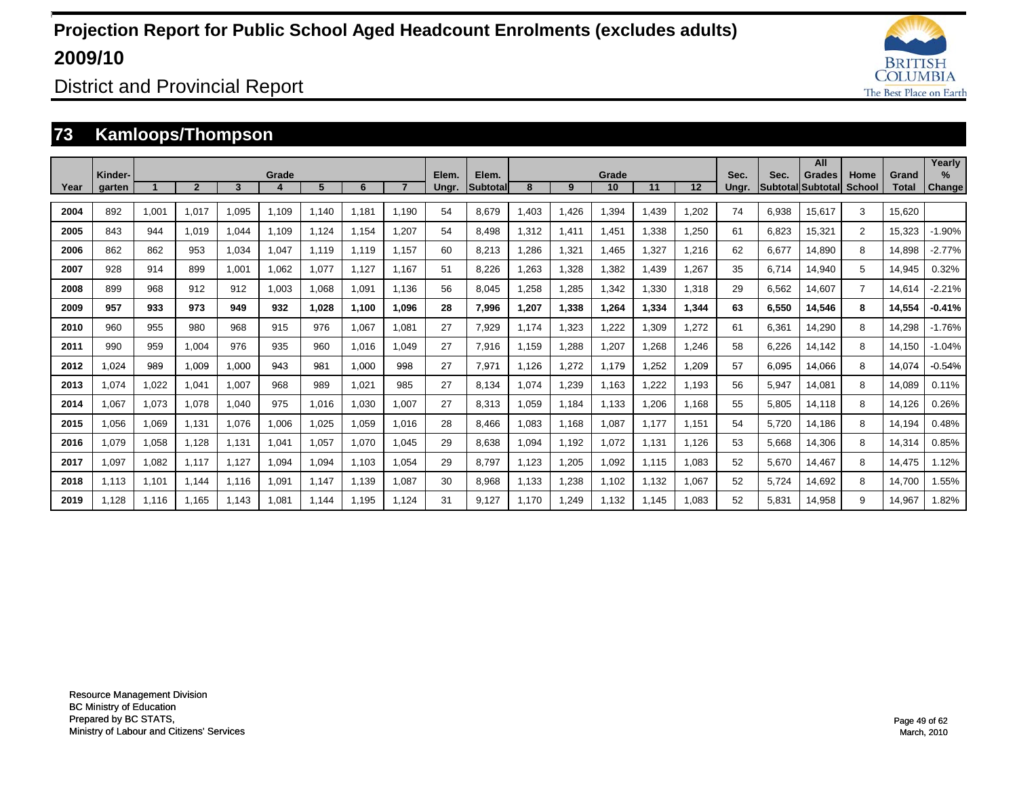![](_page_48_Picture_1.jpeg)

District and Provincial Report

### **73 Kamloops/Thompson**

|      |                   |       |              |       |       |       |       |       |                |                          |       |       |             |       |       |               |       | All                         |                |                       | Yearly                |
|------|-------------------|-------|--------------|-------|-------|-------|-------|-------|----------------|--------------------------|-------|-------|-------------|-------|-------|---------------|-------|-----------------------------|----------------|-----------------------|-----------------------|
| Year | Kinder-<br>garten |       | $\mathbf{2}$ | 3     | Grade | 5     | 6     |       | Elem.<br>Ungr. | Elem.<br><b>Subtotal</b> | 8     | 9     | Grade<br>10 | 11    | 12    | Sec.<br>Ungr. | Sec.  | Grades<br>Subtotal Subtotal | Home<br>School | Grand<br><b>Total</b> | $\%$<br><b>Change</b> |
|      |                   |       |              |       |       |       |       |       |                |                          |       |       |             |       |       |               |       |                             |                |                       |                       |
| 2004 | 892               | 1.001 | 1.017        | 1.095 | 1.109 | 1.140 | 1.181 | 1.190 | 54             | 8.679                    | .403  | 1.426 | 1.394       | 1.439 | 1.202 | 74            | 6,938 | 15.617                      | 3              | 15.620                |                       |
| 2005 | 843               | 944   | 1.019        | 1.044 | 1.109 | 1.124 | 1.154 | 1.207 | 54             | 8.498                    | 1.312 | 1,411 | 1,451       | 1.338 | 1.250 | 61            | 6,823 | 15,321                      | $\overline{2}$ | 15,323                | $-1.90%$              |
| 2006 | 862               | 862   | 953          | 1.034 | 1.047 | 1.119 | 1.119 | 1.157 | 60             | 8.213                    | .286  | 1,321 | 1.465       | 1.327 | 1.216 | 62            | 6,677 | 14.890                      | 8              | 14,898                | $-2.77%$              |
| 2007 | 928               | 914   | 899          | 1.001 | 1,062 | 1,077 | 1.127 | 1.167 | 51             | 8,226                    | .263  | 1,328 | 1,382       | ,439  | 1.267 | 35            | 6,714 | 14,940                      | 5              | 14,945                | 0.32%                 |
| 2008 | 899               | 968   | 912          | 912   | 1,003 | 1,068 | 1,091 | 1.136 | 56             | 8,045                    | ,258  | 1,285 | 1,342       | ,330  | 1,318 | 29            | 6,562 | 14,607                      | $\overline{7}$ | 14,614                | $-2.21%$              |
| 2009 | 957               | 933   | 973          | 949   | 932   | 1.028 | 1.100 | 1.096 | 28             | 7.996                    | .207  | 1,338 | 1,264       | 1.334 | 1.344 | 63            | 6,550 | 14,546                      | 8              | 14,554                | $-0.41%$              |
| 2010 | 960               | 955   | 980          | 968   | 915   | 976   | 1,067 | 1.081 | 27             | 7,929                    | 1.174 | 1,323 | 1,222       | ,309  | 1,272 | 61            | 6,361 | 14,290                      | 8              | 14,298                | $-1.76%$              |
| 2011 | 990               | 959   | 1.004        | 976   | 935   | 960   | 1,016 | 1.049 | 27             | 7,916                    | .159  | 1,288 | 1,207       | .268  | 1,246 | 58            | 6,226 | 14,142                      | 8              | 14,150                | $-1.04%$              |
| 2012 | 1.024             | 989   | 1,009        | 1,000 | 943   | 981   | 1,000 | 998   | 27             | 7,971                    | 1,126 | 1,272 | 1.179       | 1,252 | 1,209 | 57            | 6,095 | 14.066                      | 8              | 14,074                | $-0.54%$              |
| 2013 | 1,074             | 1,022 | 1,041        | 1,007 | 968   | 989   | 1,021 | 985   | 27             | 8,134                    | .074  | 1,239 | 1,163       | 1,222 | 1.193 | 56            | 5,947 | 14,081                      | 8              | 14,089                | 0.11%                 |
| 2014 | 1,067             | 1,073 | 1,078        | 1,040 | 975   | 1,016 | 1,030 | 1,007 | 27             | 8,313                    | ,059  | 1.184 | 1,133       | 1,206 | 1.168 | 55            | 5,805 | 14,118                      | 8              | 14,126                | 0.26%                 |
| 2015 | 1.056             | 1,069 | 1.131        | 1.076 | 1.006 | 1.025 | 1,059 | 1.016 | 28             | 8.466                    | .083  | 1.168 | 1,087       | 1.177 | 1.151 | 54            | 5.720 | 14.186                      | 8              | 14.194                | 0.48%                 |
| 2016 | 1.079             | 1,058 | 1.128        | 1,131 | 1,041 | 1,057 | 1,070 | 1.045 | 29             | 8.638                    | .094  | 1.192 | 1,072       | 1.131 | 1.126 | 53            | 5,668 | 14,306                      | 8              | 14,314                | 0.85%                 |
| 2017 | 1,097             | 1,082 | 1.117        | 1.127 | 1,094 | 1,094 | 1.103 | 1.054 | 29             | 8.797                    | ,123  | 1,205 | 1,092       | 1.115 | 1,083 | 52            | 5,670 | 14,467                      | 8              | 14,475                | 1.12%                 |
| 2018 | 1.113             | 1.101 | 1.144        | 1.116 | 1,091 | 1.147 | 1.139 | 1.087 | 30             | 8,968                    | .133  | 1,238 | 1,102       | 1,132 | 1,067 | 52            | 5,724 | 14,692                      | 8              | 14,700                | .55%                  |
| 2019 | 1.128             | 1.116 | 1.165        | 1.143 | 1.081 | 1.144 | 1.195 | 1.124 | 31             | 9.127                    | .170  | 1,249 | 1.132       | 1.145 | 1.083 | 52            | 5,831 | 14,958                      | 9              | 14,967                | .82%                  |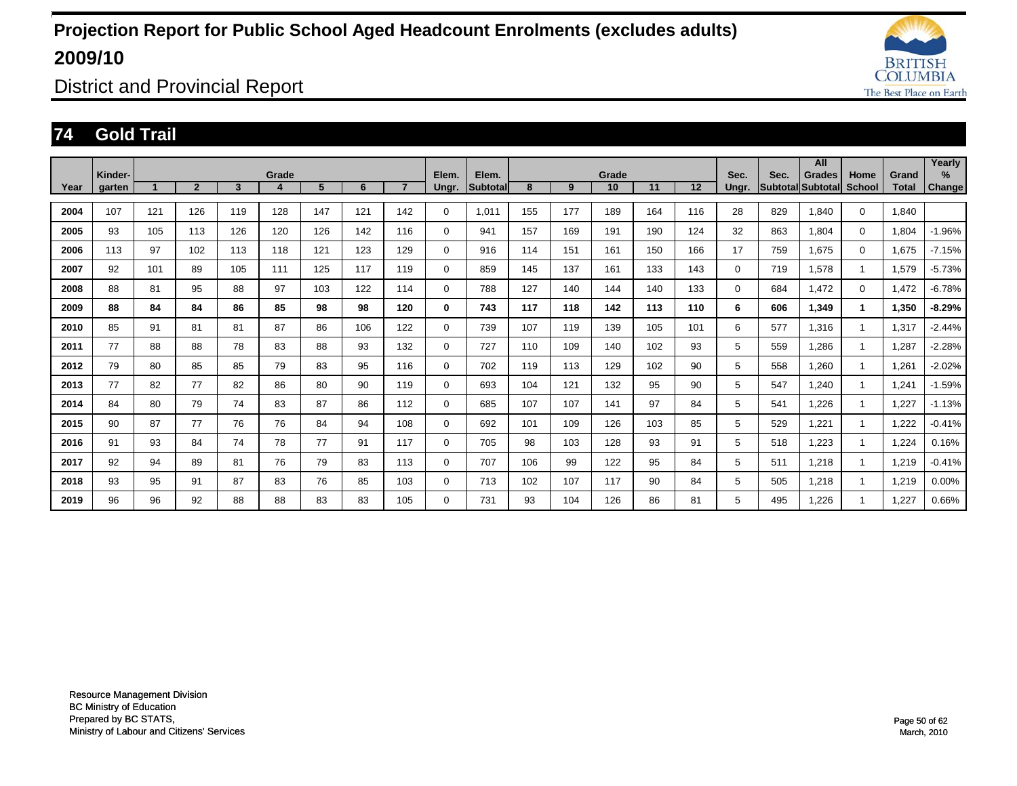![](_page_49_Picture_1.jpeg)

District and Provincial Report

### **74 Gold Trail**

|      |                   |     |                |                         |       |     |     |                |                |                   |     |     |             |     |     |               |      | All                                |                |                       | Yearly         |
|------|-------------------|-----|----------------|-------------------------|-------|-----|-----|----------------|----------------|-------------------|-----|-----|-------------|-----|-----|---------------|------|------------------------------------|----------------|-----------------------|----------------|
| Year | Kinder-<br>garten |     | $\overline{2}$ | $\overline{\mathbf{3}}$ | Grade | 5   | 6   | $\overline{7}$ | Elem.<br>Ungr. | Elem.<br>Subtotal | 8   | 9   | Grade<br>10 | 11  | 12  | Sec.<br>Ungr. | Sec. | <b>Grades</b><br>Subtotal Subtotal | Home<br>School | Grand<br><b>Total</b> | $\%$<br>Change |
|      |                   |     |                |                         |       |     |     |                |                |                   |     |     |             |     |     |               |      |                                    |                |                       |                |
| 2004 | 107               | 121 | 126            | 119                     | 128   | 147 | 121 | 142            | 0              | 1.011             | 155 | 177 | 189         | 164 | 116 | 28            | 829  | 1.840                              | $\mathbf 0$    | 1.840                 |                |
| 2005 | 93                | 105 | 113            | 126                     | 120   | 126 | 142 | 116            | $\mathbf 0$    | 941               | 157 | 169 | 191         | 190 | 124 | 32            | 863  | 1.804                              | $\mathbf 0$    | 1,804                 | $-1.96%$       |
| 2006 | 113               | 97  | 102            | 113                     | 118   | 121 | 123 | 129            | $\mathbf 0$    | 916               | 114 | 151 | 161         | 150 | 166 | 17            | 759  | 1.675                              | $\mathbf 0$    | 1.675                 | $-7.15%$       |
| 2007 | 92                | 101 | 89             | 105                     | 111   | 125 | 117 | 119            | 0              | 859               | 145 | 137 | 161         | 133 | 143 | $\Omega$      | 719  | 578.                               | 1              | 1,579                 | $-5.73%$       |
| 2008 | 88                | 81  | 95             | 88                      | 97    | 103 | 122 | 114            | $\mathbf 0$    | 788               | 127 | 140 | 144         | 140 | 133 | 0             | 684  | 1,472                              | $\mathbf 0$    | 1,472                 | $-6.78%$       |
| 2009 | 88                | 84  | 84             | 86                      | 85    | 98  | 98  | 120            | 0              | 743               | 117 | 118 | 142         | 113 | 110 | 6             | 606  | 1.349                              | 1              | 1,350                 | $-8.29%$       |
| 2010 | 85                | 91  | 81             | 81                      | 87    | 86  | 106 | 122            | $\mathbf 0$    | 739               | 107 | 119 | 139         | 105 | 101 | 6             | 577  | 1.316                              | 1              | 1,317                 | $-2.44%$       |
| 2011 | 77                | 88  | 88             | 78                      | 83    | 88  | 93  | 132            | $\mathbf 0$    | 727               | 110 | 109 | 140         | 102 | 93  | 5             | 559  | .286                               | 1              | 1,287                 | $-2.28%$       |
| 2012 | 79                | 80  | 85             | 85                      | 79    | 83  | 95  | 116            | 0              | 702               | 119 | 113 | 129         | 102 | 90  | 5             | 558  | .260                               | 1              | 1,261                 | $-2.02%$       |
| 2013 | 77                | 82  | 77             | 82                      | 86    | 80  | 90  | 119            | 0              | 693               | 104 | 121 | 132         | 95  | 90  | 5             | 547  | .240                               | 1              | 1,241                 | $-1.59%$       |
| 2014 | 84                | 80  | 79             | 74                      | 83    | 87  | 86  | 112            | 0              | 685               | 107 | 107 | 141         | 97  | 84  | 5             | 541  | .226                               | 1              | 1,227                 | $-1.13%$       |
| 2015 | 90                | 87  | 77             | 76                      | 76    | 84  | 94  | 108            | 0              | 692               | 101 | 109 | 126         | 103 | 85  | 5             | 529  | 1,221                              | 1              | 1,222                 | $-0.41%$       |
| 2016 | 91                | 93  | 84             | 74                      | 78    | 77  | 91  | 117            | $\mathbf 0$    | 705               | 98  | 103 | 128         | 93  | 91  | 5             | 518  | .223                               | 1              | 1,224                 | 0.16%          |
| 2017 | 92                | 94  | 89             | 81                      | 76    | 79  | 83  | 113            | $\mathbf 0$    | 707               | 106 | 99  | 122         | 95  | 84  | 5             | 511  | 1.218                              | 1              | 1,219                 | $-0.41%$       |
| 2018 | 93                | 95  | 91             | 87                      | 83    | 76  | 85  | 103            | $\mathbf 0$    | 713               | 102 | 107 | 117         | 90  | 84  | 5             | 505  | 1.218                              | 1              | 1,219                 | 0.00%          |
| 2019 | 96                | 96  | 92             | 88                      | 88    | 83  | 83  | 105            | 0              | 731               | 93  | 104 | 126         | 86  | 81  | 5             | 495  | .226                               |                | 1,227                 | 0.66%          |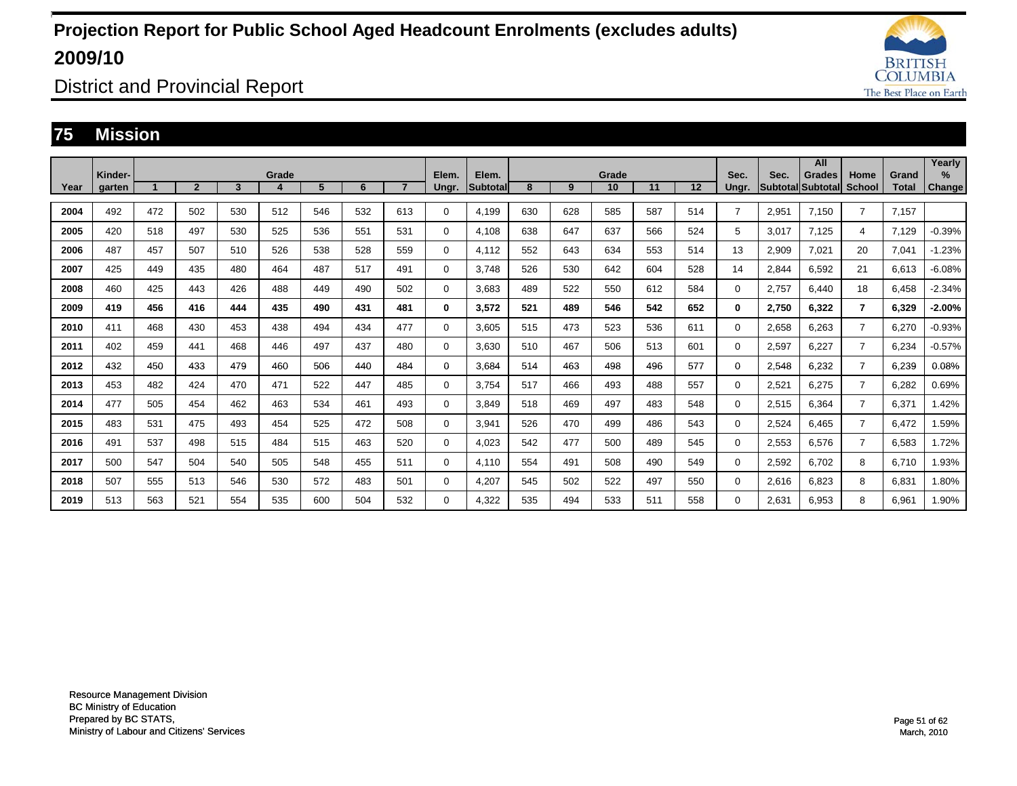![](_page_50_Picture_1.jpeg)

District and Provincial Report

### **75 Mission**

|      |                   |     |                |     |       |     |     |                |                |                          |     |     |             |     |     |                |                            | All           |                       |                       | Yearly                |
|------|-------------------|-----|----------------|-----|-------|-----|-----|----------------|----------------|--------------------------|-----|-----|-------------|-----|-----|----------------|----------------------------|---------------|-----------------------|-----------------------|-----------------------|
| Year | Kinder-<br>garten |     | $\overline{2}$ | 3   | Grade | 5   | 6   | $\overline{7}$ | Elem.<br>Ungr. | Elem.<br><b>Subtotal</b> | 8   | 9   | Grade<br>10 | 11  | 12  | Sec.<br>Ungr.  | Sec.<br> Subtotal Subtotal | <b>Grades</b> | Home<br><b>School</b> | Grand<br><b>Total</b> | $\%$<br><b>Change</b> |
|      |                   |     |                |     |       |     |     |                |                |                          |     |     |             |     |     |                |                            |               |                       |                       |                       |
| 2004 | 492               | 472 | 502            | 530 | 512   | 546 | 532 | 613            | 0              | 4.199                    | 630 | 628 | 585         | 587 | 514 | $\overline{7}$ | 2,951                      | 7.150         | $\overline{7}$        | 7.157                 |                       |
| 2005 | 420               | 518 | 497            | 530 | 525   | 536 | 551 | 531            | 0              | 4.108                    | 638 | 647 | 637         | 566 | 524 | 5              | 3.017                      | 7.125         | 4                     | 7,129                 | $-0.39%$              |
| 2006 | 487               | 457 | 507            | 510 | 526   | 538 | 528 | 559            | 0              | 4.112                    | 552 | 643 | 634         | 553 | 514 | 13             | 2,909                      | 7,021         | 20                    | 7.041                 | $-1.23%$              |
| 2007 | 425               | 449 | 435            | 480 | 464   | 487 | 517 | 491            | 0              | 3.748                    | 526 | 530 | 642         | 604 | 528 | 14             | 2,844                      | 6,592         | 21                    | 6,613                 | $-6.08%$              |
| 2008 | 460               | 425 | 443            | 426 | 488   | 449 | 490 | 502            | 0              | 3,683                    | 489 | 522 | 550         | 612 | 584 | $\Omega$       | 2,757                      | 6.440         | 18                    | 6,458                 | $-2.34%$              |
| 2009 | 419               | 456 | 416            | 444 | 435   | 490 | 431 | 481            | 0              | 3,572                    | 521 | 489 | 546         | 542 | 652 | 0              | 2.750                      | 6,322         | $\overline{7}$        | 6,329                 | $-2.00%$              |
| 2010 | 411               | 468 | 430            | 453 | 438   | 494 | 434 | 477            | 0              | 3,605                    | 515 | 473 | 523         | 536 | 611 | 0              | 2,658                      | 6,263         | $\overline{7}$        | 6.270                 | $-0.93%$              |
| 2011 | 402               | 459 | 441            | 468 | 446   | 497 | 437 | 480            | 0              | 3.630                    | 510 | 467 | 506         | 513 | 601 | 0              | 2.597                      | 6.227         | $\overline{7}$        | 6.234                 | $-0.57%$              |
| 2012 | 432               | 450 | 433            | 479 | 460   | 506 | 440 | 484            | 0              | 3.684                    | 514 | 463 | 498         | 496 | 577 | $\Omega$       | 2.548                      | 6.232         | $\overline{7}$        | 6.239                 | 0.08%                 |
| 2013 | 453               | 482 | 424            | 470 | 471   | 522 | 447 | 485            | 0              | 3,754                    | 517 | 466 | 493         | 488 | 557 | $\Omega$       | 2,521                      | 6,275         | $\overline{7}$        | 6,282                 | 0.69%                 |
| 2014 | 477               | 505 | 454            | 462 | 463   | 534 | 461 | 493            | 0              | 3,849                    | 518 | 469 | 497         | 483 | 548 | $\Omega$       | 2,515                      | 6,364         | $\overline{7}$        | 6,371                 | 1.42%                 |
| 2015 | 483               | 531 | 475            | 493 | 454   | 525 | 472 | 508            | 0              | 3,941                    | 526 | 470 | 499         | 486 | 543 | 0              | 2,524                      | 6,465         | $\overline{7}$        | 6,472                 | 1.59%                 |
| 2016 | 491               | 537 | 498            | 515 | 484   | 515 | 463 | 520            | 0              | 4,023                    | 542 | 477 | 500         | 489 | 545 | 0              | 2,553                      | 6,576         | $\overline{7}$        | 6,583                 | 1.72%                 |
| 2017 | 500               | 547 | 504            | 540 | 505   | 548 | 455 | 511            | 0              | 4.110                    | 554 | 491 | 508         | 490 | 549 | 0              | 2,592                      | 6,702         | 8                     | 6.710                 | 1.93%                 |
| 2018 | 507               | 555 | 513            | 546 | 530   | 572 | 483 | 501            | 0              | 4.207                    | 545 | 502 | 522         | 497 | 550 | $\Omega$       | 2,616                      | 6.823         | 8                     | 6.831                 | 1.80%                 |
| 2019 | 513               | 563 | 521            | 554 | 535   | 600 | 504 | 532            | 0              | 4,322                    | 535 | 494 | 533         | 511 | 558 | $\Omega$       | 2,631                      | 6.953         | 8                     | 6,961                 | 1.90%                 |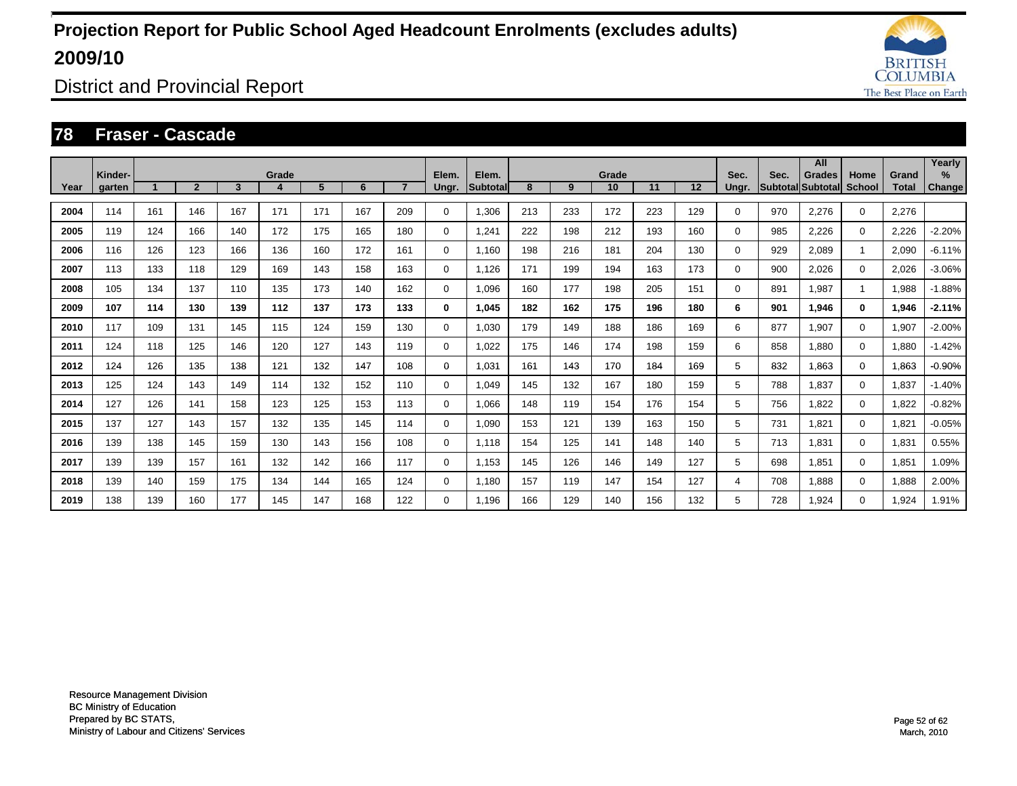![](_page_51_Picture_1.jpeg)

District and Provincial Report

#### **78 Fraser - Cascade**

|      |                   |     |                |     |       |     |     |                |                |                    |     |     |             |     |     |               |      | All                                       |                       |                       | Yearly      |
|------|-------------------|-----|----------------|-----|-------|-----|-----|----------------|----------------|--------------------|-----|-----|-------------|-----|-----|---------------|------|-------------------------------------------|-----------------------|-----------------------|-------------|
| Year | Kinder-<br>garten |     | $\overline{2}$ | 3   | Grade | 5   | 6   | $\overline{7}$ | Elem.<br>Ungr. | Elem.<br>Subtotall | 8   | 9   | Grade<br>10 | 11  | 12  | Sec.<br>Ungr. | Sec. | <b>Grades</b><br><b>SubtotallSubtotal</b> | Home<br><b>School</b> | Grand<br><b>Total</b> | %<br>Change |
| 2004 | 114               | 161 | 146            | 167 | 171   | 171 | 167 | 209            | 0              | 1,306              | 213 | 233 | 172         | 223 | 129 | 0             | 970  | 2,276                                     | $\mathbf 0$           | 2,276                 |             |
|      | 119               |     | 166            |     | 172   | 175 |     | 180            |                |                    | 222 | 198 | 212         |     |     |               |      |                                           |                       |                       | $-2.20%$    |
| 2005 |                   | 124 |                | 140 |       |     | 165 |                | $\mathbf 0$    | 1,241              |     |     |             | 193 | 160 | 0             | 985  | 2,226                                     | $\mathbf 0$           | 2,226                 |             |
| 2006 | 116               | 126 | 123            | 166 | 136   | 160 | 172 | 161            | $\mathbf 0$    | 1,160              | 198 | 216 | 181         | 204 | 130 | 0             | 929  | 2,089                                     |                       | 2,090                 | $-6.11%$    |
| 2007 | 113               | 133 | 118            | 129 | 169   | 143 | 158 | 163            | $\mathbf 0$    | 1,126              | 171 | 199 | 194         | 163 | 173 | 0             | 900  | 2,026                                     | $\Omega$              | 2,026                 | $-3.06%$    |
| 2008 | 105               | 134 | 137            | 110 | 135   | 173 | 140 | 162            | $\mathbf 0$    | 1,096              | 160 | 177 | 198         | 205 | 151 | 0             | 891  | 1,987                                     |                       | 1,988                 | $-1.88%$    |
| 2009 | 107               | 114 | 130            | 139 | 112   | 137 | 173 | 133            | 0              | 1,045              | 182 | 162 | 175         | 196 | 180 | 6             | 901  | 1,946                                     | 0                     | 1,946                 | $-2.11%$    |
| 2010 | 117               | 109 | 131            | 145 | 115   | 124 | 159 | 130            | $\mathbf 0$    | 1,030              | 179 | 149 | 188         | 186 | 169 | 6             | 877  | 1,907                                     | $\Omega$              | 1,907                 | $-2.00%$    |
| 2011 | 124               | 118 | 125            | 146 | 120   | 127 | 143 | 119            | $\mathbf 0$    | 1.022              | 175 | 146 | 174         | 198 | 159 | 6             | 858  | 1.880                                     | $\Omega$              | 1.880                 | $-1.42%$    |
| 2012 | 124               | 126 | 135            | 138 | 121   | 132 | 147 | 108            | 0              | 1.031              | 161 | 143 | 170         | 184 | 169 | 5             | 832  | .863                                      | 0                     | 1.863                 | $-0.90%$    |
| 2013 | 125               | 124 | 143            | 149 | 114   | 132 | 152 | 110            | $\mathbf 0$    | 1.049              | 145 | 132 | 167         | 180 | 159 | 5             | 788  | 1.837                                     | $\mathbf 0$           | 1,837                 | $-1.40%$    |
| 2014 | 127               | 126 | 141            | 158 | 123   | 125 | 153 | 113            | 0              | 1.066              | 148 | 119 | 154         | 176 | 154 | 5             | 756  | 1.822                                     | 0                     | 1,822                 | $-0.82%$    |
| 2015 | 137               | 127 | 143            | 157 | 132   | 135 | 145 | 114            | $\mathbf 0$    | 1,090              | 153 | 121 | 139         | 163 | 150 | 5             | 731  | 1.821                                     | $\mathbf 0$           | 1,821                 | $-0.05%$    |
| 2016 | 139               | 138 | 145            | 159 | 130   | 143 | 156 | 108            | 0              | 1,118              | 154 | 125 | 141         | 148 | 140 | 5             | 713  | 1,831                                     | 0                     | 1,831                 | 0.55%       |
| 2017 | 139               | 139 | 157            | 161 | 132   | 142 | 166 | 117            | $\mathbf 0$    | 1,153              | 145 | 126 | 146         | 149 | 127 | 5             | 698  | 1,851                                     | 0                     | 1,851                 | 1.09%       |
| 2018 | 139               | 140 | 159            | 175 | 134   | 144 | 165 | 124            | $\mathbf 0$    | 1,180              | 157 | 119 | 147         | 154 | 127 | 4             | 708  | 1,888                                     | 0                     | 1,888                 | 2.00%       |
| 2019 | 138               | 139 | 160            | 177 | 145   | 147 | 168 | 122            | 0              | 1.196              | 166 | 129 | 140         | 156 | 132 | 5             | 728  | 1,924                                     | 0                     | 1,924                 | 1.91%       |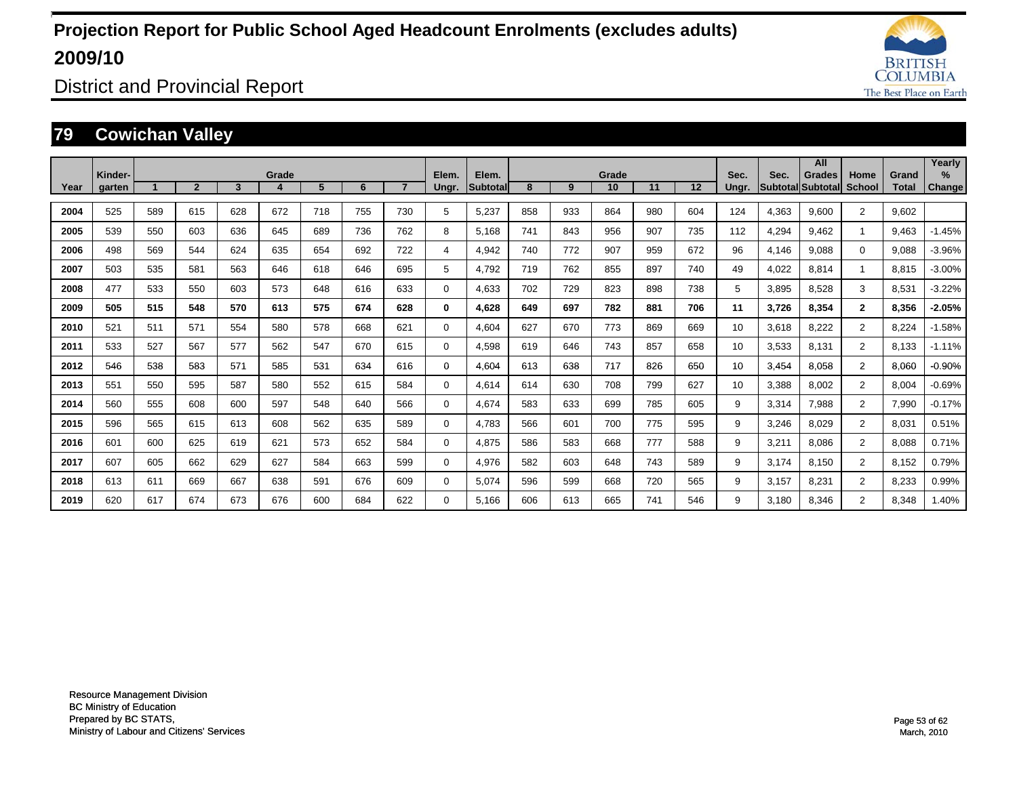![](_page_52_Picture_1.jpeg)

District and Provincial Report

### **79 Cowichan Valley**

|      |                   |     |                |     |       |     |     |     |                |                   |     |     |             |     |     |               |       | All                                       |                |                | Yearly                         |
|------|-------------------|-----|----------------|-----|-------|-----|-----|-----|----------------|-------------------|-----|-----|-------------|-----|-----|---------------|-------|-------------------------------------------|----------------|----------------|--------------------------------|
| Year | Kinder-<br>garten |     | $\overline{2}$ | 3   | Grade | 5   | 6   |     | Elem.<br>Ungr. | Elem.<br>Subtotal | 8   | 9   | Grade<br>10 | 11  | 12  | Sec.<br>Ungr. | Sec.  | <b>Grades</b><br><b>Subtotal Subtotal</b> | Home<br>School | Grand<br>Total | $\frac{9}{6}$<br><b>Change</b> |
|      |                   |     |                |     |       |     |     |     |                |                   |     |     |             |     |     |               |       |                                           |                |                |                                |
| 2004 | 525               | 589 | 615            | 628 | 672   | 718 | 755 | 730 | 5              | 5.237             | 858 | 933 | 864         | 980 | 604 | 124           | 4,363 | 9.600                                     | $\overline{2}$ | 9.602          |                                |
| 2005 | 539               | 550 | 603            | 636 | 645   | 689 | 736 | 762 | 8              | 5.168             | 741 | 843 | 956         | 907 | 735 | 112           | 4,294 | 9.462                                     | 1              | 9.463          | $-1.45%$                       |
| 2006 | 498               | 569 | 544            | 624 | 635   | 654 | 692 | 722 | 4              | 4,942             | 740 | 772 | 907         | 959 | 672 | 96            | 4,146 | 9.088                                     | $\Omega$       | 9,088          | $-3.96%$                       |
| 2007 | 503               | 535 | 581            | 563 | 646   | 618 | 646 | 695 | 5              | 4.792             | 719 | 762 | 855         | 897 | 740 | 49            | 4,022 | 8.814                                     | 1              | 8,815          | $-3.00%$                       |
| 2008 | 477               | 533 | 550            | 603 | 573   | 648 | 616 | 633 | $\Omega$       | 4,633             | 702 | 729 | 823         | 898 | 738 | 5             | 3,895 | 8,528                                     | 3              | 8,531          | $-3.22%$                       |
| 2009 | 505               | 515 | 548            | 570 | 613   | 575 | 674 | 628 | 0              | 4.628             | 649 | 697 | 782         | 881 | 706 | 11            | 3,726 | 8,354                                     | $\mathbf{2}$   | 8,356          | $-2.05%$                       |
| 2010 | 521               | 511 | 571            | 554 | 580   | 578 | 668 | 621 | 0              | 4.604             | 627 | 670 | 773         | 869 | 669 | 10            | 3,618 | 8,222                                     | $\overline{2}$ | 8,224          | $-1.58%$                       |
| 2011 | 533               | 527 | 567            | 577 | 562   | 547 | 670 | 615 | 0              | 4,598             | 619 | 646 | 743         | 857 | 658 | 10            | 3,533 | 8.131                                     | $\overline{2}$ | 8,133          | $-1.11%$                       |
| 2012 | 546               | 538 | 583            | 571 | 585   | 531 | 634 | 616 | 0              | 4.604             | 613 | 638 | 717         | 826 | 650 | 10            | 3,454 | 8,058                                     | $\overline{2}$ | 8,060          | $-0.90%$                       |
| 2013 | 551               | 550 | 595            | 587 | 580   | 552 | 615 | 584 | $\Omega$       | 4,614             | 614 | 630 | 708         | 799 | 627 | 10            | 3,388 | 8,002                                     | $\overline{2}$ | 8,004          | $-0.69%$                       |
| 2014 | 560               | 555 | 608            | 600 | 597   | 548 | 640 | 566 | $\Omega$       | 4,674             | 583 | 633 | 699         | 785 | 605 | 9             | 3,314 | 7,988                                     | $\overline{2}$ | 7,990          | $-0.17%$                       |
| 2015 | 596               | 565 | 615            | 613 | 608   | 562 | 635 | 589 | $\Omega$       | 4.783             | 566 | 601 | 700         | 775 | 595 | 9             | 3,246 | 8.029                                     | $\overline{2}$ | 8.031          | 0.51%                          |
| 2016 | 601               | 600 | 625            | 619 | 621   | 573 | 652 | 584 | $\Omega$       | 4.875             | 586 | 583 | 668         | 777 | 588 | 9             | 3,211 | 8.086                                     | $\overline{2}$ | 8,088          | 0.71%                          |
| 2017 | 607               | 605 | 662            | 629 | 627   | 584 | 663 | 599 | 0              | 4,976             | 582 | 603 | 648         | 743 | 589 | 9             | 3,174 | 8.150                                     | $\overline{2}$ | 8,152          | 0.79%                          |
| 2018 | 613               | 611 | 669            | 667 | 638   | 591 | 676 | 609 | 0              | 5,074             | 596 | 599 | 668         | 720 | 565 | 9             | 3,157 | 8,231                                     | $\overline{2}$ | 8,233          | 0.99%                          |
| 2019 | 620               | 617 | 674            | 673 | 676   | 600 | 684 | 622 | $\Omega$       | 5.166             | 606 | 613 | 665         | 741 | 546 | 9             | 3.180 | 8.346                                     | $\overline{2}$ | 8.348          | 1.40%                          |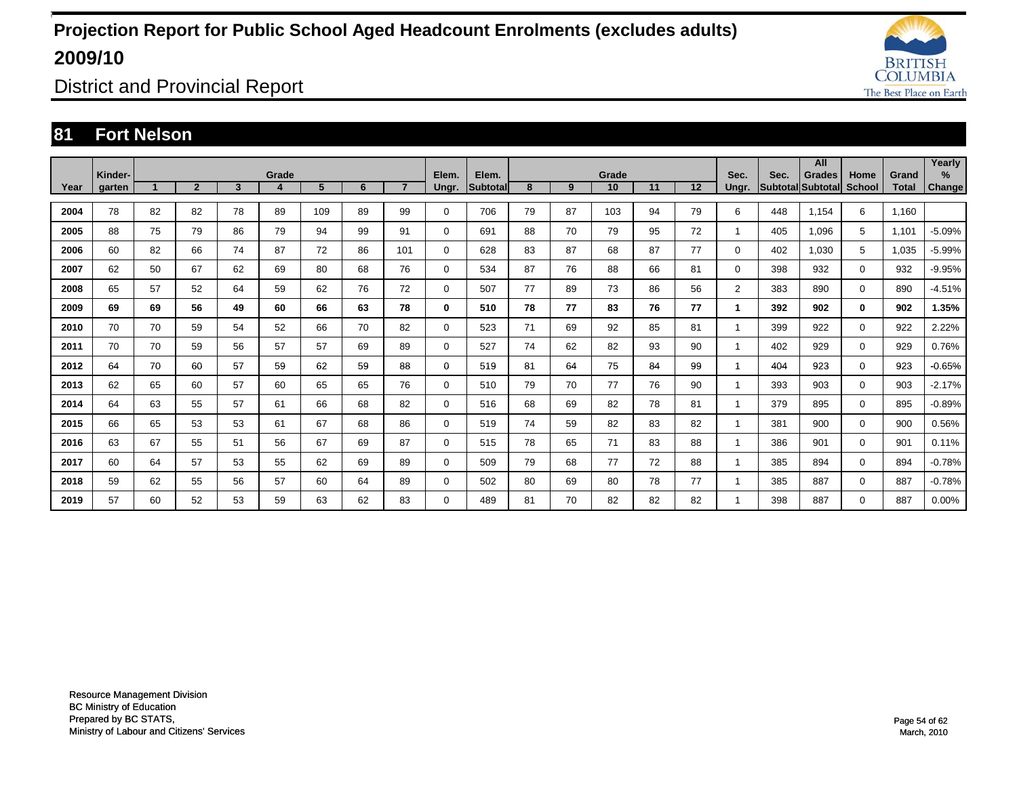![](_page_53_Picture_1.jpeg)

District and Provincial Report

### **81 Fort Nelson**

|      | Kinder- |                      |                |    | Grade |     |    |                | Elem.       | Elem.    |    |    | Grade |    |    | Sec.           | Sec. | All<br><b>Grades</b> | Home          | Grand | Yearly<br>%   |
|------|---------|----------------------|----------------|----|-------|-----|----|----------------|-------------|----------|----|----|-------|----|----|----------------|------|----------------------|---------------|-------|---------------|
| Year | garten  | $\blacktriangleleft$ | $\overline{2}$ | 3  | 4     | 5   | 6  | $\overline{7}$ | Ungr.       | Subtotal | 8  | 9  | 10    | 11 | 12 | Ungr.          |      | Subtotal Subtotal    | <b>School</b> | Total | <b>Change</b> |
| 2004 | 78      | 82                   | 82             | 78 | 89    | 109 | 89 | 99             | $\mathbf 0$ | 706      | 79 | 87 | 103   | 94 | 79 | 6              | 448  | 1,154                | 6             | 1,160 |               |
| 2005 | 88      | 75                   | 79             | 86 | 79    | 94  | 99 | 91             | $\mathbf 0$ | 691      | 88 | 70 | 79    | 95 | 72 | 1              | 405  | 1,096                | 5             | 1,101 | $-5.09%$      |
| 2006 | 60      | 82                   | 66             | 74 | 87    | 72  | 86 | 101            | $\mathbf 0$ | 628      | 83 | 87 | 68    | 87 | 77 | $\Omega$       | 402  | 1.030                | 5             | 1,035 | $-5.99%$      |
| 2007 | 62      | 50                   | 67             | 62 | 69    | 80  | 68 | 76             | $\mathbf 0$ | 534      | 87 | 76 | 88    | 66 | 81 | $\Omega$       | 398  | 932                  | $\mathbf 0$   | 932   | $-9.95%$      |
| 2008 | 65      | 57                   | 52             | 64 | 59    | 62  | 76 | 72             | $\mathbf 0$ | 507      | 77 | 89 | 73    | 86 | 56 | $\overline{2}$ | 383  | 890                  | $\mathbf 0$   | 890   | $-4.51%$      |
| 2009 | 69      | 69                   | 56             | 49 | 60    | 66  | 63 | 78             | 0           | 510      | 78 | 77 | 83    | 76 | 77 | 1              | 392  | 902                  | $\mathbf{0}$  | 902   | 1.35%         |
| 2010 | 70      | 70                   | 59             | 54 | 52    | 66  | 70 | 82             | $\mathbf 0$ | 523      | 71 | 69 | 92    | 85 | 81 |                | 399  | 922                  | $\mathbf 0$   | 922   | 2.22%         |
| 2011 | 70      | 70                   | 59             | 56 | 57    | 57  | 69 | 89             | $\mathbf 0$ | 527      | 74 | 62 | 82    | 93 | 90 |                | 402  | 929                  | $\mathbf 0$   | 929   | 0.76%         |
| 2012 | 64      | 70                   | 60             | 57 | 59    | 62  | 59 | 88             | 0           | 519      | 81 | 64 | 75    | 84 | 99 | 1              | 404  | 923                  | $\mathbf{0}$  | 923   | $-0.65%$      |
| 2013 | 62      | 65                   | 60             | 57 | 60    | 65  | 65 | 76             | $\mathbf 0$ | 510      | 79 | 70 | 77    | 76 | 90 |                | 393  | 903                  | $\mathbf 0$   | 903   | $-2.17%$      |
| 2014 | 64      | 63                   | 55             | 57 | 61    | 66  | 68 | 82             | $\mathbf 0$ | 516      | 68 | 69 | 82    | 78 | 81 | 1              | 379  | 895                  | $\mathbf 0$   | 895   | $-0.89%$      |
| 2015 | 66      | 65                   | 53             | 53 | 61    | 67  | 68 | 86             | $\mathbf 0$ | 519      | 74 | 59 | 82    | 83 | 82 | 1              | 381  | 900                  | $\mathbf 0$   | 900   | 0.56%         |
| 2016 | 63      | 67                   | 55             | 51 | 56    | 67  | 69 | 87             | $\mathbf 0$ | 515      | 78 | 65 | 71    | 83 | 88 | 1              | 386  | 901                  | $\mathbf 0$   | 901   | 0.11%         |
| 2017 | 60      | 64                   | 57             | 53 | 55    | 62  | 69 | 89             | $\mathbf 0$ | 509      | 79 | 68 | 77    | 72 | 88 |                | 385  | 894                  | $\mathbf 0$   | 894   | $-0.78%$      |
| 2018 | 59      | 62                   | 55             | 56 | 57    | 60  | 64 | 89             | $\mathbf 0$ | 502      | 80 | 69 | 80    | 78 | 77 | 1              | 385  | 887                  | $\mathbf 0$   | 887   | $-0.78%$      |
| 2019 | 57      | 60                   | 52             | 53 | 59    | 63  | 62 | 83             | 0           | 489      | 81 | 70 | 82    | 82 | 82 |                | 398  | 887                  | $\mathbf 0$   | 887   | 0.00%         |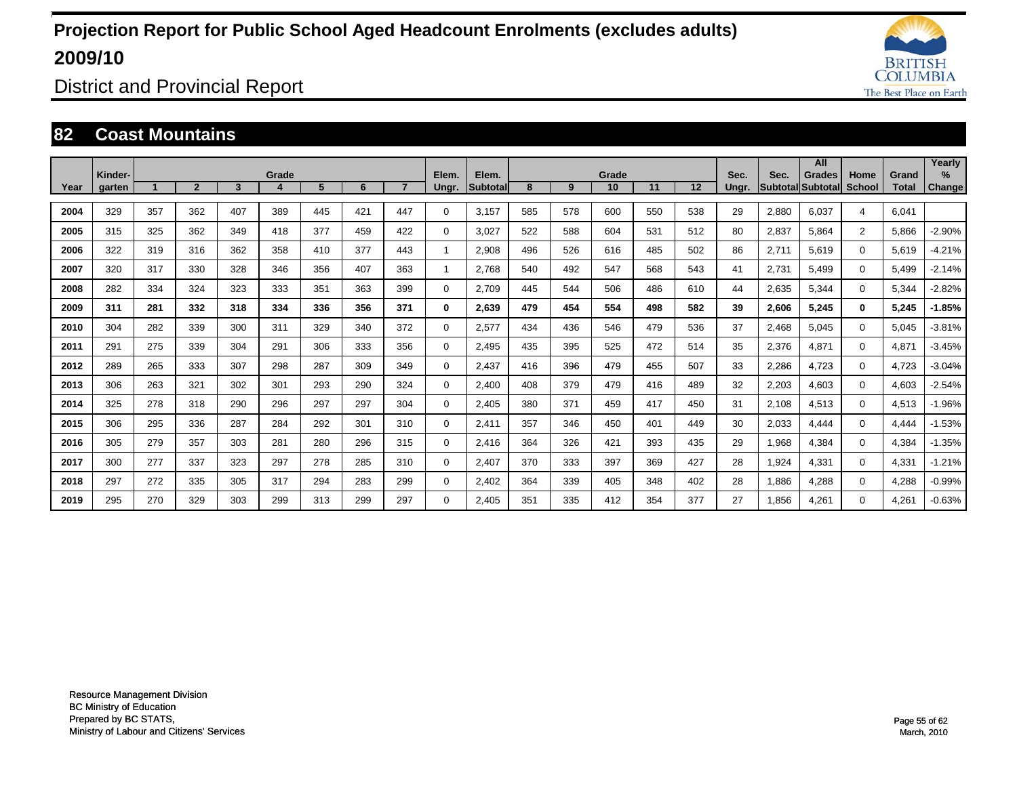![](_page_54_Picture_1.jpeg)

District and Provincial Report

#### **82 Coast Mountains**

|      |                   |     |                |     |       |                |     |     |                |                   |     |     |             |     |     |               |       | All                                |                |                       | Yearly                  |
|------|-------------------|-----|----------------|-----|-------|----------------|-----|-----|----------------|-------------------|-----|-----|-------------|-----|-----|---------------|-------|------------------------------------|----------------|-----------------------|-------------------------|
| Year | Kinder-<br>garten |     | $\overline{2}$ | 3   | Grade | 5 <sup>5</sup> | 6   |     | Elem.<br>Ungr. | Elem.<br>Subtotal | 8   | 9   | Grade<br>10 | 11  | 12  | Sec.<br>Ungr. | Sec.  | <b>Grades</b><br>Subtotal Subtotal | Home<br>School | Grand<br><b>Total</b> | $\frac{9}{6}$<br>Change |
|      |                   |     |                |     |       |                |     |     |                |                   |     |     |             |     |     |               |       |                                    |                |                       |                         |
| 2004 | 329               | 357 | 362            | 407 | 389   | 445            | 421 | 447 | $\Omega$       | 3.157             | 585 | 578 | 600         | 550 | 538 | 29            | 2,880 | 6.037                              | 4              | 6.041                 |                         |
| 2005 | 315               | 325 | 362            | 349 | 418   | 377            | 459 | 422 | $\Omega$       | 3.027             | 522 | 588 | 604         | 531 | 512 | 80            | 2,837 | 5.864                              | $\overline{2}$ | 5,866                 | $-2.90%$                |
| 2006 | 322               | 319 | 316            | 362 | 358   | 410            | 377 | 443 | $\mathbf{1}$   | 2,908             | 496 | 526 | 616         | 485 | 502 | 86            | 2,711 | 5,619                              | 0              | 5,619                 | $-4.21%$                |
| 2007 | 320               | 317 | 330            | 328 | 346   | 356            | 407 | 363 | 1              | 2,768             | 540 | 492 | 547         | 568 | 543 | 41            | 2,731 | 5,499                              | 0              | 5,499                 | $-2.14%$                |
| 2008 | 282               | 334 | 324            | 323 | 333   | 351            | 363 | 399 | 0              | 2,709             | 445 | 544 | 506         | 486 | 610 | 44            | 2,635 | 5,344                              | 0              | 5,344                 | $-2.82%$                |
| 2009 | 311               | 281 | 332            | 318 | 334   | 336            | 356 | 371 | 0              | 2,639             | 479 | 454 | 554         | 498 | 582 | 39            | 2,606 | 5,245                              | $\bf{0}$       | 5,245                 | $-1.85%$                |
| 2010 | 304               | 282 | 339            | 300 | 311   | 329            | 340 | 372 | 0              | 2,577             | 434 | 436 | 546         | 479 | 536 | 37            | 2,468 | 5,045                              | 0              | 5,045                 | $-3.81%$                |
| 2011 | 291               | 275 | 339            | 304 | 291   | 306            | 333 | 356 | 0              | 2,495             | 435 | 395 | 525         | 472 | 514 | 35            | 2,376 | 4,871                              | 0              | 4,871                 | $-3.45%$                |
| 2012 | 289               | 265 | 333            | 307 | 298   | 287            | 309 | 349 | 0              | 2,437             | 416 | 396 | 479         | 455 | 507 | 33            | 2,286 | 4,723                              | 0              | 4,723                 | $-3.04%$                |
| 2013 | 306               | 263 | 321            | 302 | 301   | 293            | 290 | 324 | $\Omega$       | 2,400             | 408 | 379 | 479         | 416 | 489 | 32            | 2,203 | 4,603                              | 0              | 4,603                 | $-2.54%$                |
| 2014 | 325               | 278 | 318            | 290 | 296   | 297            | 297 | 304 | $\mathbf 0$    | 2,405             | 380 | 371 | 459         | 417 | 450 | 31            | 2,108 | 4,513                              | 0              | 4,513                 | $-1.96%$                |
| 2015 | 306               | 295 | 336            | 287 | 284   | 292            | 301 | 310 | 0              | 2,411             | 357 | 346 | 450         | 401 | 449 | 30            | 2,033 | 4.444                              | 0              | 4,444                 | $-1.53%$                |
| 2016 | 305               | 279 | 357            | 303 | 281   | 280            | 296 | 315 | 0              | 2,416             | 364 | 326 | 421         | 393 | 435 | 29            | 1,968 | 4,384                              | 0              | 4,384                 | $-1.35%$                |
| 2017 | 300               | 277 | 337            | 323 | 297   | 278            | 285 | 310 | $\mathbf 0$    | 2,407             | 370 | 333 | 397         | 369 | 427 | 28            | 1,924 | 4,331                              | 0              | 4,331                 | $-1.21%$                |
| 2018 | 297               | 272 | 335            | 305 | 317   | 294            | 283 | 299 | $\mathbf 0$    | 2,402             | 364 | 339 | 405         | 348 | 402 | 28            | 1,886 | 4,288                              | 0              | 4,288                 | $-0.99%$                |
| 2019 | 295               | 270 | 329            | 303 | 299   | 313            | 299 | 297 | $\Omega$       | 2,405             | 351 | 335 | 412         | 354 | 377 | 27            | 1,856 | 4,261                              | 0              | 4,261                 | $-0.63%$                |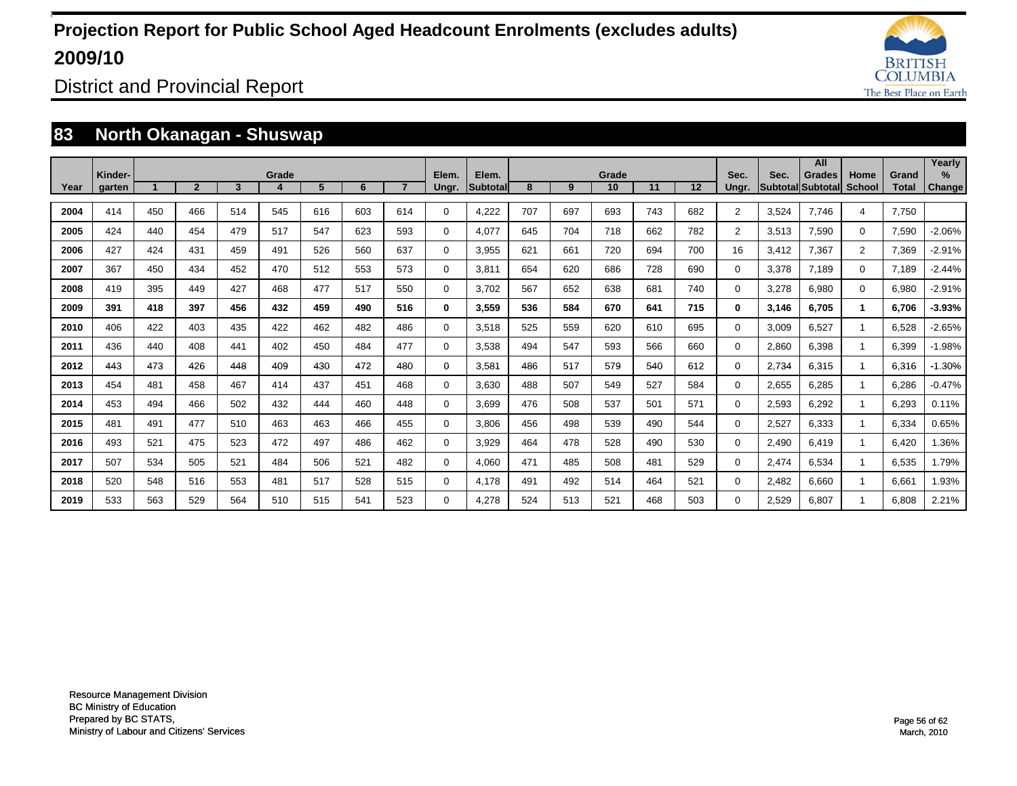![](_page_55_Picture_1.jpeg)

District and Provincial Report

### **83 North Okanagan - Shuswap**

|      |                   |     |              |     |       |     |     |     |                |                   |     |     |             |     |     |                |       | All                          |                |                       | Yearly        |
|------|-------------------|-----|--------------|-----|-------|-----|-----|-----|----------------|-------------------|-----|-----|-------------|-----|-----|----------------|-------|------------------------------|----------------|-----------------------|---------------|
| Year | Kinder-<br>garten |     | $\mathbf{2}$ | 3   | Grade | 5   | 6   |     | Elem.<br>Ungr. | Elem.<br>Subtotal | 8   | 9   | Grade<br>10 | 11  | 12  | Sec.<br>Ungr.  | Sec.  | Grades<br> Subtotal Subtotal | Home<br>School | Grand<br><b>Total</b> | $\frac{9}{6}$ |
|      |                   |     |              |     |       |     |     |     |                |                   |     |     |             |     |     |                |       |                              |                |                       | Change        |
| 2004 | 414               | 450 | 466          | 514 | 545   | 616 | 603 | 614 | $\Omega$       | 4,222             | 707 | 697 | 693         | 743 | 682 | $\overline{2}$ | 3,524 | 7,746                        | 4              | 7.750                 |               |
| 2005 | 424               | 440 | 454          | 479 | 517   | 547 | 623 | 593 | 0              | 4.077             | 645 | 704 | 718         | 662 | 782 | $\overline{2}$ | 3,513 | 7.590                        | $\Omega$       | 7,590                 | $-2.06%$      |
| 2006 | 427               | 424 | 431          | 459 | 491   | 526 | 560 | 637 | 0              | 3,955             | 621 | 661 | 720         | 694 | 700 | 16             | 3,412 | 7.367                        | $\overline{2}$ | 7,369                 | $-2.91%$      |
| 2007 | 367               | 450 | 434          | 452 | 470   | 512 | 553 | 573 | $\Omega$       | 3,811             | 654 | 620 | 686         | 728 | 690 | $\Omega$       | 3,378 | 7.189                        | $\Omega$       | 7,189                 | $-2.44%$      |
| 2008 | 419               | 395 | 449          | 427 | 468   | 477 | 517 | 550 | $\mathbf 0$    | 3,702             | 567 | 652 | 638         | 681 | 740 | 0              | 3,278 | 6,980                        | $\Omega$       | 6,980                 | $-2.91%$      |
| 2009 | 391               | 418 | 397          | 456 | 432   | 459 | 490 | 516 | 0              | 3,559             | 536 | 584 | 670         | 641 | 715 | $\bf{0}$       | 3,146 | 6.705                        |                | 6.706                 | $-3.93%$      |
| 2010 | 406               | 422 | 403          | 435 | 422   | 462 | 482 | 486 | 0              | 3,518             | 525 | 559 | 620         | 610 | 695 | 0              | 3,009 | 6,527                        | $\overline{1}$ | 6,528                 | $-2.65%$      |
| 2011 | 436               | 440 | 408          | 441 | 402   | 450 | 484 | 477 | 0              | 3,538             | 494 | 547 | 593         | 566 | 660 | 0              | 2,860 | 6,398                        | -1             | 6,399                 | $-1.98%$      |
| 2012 | 443               | 473 | 426          | 448 | 409   | 430 | 472 | 480 | 0              | 3,581             | 486 | 517 | 579         | 540 | 612 | 0              | 2,734 | 6,315                        | -1             | 6,316                 | $-1.30%$      |
| 2013 | 454               | 481 | 458          | 467 | 414   | 437 | 451 | 468 | $\Omega$       | 3,630             | 488 | 507 | 549         | 527 | 584 | $\Omega$       | 2,655 | 6,285                        | -1             | 6,286                 | $-0.47%$      |
| 2014 | 453               | 494 | 466          | 502 | 432   | 444 | 460 | 448 | $\Omega$       | 3,699             | 476 | 508 | 537         | 501 | 571 | $\Omega$       | 2,593 | 6,292                        |                | 6,293                 | 0.11%         |
| 2015 | 481               | 491 | 477          | 510 | 463   | 463 | 466 | 455 | 0              | 3.806             | 456 | 498 | 539         | 490 | 544 | $\Omega$       | 2,527 | 6.333                        |                | 6,334                 | 0.65%         |
| 2016 | 493               | 521 | 475          | 523 | 472   | 497 | 486 | 462 | 0              | 3,929             | 464 | 478 | 528         | 490 | 530 | 0              | 2,490 | 6.419                        |                | 6.420                 | .36%          |
| 2017 | 507               | 534 | 505          | 521 | 484   | 506 | 521 | 482 | 0              | 4,060             | 471 | 485 | 508         | 481 | 529 | 0              | 2,474 | 6,534                        |                | 6,535                 | 1.79%         |
| 2018 | 520               | 548 | 516          | 553 | 481   | 517 | 528 | 515 | 0              | 4.178             | 491 | 492 | 514         | 464 | 521 | 0              | 2,482 | 6,660                        |                | 6,661                 | .93%          |
| 2019 | 533               | 563 | 529          | 564 | 510   | 515 | 541 | 523 | $\Omega$       | 4,278             | 524 | 513 | 521         | 468 | 503 | $\Omega$       | 2,529 | 6.807                        |                | 6.808                 | 2.21%         |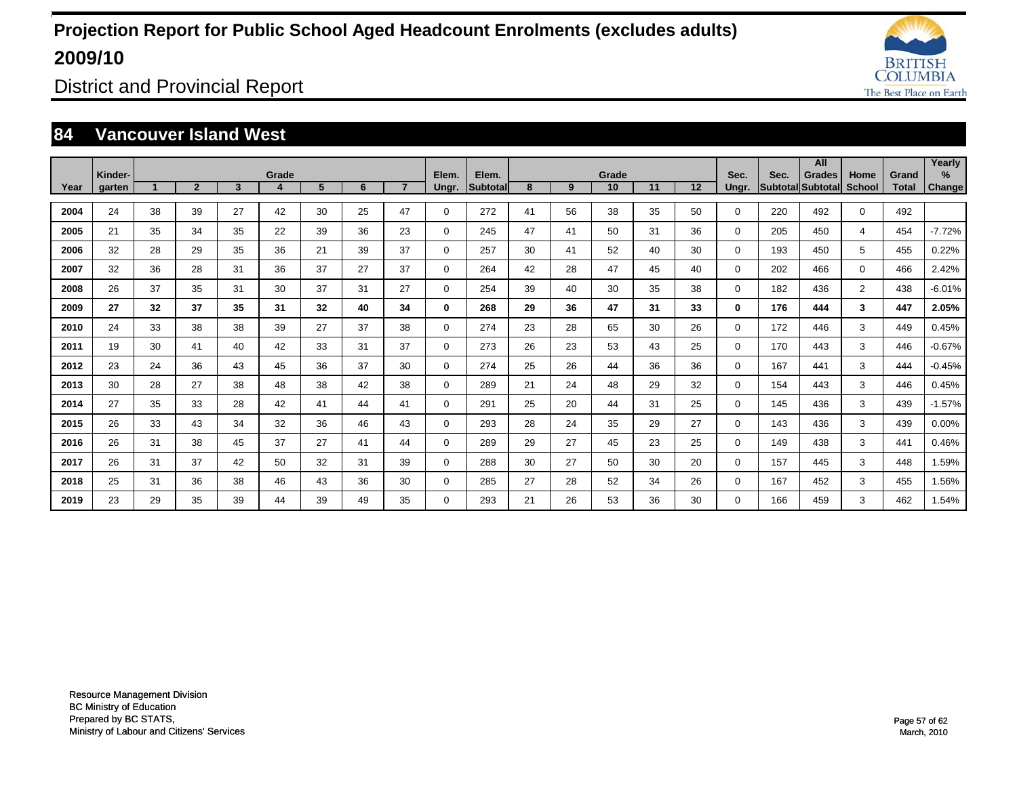![](_page_56_Picture_1.jpeg)

District and Provincial Report

### **84 Vancouver Island West**

|      | Kinder- |             |                |    | Grade |    |    |                | Elem.       | Elem.    |    |    | Grade |    |    | Sec.        | Sec. | All<br><b>Grades</b> | Home           | Grand        | Yearly<br>%   |
|------|---------|-------------|----------------|----|-------|----|----|----------------|-------------|----------|----|----|-------|----|----|-------------|------|----------------------|----------------|--------------|---------------|
| Year | garten  | $\mathbf 1$ | $\overline{2}$ | 3  | 4     | 5  | 6  | $\overline{7}$ | Ungr.       | Subtotal | 8  | 9  | 10    | 11 | 12 | Ungr.       |      | Subtotal Subtotal    | School         | <b>Total</b> | <b>Change</b> |
| 2004 | 24      | 38          | 39             | 27 | 42    | 30 | 25 | 47             | $\mathbf 0$ | 272      | 41 | 56 | 38    | 35 | 50 | $\mathbf 0$ | 220  | 492                  | 0              | 492          |               |
| 2005 | 21      | 35          | 34             | 35 | 22    | 39 | 36 | 23             | $\mathbf 0$ | 245      | 47 | 41 | 50    | 31 | 36 | $\Omega$    | 205  | 450                  | 4              | 454          | $-7.72%$      |
| 2006 | 32      | 28          | 29             | 35 | 36    | 21 | 39 | 37             | $\mathbf 0$ | 257      | 30 | 41 | 52    | 40 | 30 | $\mathbf 0$ | 193  | 450                  | 5              | 455          | 0.22%         |
| 2007 | 32      | 36          | 28             | 31 | 36    | 37 | 27 | 37             | $\Omega$    | 264      | 42 | 28 | 47    | 45 | 40 | $\Omega$    | 202  | 466                  | $\Omega$       | 466          | 2.42%         |
| 2008 | 26      | 37          | 35             | 31 | 30    | 37 | 31 | 27             | $\mathbf 0$ | 254      | 39 | 40 | 30    | 35 | 38 | 0           | 182  | 436                  | $\overline{2}$ | 438          | $-6.01%$      |
| 2009 | 27      | 32          | 37             | 35 | 31    | 32 | 40 | 34             | 0           | 268      | 29 | 36 | 47    | 31 | 33 | $\mathbf 0$ | 176  | 444                  | 3              | 447          | 2.05%         |
| 2010 | 24      | 33          | 38             | 38 | 39    | 27 | 37 | 38             | 0           | 274      | 23 | 28 | 65    | 30 | 26 | $\mathbf 0$ | 172  | 446                  | 3              | 449          | 0.45%         |
| 2011 | 19      | 30          | 41             | 40 | 42    | 33 | 31 | 37             | 0           | 273      | 26 | 23 | 53    | 43 | 25 | $\mathbf 0$ | 170  | 443                  | 3              | 446          | $-0.67%$      |
| 2012 | 23      | 24          | 36             | 43 | 45    | 36 | 37 | 30             | 0           | 274      | 25 | 26 | 44    | 36 | 36 | $\mathbf 0$ | 167  | 441                  | 3              | 444          | $-0.45%$      |
| 2013 | 30      | 28          | 27             | 38 | 48    | 38 | 42 | 38             | $\Omega$    | 289      | 21 | 24 | 48    | 29 | 32 | $\Omega$    | 154  | 443                  | 3              | 446          | 0.45%         |
| 2014 | 27      | 35          | 33             | 28 | 42    | 41 | 44 | 41             | 0           | 291      | 25 | 20 | 44    | 31 | 25 | $\Omega$    | 145  | 436                  | 3              | 439          | $-1.57%$      |
| 2015 | 26      | 33          | 43             | 34 | 32    | 36 | 46 | 43             | 0           | 293      | 28 | 24 | 35    | 29 | 27 | $\Omega$    | 143  | 436                  | 3              | 439          | $0.00\%$      |
| 2016 | 26      | 31          | 38             | 45 | 37    | 27 | 41 | 44             | 0           | 289      | 29 | 27 | 45    | 23 | 25 | 0           | 149  | 438                  | 3              | 441          | 0.46%         |
| 2017 | 26      | 31          | 37             | 42 | 50    | 32 | 31 | 39             | 0           | 288      | 30 | 27 | 50    | 30 | 20 | 0           | 157  | 445                  | 3              | 448          | 1.59%         |
| 2018 | 25      | 31          | 36             | 38 | 46    | 43 | 36 | 30             | 0           | 285      | 27 | 28 | 52    | 34 | 26 | 0           | 167  | 452                  | 3              | 455          | 1.56%         |
| 2019 | 23      | 29          | 35             | 39 | 44    | 39 | 49 | 35             | $\Omega$    | 293      | 21 | 26 | 53    | 36 | 30 | $\Omega$    | 166  | 459                  | 3              | 462          | 1.54%         |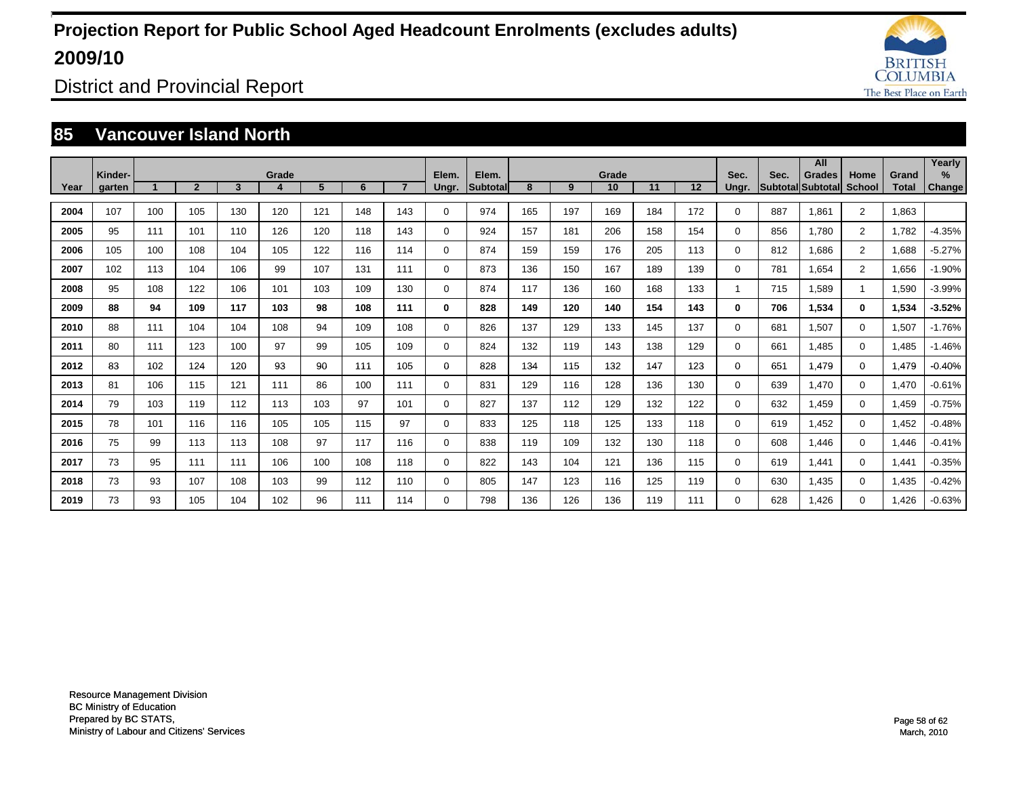![](_page_57_Picture_1.jpeg)

District and Provincial Report

### **85 Vancouver Island North**

|      | Kinder- |     |                |     | Grade |     |     |                | Elem.       | Elem.           |     |     | Grade |     |         | Sec.     | Sec. | All<br><b>Grades</b>     | Home           | Grand        | Yearly<br>% |
|------|---------|-----|----------------|-----|-------|-----|-----|----------------|-------------|-----------------|-----|-----|-------|-----|---------|----------|------|--------------------------|----------------|--------------|-------------|
| Year | garten  |     | $\overline{2}$ | 3   |       | 5   | 6   | $\overline{7}$ | Ungr.       | <b>Subtotal</b> | 8   | 9   | 10    | 11  | $12 \,$ | Ungr.    |      | <b>Subtotal Subtotal</b> | <b>School</b>  | <b>Total</b> | Change      |
| 2004 | 107     | 100 | 105            | 130 | 120   | 121 | 148 | 143            | 0           | 974             | 165 | 197 | 169   | 184 | 172     | 0        | 887  | 1.861                    | $\overline{2}$ | 1,863        |             |
| 2005 | 95      | 111 | 101            | 110 | 126   | 120 | 118 | 143            | 0           | 924             | 157 | 181 | 206   | 158 | 154     | 0        | 856  | 1.780                    | $\overline{2}$ | 1,782        | $-4.35%$    |
| 2006 | 105     | 100 | 108            | 104 | 105   | 122 | 116 | 114            | 0           | 874             | 159 | 159 | 176   | 205 | 113     | $\Omega$ | 812  | 1,686                    | $\overline{2}$ | 1,688        | $-5.27%$    |
| 2007 | 102     | 113 | 104            | 106 | 99    | 107 | 131 | 111            | 0           | 873             | 136 | 150 | 167   | 189 | 139     | $\Omega$ | 781  | 1,654                    | $\overline{2}$ | 1,656        | $-1.90%$    |
| 2008 | 95      | 108 | 122            | 106 | 101   | 103 | 109 | 130            | 0           | 874             | 117 | 136 | 160   | 168 | 133     |          | 715  | 1,589                    | 1              | 1,590        | $-3.99%$    |
| 2009 | 88      | 94  | 109            | 117 | 103   | 98  | 108 | 111            | 0           | 828             | 149 | 120 | 140   | 154 | 143     | 0        | 706  | 1,534                    | $\bf{0}$       | 1,534        | $-3.52%$    |
| 2010 | 88      | 111 | 104            | 104 | 108   | 94  | 109 | 108            | $\mathbf 0$ | 826             | 137 | 129 | 133   | 145 | 137     | 0        | 681  | 1,507                    | $\mathbf 0$    | 1,507        | $-1.76%$    |
| 2011 | 80      | 111 | 123            | 100 | 97    | 99  | 105 | 109            | $\mathbf 0$ | 824             | 132 | 119 | 143   | 138 | 129     | 0        | 661  | 1.485                    | $\mathbf 0$    | 1.485        | $-1.46%$    |
| 2012 | 83      | 102 | 124            | 120 | 93    | 90  | 111 | 105            | 0           | 828             | 134 | 115 | 132   | 147 | 123     | 0        | 651  | 1.479                    | $\mathbf 0$    | 1,479        | $-0.40%$    |
| 2013 | 81      | 106 | 115            | 121 | 111   | 86  | 100 | 111            | 0           | 831             | 129 | 116 | 128   | 136 | 130     | 0        | 639  | 1.470                    | $\mathbf 0$    | 1,470        | $-0.61%$    |
| 2014 | 79      | 103 | 119            | 112 | 113   | 103 | 97  | 101            | 0           | 827             | 137 | 112 | 129   | 132 | 122     | 0        | 632  | 1.459                    | $\mathbf 0$    | 1,459        | $-0.75%$    |
| 2015 | 78      | 101 | 116            | 116 | 105   | 105 | 115 | 97             | 0           | 833             | 125 | 118 | 125   | 133 | 118     | 0        | 619  | 1.452                    | $\mathbf 0$    | 1,452        | $-0.48%$    |
| 2016 | 75      | 99  | 113            | 113 | 108   | 97  | 117 | 116            | 0           | 838             | 119 | 109 | 132   | 130 | 118     | 0        | 608  | 1.446                    | $\mathbf 0$    | 1,446        | $-0.41%$    |
| 2017 | 73      | 95  | 111            | 111 | 106   | 100 | 108 | 118            | 0           | 822             | 143 | 104 | 121   | 136 | 115     | 0        | 619  | 1,441                    | $\mathbf 0$    | 1,441        | $-0.35%$    |
| 2018 | 73      | 93  | 107            | 108 | 103   | 99  | 112 | 110            | $\mathbf 0$ | 805             | 147 | 123 | 116   | 125 | 119     | 0        | 630  | 1,435                    | $\mathbf 0$    | 1,435        | $-0.42%$    |
| 2019 | 73      | 93  | 105            | 104 | 102   | 96  | 111 | 114            | $\Omega$    | 798             | 136 | 126 | 136   | 119 | 111     | 0        | 628  | 1.426                    | $\mathbf 0$    | <b>1.426</b> | $-0.63%$    |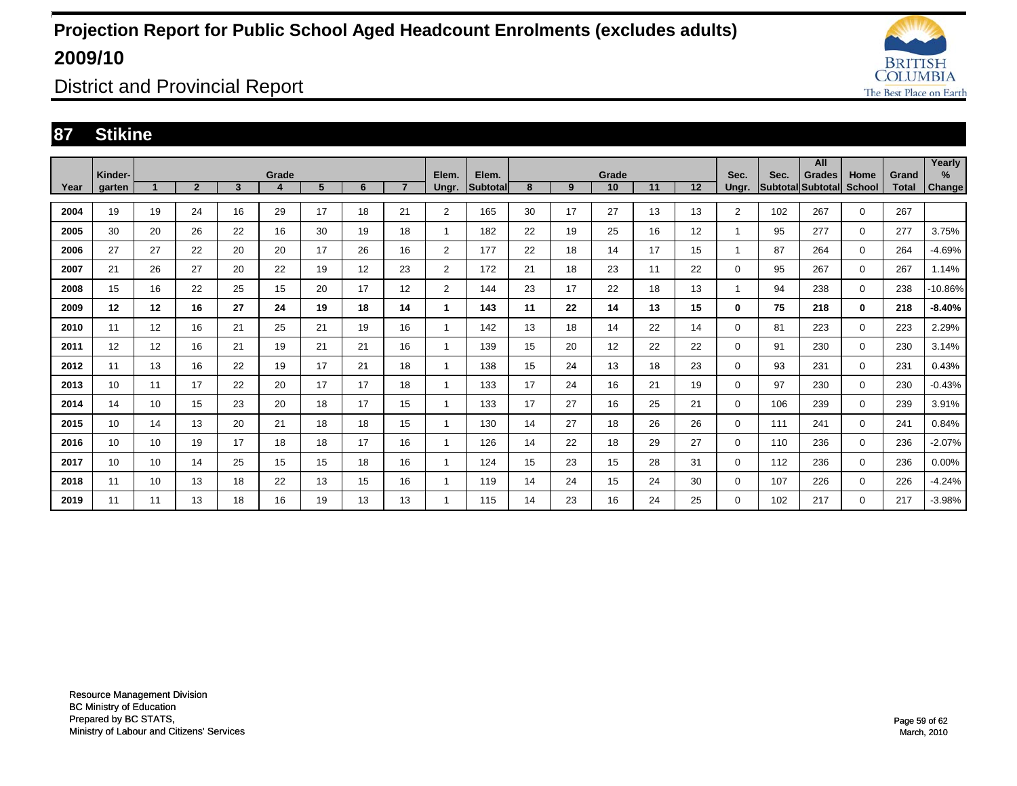![](_page_58_Picture_1.jpeg)

District and Provincial Report

### **87 Stikine**

|      |                   |    |                |                         |            |    |    |                |                |                   |    |    |                 |    |    |               |      | All                                |                       |                       | Yearly         |
|------|-------------------|----|----------------|-------------------------|------------|----|----|----------------|----------------|-------------------|----|----|-----------------|----|----|---------------|------|------------------------------------|-----------------------|-----------------------|----------------|
| Year | Kinder-<br>garten |    | $\overline{2}$ | $\overline{\mathbf{3}}$ | Grade<br>4 | 5  | 6  | $\overline{7}$ | Elem.<br>Ungr. | Elem.<br>Subtotal | 8  | 9  | Grade<br>10     | 11 | 12 | Sec.<br>Ungr. | Sec. | <b>Grades</b><br>Subtotal Subtotal | Home<br><b>School</b> | Grand<br><b>Total</b> | $\%$<br>Change |
|      |                   |    |                |                         |            |    |    |                |                |                   |    |    |                 |    |    |               |      |                                    |                       |                       |                |
| 2004 | 19                | 19 | 24             | 16                      | 29         | 17 | 18 | 21             | $\overline{2}$ | 165               | 30 | 17 | 27              | 13 | 13 | 2             | 102  | 267                                | $\mathbf 0$           | 267                   |                |
| 2005 | 30                | 20 | 26             | 22                      | 16         | 30 | 19 | 18             |                | 182               | 22 | 19 | 25              | 16 | 12 | 1             | 95   | 277                                | $\mathbf 0$           | 277                   | 3.75%          |
| 2006 | 27                | 27 | 22             | 20                      | 20         | 17 | 26 | 16             | $\overline{2}$ | 177               | 22 | 18 | 14              | 17 | 15 | 1             | 87   | 264                                | $\mathbf 0$           | 264                   | $-4.69%$       |
| 2007 | 21                | 26 | 27             | 20                      | 22         | 19 | 12 | 23             | $\overline{2}$ | 172               | 21 | 18 | 23              | 11 | 22 | $\Omega$      | 95   | 267                                | $\mathbf 0$           | 267                   | 1.14%          |
| 2008 | 15                | 16 | 22             | 25                      | 15         | 20 | 17 | 12             | $\overline{2}$ | 144               | 23 | 17 | 22              | 18 | 13 | 1             | 94   | 238                                | $\mathbf 0$           | 238                   | $-10.86%$      |
| 2009 | 12                | 12 | 16             | 27                      | 24         | 19 | 18 | 14             | 1              | 143               | 11 | 22 | 14              | 13 | 15 | 0             | 75   | 218                                | $\mathbf 0$           | 218                   | $-8.40%$       |
| 2010 | 11                | 12 | 16             | 21                      | 25         | 21 | 19 | 16             |                | 142               | 13 | 18 | 14              | 22 | 14 | $\Omega$      | 81   | 223                                | $\mathbf 0$           | 223                   | 2.29%          |
| 2011 | 12                | 12 | 16             | 21                      | 19         | 21 | 21 | 16             |                | 139               | 15 | 20 | 12 <sup>2</sup> | 22 | 22 | $\Omega$      | 91   | 230                                | $\mathbf 0$           | 230                   | 3.14%          |
| 2012 | 11                | 13 | 16             | 22                      | 19         | 17 | 21 | 18             |                | 138               | 15 | 24 | 13              | 18 | 23 | $\Omega$      | 93   | 231                                | $\mathbf 0$           | 231                   | 0.43%          |
| 2013 | 10                | 11 | 17             | 22                      | 20         | 17 | 17 | 18             |                | 133               | 17 | 24 | 16              | 21 | 19 | $\Omega$      | 97   | 230                                | $\mathbf 0$           | 230                   | $-0.43%$       |
| 2014 | 14                | 10 | 15             | 23                      | 20         | 18 | 17 | 15             |                | 133               | 17 | 27 | 16              | 25 | 21 | $\Omega$      | 106  | 239                                | $\mathbf 0$           | 239                   | 3.91%          |
| 2015 | 10                | 14 | 13             | 20                      | 21         | 18 | 18 | 15             |                | 130               | 14 | 27 | 18              | 26 | 26 | 0             | 111  | 241                                | $\mathbf 0$           | 241                   | 0.84%          |
| 2016 | 10                | 10 | 19             | 17                      | 18         | 18 | 17 | 16             |                | 126               | 14 | 22 | 18              | 29 | 27 | 0             | 110  | 236                                | $\mathbf 0$           | 236                   | $-2.07%$       |
| 2017 | 10                | 10 | 14             | 25                      | 15         | 15 | 18 | 16             |                | 124               | 15 | 23 | 15              | 28 | 31 | 0             | 112  | 236                                | $\mathbf 0$           | 236                   | 0.00%          |
| 2018 | 11                | 10 | 13             | 18                      | 22         | 13 | 15 | 16             |                | 119               | 14 | 24 | 15              | 24 | 30 | $\Omega$      | 107  | 226                                | $\mathbf 0$           | 226                   | $-4.24%$       |
| 2019 | 11                | 11 | 13             | 18                      | 16         | 19 | 13 | 13             |                | 115               | 14 | 23 | 16              | 24 | 25 | $\Omega$      | 102  | 217                                | $\mathbf 0$           | 217                   | $-3.98%$       |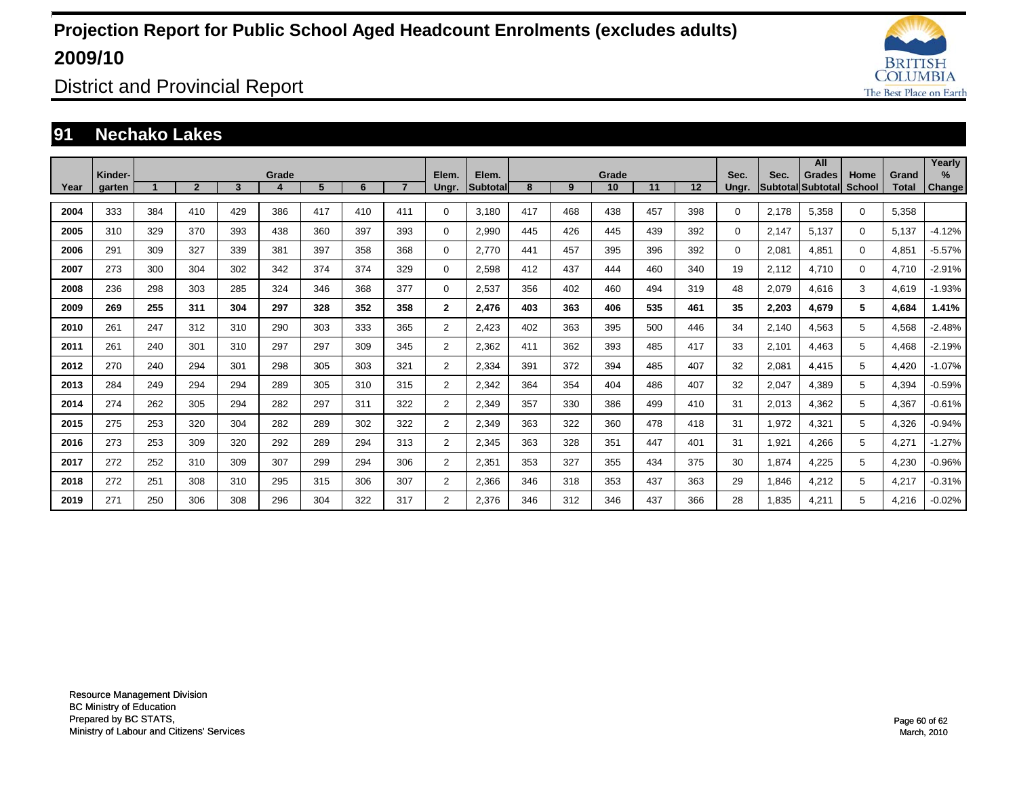![](_page_59_Picture_1.jpeg)

District and Provincial Report

### **91 Nechako Lakes**

|      |                   |     |                |     |       |     |     |                |                |                           |     |     |             |     |     |               |       | All                                       |                |                       | Yearly                  |
|------|-------------------|-----|----------------|-----|-------|-----|-----|----------------|----------------|---------------------------|-----|-----|-------------|-----|-----|---------------|-------|-------------------------------------------|----------------|-----------------------|-------------------------|
| Year | Kinder-<br>garten |     | $\overline{2}$ | 3   | Grade | 5   | 6   | $\overline{7}$ | Elem.<br>Ungr. | Elem.<br><b>Subtotall</b> | 8   | 9   | Grade<br>10 | 11  | 12  | Sec.<br>Ungr. | Sec.  | <b>Grades</b><br><b>Subtotal Subtotal</b> | Home<br>School | Grand<br><b>Total</b> | $\frac{9}{6}$<br>Change |
|      |                   |     |                |     |       |     |     |                |                |                           |     |     |             |     |     |               |       |                                           |                |                       |                         |
| 2004 | 333               | 384 | 410            | 429 | 386   | 417 | 410 | 411            | $\Omega$       | 3,180                     | 417 | 468 | 438         | 457 | 398 | $\Omega$      | 2,178 | 5,358                                     | 0              | 5,358                 |                         |
| 2005 | 310               | 329 | 370            | 393 | 438   | 360 | 397 | 393            | $\Omega$       | 2,990                     | 445 | 426 | 445         | 439 | 392 | $\Omega$      | 2,147 | 5.137                                     | 0              | 5,137                 | $-4.12%$                |
| 2006 | 291               | 309 | 327            | 339 | 381   | 397 | 358 | 368            | $\mathbf 0$    | 2,770                     | 441 | 457 | 395         | 396 | 392 | 0             | 2,081 | 4,851                                     | 0              | 4,851                 | $-5.57%$                |
| 2007 | 273               | 300 | 304            | 302 | 342   | 374 | 374 | 329            | $\mathbf 0$    | 2,598                     | 412 | 437 | 444         | 460 | 340 | 19            | 2,112 | 4,710                                     | 0              | 4,710                 | $-2.91%$                |
| 2008 | 236               | 298 | 303            | 285 | 324   | 346 | 368 | 377            | $\mathbf 0$    | 2,537                     | 356 | 402 | 460         | 494 | 319 | 48            | 2,079 | 4,616                                     | 3              | 4,619                 | $-1.93%$                |
| 2009 | 269               | 255 | 311            | 304 | 297   | 328 | 352 | 358            | $\mathbf{2}$   | 2,476                     | 403 | 363 | 406         | 535 | 461 | 35            | 2,203 | 4,679                                     | 5              | 4,684                 | 1.41%                   |
| 2010 | 261               | 247 | 312            | 310 | 290   | 303 | 333 | 365            | $\overline{2}$ | 2,423                     | 402 | 363 | 395         | 500 | 446 | 34            | 2,140 | 4,563                                     | 5              | 4,568                 | $-2.48%$                |
| 2011 | 261               | 240 | 301            | 310 | 297   | 297 | 309 | 345            | $\overline{2}$ | 2,362                     | 411 | 362 | 393         | 485 | 417 | 33            | 2,101 | 4,463                                     | 5              | 4,468                 | $-2.19%$                |
| 2012 | 270               | 240 | 294            | 301 | 298   | 305 | 303 | 321            | $\overline{2}$ | 2,334                     | 391 | 372 | 394         | 485 | 407 | 32            | 2,081 | 4,415                                     | 5              | 4,420                 | $-1.07%$                |
| 2013 | 284               | 249 | 294            | 294 | 289   | 305 | 310 | 315            | $\overline{2}$ | 2,342                     | 364 | 354 | 404         | 486 | 407 | 32            | 2,047 | 4,389                                     | 5              | 4,394                 | $-0.59%$                |
| 2014 | 274               | 262 | 305            | 294 | 282   | 297 | 311 | 322            | $\overline{2}$ | 2,349                     | 357 | 330 | 386         | 499 | 410 | 31            | 2,013 | 4,362                                     | 5              | 4,367                 | $-0.61%$                |
| 2015 | 275               | 253 | 320            | 304 | 282   | 289 | 302 | 322            | $\overline{2}$ | 2,349                     | 363 | 322 | 360         | 478 | 418 | 31            | 1,972 | 4,321                                     | 5              | 4,326                 | $-0.94%$                |
| 2016 | 273               | 253 | 309            | 320 | 292   | 289 | 294 | 313            | $\overline{2}$ | 2,345                     | 363 | 328 | 351         | 447 | 401 | 31            | 1,921 | 4,266                                     | 5              | 4,271                 | $-1.27%$                |
| 2017 | 272               | 252 | 310            | 309 | 307   | 299 | 294 | 306            | $\overline{2}$ | 2,351                     | 353 | 327 | 355         | 434 | 375 | 30            | 1,874 | 4,225                                     | 5              | 4,230                 | $-0.96%$                |
| 2018 | 272               | 251 | 308            | 310 | 295   | 315 | 306 | 307            | $\overline{2}$ | 2,366                     | 346 | 318 | 353         | 437 | 363 | 29            | 1,846 | 4,212                                     | 5              | 4,217                 | $-0.31%$                |
| 2019 | 271               | 250 | 306            | 308 | 296   | 304 | 322 | 317            | $\overline{2}$ | 2,376                     | 346 | 312 | 346         | 437 | 366 | 28            | 1,835 | 4,211                                     | 5              | 4,216                 | $-0.02%$                |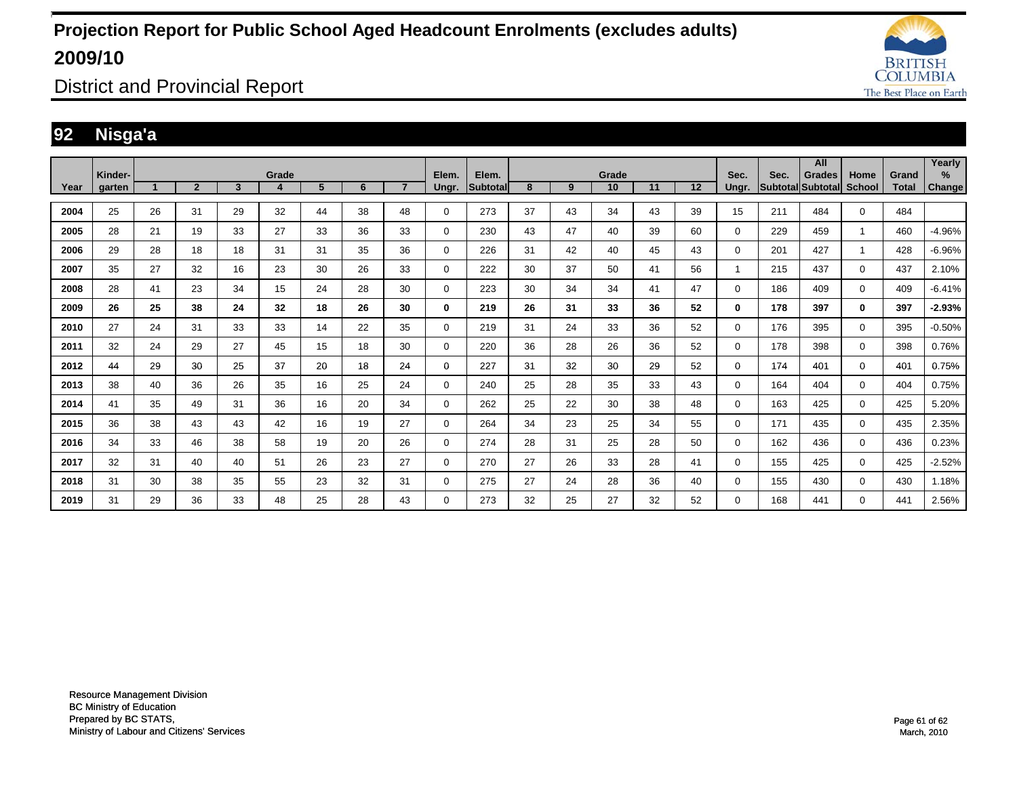![](_page_60_Picture_1.jpeg)

District and Provincial Report

### **92 Nisga'a**

|      |                          |    |                |              |            |    |    |                |                |                   |    |    |             |    |    |               |                           | All           |                       |                       | Yearly         |
|------|--------------------------|----|----------------|--------------|------------|----|----|----------------|----------------|-------------------|----|----|-------------|----|----|---------------|---------------------------|---------------|-----------------------|-----------------------|----------------|
| Year | Kinder-<br><b>garten</b> |    | $\overline{2}$ | $\mathbf{3}$ | Grade<br>4 | 5  | 6  | $\overline{7}$ | Elem.<br>Ungr. | Elem.<br>Subtotal | 8  | 9  | Grade<br>10 | 11 | 12 | Sec.<br>Unar. | Sec.<br>Subtotal Subtotal | <b>Grades</b> | Home<br><b>School</b> | Grand<br><b>Total</b> | $\%$<br>Change |
| 2004 | 25                       | 26 | 31             | 29           | 32         | 44 | 38 | 48             | $\Omega$       | 273               | 37 | 43 | 34          | 43 | 39 | 15            | 211                       | 484           | $\Omega$              | 484                   |                |
| 2005 | 28                       | 21 | 19             | 33           | 27         | 33 | 36 | 33             | 0              | 230               | 43 | 47 | 40          | 39 | 60 | 0             | 229                       | 459           | -1                    | 460                   | $-4.96%$       |
| 2006 | 29                       | 28 | 18             | 18           | 31         | 31 | 35 | 36             | 0              | 226               | 31 | 42 | 40          | 45 | 43 | $\Omega$      | 201                       | 427           | -1                    | 428                   | $-6.96%$       |
| 2007 | 35                       | 27 | 32             | 16           | 23         | 30 | 26 | 33             | 0              | 222               | 30 | 37 | 50          | 41 | 56 | 1             | 215                       | 437           | $\mathbf 0$           | 437                   | 2.10%          |
| 2008 | 28                       | 41 | 23             | 34           | 15         | 24 | 28 | 30             | $\Omega$       | 223               | 30 | 34 | 34          | 41 | 47 | $\Omega$      | 186                       | 409           | $\mathbf 0$           | 409                   | $-6.41%$       |
| 2009 | 26                       | 25 | 38             | 24           | 32         | 18 | 26 | 30             | 0              | 219               | 26 | 31 | 33          | 36 | 52 | 0             | 178                       | 397           | $\bf{0}$              | 397                   | $-2.93%$       |
| 2010 | 27                       | 24 | 31             | 33           | 33         | 14 | 22 | 35             | 0              | 219               | 31 | 24 | 33          | 36 | 52 | 0             | 176                       | 395           | $\mathbf 0$           | 395                   | $-0.50%$       |
| 2011 | 32                       | 24 | 29             | 27           | 45         | 15 | 18 | 30             | 0              | 220               | 36 | 28 | 26          | 36 | 52 | 0             | 178                       | 398           | $\mathbf 0$           | 398                   | 0.76%          |
| 2012 | 44                       | 29 | 30             | 25           | 37         | 20 | 18 | 24             | $\mathbf 0$    | 227               | 31 | 32 | 30          | 29 | 52 | $\Omega$      | 174                       | 401           | $\mathbf 0$           | 401                   | 0.75%          |
| 2013 | 38                       | 40 | 36             | 26           | 35         | 16 | 25 | 24             | 0              | 240               | 25 | 28 | 35          | 33 | 43 | $\Omega$      | 164                       | 404           | $\mathbf 0$           | 404                   | 0.75%          |
| 2014 | 41                       | 35 | 49             | 31           | 36         | 16 | 20 | 34             | 0              | 262               | 25 | 22 | 30          | 38 | 48 | $\Omega$      | 163                       | 425           | $\mathbf 0$           | 425                   | 5.20%          |
| 2015 | 36                       | 38 | 43             | 43           | 42         | 16 | 19 | 27             | 0              | 264               | 34 | 23 | 25          | 34 | 55 | $\Omega$      | 171                       | 435           | $\mathbf 0$           | 435                   | 2.35%          |
| 2016 | 34                       | 33 | 46             | 38           | 58         | 19 | 20 | 26             | $\mathbf 0$    | 274               | 28 | 31 | 25          | 28 | 50 | $\Omega$      | 162                       | 436           | $\mathbf 0$           | 436                   | 0.23%          |
| 2017 | 32                       | 31 | 40             | 40           | 51         | 26 | 23 | 27             | 0              | 270               | 27 | 26 | 33          | 28 | 41 | 0             | 155                       | 425           | $\mathbf 0$           | 425                   | $-2.52%$       |
| 2018 | 31                       | 30 | 38             | 35           | 55         | 23 | 32 | 31             | 0              | 275               | 27 | 24 | 28          | 36 | 40 | $\Omega$      | 155                       | 430           | $\mathbf 0$           | 430                   | 1.18%          |
| 2019 | 31                       | 29 | 36             | 33           | 48         | 25 | 28 | 43             | $\Omega$       | 273               | 32 | 25 | 27          | 32 | 52 | $\Omega$      | 168                       | 441           | $\mathbf 0$           | 441                   | 2.56%          |